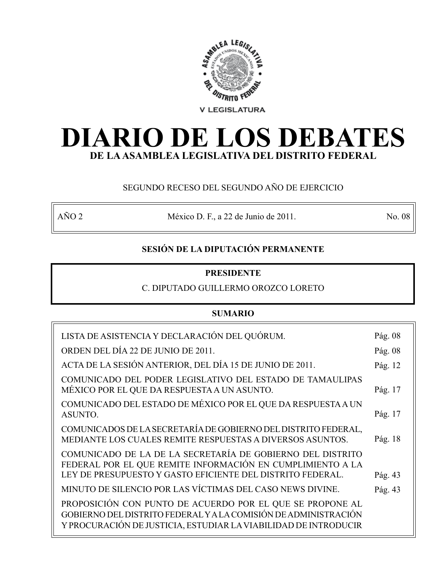

# **DIARIO DE LOS DEBATES DE LA ASAMBLEA LEGISLATIVA DEL DISTRITO FEDERAL**

# SEGUNDO RECESO DEL SEGUNDO AÑO DE EJERCICIO

AÑO 2 México D. F., a 22 de Junio de 2011. No. 08

# **SESIÓN DE LA DIPUTACIÓN PERMANENTE**

# **PRESIDENTE**

# C. DIPUTADO GUILLERMO OROZCO LORETO

# **SUMARIO**

| LISTA DE ASISTENCIA Y DECLARACIÓN DEL QUÓRUM.                                                                                                                                                   | Pág. 08 |
|-------------------------------------------------------------------------------------------------------------------------------------------------------------------------------------------------|---------|
| ORDEN DEL DÍA 22 DE JUNIO DE 2011.                                                                                                                                                              | Pág. 08 |
| ACTA DE LA SESIÓN ANTERIOR, DEL DÍA 15 DE JUNIO DE 2011.                                                                                                                                        | Pág. 12 |
| COMUNICADO DEL PODER LEGISLATIVO DEL ESTADO DE TAMAULIPAS<br>MÉXICO POR EL QUE DA RESPUESTA A UN ASUNTO.                                                                                        | Pág. 17 |
| COMUNICADO DEL ESTADO DE MÉXICO POR EL QUE DA RESPUESTA A UN<br>ASUNTO.                                                                                                                         | Pág. 17 |
| COMUNICADOS DE LA SECRETARÍA DE GOBIERNO DEL DISTRITO FEDERAL,<br>MEDIANTE LOS CUALES REMITE RESPUESTAS A DIVERSOS ASUNTOS.                                                                     | Pág. 18 |
| COMUNICADO DE LA DE LA SECRETARÍA DE GOBIERNO DEL DISTRITO<br>FEDERAL POR EL QUE REMITE INFORMACIÓN EN CUMPLIMIENTO A LA<br>LEY DE PRESUPUESTO Y GASTO EFICIENTE DEL DISTRITO FEDERAL.          | Pág. 43 |
| MINUTO DE SILENCIO POR LAS VÍCTIMAS DEL CASO NEWS DIVINE.                                                                                                                                       | Pág. 43 |
| PROPOSICIÓN CON PUNTO DE ACUERDO POR EL QUE SE PROPONE AL<br>GOBIERNO DEL DISTRITO FEDERAL Y A LA COMISIÓN DE ADMINISTRACIÓN<br>Y PROCURACIÓN DE JUSTICIA, ESTUDIAR LA VIABILIDAD DE INTRODUCIR |         |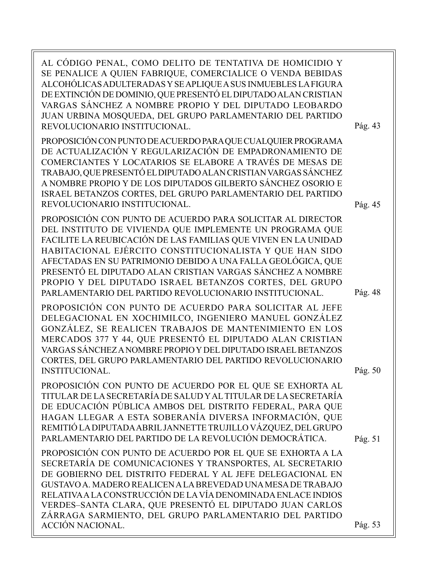| AL CÓDIGO PENAL, COMO DELITO DE TENTATIVA DE HOMICIDIO Y<br>SE PENALICE A QUIEN FABRIQUE, COMERCIALICE O VENDA BEBIDAS<br>ALCOHÓLICAS ADULTERADAS Y SE APLIQUE A SUS INMUEBLES LA FIGURA<br>DE EXTINCIÓN DE DOMINIO, QUE PRESENTÓ EL DIPUTADO ALAN CRISTIAN<br>VARGAS SÁNCHEZ A NOMBRE PROPIO Y DEL DIPUTADO LEOBARDO<br>JUAN URBINA MOSQUEDA, DEL GRUPO PARLAMENTARIO DEL PARTIDO<br>REVOLUCIONARIO INSTITUCIONAL.                                                                                      | Pág. 43 |
|----------------------------------------------------------------------------------------------------------------------------------------------------------------------------------------------------------------------------------------------------------------------------------------------------------------------------------------------------------------------------------------------------------------------------------------------------------------------------------------------------------|---------|
| PROPOSICIÓN CON PUNTO DE ACUERDO PARA QUE CUALQUIER PROGRAMA<br>DE ACTUALIZACIÓN Y REGULARIZACIÓN DE EMPADRONAMIENTO DE<br>COMERCIANTES Y LOCATARIOS SE ELABORE A TRAVÉS DE MESAS DE<br>TRABAJO, QUE PRESENTÓ EL DIPUTADO ALAN CRISTIAN VARGAS SÁNCHEZ<br>A NOMBRE PROPIO Y DE LOS DIPUTADOS GILBERTO SÁNCHEZ OSORIO E<br>ISRAEL BETANZOS CORTES, DEL GRUPO PARLAMENTARIO DEL PARTIDO<br>REVOLUCIONARIO INSTITUCIONAL.                                                                                   | Pág. 45 |
| PROPOSICIÓN CON PUNTO DE ACUERDO PARA SOLICITAR AL DIRECTOR<br>DEL INSTITUTO DE VIVIENDA QUE IMPLEMENTE UN PROGRAMA QUE<br>FACILITE LA REUBICACIÓN DE LAS FAMILIAS QUE VIVEN EN LA UNIDAD<br>HABITACIONAL EJÉRCITO CONSTITUCIONALISTA Y QUE HAN SIDO<br>AFECTADAS EN SU PATRIMONIO DEBIDO A UNA FALLA GEOLÓGICA, QUE<br>PRESENTÓ EL DIPUTADO ALAN CRISTIAN VARGAS SÁNCHEZ A NOMBRE<br>PROPIO Y DEL DIPUTADO ISRAEL BETANZOS CORTES, DEL GRUPO<br>PARLAMENTARIO DEL PARTIDO REVOLUCIONARIO INSTITUCIONAL. | Pág. 48 |
| PROPOSICIÓN CON PUNTO DE ACUERDO PARA SOLICITAR AL JEFE<br>DELEGACIONAL EN XOCHIMILCO, INGENIERO MANUEL GONZÁLEZ<br>GONZÁLEZ, SE REALICEN TRABAJOS DE MANTENIMIENTO EN LOS<br>MERCADOS 377 Y 44, QUE PRESENTÓ EL DIPUTADO ALAN CRISTIAN<br>VARGAS SÁNCHEZ A NOMBRE PROPIO Y DEL DIPUTADO ISRAEL BETANZOS<br>CORTES, DEL GRUPO PARLAMENTARIO DEL PARTIDO REVOLUCIONARIO<br><b>INSTITUCIONAL.</b>                                                                                                          | Pág. 50 |
| PROPOSICIÓN CON PUNTO DE ACUERDO POR EL QUE SE EXHORTA AL<br>TITULAR DE LA SECRETARÍA DE SALUD Y AL TITULAR DE LA SECRETARÍA<br>DE EDUCACIÓN PÚBLICA AMBOS DEL DISTRITO FEDERAL, PARA QUE<br>HAGAN LLEGAR A ESTA SOBERANÍA DIVERSA INFORMACIÓN, QUE<br>REMITIÓ LA DIPUTADA ABRIL JANNETTE TRUJILLO VÁZQUEZ, DEL GRUPO<br>PARLAMENTARIO DEL PARTIDO DE LA REVOLUCIÓN DEMOCRÁTICA.                                                                                                                         | Pág. 51 |
| PROPOSICIÓN CON PUNTO DE ACUERDO POR EL QUE SE EXHORTA A LA<br>SECRETARÍA DE COMUNICACIONES Y TRANSPORTES, AL SECRETARIO<br>DE GOBIERNO DEL DISTRITO FEDERAL Y AL JEFE DELEGACIONAL EN<br>GUSTAVO A. MADERO REALICEN A LA BREVEDAD UNA MESA DE TRABAJO<br>RELATIVA A LA CONSTRUCCIÓN DE LA VÍA DENOMINADA ENLACE INDIOS<br>VERDES-SANTA CLARA, QUE PRESENTÓ EL DIPUTADO JUAN CARLOS<br>ZÁRRAGA SARMIENTO, DEL GRUPO PARLAMENTARIO DEL PARTIDO<br><b>ACCIÓN NACIONAL.</b>                                 | Pág. 53 |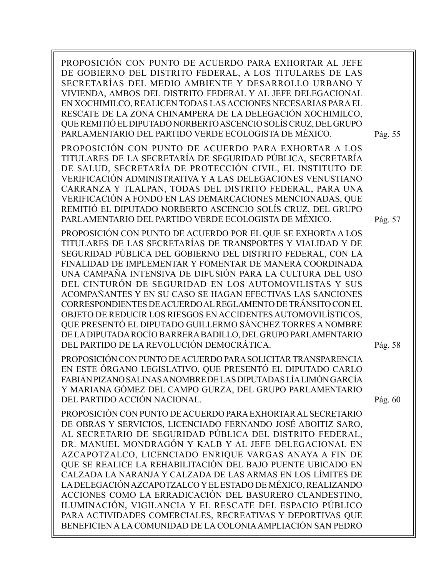PROPOSICIÓN CON PUNTO DE ACUERDO PARA EXHORTAR AL JEFE DE GOBIERNO DEL DISTRITO FEDERAL, A LOS TITULARES DE LAS SECRETARÍAS DEL MEDIO AMBIENTE Y DESARROLLO URBANO Y VIVIENDA, AMBOS DEL DISTRITO FEDERAL Y AL JEFE DELEGACIONAL EN XOCHIMILCO, REALICEN TODAS LAS ACCIONES NECESARIAS PARA EL RESCATE DE LA ZONA CHINAMPERA DE LA DELEGACIÓN XOCHIMILCO, QUE REMITIÓ EL DIPUTADO NORBERTO ASCENCIO SOLÍS CRUZ, DEL GRUPO PARLAMENTARIO DEL PARTIDO VERDE ECOLOGISTA DE MÉXICO. PROPOSICIÓN CON PUNTO DE ACUERDO PARA EXHORTAR A LOS TITULARES DE LA SECRETARÍA DE SEGURIDAD PÚBLICA, SECRETARÍA DE SALUD, SECRETARÍA DE PROTECCIÓN CIVIL, EL INSTITUTO DE VERIFICACIÓN ADMINISTRATIVA Y A LAS DELEGACIONES VENUSTIANO CARRANZA Y TLALPAN, TODAS DEL DISTRITO FEDERAL, PARA UNA VERIFICACIÓN A FONDO EN LAS DEMARCACIONES MENCIONADAS, QUE REMITIÓ EL DIPUTADO NORBERTO ASCENCIO SOLÍS CRUZ, DEL GRUPO PARLAMENTARIO DEL PARTIDO VERDE ECOLOGISTA DE MÉXICO. PROPOSICIÓN CON PUNTO DE ACUERDO POR EL QUE SE EXHORTA A LOS TITULARES DE LAS SECRETARÍAS DE TRANSPORTES Y VIALIDAD Y DE SEGURIDAD PÚBLICA DEL GOBIERNO DEL DISTRITO FEDERAL, CON LA FINALIDAD DE IMPLEMENTAR Y FOMENTAR DE MANERA COORDINADA UNA CAMPAÑA INTENSIVA DE DIFUSIÓN PARA LA CULTURA DEL USO DEL CINTURÓN DE SEGURIDAD EN LOS AUTOMOVILISTAS Y SUS ACOMPAÑANTES Y EN SU CASO SE HAGAN EFECTIVAS LAS SANCIONES CORRESPONDIENTES DE ACUERDO AL REGLAMENTO DE TRÁNSITO CON EL OBJETO DE REDUCIR LOS RIESGOS EN ACCIDENTES AUTOMOVILÍSTICOS, QUE PRESENTÓ EL DIPUTADO GUILLERMO SÁNCHEZ TORRES A NOMBRE DE LA DIPUTADA ROCÍO BARRERA BADILLO, DEL GRUPO PARLAMENTARIO DEL PARTIDO DE LA REVOLUCIÓN DEMOCRÁTICA. PROPOSICIÓN CON PUNTO DE ACUERDO PARA SOLICITAR TRANSPARENCIA EN ESTE ÓRGANO LEGISLATIVO, QUE PRESENTÓ EL DIPUTADO CARLO FABIÁN PIZANO SALINAS A NOMBRE DE LAS DIPUTADAS LÍA LIMÓN GARCÍA Y MARIANA GÓMEZ DEL CAMPO GURZA, DEL GRUPO PARLAMENTARIO DEL PARTIDO ACCIÓN NACIONAL. PROPOSICIÓN CON PUNTO DE ACUERDO PARA EXHORTAR AL SECRETARIO DE OBRAS Y SERVICIOS, LICENCIADO FERNANDO JOSÉ ABOITIZ SARO, AL SECRETARIO DE SEGURIDAD PÚBLICA DEL DISTRITO FEDERAL, DR. MANUEL MONDRAGÓN Y KALB Y AL JEFE DELEGACIONAL EN AZCAPOTZALCO, LICENCIADO ENRIQUE VARGAS ANAYA A FIN DE QUE SE REALICE LA REHABILITACIÓN DEL BAJO PUENTE UBICADO EN CALZADA LA NARANJA Y CALZADA DE LAS ARMAS EN LOS LÍMITES DE LA DELEGACIÓN AZCAPOTZALCO Y EL ESTADO DE MÉXICO, REALIZANDO ACCIONES COMO LA ERRADICACIÓN DEL BASURERO CLANDESTINO, ILUMINACIÓN, VIGILANCIA Y EL RESCATE DEL ESPACIO PÚBLICO PARA ACTIVIDADES COMERCIALES, RECREATIVAS Y DEPORTIVAS QUE BENEFICIEN A LA COMUNIDAD DE LA COLONIA AMPLIACIÓN SAN PEDRO Pág. 55 Pág. 57 Pág. 58 Pág. 60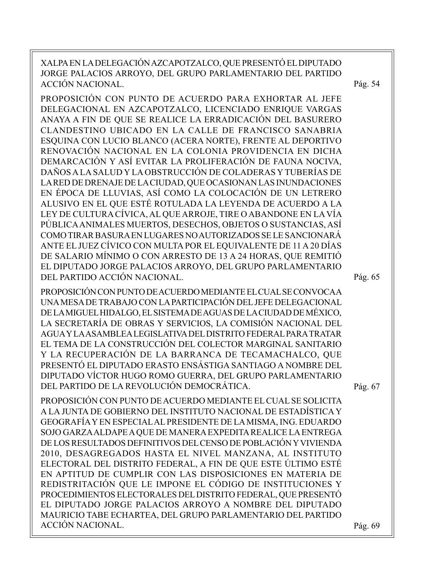XALPA EN LA DELEGACIÓN AZCAPOTZALCO, QUE PRESENTÓ EL DIPUTADO JORGE PALACIOS ARROYO, DEL GRUPO PARLAMENTARIO DEL PARTIDO ACCIÓN NACIONAL. PROPOSICIÓN CON PUNTO DE ACUERDO PARA EXHORTAR AL JEFE DELEGACIONAL EN AZCAPOTZALCO, LICENCIADO ENRIQUE VARGAS ANAYA A FIN DE QUE SE REALICE LA ERRADICACIÓN DEL BASURERO CLANDESTINO UBICADO EN LA CALLE DE FRANCISCO SANABRIA ESQUINA CON LUCIO BLANCO (ACERA NORTE), FRENTE AL DEPORTIVO RENOVACIÓN NACIONAL EN LA COLONIA PROVIDENCIA EN DICHA DEMARCACIÓN Y ASÍ EVITAR LA PROLIFERACIÓN DE FAUNA NOCIVA, DAÑOS A LA SALUD Y LA OBSTRUCCIÓN DE COLADERAS Y TUBERÍAS DE LA RED DE DRENAJE DE LA CIUDAD, QUE OCASIONAN LAS INUNDACIONES EN ÉPOCA DE LLUVIAS, ASÍ COMO LA COLOCACIÓN DE UN LETRERO ALUSIVO EN EL QUE ESTÉ ROTULADA LA LEYENDA DE ACUERDO A LA LEY DE CULTURA CÍVICA, AL QUE ARROJE, TIRE O ABANDONE EN LA VÍA PÚBLICA ANIMALES MUERTOS, DESECHOS, OBJETOS O SUSTANCIAS, ASÍ COMO TIRAR BASURA EN LUGARES NO AUTORIZADOS SE LE SANCIONARÁ ANTE EL JUEZ CÍVICO CON MULTA POR EL EQUIVALENTE DE 11 A 20 DÍAS DE SALARIO MÍNIMO O CON ARRESTO DE 13 A 24 HORAS, QUE REMITIÓ EL DIPUTADO JORGE PALACIOS ARROYO, DEL GRUPO PARLAMENTARIO DEL PARTIDO ACCIÓN NACIONAL. PROPOSICIÓN CON PUNTO DE ACUERDO MEDIANTE EL CUAL SE CONVOCA A UNA MESA DE TRABAJO CON LA PARTICIPACIÓN DEL JEFE DELEGACIONAL DE LA MIGUEL HIDALGO, EL SISTEMA DE AGUAS DE LA CIUDAD DE MÉXICO, LA SECRETARÍA DE OBRAS Y SERVICIOS, LA COMISIÓN NACIONAL DEL AGUA Y LA ASAMBLEA LEGISLATIVA DEL DISTRITO FEDERAL PARA TRATAR EL TEMA DE LA CONSTRUCCIÓN DEL COLECTOR MARGINAL SANITARIO Y LA RECUPERACIÓN DE LA BARRANCA DE TECAMACHALCO, QUE PRESENTÓ EL DIPUTADO ERASTO ENSÁSTIGA SANTIAGO A NOMBRE DEL DIPUTADO VÍCTOR HUGO ROMO GUERRA, DEL GRUPO PARLAMENTARIO DEL PARTIDO DE LA REVOLUCIÓN DEMOCRÁTICA. PROPOSICIÓN CON PUNTO DE ACUERDO MEDIANTE EL CUAL SE SOLICITA A LA JUNTA DE GOBIERNO DEL INSTITUTO NACIONAL DE ESTADÍSTICA Y GEOGRAFÍA Y EN ESPECIAL AL PRESIDENTE DE LA MISMA, ING. EDUARDO SOJO GARZA ALDAPE A QUE DE MANERA EXPEDITA REALICE LA ENTREGA DE LOS RESULTADOS DEFINITIVOS DEL CENSO DE POBLACIÓN Y VIVIENDA 2010, DESAGREGADOS HASTA EL NIVEL MANZANA, AL INSTITUTO ELECTORAL DEL DISTRITO FEDERAL, A FIN DE QUE ESTE ÚLTIMO ESTÉ EN APTITUD DE CUMPLIR CON LAS DISPOSICIONES EN MATERIA DE REDISTRITACIÓN QUE LE IMPONE EL CÓDIGO DE INSTITUCIONES Y PROCEDIMIENTOS ELECTORALES DEL DISTRITO FEDERAL, QUE PRESENTÓ EL DIPUTADO JORGE PALACIOS ARROYO A NOMBRE DEL DIPUTADO MAURICIO TABE ECHARTEA, DEL GRUPO PARLAMENTARIO DEL PARTIDO ACCIÓN NACIONAL. Pág. 69 Pág. 67 Pág. 65 Pág. 54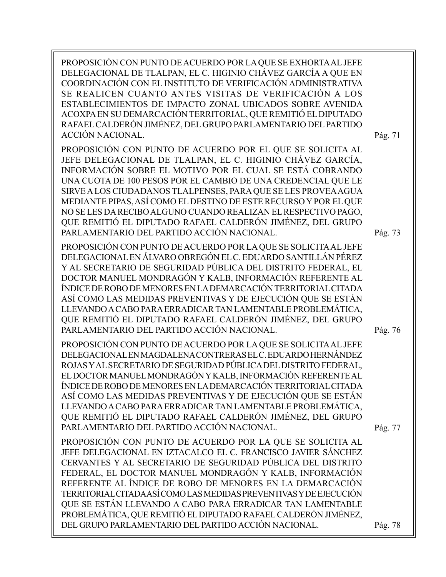PROPOSICIÓN CON PUNTO DE ACUERDO POR LA QUE SE EXHORTA AL JEFE DELEGACIONAL DE TLALPAN, EL C. HIGINIO CHÁVEZ GARCÍA A QUE EN COORDINACIÓN CON EL INSTITUTO DE VERIFICACIÓN ADMINISTRATIVA SE REALICEN CUANTO ANTES VISITAS DE VERIFICACIÓN A LOS ESTABLECIMIENTOS DE IMPACTO ZONAL UBICADOS SOBRE AVENIDA ACOXPA EN SU DEMARCACIÓN TERRITORIAL, QUE REMITIÓ EL DIPUTADO RAFAEL CALDERÓN JIMÉNEZ, DEL GRUPO PARLAMENTARIO DEL PARTIDO ACCIÓN NACIONAL.

PROPOSICIÓN CON PUNTO DE ACUERDO POR EL QUE SE SOLICITA AL JEFE DELEGACIONAL DE TLALPAN, EL C. HIGINIO CHÁVEZ GARCÍA, INFORMACIÓN SOBRE EL MOTIVO POR EL CUAL SE ESTÁ COBRANDO UNA CUOTA DE 100 PESOS POR EL CAMBIO DE UNA CREDENCIAL QUE LE SIRVE A LOS CIUDADANOS TLALPENSES, PARA QUE SE LES PROVEA AGUA MEDIANTE PIPAS, ASÍ COMO EL DESTINO DE ESTE RECURSO Y POR EL QUE NO SE LES DA RECIBO ALGUNO CUANDO REALIZAN EL RESPECTIVO PAGO, QUE REMITIÓ EL DIPUTADO RAFAEL CALDERÓN JIMÉNEZ, DEL GRUPO PARLAMENTARIO DEL PARTIDO ACCIÓN NACIONAL.

PROPOSICIÓN CON PUNTO DE ACUERDO POR LA QUE SE SOLICITA AL JEFE DELEGACIONAL EN ÁLVARO OBREGÓN EL C. EDUARDO SANTILLÁN PÉREZ Y AL SECRETARIO DE SEGURIDAD PÚBLICA DEL DISTRITO FEDERAL, EL DOCTOR MANUEL MONDRAGÓN Y KALB, INFORMACIÓN REFERENTE AL ÍNDICE DE ROBO DE MENORES EN LA DEMARCACIÓN TERRITORIAL CITADA ASÍ COMO LAS MEDIDAS PREVENTIVAS Y DE EJECUCIÓN QUE SE ESTÁN LLEVANDO A CABO PARA ERRADICAR TAN LAMENTABLE PROBLEMÁTICA, QUE REMITIÓ EL DIPUTADO RAFAEL CALDERÓN JIMÉNEZ, DEL GRUPO PARLAMENTARIO DEL PARTIDO ACCIÓN NACIONAL.

PROPOSICIÓN CON PUNTO DE ACUERDO POR LA QUE SE SOLICITA AL JEFE DELEGACIONAL EN MAGDALENA CONTRERAS EL C. EDUARDO HERNÁNDEZ ROJAS Y AL SECRETARIO DE SEGURIDAD PÚBLICA DEL DISTRITO FEDERAL, EL DOCTOR MANUEL MONDRAGÓN Y KALB, INFORMACIÓN REFERENTE AL ÍNDICE DE ROBO DE MENORES EN LA DEMARCACIÓN TERRITORIAL CITADA ASÍ COMO LAS MEDIDAS PREVENTIVAS Y DE EJECUCIÓN QUE SE ESTÁN LLEVANDO A CABO PARA ERRADICAR TAN LAMENTABLE PROBLEMÁTICA, QUE REMITIÓ EL DIPUTADO RAFAEL CALDERÓN JIMÉNEZ, DEL GRUPO PARLAMENTARIO DEL PARTIDO ACCIÓN NACIONAL.

Pág. 77

Pág. 76

Pág. 73

Pág. 71

PROPOSICIÓN CON PUNTO DE ACUERDO POR LA QUE SE SOLICITA AL JEFE DELEGACIONAL EN IZTACALCO EL C. FRANCISCO JAVIER SÁNCHEZ CERVANTES Y AL SECRETARIO DE SEGURIDAD PÚBLICA DEL DISTRITO FEDERAL, EL DOCTOR MANUEL MONDRAGÓN Y KALB, INFORMACIÓN REFERENTE AL ÍNDICE DE ROBO DE MENORES EN LA DEMARCACIÓN TERRITORIAL CITADA ASÍ COMO LAS MEDIDAS PREVENTIVAS Y DE EJECUCIÓN QUE SE ESTÁN LLEVANDO A CABO PARA ERRADICAR TAN LAMENTABLE PROBLEMÁTICA, QUE REMITIÓ EL DIPUTADO RAFAEL CALDERÓN JIMÉNEZ, DEL GRUPO PARLAMENTARIO DEL PARTIDO ACCIÓN NACIONAL.

Pág. 78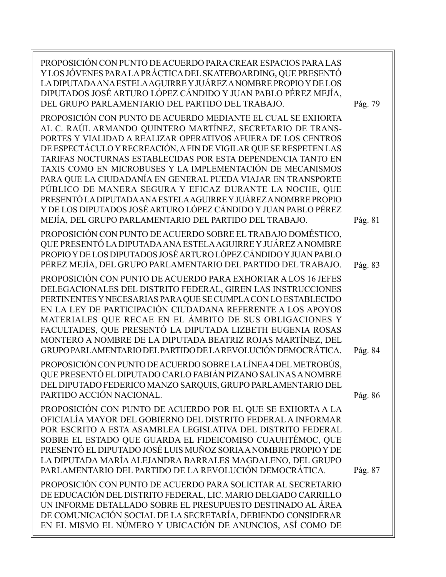| PROPOSICIÓN CON PUNTO DE ACUERDO PARA CREAR ESPACIOS PARA LAS<br>Y LOS JÓVENES PARA LA PRÁCTICA DEL SKATEBOARDING, QUE PRESENTÓ<br>LA DIPUTADA ANA ESTELA AGUIRRE Y JUÁREZ A NOMBRE PROPIO Y DE LOS<br>DIPUTADOS JOSÉ ARTURO LÓPEZ CÁNDIDO Y JUAN PABLO PÉREZ MEJÍA,<br>DEL GRUPO PARLAMENTARIO DEL PARTIDO DEL TRABAJO.                                                                                                                                                                                                                                                                                                                                                                                                    | Pág. 79 |
|-----------------------------------------------------------------------------------------------------------------------------------------------------------------------------------------------------------------------------------------------------------------------------------------------------------------------------------------------------------------------------------------------------------------------------------------------------------------------------------------------------------------------------------------------------------------------------------------------------------------------------------------------------------------------------------------------------------------------------|---------|
| PROPOSICIÓN CON PUNTO DE ACUERDO MEDIANTE EL CUAL SE EXHORTA<br>AL C. RAÚL ARMANDO QUINTERO MARTÍNEZ, SECRETARIO DE TRANS-<br>PORTES Y VIALIDAD A REALIZAR OPERATIVOS AFUERA DE LOS CENTROS<br>DE ESPECTÁCULO Y RECREACIÓN, A FIN DE VIGILAR QUE SE RESPETEN LAS<br>TARIFAS NOCTURNAS ESTABLECIDAS POR ESTA DEPENDENCIA TANTO EN<br>TAXIS COMO EN MICROBUSES Y LA IMPLEMENTACIÓN DE MECANISMOS<br>PARA QUE LA CIUDADANÍA EN GENERAL PUEDA VIAJAR EN TRANSPORTE<br>PÚBLICO DE MANERA SEGURA Y EFICAZ DURANTE LA NOCHE, QUE<br>PRESENTÓ LA DIPUTADA ANA ESTELA AGUIRRE Y JUÁREZ A NOMBRE PROPIO<br>Y DE LOS DIPUTADOS JOSÉ ARTURO LÓPEZ CÁNDIDO Y JUAN PABLO PÉREZ<br>MEJÍA, DEL GRUPO PARLAMENTARIO DEL PARTIDO DEL TRABAJO. | Pág. 81 |
| PROPOSICIÓN CON PUNTO DE ACUERDO SOBRE EL TRABAJO DOMÉSTICO,<br>QUE PRESENTÓ LA DIPUTADA ANA ESTELA AGUIRRE Y JUÁREZ A NOMBRE<br>PROPIO Y DE LOS DIPUTADOS JOSÉ ARTURO LÓPEZ CÁNDIDO Y JUAN PABLO<br>PÉREZ MEJÍA, DEL GRUPO PARLAMENTARIO DEL PARTIDO DEL TRABAJO.                                                                                                                                                                                                                                                                                                                                                                                                                                                          | Pág. 83 |
| PROPOSICIÓN CON PUNTO DE ACUERDO PARA EXHORTAR A LOS 16 JEFES<br>DELEGACIONALES DEL DISTRITO FEDERAL, GIREN LAS INSTRUCCIONES<br>PERTINENTES Y NECESARIAS PARA QUE SE CUMPLA CON LO ESTABLECIDO<br>EN LA LEY DE PARTICIPACIÓN CIUDADANA REFERENTE A LOS APOYOS<br>MATERIALES QUE RECAE EN EL ÁMBITO DE SUS OBLIGACIONES Y<br>FACULTADES, QUE PRESENTÓ LA DIPUTADA LIZBETH EUGENIA ROSAS<br>MONTERO A NOMBRE DE LA DIPUTADA BEATRIZ ROJAS MARTÍNEZ, DEL<br>GRUPO PARLAMENTARIO DEL PARTIDO DE LA REVOLUCIÓN DEMOCRÁTICA.                                                                                                                                                                                                     | Pág. 84 |
| PROPOSICIÓN CON PUNTO DE ACUERDO SOBRE LA LÍNEA 4 DEL METROBÚS,<br>QUE PRESENTÓ EL DIPUTADO CARLO FABIÁN PIZANO SALINAS A NOMBRE<br>DEL DIPUTADO FEDERICO MANZO SARQUIS, GRUPO PARLAMENTARIO DEL<br>PARTIDO ACCIÓN NACIONAL.                                                                                                                                                                                                                                                                                                                                                                                                                                                                                                | Pág. 86 |
| PROPOSICIÓN CON PUNTO DE ACUERDO POR EL QUE SE EXHORTA A LA<br>OFICIALÍA MAYOR DEL GOBIERNO DEL DISTRITO FEDERAL A INFORMAR<br>POR ESCRITO A ESTA ASAMBLEA LEGISLATIVA DEL DISTRITO FEDERAL<br>SOBRE EL ESTADO QUE GUARDA EL FIDEICOMISO CUAUHTÉMOC, QUE<br>PRESENTÓ EL DIPUTADO JOSÉ LUIS MUÑOZ SORIA A NOMBRE PROPIO Y DE<br>LA DIPUTADA MARÍA ALEJANDRA BARRALES MAGDALENO, DEL GRUPO<br>PARLAMENTARIO DEL PARTIDO DE LA REVOLUCIÓN DEMOCRÁTICA.                                                                                                                                                                                                                                                                         | Pág. 87 |
| PROPOSICIÓN CON PUNTO DE ACUERDO PARA SOLICITAR AL SECRETARIO<br>DE EDUCACIÓN DEL DISTRITO FEDERAL, LIC. MARIO DELGADO CARRILLO<br>UN INFORME DETALLADO SOBRE EL PRESUPUESTO DESTINADO AL ÁREA<br>DE COMUNICACIÓN SOCIAL DE LA SECRETARÍA, DEBIENDO CONSIDERAR<br>EN EL MISMO EL NÚMERO Y UBICACIÓN DE ANUNCIOS, ASÍ COMO DE                                                                                                                                                                                                                                                                                                                                                                                                |         |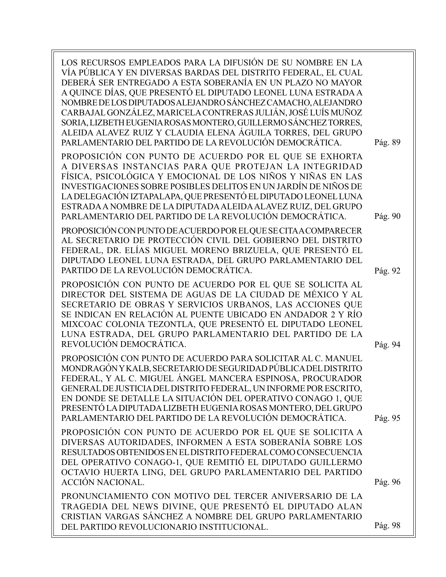| LOS RECURSOS EMPLEADOS PARA LA DIFUSIÓN DE SU NOMBRE EN LA<br>VÍA PÚBLICA Y EN DIVERSAS BARDAS DEL DISTRITO FEDERAL, EL CUAL<br>DEBERÁ SER ENTREGADO A ESTA SOBERANÍA EN UN PLAZO NO MAYOR<br>A QUINCE DÍAS, QUE PRESENTÓ EL DIPUTADO LEONEL LUNA ESTRADA A<br>NOMBRE DE LOS DIPUTADOS ALEJANDRO SÁNCHEZ CAMACHO, ALEJANDRO<br>CARBAJAL GONZÁLEZ, MARICELA CONTRERAS JULIÁN, JOSÉ LUÍS MUÑOZ<br>SORIA, LIZBETH EUGENIA ROSAS MONTERO, GUILLERMO SÁNCHEZ TORRES,<br>ALEIDA ALAVEZ RUIZ Y CLAUDIA ELENA ÁGUILA TORRES, DEL GRUPO<br>PARLAMENTARIO DEL PARTIDO DE LA REVOLUCIÓN DEMOCRÁTICA. | Pág. 89 |
|-------------------------------------------------------------------------------------------------------------------------------------------------------------------------------------------------------------------------------------------------------------------------------------------------------------------------------------------------------------------------------------------------------------------------------------------------------------------------------------------------------------------------------------------------------------------------------------------|---------|
| PROPOSICIÓN CON PUNTO DE ACUERDO POR EL QUE SE EXHORTA<br>A DIVERSAS INSTANCIAS PARA QUE PROTEJAN LA INTEGRIDAD<br>FÍSICA, PSICOLÓGICA Y EMOCIONAL DE LOS NIÑOS Y NIÑAS EN LAS<br>INVESTIGACIONES SOBRE POSIBLES DELITOS EN UN JARDÍN DE NIÑOS DE<br>LA DELEGACIÓN IZTAPALAPA, QUE PRESENTÓ EL DIPUTADO LEONEL LUNA<br>ESTRADA A NOMBRE DE LA DIPUTADA ALEIDA ALAVEZ RUIZ, DEL GRUPO<br>PARLAMENTARIO DEL PARTIDO DE LA REVOLUCIÓN DEMOCRÁTICA.                                                                                                                                           | Pág. 90 |
| PROPOSICIÓN CON PUNTO DE ACUERDO POR EL QUE SE CITA A COMPARECER<br>AL SECRETARIO DE PROTECCIÓN CIVIL DEL GOBIERNO DEL DISTRITO<br>FEDERAL, DR. ELÍAS MIGUEL MORENO BRIZUELA, QUE PRESENTÓ EL<br>DIPUTADO LEONEL LUNA ESTRADA, DEL GRUPO PARLAMENTARIO DEL<br>PARTIDO DE LA REVOLUCIÓN DEMOCRÁTICA.                                                                                                                                                                                                                                                                                       | Pág. 92 |
| PROPOSICIÓN CON PUNTO DE ACUERDO POR EL QUE SE SOLICITA AL<br>DIRECTOR DEL SISTEMA DE AGUAS DE LA CIUDAD DE MÉXICO Y AL<br>SECRETARIO DE OBRAS Y SERVICIOS URBANOS, LAS ACCIONES QUE<br>SE INDICAN EN RELACIÓN AL PUENTE UBICADO EN ANDADOR 2 Y RÍO<br>MIXCOAC COLONIA TEZONTLA, QUE PRESENTÓ EL DIPUTADO LEONEL<br>LUNA ESTRADA, DEL GRUPO PARLAMENTARIO DEL PARTIDO DE LA<br>REVOLUCIÓN DEMOCRÁTICA.                                                                                                                                                                                    | Pág. 94 |
| PROPOSICIÓN CON PUNTO DE ACUERDO PARA SOLICITAR AL C. MANUEL<br>MONDRAGÓN Y KALB, SECRETARIO DE SEGURIDAD PÚBLICA DEL DISTRITO<br>FEDERAL, Y AL C. MIGUEL ÁNGEL MANCERA ESPINOSA, PROCURADOR<br>GENERAL DE JUSTICIA DEL DISTRITO FEDERAL, UN INFORME POR ESCRITO,<br>EN DONDE SE DETALLE LA SITUACIÓN DEL OPERATIVO CONAGO 1, QUE<br>PRESENTÓ LA DIPUTADA LIZBETH EUGENIA ROSAS MONTERO, DEL GRUPO<br>PARLAMENTARIO DEL PARTIDO DE LA REVOLUCIÓN DEMOCRÁTICA.                                                                                                                             | Pág. 95 |
| PROPOSICIÓN CON PUNTO DE ACUERDO POR EL QUE SE SOLICITA A<br>DIVERSAS AUTORIDADES, INFORMEN A ESTA SOBERANÍA SOBRE LOS<br>RESULTADOS OBTENIDOS EN EL DISTRITO FEDERAL COMO CONSECUENCIA<br>DEL OPERATIVO CONAGO-1, QUE REMITIÓ EL DIPUTADO GUILLERMO<br>OCTAVIO HUERTA LING, DEL GRUPO PARLAMENTARIO DEL PARTIDO<br><b>ACCIÓN NACIONAL.</b>                                                                                                                                                                                                                                               | Pág. 96 |
| PRONUNCIAMIENTO CON MOTIVO DEL TERCER ANIVERSARIO DE LA<br>TRAGEDIA DEL NEWS DIVINE, QUE PRESENTÓ EL DIPUTADO ALAN<br>CRISTIAN VARGAS SÁNCHEZ A NOMBRE DEL GRUPO PARLAMENTARIO<br>DEL PARTIDO REVOLUCIONARIO INSTITUCIONAL.                                                                                                                                                                                                                                                                                                                                                               | Pág. 98 |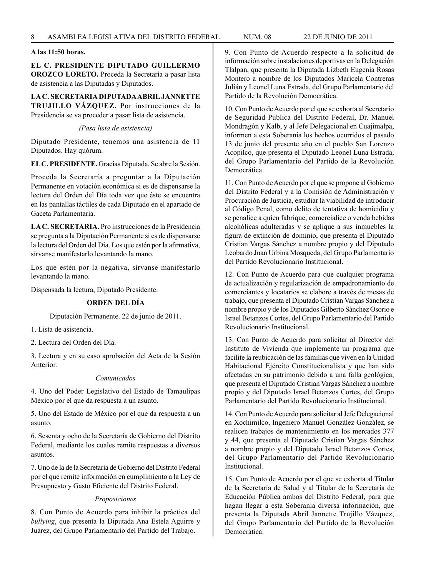# **A las 11:50 horas.**

**EL C. PRESIDENTE DIPUTADO GUILLERMO OROZCO LORETO.** Proceda la Secretaría a pasar lista de asistencia a las Diputadas y Diputados.

**LA C. SECRETARIA DIPUTADA ABRIL JANNETTE TRUJILLO VÁZQUEZ.** Por instrucciones de la Presidencia se va proceder a pasar lista de asistencia.

#### *(Pasa lista de asistencia)*

Diputado Presidente, tenemos una asistencia de 11 Diputados. Hay quórum.

**EL C. PRESIDENTE.** Gracias Diputada. Se abre la Sesión.

Proceda la Secretaría a preguntar a la Diputación Permanente en votación económica si es de dispensarse la lectura del Orden del Día toda vez que éste se encuentra en las pantallas táctiles de cada Diputado en el apartado de Gaceta Parlamentaria.

**LA C. SECRETARIA.** Pro instrucciones de la Presidencia se pregunta a la Diputación Permanente si es de dispensarse la lectura del Orden del Día. Los que estén por la afirmativa, sírvanse manifestarlo levantando la mano.

Los que estén por la negativa, sírvanse manifestarlo levantando la mano.

Dispensada la lectura, Diputado Presidente.

# **ORDEN DEL DÍA**

Diputación Permanente. 22 de junio de 2011.

1. Lista de asistencia.

2. Lectura del Orden del Día.

3. Lectura y en su caso aprobación del Acta de la Sesión Anterior.

# *Comunicados*

4. Uno del Poder Legislativo del Estado de Tamaulipas México por el que da respuesta a un asunto.

5. Uno del Estado de México por el que da respuesta a un asunto.

6. Sesenta y ocho de la Secretaría de Gobierno del Distrito Federal, mediante los cuales remite respuestas a diversos asuntos.

7. Uno de la de la Secretaría de Gobierno del Distrito Federal por el que remite información en cumplimiento a la Ley de Presupuesto y Gasto Eficiente del Distrito Federal.

# *Proposiciones*

8. Con Punto de Acuerdo para inhibir la práctica del *bullying*, que presenta la Diputada Ana Estela Aguirre y Juárez, del Grupo Parlamentario del Partido del Trabajo.

9. Con Punto de Acuerdo respecto a la solicitud de información sobre instalaciones deportivas en la Delegación Tlalpan, que presenta la Diputada Lizbeth Eugenia Rosas Montero a nombre de los Diputados Maricela Contreras Julián y Leonel Luna Estrada, del Grupo Parlamentario del Partido de la Revolución Democrática.

10. Con Punto de Acuerdo por el que se exhorta al Secretario de Seguridad Pública del Distrito Federal, Dr. Manuel Mondragón y Kalb, y al Jefe Delegacional en Cuajimalpa, informen a esta Soberanía los hechos ocurridos el pasado 13 de junio del presente año en el pueblo San Lorenzo Acopilco, que presenta el Diputado Leonel Luna Estrada, del Grupo Parlamentario del Partido de la Revolución Democrática.

11. Con Punto de Acuerdo por el que se propone al Gobierno del Distrito Federal y a la Comisión de Administración y Procuración de Justicia, estudiar la viabilidad de introducir al Código Penal, como delito de tentativa de homicidio y se penalice a quien fabrique, comercialice o venda bebidas alcohólicas adulteradas y se aplique a sus inmuebles la figura de extinción de dominio, que presenta el Diputado Cristian Vargas Sánchez a nombre propio y del Diputado Leobardo Juan Urbina Mosqueda, del Grupo Parlamentario del Partido Revolucionario Institucional.

12. Con Punto de Acuerdo para que cualquier programa de actualización y regularización de empadronamiento de comerciantes y locatarios se elabore a través de mesas de trabajo, que presenta el Diputado Cristian Vargas Sánchez a nombre propio y de los Diputados Gilberto Sánchez Osorio e Israel Betanzos Cortes, del Grupo Parlamentario del Partido Revolucionario Institucional.

13. Con Punto de Acuerdo para solicitar al Director del Instituto de Vivienda que implemente un programa que facilite la reubicación de las familias que viven en la Unidad Habitacional Ejército Constitucionalista y que han sido afectadas en su patrimonio debido a una falla geológica, que presenta el Diputado Cristian Vargas Sánchez a nombre propio y del Diputado Israel Betanzos Cortes, del Grupo Parlamentario del Partido Revolucionario Institucional.

14. Con Punto de Acuerdo para solicitar al Jefe Delegacional en Xochimilco, Ingeniero Manuel González González, se realicen trabajos de mantenimiento en los mercados 377 y 44, que presenta el Diputado Cristian Vargas Sánchez a nombre propio y del Diputado Israel Betanzos Cortes, del Grupo Parlamentario del Partido Revolucionario Institucional.

15. Con Punto de Acuerdo por el que se exhorta al Titular de la Secretaría de Salud y al Titular de la Secretaría de Educación Pública ambos del Distrito Federal, para que hagan llegar a esta Soberanía diversa información, que presenta la Diputada Abril Jannette Trujillo Vázquez, del Grupo Parlamentario del Partido de la Revolución Democrática.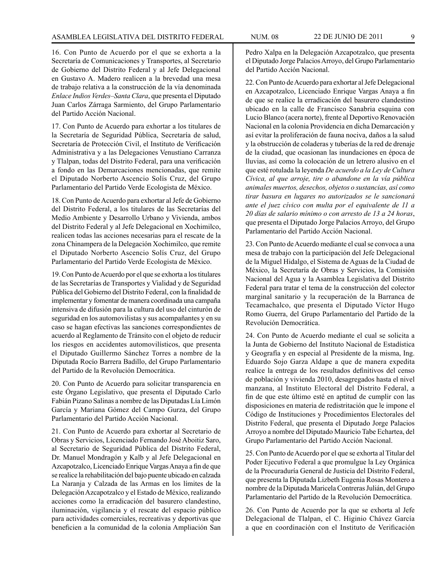16. Con Punto de Acuerdo por el que se exhorta a la Secretaría de Comunicaciones y Transportes, al Secretario de Gobierno del Distrito Federal y al Jefe Delegacional en Gustavo A. Madero realicen a la brevedad una mesa de trabajo relativa a la construcción de la vía denominada *Enlace Indios Verdes–Santa Clara*, que presenta el Diputado Juan Carlos Zárraga Sarmiento, del Grupo Parlamentario del Partido Acción Nacional.

17. Con Punto de Acuerdo para exhortar a los titulares de la Secretaría de Seguridad Pública, Secretaría de salud, Secretaría de Protección Civil, el Instituto de Verificación Administrativa y a las Delegaciones Venustiano Carranza y Tlalpan, todas del Distrito Federal, para una verificación a fondo en las Demarcaciones mencionadas, que remite el Diputado Norberto Ascencio Solís Cruz, del Grupo Parlamentario del Partido Verde Ecologista de México.

18. Con Punto de Acuerdo para exhortar al Jefe de Gobierno del Distrito Federal, a los titulares de las Secretarías del Medio Ambiente y Desarrollo Urbano y Vivienda, ambos del Distrito Federal y al Jefe Delegacional en Xochimilco, realicen todas las acciones necesarias para el rescate de la zona Chinampera de la Delegación Xochimilco, que remite el Diputado Norberto Ascencio Solís Cruz, del Grupo Parlamentario del Partido Verde Ecologista de México.

19. Con Punto de Acuerdo por el que se exhorta a los titulares de las Secretarías de Transportes y Vialidad y de Seguridad Pública del Gobierno del Distrito Federal, con la finalidad de implementar y fomentar de manera coordinada una campaña intensiva de difusión para la cultura del uso del cinturón de seguridad en los automovilistas y sus acompañantes y en su caso se hagan efectivas las sanciones correspondientes de acuerdo al Reglamento de Tránsito con el objeto de reducir los riesgos en accidentes automovilísticos, que presenta el Diputado Guillermo Sánchez Torres a nombre de la Diputada Rocío Barrera Badillo, del Grupo Parlamentario del Partido de la Revolución Democrática.

20. Con Punto de Acuerdo para solicitar transparencia en este Órgano Legislativo, que presenta el Diputado Carlo Fabián Pizano Salinas a nombre de las Diputadas Lía Limón García y Mariana Gómez del Campo Gurza, del Grupo Parlamentario del Partido Acción Nacional.

21. Con Punto de Acuerdo para exhortar al Secretario de Obras y Servicios, Licenciado Fernando José Aboitiz Saro, al Secretario de Seguridad Pública del Distrito Federal, Dr. Manuel Mondragón y Kalb y al Jefe Delegacional en Azcapotzalco, Licenciado Enrique Vargas Anaya a fin de que se realice la rehabilitación del bajo puente ubicado en calzada La Naranja y Calzada de las Armas en los límites de la Delegación Azcapotzalco y el Estado de México, realizando acciones como la erradicación del basurero clandestino, iluminación, vigilancia y el rescate del espacio público para actividades comerciales, recreativas y deportivas que beneficien a la comunidad de la colonia Ampliación San Pedro Xalpa en la Delegación Azcapotzalco, que presenta el Diputado Jorge Palacios Arroyo, del Grupo Parlamentario del Partido Acción Nacional.

22. Con Punto de Acuerdo para exhortar al Jefe Delegacional en Azcapotzalco, Licenciado Enrique Vargas Anaya a fin de que se realice la erradicación del basurero clandestino ubicado en la calle de Francisco Sanabria esquina con Lucio Blanco (acera norte), frente al Deportivo Renovación Nacional en la colonia Providencia en dicha Demarcación y así evitar la proliferación de fauna nociva, daños a la salud y la obstrucción de coladeras y tuberías de la red de drenaje de la ciudad, que ocasionan las inundaciones en época de lluvias, así como la colocación de un letrero alusivo en el que esté rotulada la leyenda *De acuerdo a la Ley de Cultura Cívica, al que arroje, tire o abandone en la vía pública animales muertos, desechos, objetos o sustancias, así como tirar basura en lugares no autorizados se le sancionará ante el juez cívico con multa por el equivalente de 11 a 20 días de salario mínimo o con arresto de 13 a 24 horas*, que presenta el Diputado Jorge Palacios Arroyo, del Grupo Parlamentario del Partido Acción Nacional.

23. Con Punto de Acuerdo mediante el cual se convoca a una mesa de trabajo con la participación del Jefe Delegacional de la Miguel Hidalgo, el Sistema de Aguas de la Ciudad de México, la Secretaría de Obras y Servicios, la Comisión Nacional del Agua y la Asamblea Legislativa del Distrito Federal para tratar el tema de la construcción del colector marginal sanitario y la recuperación de la Barranca de Tecamachalco, que presenta el Diputado Víctor Hugo Romo Guerra, del Grupo Parlamentario del Partido de la Revolución Democrática.

24. Con Punto de Acuerdo mediante el cual se solicita a la Junta de Gobierno del Instituto Nacional de Estadística y Geografía y en especial al Presidente de la misma, Ing. Eduardo Sojo Garza Aldape a que de manera expedita realice la entrega de los resultados definitivos del censo de población y vivienda 2010, desagregados hasta el nivel manzana, al Instituto Electoral del Distrito Federal, a fin de que este último esté en aptitud de cumplir con las disposiciones en materia de redistritación que le impone el Código de Instituciones y Procedimientos Electorales del Distrito Federal, que presenta el Diputado Jorge Palacios Arroyo a nombre del Diputado Mauricio Tabe Echartea, del Grupo Parlamentario del Partido Acción Nacional.

25. Con Punto de Acuerdo por el que se exhorta al Titular del Poder Ejecutivo Federal a que promulgue la Ley Orgánica de la Procuraduría General de Justicia del Distrito Federal, que presenta la Diputada Lizbeth Eugenia Rosas Montero a nombre de la Diputada Maricela Contreras Julián, del Grupo Parlamentario del Partido de la Revolución Democrática.

26. Con Punto de Acuerdo por la que se exhorta al Jefe Delegacional de Tlalpan, el C. Higinio Chávez García a que en coordinación con el Instituto de Verificación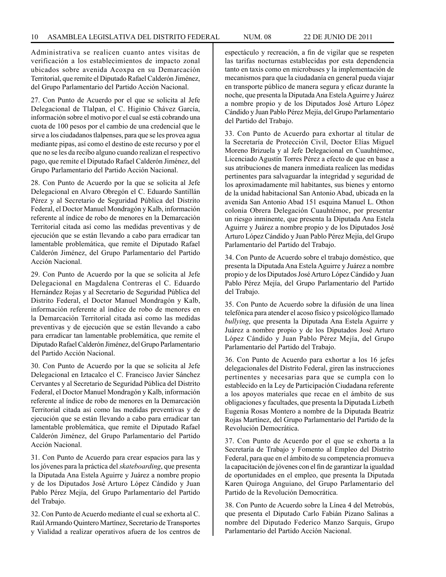Administrativa se realicen cuanto antes visitas de verificación a los establecimientos de impacto zonal ubicados sobre avenida Acoxpa en su Demarcación Territorial, que remite el Diputado Rafael Calderón Jiménez, del Grupo Parlamentario del Partido Acción Nacional.

27. Con Punto de Acuerdo por el que se solicita al Jefe Delegacional de Tlalpan, el C. Higinio Chávez García, información sobre el motivo por el cual se está cobrando una cuota de 100 pesos por el cambio de una credencial que le sirve a los ciudadanos tlalpenses, para que se les provea agua mediante pipas, así como el destino de este recurso y por el que no se les da recibo alguno cuando realizan el respectivo pago, que remite el Diputado Rafael Calderón Jiménez, del Grupo Parlamentario del Partido Acción Nacional.

28. Con Punto de Acuerdo por la que se solicita al Jefe Delegacional en Alvaro Obregón el C. Eduardo Santillán Pérez y al Secretario de Seguridad Pública del Distrito Federal, el Doctor Manuel Mondragón y Kalb, información referente al índice de robo de menores en la Demarcación Territorial citada así como las medidas preventivas y de ejecución que se están llevando a cabo para erradicar tan lamentable problemática, que remite el Diputado Rafael Calderón Jiménez, del Grupo Parlamentario del Partido Acción Nacional.

29. Con Punto de Acuerdo por la que se solicita al Jefe Delegacional en Magdalena Contreras el C. Eduardo Hernández Rojas y al Secretario de Seguridad Pública del Distrito Federal, el Doctor Manuel Mondragón y Kalb, información referente al índice de robo de menores en la Demarcación Territorial citada así como las medidas preventivas y de ejecución que se están llevando a cabo para erradicar tan lamentable problemática, que remite el Diputado Rafael Calderón Jiménez, del Grupo Parlamentario del Partido Acción Nacional.

30. Con Punto de Acuerdo por la que se solicita al Jefe Delegacional en Iztacalco el C. Francisco Javier Sánchez Cervantes y al Secretario de Seguridad Pública del Distrito Federal, el Doctor Manuel Mondragón y Kalb, información referente al índice de robo de menores en la Demarcación Territorial citada así como las medidas preventivas y de ejecución que se están llevando a cabo para erradicar tan lamentable problemática, que remite el Diputado Rafael Calderón Jiménez, del Grupo Parlamentario del Partido Acción Nacional.

31. Con Punto de Acuerdo para crear espacios para las y los jóvenes para la práctica del *skateboarding*, que presenta la Diputada Ana Estela Aguirre y Juárez a nombre propio y de los Diputados José Arturo López Cándido y Juan Pablo Pérez Mejía, del Grupo Parlamentario del Partido del Trabajo.

32. Con Punto de Acuerdo mediante el cual se exhorta al C. Raúl Armando Quintero Martínez, Secretario de Transportes y Vialidad a realizar operativos afuera de los centros de espectáculo y recreación, a fin de vigilar que se respeten las tarifas nocturnas establecidas por esta dependencia tanto en taxis como en microbuses y la implementación de mecanismos para que la ciudadanía en general pueda viajar en transporte público de manera segura y eficaz durante la noche, que presenta la Diputada Ana Estela Aguirre y Juárez a nombre propio y de los Diputados José Arturo López Cándido y Juan Pablo Pérez Mejía, del Grupo Parlamentario del Partido del Trabajo.

33. Con Punto de Acuerdo para exhortar al titular de la Secretaría de Protección Civil, Doctor Elías Miguel Moreno Brizuela y al Jefe Delegacional en Cuauhtémoc, Licenciado Agustín Torres Pérez a efecto de que en base a sus atribuciones de manera inmediata realicen las medidas pertinentes para salvaguardar la integridad y seguridad de los aproximadamente mil habitantes, sus bienes y entorno de la unidad habitacional San Antonio Abad, ubicada en la avenida San Antonio Abad 151 esquina Manuel L. Othon colonia Obrera Delegación Cuauhtémoc, por presentar un riesgo inminente, que presenta la Diputada Ana Estela Aguirre y Juárez a nombre propio y de los Diputados José Arturo López Cándido y Juan Pablo Pérez Mejía, del Grupo Parlamentario del Partido del Trabajo.

34. Con Punto de Acuerdo sobre el trabajo doméstico, que presenta la Diputada Ana Estela Aguirre y Juárez a nombre propio y de los Diputados José Arturo López Cándido y Juan Pablo Pérez Mejía, del Grupo Parlamentario del Partido del Trabajo.

35. Con Punto de Acuerdo sobre la difusión de una línea telefónica para atender el acoso físico y psicológico llamado *bullying*, que presenta la Diputada Ana Estela Aguirre y Juárez a nombre propio y de los Diputados José Arturo López Cándido y Juan Pablo Pérez Mejía, del Grupo Parlamentario del Partido del Trabajo.

36. Con Punto de Acuerdo para exhortar a los 16 jefes delegacionales del Distrito Federal, giren las instrucciones pertinentes y necesarias para que se cumpla con lo establecido en la Ley de Participación Ciudadana referente a los apoyos materiales que recae en el ámbito de sus obligaciones y facultades, que presenta la Diputada Lizbeth Eugenia Rosas Montero a nombre de la Diputada Beatriz Rojas Martínez, del Grupo Parlamentario del Partido de la Revolución Democrática.

37. Con Punto de Acuerdo por el que se exhorta a la Secretaría de Trabajo y Fomento al Empleo del Distrito Federal, para que en el ámbito de su competencia promueva la capacitación de jóvenes con el fin de garantizar la igualdad de oportunidades en el empleo, que presenta la Diputada Karen Quiroga Anguiano, del Grupo Parlamentario del Partido de la Revolución Democrática.

38. Con Punto de Acuerdo sobre la Línea 4 del Metrobús, que presenta el Diputado Carlo Fabián Pizano Salinas a nombre del Diputado Federico Manzo Sarquis, Grupo Parlamentario del Partido Acción Nacional.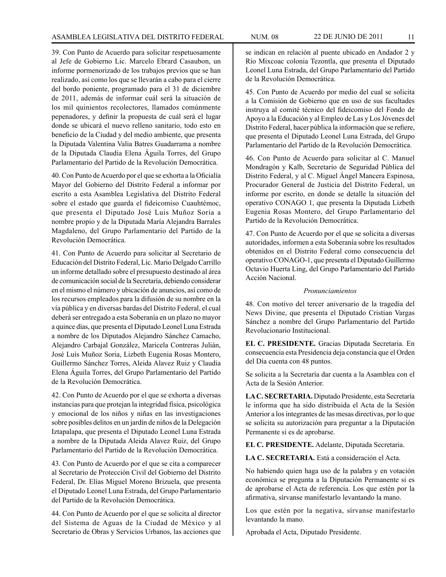39. Con Punto de Acuerdo para solicitar respetuosamente al Jefe de Gobierno Lic. Marcelo Ebrard Casaubon, un informe pormenorizado de los trabajos previos que se han realizado, así como los que se llevarán a cabo para el cierre del bordo poniente, programado para el 31 de diciembre de 2011, además de informar cuál será la situación de los mil quinientos recolectores, llamados comúnmente pepenadores, y definir la propuesta de cuál será el lugar donde se ubicará el nuevo relleno sanitario, todo esto en beneficio de la Ciudad y del medio ambiente, que presenta la Diputada Valentina Valia Batres Guadarrama a nombre de la Diputada Claudia Elena Águila Torres, del Grupo Parlamentario del Partido de la Revolución Democrática.

40. Con Punto de Acuerdo por el que se exhorta a la Oficialía Mayor del Gobierno del Distrito Federal a informar por escrito a esta Asamblea Legislativa del Distrito Federal sobre el estado que guarda el fideicomiso Cuauhtémoc, que presenta el Diputado José Luis Muñoz Soria a nombre propio y de la Diputada María Alejandra Barrales Magdaleno, del Grupo Parlamentario del Partido de la Revolución Democrática.

41. Con Punto de Acuerdo para solicitar al Secretario de Educación del Distrito Federal, Lic. Mario Delgado Carrillo un informe detallado sobre el presupuesto destinado al área de comunicación social de la Secretaría, debiendo considerar en el mismo el número y ubicación de anuncios, así como de los recursos empleados para la difusión de su nombre en la vía pública y en diversas bardas del Distrito Federal, el cual deberá ser entregado a esta Soberanía en un plazo no mayor a quince días, que presenta el Diputado Leonel Luna Estrada a nombre de los Diputados Alejandro Sánchez Camacho, Alejandro Carbajal González, Maricela Contreras Julián, José Luís Muñoz Soria, Lizbeth Eugenia Rosas Montero, Guillermo Sánchez Torres, Aleida Alavez Ruiz y Claudia Elena Águila Torres, del Grupo Parlamentario del Partido de la Revolución Democrática.

42. Con Punto de Acuerdo por el que se exhorta a diversas instancias para que protejan la integridad física, psicológica y emocional de los niños y niñas en las investigaciones sobre posibles delitos en un jardín de niños de la Delegación Iztapalapa, que presenta el Diputado Leonel Luna Estrada a nombre de la Diputada Aleida Alavez Ruiz, del Grupo Parlamentario del Partido de la Revolución Democrática.

43. Con Punto de Acuerdo por el que se cita a comparecer al Secretario de Protección Civil del Gobierno del Distrito Federal, Dr. Elías Miguel Moreno Brizuela, que presenta el Diputado Leonel Luna Estrada, del Grupo Parlamentario del Partido de la Revolución Democrática.

44. Con Punto de Acuerdo por el que se solicita al director del Sistema de Aguas de la Ciudad de México y al Secretario de Obras y Servicios Urbanos, las acciones que se indican en relación al puente ubicado en Andador 2 y Río Mixcoac colonia Tezontla, que presenta el Diputado Leonel Luna Estrada, del Grupo Parlamentario del Partido de la Revolución Democrática.

45. Con Punto de Acuerdo por medio del cual se solicita a la Comisión de Gobierno que en uso de sus facultades instruya al comité técnico del fideicomiso del Fondo de Apoyo a la Educación y al Empleo de Las y Los Jóvenes del Distrito Federal, hacer pública la información que se refiere, que presenta el Diputado Leonel Luna Estrada, del Grupo Parlamentario del Partido de la Revolución Democrática.

46. Con Punto de Acuerdo para solicitar al C. Manuel Mondragón y Kalb, Secretario de Seguridad Pública del Distrito Federal, y al C. Miguel Ángel Mancera Espinosa, Procurador General de Justicia del Distrito Federal, un informe por escrito, en donde se detalle la situación del operativo CONAGO 1, que presenta la Diputada Lizbeth Eugenia Rosas Montero, del Grupo Parlamentario del Partido de la Revolución Democrática.

47. Con Punto de Acuerdo por el que se solicita a diversas autoridades, informen a esta Soberanía sobre los resultados obtenidos en el Distrito Federal como consecuencia del operativo CONAGO-1, que presenta el Diputado Guillermo Octavio Huerta Ling, del Grupo Parlamentario del Partido Acción Nacional.

#### *Pronunciamientos*

48. Con motivo del tercer aniversario de la tragedia del News Divine, que presenta el Diputado Cristian Vargas Sánchez a nombre del Grupo Parlamentario del Partido Revolucionario Institucional.

**EL C. PRESIDENTE.** Gracias Diputada Secretaria. En consecuencia esta Presidencia deja constancia que el Orden del Día cuenta con 48 puntos.

Se solicita a la Secretaría dar cuenta a la Asamblea con el Acta de la Sesión Anterior.

**LA C. SECRETARIA.** Diputado Presidente, esta Secretaría le informa que ha sido distribuida el Acta de la Sesión Anterior a los integrantes de las mesas directivas, por lo que se solicita su autorización para preguntar a la Diputación Permanente si es de aprobarse.

**EL C. PRESIDENTE.** Adelante, Diputada Secretaria.

**LA C. SECRETARIA.** Está a consideración el Acta.

No habiendo quien haga uso de la palabra y en votación económica se pregunta a la Diputación Permanente si es de aprobarse el Acta de referencia. Los que estén por la afirmativa, sírvanse manifestarlo levantando la mano.

Los que estén por la negativa, sírvanse manifestarlo levantando la mano.

Aprobada el Acta, Diputado Presidente.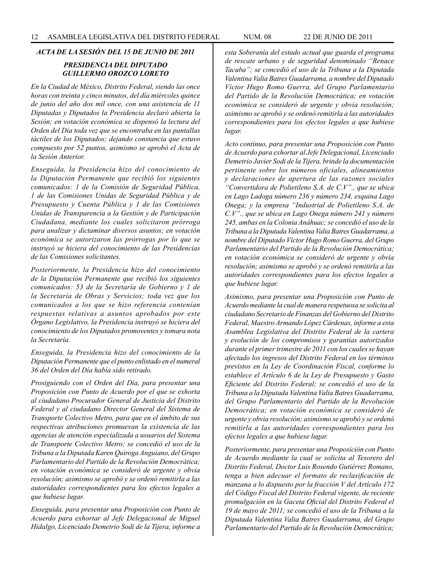# *ACTA DE LA SESIÓN DEL 15 DE JUNIO DE 2011*

# *PRESIDENCIA DEL DIPUTADO GUILLERMO OROZCO LORETO*

*En la Ciudad de México, Distrito Federal, siendo las once horas con treinta y cinco minutos, del día miércoles quince de junio del año dos mil once, con una asistencia de 11 Diputadas y Diputados la Presidencia declaró abierta la Sesión; en votación económica se dispensó la lectura del Orden del Día toda vez que se encontraba en las pantallas táctiles de los Diputados; dejando constancia que estuvo compuesto por 52 puntos, asimismo se aprobó el Acta de la Sesión Anterior.*

*Enseguida, la Presidencia hizo del conocimiento de la Diputación Permanente que recibió los siguientes comunicados: 1 de la Comisión de Seguridad Pública, 1 de las Comisiones Unidas de Seguridad Pública y de Presupuesto y Cuenta Pública y 1 de las Comisiones Unidas de Transparencia a la Gestión y de Participación Ciudadana, mediante los cuales solicitaron prórroga para analizar y dictaminar diversos asuntos; en votación económica se autorizaron las prórrogas por lo que se instruyó se hiciera del conocimiento de las Presidencias de las Comisiones solicitantes.*

*Posteriormente, la Presidencia hizo del conocimiento de la Diputación Permanente que recibió los siguientes comunicados: 53 de la Secretaría de Gobierno y 1 de la Secretaría de Obras y Servicios; toda vez que los comunicados a los que se hizo referencia contenían respuestas relativas a asuntos aprobados por este Órgano Legislativo, la Presidencia instruyó se hiciera del conocimiento de los Diputados promoventes y tomara nota la Secretaría.*

*Enseguida, la Presidencia hizo del conocimiento de la Diputación Permanente que el punto enlistado en el numeral 36 del Orden del Día había sido retirado.* 

*Prosiguiendo con el Orden del Día, para presentar una Proposición con Punto de Acuerdo por el que se exhorta al ciudadano Procurador General de Justicia del Distrito Federal y al ciudadano Director General del Sistema de Transporte Colectivo Metro, para que en el ámbito de sus respectivas atribuciones promuevan la existencia de las agencias de atención especializada a usuarios del Sistema de Transporte Colectivo Metro; se concedió el uso de la Tribuna a la Diputada Karen Quiroga Anguiano, del Grupo Parlamentario del Partido de la Revolución Democrática; en votación económica se consideró de urgente y obvia resolución; asimismo se aprobó y se ordenó remitirla a las autoridades correspondientes para los efectos legales a que hubiese lugar.*

*Enseguida, para presentar una Proposición con Punto de Acuerdo para exhortar al Jefe Delegacional de Miguel Hidalgo, Licenciado Demetrio Sodi de la Tijera, informe a*  *esta Soberanía del estado actual que guarda el programa de rescate urbano y de seguridad denominado "Renace Tacuba"; se concedió el uso de la Tribuna a la Diputada Valentina Valia Batres Guadarrama, a nombre del Diputado Víctor Hugo Romo Guerra, del Grupo Parlamentario del Partido de la Revolución Democrática; en votación económica se consideró de urgente y obvia resolución; asimismo se aprobó y se ordenó remitirla a las autoridades correspondientes para los efectos legales a que hubiese lugar.*

*Acto continuo, para presentar una Proposición con Punto de Acuerdo para exhortar al Jefe Delegacional, Licenciado Demetrio Javier Sodi de la Tijera, brinde la documentación pertinente sobre los números oficiales, alineamientos y declaraciones de apertura de las razones sociales "Convertidora de Polietileno S.A. de C.V"., que se ubica en Lago Ladoga número 236 y número 234, esquina Lago Onega; y la empresa "Industrial de Polietileno S.A. de C.V"., que se ubica en Lago Onega número 241 y número 245, ambas en la Colonia Anáhuac; se concedió el uso de la Tribuna a la Diputada Valentina Valia Batres Guadarrama, a nombre del Diputado Víctor Hugo Romo Guerra, del Grupo Parlamentario del Partido de la Revolución Democrática; en votación económica se consideró de urgente y obvia resolución; asimismo se aprobó y se ordenó remitirla a las autoridades correspondientes para los efectos legales a que hubiese lugar.* 

*Asimismo, para presentar una Proposición con Punto de Acuerdo mediante la cual de manera respetuosa se solicita al ciudadano Secretario de Finanzas del Gobierno del Distrito Federal, Maestro Armando López Cárdenas, informe a esta Asamblea Legislativa del Distrito Federal de la cartera y evolución de los compromisos y garantías autorizados durante el primer trimestre de 2011 con los cuales se hayan afectado los ingresos del Distrito Federal en los términos previstos en la Ley de Coordinación Fiscal, conforme lo establece el Artículo 6 de la Ley de Presupuesto y Gasto Eficiente del Distrito Federal; se concedió el uso de la Tribuna a la Diputada Valentina Valia Batres Guadarrama, del Grupo Parlamentario del Partido de la Revolución Democrática; en votación económica se consideró de urgente y obvia resolución; asimismo se aprobó y se ordenó remitirla a las autoridades correspondientes para los efectos legales a que hubiese lugar.*

*Posteriormente, para presentar una Proposición con Punto de Acuerdo mediante la cual se solicita al Tesorero del Distrito Federal, Doctor Luis Rosendo Gutiérrez Romano, tenga a bien adecuar el formato de reclasificación de manzana a lo dispuesto por la fracción V del Artículo 172 del Código Fiscal del Distrito Federal vigente, de reciente promulgación en la Gaceta Oficial del Distrito Federal el 19 de mayo de 2011; se concedió el uso de la Tribuna a la Diputada Valentina Valia Batres Guadarrama, del Grupo Parlamentario del Partido de la Revolución Democrática;*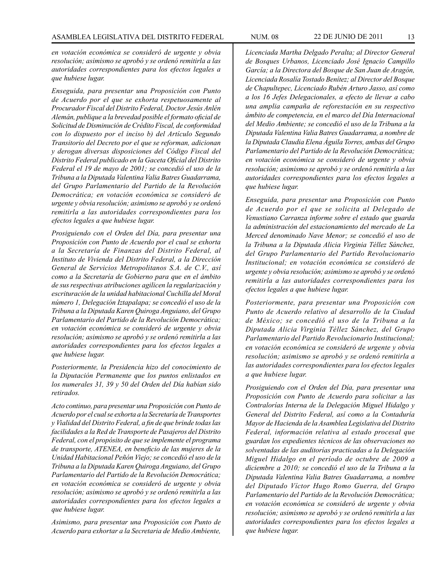*en votación económica se consideró de urgente y obvia resolución; asimismo se aprobó y se ordenó remitirla a las autoridades correspondientes para los efectos legales a que hubiese lugar.* 

*Enseguida, para presentar una Proposición con Punto de Acuerdo por el que se exhorta respetuosamente al Procurador Fiscal del Distrito Federal, Doctor Jesús Anlén Alemán, publique a la brevedad posible el formato oficial de Solicitud de Disminución de Crédito Fiscal, de conformidad con lo dispuesto por el inciso b) del Artículo Segundo Transitorio del Decreto por el que se reforman, adicionan y derogan diversas disposiciones del Código Fiscal del Distrito Federal publicado en la Gaceta Oficial del Distrito Federal el 19 de mayo de 2001; se concedió el uso de la Tribuna a la Diputada Valentina Valia Batres Guadarrama, del Grupo Parlamentario del Partido de la Revolución Democrática; en votación económica se consideró de urgente y obvia resolución; asimismo se aprobó y se ordenó remitirla a las autoridades correspondientes para los efectos legales a que hubiese lugar.*

*Prosiguiendo con el Orden del Día, para presentar una Proposición con Punto de Acuerdo por el cual se exhorta a la Secretaría de Finanzas del Distrito Federal, al Instituto de Vivienda del Distrito Federal, a la Dirección General de Servicios Metropolitanos S.A. de C.V., así como a la Secretaría de Gobierno para que en el ámbito de sus respectivas atribuciones agilicen la regularización y escrituración de la unidad habitacional Cuchilla del Moral número 1, Delegación Iztapalapa; se concedió el uso de la Tribuna a la Diputada Karen Quiroga Anguiano, del Grupo Parlamentario del Partido de la Revolución Democrática; en votación económica se consideró de urgente y obvia resolución; asimismo se aprobó y se ordenó remitirla a las autoridades correspondientes para los efectos legales a que hubiese lugar.*

*Posteriormente, la Presidencia hizo del conocimiento de la Diputación Permanente que los puntos enlistados en los numerales 31, 39 y 50 del Orden del Día habían sido retirados.*

*Acto continuo, para presentar una Proposición con Punto de Acuerdo por el cual se exhorta a la Secretaría de Transportes y Vialidad del Distrito Federal, a fin de que brinde todas las facilidades a la Red de Transporte de Pasajeros del Distrito Federal, con el propósito de que se implemente el programa de transporte, ATENEA, en beneficio de las mujeres de la Unidad Habitacional Peñón Viejo; se concedió el uso de la Tribuna a la Diputada Karen Quiroga Anguiano, del Grupo Parlamentario del Partido de la Revolución Democrática; en votación económica se consideró de urgente y obvia resolución; asimismo se aprobó y se ordenó remitirla a las autoridades correspondientes para los efectos legales a que hubiese lugar.*

*Asimismo, para presentar una Proposición con Punto de Acuerdo para exhortar a la Secretaria de Medio Ambiente,*  *Licenciada Martha Delgado Peralta; al Director General de Bosques Urbanos, Licenciado José Ignacio Campillo García; a la Directora del Bosque de San Juan de Aragón, Licenciada Rosalía Tostado Benítez; al Director del Bosque de Chapultepec, Licenciado Rubén Arturo Jasso, así como a los 16 Jefes Delegacionales, a efecto de llevar a cabo una amplia campaña de reforestación en su respectivo ámbito de competencia, en el marco del Día Internacional del Medio Ambiente; se concedió el uso de la Tribuna a la Diputada Valentina Valia Batres Guadarrama, a nombre de la Diputada Claudia Elena Águila Torres, ambas del Grupo Parlamentario del Partido de la Revolución Democrática; en votación económica se consideró de urgente y obvia resolución; asimismo se aprobó y se ordenó remitirla a las autoridades correspondientes para los efectos legales a que hubiese lugar.*

*Enseguida, para presentar una Proposición con Punto de Acuerdo por el que se solicita al Delegado de Venustiano Carranza informe sobre el estado que guarda la administración del estacionamiento del mercado de La Merced denominado Nave Menor; se concedió el uso de la Tribuna a la Diputada Alicia Virginia Téllez Sánchez, del Grupo Parlamentario del Partido Revolucionario Institucional; en votación económica se consideró de urgente y obvia resolución; asimismo se aprobó y se ordenó remitirla a las autoridades correspondientes para los efectos legales a que hubiese lugar.*

*Posteriormente, para presentar una Proposición con Punto de Acuerdo relativo al desarrollo de la Ciudad de México; se concedió el uso de la Tribuna a la Diputada Alicia Virginia Téllez Sánchez, del Grupo Parlamentario del Partido Revolucionario Institucional; en votación económica se consideró de urgente y obvia resolución; asimismo se aprobó y se ordenó remitirla a las autoridades correspondientes para los efectos legales a que hubiese lugar.*

*Prosiguiendo con el Orden del Día, para presentar una Proposición con Punto de Acuerdo para solicitar a las Contralorías Interna de la Delegación Miguel Hidalgo y General del Distrito Federal, así como a la Contaduría Mayor de Hacienda de la Asamblea Legislativa del Distrito Federal, información relativa al estado procesal que guardan los expedientes técnicos de las observaciones no solventadas de las auditorías practicadas a la Delegación Miguel Hidalgo en el período de octubre de 2009 a diciembre a 2010; se concedió el uso de la Tribuna a la Diputada Valentina Valia Batres Guadarrama, a nombre del Diputado Víctor Hugo Romo Guerra, del Grupo Parlamentario del Partido de la Revolución Democrática; en votación económica se consideró de urgente y obvia resolución; asimismo se aprobó y se ordenó remitirla a las autoridades correspondientes para los efectos legales a que hubiese lugar.*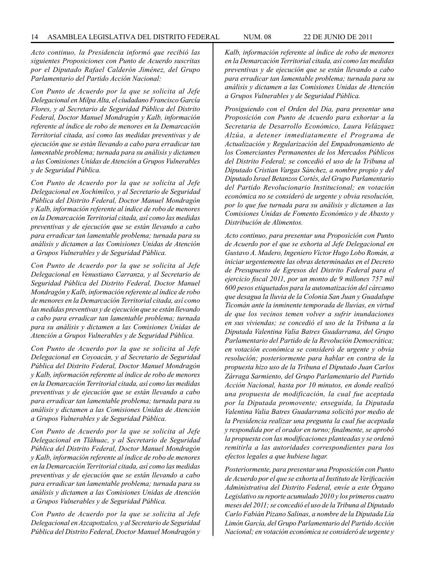*Acto continuo, la Presidencia informó que recibió las siguientes Proposiciones con Punto de Acuerdo suscritas por el Diputado Rafael Calderón Jiménez, del Grupo Parlamentario del Partido Acción Nacional:*

*Con Punto de Acuerdo por la que se solicita al Jefe Delegacional en Milpa Alta, el ciudadano Francisco García Flores, y al Secretario de Seguridad Pública del Distrito Federal, Doctor Manuel Mondragón y Kalb, información referente al índice de robo de menores en la Demarcación Territorial citada, así como las medidas preventivas y de ejecución que se están llevando a cabo para erradicar tan lamentable problema; turnada para su análisis y dictamen a las Comisiones Unidas de Atención a Grupos Vulnerables y de Seguridad Pública.*

*Con Punto de Acuerdo por la que se solicita al Jefe Delegacional en Xochimilco, y al Secretario de Seguridad Pública del Distrito Federal, Doctor Manuel Mondragón y Kalb, información referente al índice de robo de menores en la Demarcación Territorial citada, así como las medidas preventivas y de ejecución que se están llevando a cabo para erradicar tan lamentable problema; turnada para su análisis y dictamen a las Comisiones Unidas de Atención a Grupos Vulnerables y de Seguridad Pública.*

*Con Punto de Acuerdo por la que se solicita al Jefe Delegacional en Venustiano Carranza, y al Secretario de Seguridad Pública del Distrito Federal, Doctor Manuel Mondragón y Kalb, información referente al índice de robo de menores en la Demarcación Territorial citada, así como las medidas preventivas y de ejecución que se están llevando a cabo para erradicar tan lamentable problema; turnada para su análisis y dictamen a las Comisiones Unidas de Atención a Grupos Vulnerables y de Seguridad Pública.*

*Con Punto de Acuerdo por la que se solicita al Jefe Delegacional en Coyoacán, y al Secretario de Seguridad Pública del Distrito Federal, Doctor Manuel Mondragón y Kalb, información referente al índice de robo de menores en la Demarcación Territorial citada, así como las medidas preventivas y de ejecución que se están llevando a cabo para erradicar tan lamentable problema; turnada para su análisis y dictamen a las Comisiones Unidas de Atención a Grupos Vulnerables y de Seguridad Pública.*

*Con Punto de Acuerdo por la que se solicita al Jefe Delegacional en Tláhuac, y al Secretario de Seguridad Pública del Distrito Federal, Doctor Manuel Mondragón y Kalb, información referente al índice de robo de menores en la Demarcación Territorial citada, así como las medidas preventivas y de ejecución que se están llevando a cabo para erradicar tan lamentable problema; turnada para su análisis y dictamen a las Comisiones Unidas de Atención a Grupos Vulnerables y de Seguridad Pública.*

*Con Punto de Acuerdo por la que se solicita al Jefe Delegacional en Azcapotzalco, y al Secretario de Seguridad Pública del Distrito Federal, Doctor Manuel Mondragón y*  *Kalb, información referente al índice de robo de menores en la Demarcación Territorial citada, así como las medidas preventivas y de ejecución que se están llevando a cabo para erradicar tan lamentable problema; turnada para su análisis y dictamen a las Comisiones Unidas de Atención a Grupos Vulnerables y de Seguridad Pública.*

*Prosiguiendo con el Orden del Día, para presentar una Proposición con Punto de Acuerdo para exhortar a la Secretaria de Desarrollo Económico, Laura Velázquez Alzúa, a detener inmediatamente el Programa de Actualización y Regularización del Empadronamiento de los Comerciantes Permanentes de los Mercados Públicos del Distrito Federal; se concedió el uso de la Tribuna al Diputado Cristian Vargas Sánchez, a nombre propio y del Diputado Israel Betanzos Cortés, del Grupo Parlamentario del Partido Revolucionario Institucional; en votación económica no se consideró de urgente y obvia resolución, por lo que fue turnada para su análisis y dictamen a las Comisiones Unidas de Fomento Económico y de Abasto y Distribución de Alimentos.* 

*Acto continuo, para presentar una Proposición con Punto de Acuerdo por el que se exhorta al Jefe Delegacional en Gustavo A. Madero, Ingeniero Víctor Hugo Lobo Román, a iniciar urgentemente las obras determinadas en el Decreto de Presupuesto de Egresos del Distrito Federal para el ejercicio fiscal 2011, por un monto de 9 millones 757 mil 600 pesos etiquetados para la automatización del cárcamo que desagua la lluvia de la Colonia San Juan y Guadalupe Ticomán ante la inminente temporada de lluvias, en virtud de que los vecinos temen volver a sufrir inundaciones en sus viviendas; se concedió el uso de la Tribuna a la Diputada Valentina Valia Batres Guadarrama, del Grupo Parlamentario del Partido de la Revolución Democrática; en votación económica se consideró de urgente y obvia resolución; posteriormente para hablar en contra de la propuesta hizo uso de la Tribuna el Diputado Juan Carlos Zárraga Sarmiento, del Grupo Parlamentario del Partido Acción Nacional, hasta por 10 minutos, en donde realizó una propuesta de modificación, la cual fue aceptada por la Diputada promovente; enseguida, la Diputada Valentina Valia Batres Guadarrama solicitó por medio de la Presidencia realizar una pregunta la cual fue aceptada y respondida por el orador en turno; finalmente, se aprobó la propuesta con las modificaciones planteadas y se ordenó remitirla a las autoridades correspondientes para los efectos legales a que hubiese lugar.*

*Posteriormente, para presentar una Proposición con Punto de Acuerdo por el que se exhorta al Instituto de Verificación Administrativa del Distrito Federal, envíe a este Órgano Legislativo su reporte acumulado 2010 y los primeros cuatro meses del 2011; se concedió el uso de la Tribuna al Diputado Carlo Fabián Pizano Salinas, a nombre de la Diputada Lía Limón García, del Grupo Parlamentario del Partido Acción Nacional; en votación económica se consideró de urgente y*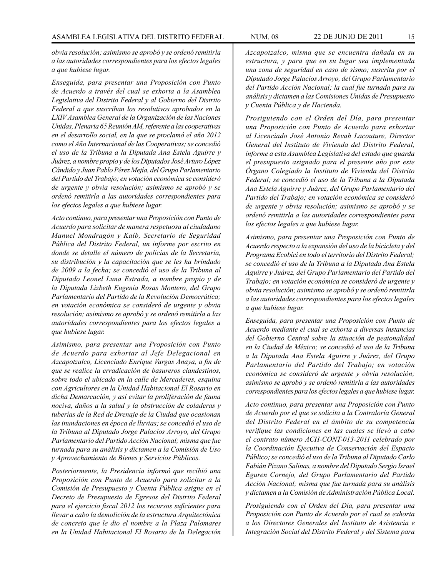*obvia resolución; asimismo se aprobó y se ordenó remitirla a las autoridades correspondientes para los efectos legales a que hubiese lugar.*

*Enseguida, para presentar una Proposición con Punto de Acuerdo a través del cual se exhorta a la Asamblea Legislativa del Distrito Federal y al Gobierno del Distrito Federal a que suscriban los resolutivos aprobados en la LXIV Asamblea General de la Organización de las Naciones Unidas, Plenaria 65 Reunión AM, referente a las cooperativas en el desarrollo social, en la que se proclamó el año 2012 como el Año Internacional de las Cooperativas; se concedió el uso de la Tribuna a la Diputada Ana Estela Aguirre y Juárez, a nombre propio y de los Diputados José Arturo López Cándido y Juan Pablo Pérez Mejía, del Grupo Parlamentario del Partido del Trabajo; en votación económica se consideró de urgente y obvia resolución; asimismo se aprobó y se ordenó remitirla a las autoridades correspondientes para los efectos legales a que hubiese lugar.*

*Acto continuo, para presentar una Proposición con Punto de Acuerdo para solicitar de manera respetuosa al ciudadano Manuel Mondragón y Kalb, Secretario de Seguridad Pública del Distrito Federal, un informe por escrito en donde se detalle el número de policías de la Secretaría, su distribución y la capacitación que se les ha brindado de 2009 a la fecha; se concedió el uso de la Tribuna al Diputado Leonel Luna Estrada, a nombre propio y de la Diputada Lizbeth Eugenia Rosas Montero, del Grupo Parlamentario del Partido de la Revolución Democrática; en votación económica se consideró de urgente y obvia resolución; asimismo se aprobó y se ordenó remitirla a las autoridades correspondientes para los efectos legales a que hubiese lugar.*

*Asimismo, para presentar una Proposición con Punto de Acuerdo para exhortar al Jefe Delegacional en Azcapotzalco, Licenciado Enrique Vargas Anaya, a fin de que se realice la erradicación de basureros clandestinos, sobre todo el ubicado en la calle de Mercaderes, esquina con Agricultores en la Unidad Habitacional El Rosario en dicha Demarcación, y así evitar la proliferación de fauna nociva, daños a la salud y la obstrucción de coladeras y tuberías de la Red de Drenaje de la Ciudad que ocasionan las inundaciones en época de lluvias; se concedió el uso de la Tribuna al Diputado Jorge Palacios Arroyo, del Grupo Parlamentario del Partido Acción Nacional; misma que fue turnada para su análisis y dictamen a la Comisión de Uso y Aprovechamiento de Bienes y Servicios Públicos.*

*Posteriormente, la Presidencia informó que recibió una Proposición con Punto de Acuerdo para solicitar a la Comisión de Presupuesto y Cuenta Pública asigne en el Decreto de Presupuesto de Egresos del Distrito Federal para el ejercicio fiscal 2012 los recursos suficientes para llevar a cabo la demolición de la estructura Arquitectónica de concreto que le dio el nombre a la Plaza Palomares en la Unidad Habitacional El Rosario de la Delegación* 

*Azcapotzalco, misma que se encuentra dañada en su estructura, y para que en su lugar sea implementada una zona de seguridad en caso de sismo; suscrita por el Diputado Jorge Palacios Arroyo, del Grupo Parlamentario del Partido Acción Nacional; la cual fue turnada para su análisis y dictamen a las Comisiones Unidas de Presupuesto y Cuenta Pública y de Hacienda.* 

*Prosiguiendo con el Orden del Día, para presentar una Proposición con Punto de Acuerdo para exhortar al Licenciado José Antonio Revah Lacouture, Director General del Instituto de Vivienda del Distrito Federal, informe a esta Asamblea Legislativa del estado que guarda el presupuesto asignado para el presente año por este Órgano Colegiado la Instituto de Vivienda del Distrito Federal; se concedió el uso de la Tribuna a la Diputada Ana Estela Aguirre y Juárez, del Grupo Parlamentario del Partido del Trabajo; en votación económica se consideró de urgente y obvia resolución; asimismo se aprobó y se ordenó remitirla a las autoridades correspondientes para los efectos legales a que hubiese lugar.*

*Asimismo, para presentar una Proposición con Punto de Acuerdo respecto a la expansión del uso de la bicicleta y del Programa Ecobici en todo el territorio del Distrito Federal; se concedió el uso de la Tribuna a la Diputada Ana Estela Aguirre y Juárez, del Grupo Parlamentario del Partido del Trabajo; en votación económica se consideró de urgente y obvia resolución; asimismo se aprobó y se ordenó remitirla a las autoridades correspondientes para los efectos legales a que hubiese lugar.*

*Enseguida, para presentar una Proposición con Punto de Acuerdo mediante el cual se exhorta a diversas instancias del Gobierno Central sobre la situación de peatonalidad en la Ciudad de México; se concedió el uso de la Tribuna a la Diputada Ana Estela Aguirre y Juárez, del Grupo Parlamentario del Partido del Trabajo; en votación económica se consideró de urgente y obvia resolución; asimismo se aprobó y se ordenó remitirla a las autoridades correspondientes para los efectos legales a que hubiese lugar.*

*Acto continuo, para presentar una Proposición con Punto de Acuerdo por el que se solicita a la Contraloría General del Distrito Federal en el ámbito de su competencia verifique las condiciones en las cuales se llevó a cabo el contrato número ACH-CONT-013-2011 celebrado por la Coordinación Ejecutiva de Conservación del Espacio Público; se concedió el uso de la Tribuna al Diputado Carlo Fabián Pizano Salinas, a nombre del Diputado Sergio Israel Eguren Cornejo, del Grupo Parlamentario del Partido Acción Nacional; misma que fue turnada para su análisis y dictamen a la Comisión de Administración Pública Local.*

*Prosiguiendo con el Orden del Día, para presentar una Proposición con Punto de Acuerdo por el cual se exhorta a los Directores Generales del Instituto de Asistencia e Integración Social del Distrito Federal y del Sistema para*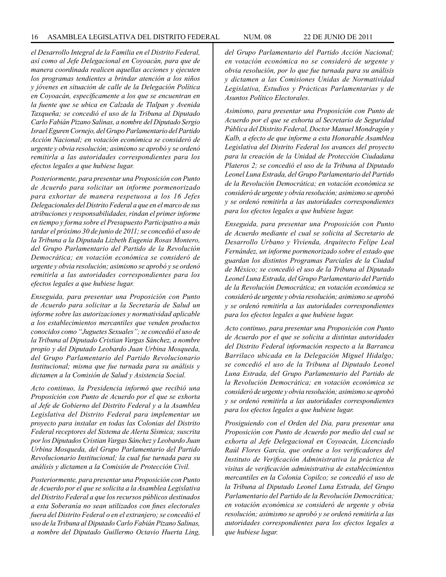*el Desarrollo Integral de la Familia en el Distrito Federal, así como al Jefe Delegacional en Coyoacán, para que de manera coordinada realicen aquellas acciones y ejecuten los programas tendientes a brindar atención a los niños y jóvenes en situación de calle de la Delegación Política en Coyoacán, específicamente a los que se encuentran en la fuente que se ubica en Calzada de Tlalpan y Avenida Taxqueña; se concedió el uso de la Tribuna al Diputado Carlo Fabián Pizano Salinas, a nombre del Diputado Sergio Israel Eguren Cornejo, del Grupo Parlamentario del Partido Acción Nacional; en votación económica se consideró de urgente y obvia resolución; asimismo se aprobó y se ordenó remitirla a las autoridades correspondientes para los efectos legales a que hubiese lugar.*

*Posteriormente, para presentar una Proposición con Punto de Acuerdo para solicitar un informe pormenorizado para exhortar de manera respetuosa a los 16 Jefes Delegacionales del Distrito Federal a que en el marco de sus atribuciones y responsabilidades, rindan el primer informe en tiempo y forma sobre el Presupuesto Participativo a más tardar el próximo 30 de junio de 2011; se concedió el uso de la Tribuna a la Diputada Lizbeth Eugenia Rosas Montero, del Grupo Parlamentario del Partido de la Revolución Democrática; en votación económica se consideró de urgente y obvia resolución; asimismo se aprobó y se ordenó remitirla a las autoridades correspondientes para los efectos legales a que hubiese lugar.*

*Enseguida, para presentar una Proposición con Punto de Acuerdo para solicitar a la Secretaría de Salud un informe sobre las autorizaciones y normatividad aplicable a los establecimientos mercantiles que venden productos conocidos como "Juguetes Sexuales"; se concedió el uso de la Tribuna al Diputado Cristian Vargas Sánchez, a nombre propio y del Diputado Leobardo Juan Urbina Mosqueda, del Grupo Parlamentario del Partido Revolucionario Institucional; misma que fue turnada para su análisis y dictamen a la Comisión de Salud y Asistencia Social.*

*Acto continuo, la Presidencia informó que recibió una Proposición con Punto de Acuerdo por el que se exhorta al Jefe de Gobierno del Distrito Federal y a la Asamblea Legislativa del Distrito Federal para implementar un proyecto para instalar en todas las Colonias del Distrito Federal receptores del Sistema de Alerta Sísmica; suscrita por los Diputados Cristian Vargas Sánchez y Leobardo Juan Urbina Mosqueda, del Grupo Parlamentario del Partido Revolucionario Institucional; la cual fue turnada para su análisis y dictamen a la Comisión de Protección Civil.*

*Posteriormente, para presentar una Proposición con Punto de Acuerdo por el que se solicita a la Asamblea Legislativa del Distrito Federal a que los recursos públicos destinados a esta Soberanía no sean utilizados con fines electorales fuera del Distrito Federal o en el extranjero; se concedió el uso de la Tribuna al Diputado Carlo Fabián Pizano Salinas, a nombre del Diputado Guillermo Octavio Huerta Ling,* 

*del Grupo Parlamentario del Partido Acción Nacional; en votación económica no se consideró de urgente y obvia resolución, por lo que fue turnada para su análisis y dictamen a las Comisiones Unidas de Normatividad Legislativa, Estudios y Prácticas Parlamentarias y de Asuntos Político Electorales.*

*Asimismo, para presentar una Proposición con Punto de Acuerdo por el que se exhorta al Secretario de Seguridad Pública del Distrito Federal, Doctor Manuel Mondragón y Kalb, a efecto de que informe a esta Honorable Asamblea Legislativa del Distrito Federal los avances del proyecto para la creación de la Unidad de Protección Ciudadana Plateros 2; se concedió el uso de la Tribuna al Diputado Leonel Luna Estrada, del Grupo Parlamentario del Partido de la Revolución Democrática; en votación económica se consideró de urgente y obvia resolución; asimismo se aprobó y se ordenó remitirla a las autoridades correspondientes para los efectos legales a que hubiese lugar.*

*Enseguida, para presentar una Proposición con Punto de Acuerdo mediante el cual se solicita al Secretario de Desarrollo Urbano y Vivienda, Arquitecto Felipe Leal Fernández, un informe pormenorizado sobre el estado que guardan los distintos Programas Parciales de la Ciudad de México; se concedió el uso de la Tribuna al Diputado Leonel Luna Estrada, del Grupo Parlamentario del Partido de la Revolución Democrática; en votación económica se consideró de urgente y obvia resolución; asimismo se aprobó y se ordenó remitirla a las autoridades correspondientes para los efectos legales a que hubiese lugar.*

*Acto continuo, para presentar una Proposición con Punto de Acuerdo por el que se solicita a distintas autoridades del Distrito Federal información respecto a la Barranca Barrilaco ubicada en la Delegación Miguel Hidalgo; se concedió el uso de la Tribuna al Diputado Leonel Luna Estrada, del Grupo Parlamentario del Partido de la Revolución Democrática; en votación económica se consideró de urgente y obvia resolución; asimismo se aprobó y se ordenó remitirla a las autoridades correspondientes para los efectos legales a que hubiese lugar.*

*Prosiguiendo con el Orden del Día, para presentar una Proposición con Punto de Acuerdo por medio del cual se exhorta al Jefe Delegacional en Coyoacán, Licenciado Raúl Flores García, que ordene a los verificadores del Instituto de Verificación Administrativa la práctica de visitas de verificación administrativa de establecimientos mercantiles en la Colonia Copilco; se concedió el uso de la Tribuna al Diputado Leonel Luna Estrada, del Grupo Parlamentario del Partido de la Revolución Democrática; en votación económica se consideró de urgente y obvia resolución; asimismo se aprobó y se ordenó remitirla a las autoridades correspondientes para los efectos legales a que hubiese lugar.*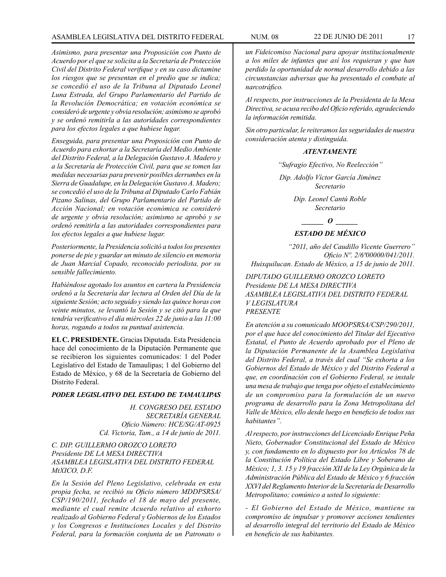# ASAMBLEA LEGISLATIVA DEL DISTRITO FEDERAL NUM. 08 22 de JUNIO de 2011 17

*Asimismo, para presentar una Proposición con Punto de Acuerdo por el que se solicita a la Secretaría de Protección Civil del Distrito Federal verifique y en su caso dictamine los riesgos que se presentan en el predio que se indica; se concedió el uso de la Tribuna al Diputado Leonel Luna Estrada, del Grupo Parlamentario del Partido de la Revolución Democrática; en votación económica se consideró de urgente y obvia resolución; asimismo se aprobó y se ordenó remitirla a las autoridades correspondientes para los efectos legales a que hubiese lugar.*

*Enseguida, para presentar una Proposición con Punto de Acuerdo para exhortar a la Secretaría del Medio Ambiente del Distrito Federal, a la Delegación Gustavo A. Madero y a la Secretaría de Protección Civil, para que se tomen las medidas necesarias para prevenir posibles derrumbes en la Sierra de Guadalupe, en la Delegación Gustavo A. Madero; se concedió el uso de la Tribuna al Diputado Carlo Fabián Pizano Salinas, del Grupo Parlamentario del Partido de Acción Nacional; en votación económica se consideró de urgente y obvia resolución; asimismo se aprobó y se ordenó remitirla a las autoridades correspondientes para los efectos legales a que hubiese lugar.*

*Posteriormente, la Presidencia solicitó a todos los presentes ponerse de pie y guardar un minuto de silencio en memoria de Juan Marcial Copado, reconocido periodista, por su sensible fallecimiento.*

*Habiéndose agotado los asuntos en cartera la Presidencia ordenó a la Secretaría dar lectura al Orden del Día de la siguiente Sesión; acto seguido y siendo las quince horas con veinte minutos, se levantó la Sesión y se citó para la que tendría verificativo el día miércoles 22 de junio a las 11:00 horas, rogando a todos su puntual asistencia.*

**EL C. PRESIDENTE.** Gracias Diputada. Esta Presidencia hace del conocimiento de la Diputación Permanente que se recibieron los siguientes comunicados: 1 del Poder Legislativo del Estado de Tamaulipas; 1 del Gobierno del Estado de México, y 68 de la Secretaría de Gobierno del Distrito Federal.

#### *PODER LEGISLATIVO DEL ESTADO DE TAMAULIPAS*

*H. CONGRESO DEL ESTADO SECRETARÍA GENERAL Oficio Número: HCE/SG/AT-0925 Cd. Victoria, Tam., a 14 de junio de 2011.*

# *C. DIP. GUILLERMO OROZCO LORETO Presidente DE LA MESA DIRECTIVA ASAMBLEA LEGISLATIVA DEL DISTRITO FEDERAL MtXICO, D.F.*

*En la Sesión del Pleno Legislativo, celebrada en esta propia fecha, se recibió su Oficio número MDDPSRSA/ CSP/190/2011, fechado el 18 de mayo del presente, mediante el cual remite Acuerdo relativo al exhorto realizado al Gobierno Federal y Gobiernos de los Estados y los Congresos e Instituciones Locales y del Distrito Federal, para la formación conjunta de un Patronato o* 

*un Fideicomiso Nacional para apoyar institucionalmente a los miles de infantes que así los requieran y que han perdido la oportunidad de normal desarrollo debido a las circunstancias adversas que ha presentado el combate al narcotráfico.*

*Al respecto, por instrucciones de la Presidenta de la Mesa Directiva, se acusa recibo del Oficio referido, agradeciendo la información remitida.*

*Sin otro particular, le reiteramos las seguridades de nuestra consideración atenta y distinguida.*

# *ATENTAMENTE*

*"Sufragio Efectivo, No Reelección"*

*Dip. Adolfo Víctor García Jiménez Secretario*

> *Dip. Leonel Cantú Roble Secretario*

> > *\_\_\_\_\_\_ O \_\_\_\_\_\_*

# *ESTADO DE MÉXICO*

*"2011, año del Caudillo Vicente Guerrero" Oficio Nº. 2/6ª00000/041/2011. Huixquilucan. Estado de México, a 15 de junio de 2011.*

*DIPUTADO GUILLERMO OROZCO LORETO Presidente DE LA MESA DIRECTIVA ASAMBLEA LEGISLATIVA DEL DISTRITO FEDERAL V LEGISLATURA PRESENTE*

*En atención a su comunicado MOOPSRSA/CSP/290/2011, por el que hace del conocimiento del Titular del Ejecutivo Estatal, el Punto de Acuerdo aprobado por el Pleno de la Diputación Permanente de la Asamblea Legislativa del Distrito Federal, a través del cual "Se exhorta a los Gobiernos del Estado de México y del Distrito Federal a que, en coordinación con el Gobierno Federal, se instale una mesa de trabajo que tenga por objeto el establecimiento de un compromiso para la formulación de un nuevo programa de desarrollo para la Zona Metropolitana del Valle de México, ello desde luego en beneficio de todos sus habitantes".*

*Al respecto, por instrucciones del Licenciado Enrique Peña Nieto, Gobernador Constitucional del Estado de México y, con fundamento en lo dispuesto por los Artículos 78 de la Constitución Política del Estado Libre y Soberano de México; 1, 3. 15 y 19 fracción XII de la Ley Orgánica de la Administración Pública del Estado de México y 6 fracción XXVI del Reglamento Interior de la Secretaría de Desarrollo Metropolitano; comúnico a usted lo siguiente:* 

*- El Gobierno del Estado de México, mantiene su compromiso de impulsar y promover acciones tendientes al desarrollo integral del territorio del Estado de México en beneficio de sus habitantes.*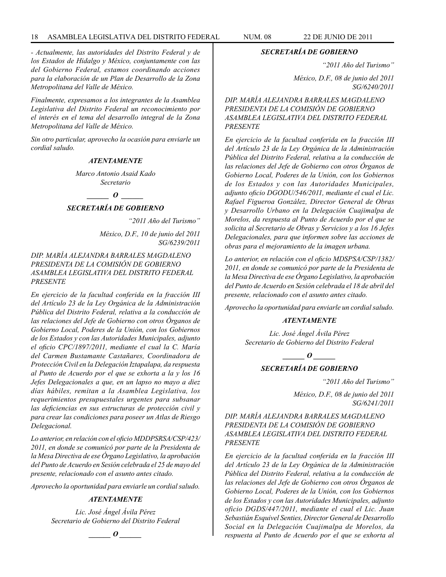*- Actualmente, las autoridades del Distrito Federal y de los Estados de Hidalgo y México, conjuntamente con las del Gobierno Federal, estamos coordinando acciones para la elaboración de un Plan de Desarrollo de la Zona Metropolitana del Valle de México.* 

*Finalmente, expresamos a los integrantes de la Asamblea Legislativa del Distrito Federal un reconocimiento por el interés en el tema del desarrollo integral de la Zona Metropolitana del Valle de México.*

*Sin otro particular, aprovecho la ocasión para enviarle un cordial saludo.*

# *ATENTAMENTE*

*Marco Antonio Asaid Kado Secretario*

#### *\_\_\_\_\_\_ O \_\_\_\_\_\_*

#### *SECRETARÍA DE GOBIERNO*

*"2011 Año del Turismo"*

*México, D.F., 10 de junio del 2011 SG/6239/2011*

*DIP. MARÍA ALEJANDRA BARRALES MAGDALENO PRESIDENTA DE LA COMISIÓN DE GOBIERNO ASAMBLEA LEGISLATIVA DEL DISTRITO FEDERAL PRESENTE*

*En ejercicio de la facultad conferida en la fracción III del Artículo 23 de la Ley Orgánica de la Administración Pública del Distrito Federal, relativa a la conducción de las relaciones del Jefe de Gobierno con otros Órganos de Gobierno Local, Poderes de la Unión, con los Gobiernos de los Estados y con las Autoridades Municipales, adjunto el oficio CPC/1897/2011, mediante el cual la C. María del Carmen Bustamante Castañares, Coordinadora de Protección Civil en la Delegación Iztapalapa, da respuesta al Punto de Acuerdo por el que se exhorta a la y los 16 Jefes Delegacionales a que, en un lapso no mayo a diez días hábiles, remitan a la Asamblea Legislativa, los requerimientos presupuestales urgentes para subsanar las deficiencias en sus estructuras de protección civil y para crear las condiciones para poseer un Atlas de Riesgo Delegacional.*

*Lo anterior, en relación con el oficio MDDPSRSA/CSP/423/ 2011, en donde se comunicó por parte de la Presidenta de la Mesa Directiva de ese Órgano Legislativo, la aprobación del Punto de Acuerdo en Sesión celebrada el 25 de mayo del presente, relacionado con el asunto antes citado.*

*Aprovecho la oportunidad para enviarle un cordial saludo.*

# *ATENTAMENTE*

*Lic. José Ángel Ávila Pérez Secretario de Gobierno del Distrito Federal*

*\_\_\_\_\_\_ O \_\_\_\_\_\_*

#### *SECRETARÍA DE GOBIERNO*

*"2011 Año del Turismo"*

*México, D.F., 08 de junio del 2011 SG/6240/2011*

*DIP. MARÍA ALEJANDRA BARRALES MAGDALENO PRESIDENTA DE LA COMISIÓN DE GOBIERNO ASAMBLEA LEGISLATIVA DEL DISTRITO FEDERAL PRESENTE*

*En ejercicio de la facultad conferida en la fracción III del Artículo 23 de la Ley Orgánica de la Administración Pública del Distrito Federal, relativa a la conducción de las relaciones del Jefe de Gobierno con otros Órganos de Gobierno Local, Poderes de la Unión, con los Gobiernos de los Estados y con las Autoridades Municipales, adjunto oficio DGODU/546/2011, mediante el cual el Lic. Rafael Figueroa González, Director General de Obras y Desarrollo Urbano en la Delegación Cuajimalpa de Morelos, da respuesta al Punto de Acuerdo por el que se solicita al Secretario de Obras y Servicios y a los 16 Jefes Delegacionales, para que informen sobre las acciones de obras para el mejoramiento de la imagen urbana.*

*Lo anterior, en relación con el oficio MDSPSA/CSP/1382/ 2011, en donde se comunicó por parte de la Presidenta de la Mesa Directiva de ese Órgano Legislativo, la aprobación del Punto de Acuerdo en Sesión celebrada el 18 de abril del presente, relacionado con el asunto antes citado.*

*Aprovecho la oportunidad para enviarle un cordial saludo.*

# *ATENTAMENTE*

*Lic. José Ángel Ávila Pérez Secretario de Gobierno del Distrito Federal*

*\_\_\_\_\_\_ O \_\_\_\_\_\_*

# *SECRETARÍA DE GOBIERNO*

*"2011 Año del Turismo"*

*México, D.F., 08 de junio del 2011 SG/6241/2011*

*DIP. MARÍA ALEJANDRA BARRALES MAGDALENO PRESIDENTA DE LA COMISIÓN DE GOBIERNO ASAMBLEA LEGISLATIVA DEL DISTRITO FEDERAL PRESENTE*

*En ejercicio de la facultad conferida en la fracción III del Artículo 23 de la Ley Orgánica de la Administración Pública del Distrito Federal, relativa a la conducción de las relaciones del Jefe de Gobierno con otros Órganos de Gobierno Local, Poderes de la Unión, con los Gobiernos de los Estados y con las Autoridades Municipales, adjunto oficio DGDS/447/2011, mediante el cual el Lic. Juan Sebastián Esquivel Senties, Director General de Desarrollo Social en la Delegación Cuajimalpa de Morelos, da respuesta al Punto de Acuerdo por el que se exhorta al*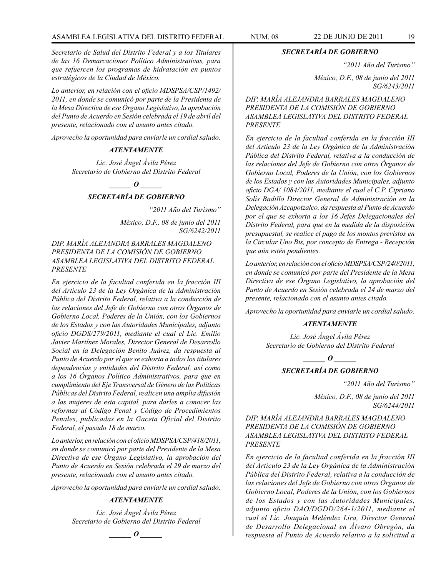*Secretario de Salud del Distrito Federal y a los Titulares de las 16 Demarcaciones Político Administrativas, para que refuercen los programas de hidratación en puntos estratégicos de la Ciudad de México.*

*Lo anterior, en relación con el oficio MDSPSA/CSP/1492/ 2011, en donde se comunicó por parte de la Presidenta de la Mesa Directiva de ese Órgano Legislativo, la aprobación del Punto de Acuerdo en Sesión celebrada el 19 de abril del presente, relacionado con el asunto antes citado.*

*Aprovecho la oportunidad para enviarle un cordial saludo.*

#### *ATENTAMENTE*

*Lic. José Ángel Ávila Pérez Secretario de Gobierno del Distrito Federal*

# *\_\_\_\_\_\_ O \_\_\_\_\_\_*

# *SECRETARÍA DE GOBIERNO*

*"2011 Año del Turismo"*

*México, D.F., 08 de junio del 2011 SG/6242/2011*

*DIP. MARÍA ALEJANDRA BARRALES MAGDALENO PRESIDENTA DE LA COMISIÓN DE GOBIERNO ASAMBLEA LEGISLATIVA DEL DISTRITO FEDERAL PRESENTE*

*En ejercicio de la facultad conferida en la fracción III del Artículo 23 de la Ley Orgánica de la Administración Pública del Distrito Federal, relativa a la conducción de las relaciones del Jefe de Gobierno con otros Órganos de Gobierno Local, Poderes de la Unión, con los Gobiernos de los Estados y con las Autoridades Municipales, adjunto oficio DGDS/279/2011, mediante el cual el Lic. Emilio Javier Martínez Morales, Director General de Desarrollo Social en la Delegación Benito Juárez, da respuesta al Punto de Acuerdo por el que se exhorta a todos los titulares dependencias y entidades del Distrito Federal, así como a los 16 Órganos Político Administrativos, para que en cumplimiento del Eje Transversal de Género de las Políticas Públicas del Distrito Federal, realicen una amplia difusión a las mujeres de esta capital, para darles a conocer las reformas al Código Penal y Código de Procedimientos Penales, publicadas en la Gaceta Oficial del Distrito Federal, el pasado 18 de marzo.*

*Lo anterior, en relación con el oficio MDSPSA/CSP/418/2011, en donde se comunicó por parte del Presidente de la Mesa Directiva de ese Órgano Legislativo, la aprobación del Punto de Acuerdo en Sesión celebrada el 29 de marzo del presente, relacionado con el asunto antes citado.*

*Aprovecho la oportunidad para enviarle un cordial saludo.*

#### *ATENTAMENTE*

*Lic. José Ángel Ávila Pérez Secretario de Gobierno del Distrito Federal*

*d*  $\boldsymbol{\theta}$ 

#### *SECRETARÍA DE GOBIERNO*

*"2011 Año del Turismo"*

*México, D.F., 08 de junio del 2011 SG/6243/2011*

*DIP. MARÍA ALEJANDRA BARRALES MAGDALENO PRESIDENTA DE LA COMISIÓN DE GOBIERNO ASAMBLEA LEGISLATIVA DEL DISTRITO FEDERAL PRESENTE*

*En ejercicio de la facultad conferida en la fracción III del Artículo 23 de la Ley Orgánica de la Administración Pública del Distrito Federal, relativa a la conducción de las relaciones del Jefe de Gobierno con otros Órganos de Gobierno Local, Poderes de la Unión, con los Gobiernos de los Estados y con las Autoridades Municipales, adjunto oficio DGA/ 1084/2011, mediante el cual el C.P. Cipriano Solís Badillo Director General de Administración en la Delegación Azcapotzalco, da respuesta al Punto de Acuerdo por el que se exhorta a los 16 Jefes Delegacionales del Distrito Federal, para que en la medida de la disposición presupuestal, se realice el pago de los montos previstos en la Circular Uno Bis, por concepto de Entrega - Recepción que aún estén pendientes.* 

*Lo anterior, en relación con el oficio MDSPSA/CSP/240/2011, en donde se comunicó por parte del Presidente de la Mesa Directiva de ese Órgano Legislativo, la aprobación del Punto de Acuerdo en Sesión celebrada el 24 de marzo del presente, relacionado con el asunto antes citado.*

*Aprovecho la oportunidad para enviarle un cordial saludo.*

#### *ATENTAMENTE*

*Lic. José Ángel Ávila Pérez Secretario de Gobierno del Distrito Federal*

*o*  $\theta$ 

# *SECRETARÍA DE GOBIERNO*

*"2011 Año del Turismo"*

*México, D.F., 08 de junio del 2011 SG/6244/2011*

*DIP. MARÍA ALEJANDRA BARRALES MAGDALENO PRESIDENTA DE LA COMISIÓN DE GOBIERNO ASAMBLEA LEGISLATIVA DEL DISTRITO FEDERAL PRESENTE*

*En ejercicio de la facultad conferida en la fracción III del Artículo 23 de la Ley Orgánica de la Administración Pública del Distrito Federal, relativa a la conducción de las relaciones del Jefe de Gobierno con otros Órganos de Gobierno Local, Poderes de la Unión, con los Gobiernos de los Estados y con las Autoridades Municipales, adjunto oficio DAO/DGDD/264-1/2011, mediante el cual el Lic. Joaquín Meléndez Lira, Director General de Desarrollo Delegacional en Álvaro Obregón, da respuesta al Punto de Acuerdo relativo a la solicitud a*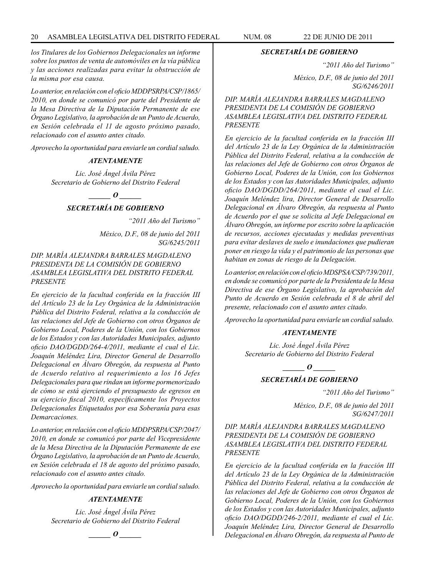*los Titulares de los Gobiernos Delegacionales un informe sobre los puntos de venta de automóviles en la vía pública y las acciones realizadas para evitar la obstrucción de la misma por esa causa.*

*Lo anterior, en relación con el oficio MDDPSRPA/CSP/1865/ 2010, en donde se comunicó por parte del Presidente de la Mesa Directiva de la Diputación Permanente de ese Órgano Legislativo, la aprobación de un Punto de Acuerdo, en Sesión celebrada el 11 de agosto próximo pasado, relacionado con el asunto antes citado.*

*Aprovecho la oportunidad para enviarle un cordial saludo.*

#### *ATENTAMENTE*

*Lic. José Ángel Ávila Pérez Secretario de Gobierno del Distrito Federal*

#### *\_\_\_\_\_\_ O \_\_\_\_\_\_*

#### *SECRETARÍA DE GOBIERNO*

*"2011 Año del Turismo"*

*México, D.F., 08 de junio del 2011 SG/6245/2011*

*DIP. MARÍA ALEJANDRA BARRALES MAGDALENO PRESIDENTA DE LA COMISIÓN DE GOBIERNO ASAMBLEA LEGISLATIVA DEL DISTRITO FEDERAL PRESENTE*

*En ejercicio de la facultad conferida en la fracción III del Artículo 23 de la Ley Orgánica de la Administración Pública del Distrito Federal, relativa a la conducción de las relaciones del Jefe de Gobierno con otros Órganos de Gobierno Local, Poderes de la Unión, con los Gobiernos de los Estados y con las Autoridades Municipales, adjunto oficio DAO/DGDD/264-4/2011, mediante el cual el Lic. Joaquín Meléndez Lira, Director General de Desarrollo Delegacional en Álvaro Obregón, da respuesta al Punto de Acuerdo relativo al requerimiento a los 16 Jefes Delegacionales para que rindan un informe pormenorizado de cómo se está ejerciendo el presupuesto de egresos en su ejercicio fiscal 2010, específicamente los Proyectos Delegacionales Etiquetados por esa Soberanía para esas Demarcaciones.*

*Lo anterior, en relación con el oficio MDDPSRPA/CSP/2047/ 2010, en donde se comunicó por parte del Vicepresidente de la Mesa Directiva de la Diputación Permanente de ese Órgano Legislativo, la aprobación de un Punto de Acuerdo, en Sesión celebrada el 18 de agosto del próximo pasado, relacionado con el asunto antes citado.*

*Aprovecho la oportunidad para enviarle un cordial saludo.*

#### *ATENTAMENTE*

*Lic. José Ángel Ávila Pérez Secretario de Gobierno del Distrito Federal*

*\_\_\_\_\_\_ O \_\_\_\_\_\_*

#### *SECRETARÍA DE GOBIERNO*

*"2011 Año del Turismo"*

*México, D.F., 08 de junio del 2011 SG/6246/2011*

*DIP. MARÍA ALEJANDRA BARRALES MAGDALENO PRESIDENTA DE LA COMISIÓN DE GOBIERNO ASAMBLEA LEGISLATIVA DEL DISTRITO FEDERAL PRESENTE*

*En ejercicio de la facultad conferida en la fracción III del Artículo 23 de la Ley Orgánica de la Administración Pública del Distrito Federal, relativa a la conducción de las relaciones del Jefe de Gobierno con otros Órganos de Gobierno Local, Poderes de la Unión, con los Gobiernos de los Estados y con las Autoridades Municipales, adjunto oficio DAO/DGDD/264/2011, mediante el cual el Lic. Joaquín Meléndez lira, Director General de Desarrollo Delegacional en Álvaro Obregón, da respuesta al Punto de Acuerdo por el que se solicita al Jefe Delegacional en Álvaro Obregón, un informe por escrito sobre la aplicación de recursos, acciones ejecutadas y medidas preventivas para evitar deslaves de suelo e inundaciones que pudieran poner en riesgo la vida y el patrimonio de las personas que habitan en zonas de riesgo de la Delegación.*

*Lo anterior, en relación con el oficio MDSPSA/CSP/739/2011, en donde se comunicó por parte de la Presidenta de la Mesa Directiva de ese Órgano Legislativo, la aprobación del Punto de Acuerdo en Sesión celebrada el 8 de abril del presente, relacionado con el asunto antes citado.*

*Aprovecho la oportunidad para enviarle un cordial saludo.*

#### *ATENTAMENTE*

*Lic. José Ángel Ávila Pérez Secretario de Gobierno del Distrito Federal*

*\_\_\_\_\_\_ O \_\_\_\_\_\_*

# *SECRETARÍA DE GOBIERNO*

*"2011 Año del Turismo"*

*México, D.F., 08 de junio del 2011 SG/6247/2011*

*DIP. MARÍA ALEJANDRA BARRALES MAGDALENO PRESIDENTA DE LA COMISIÓN DE GOBIERNO ASAMBLEA LEGISLATIVA DEL DISTRITO FEDERAL PRESENTE*

*En ejercicio de la facultad conferida en la fracción III del Artículo 23 de la Ley Orgánica de la Administración Pública del Distrito Federal, relativa a la conducción de las relaciones del Jefe de Gobierno con otros Órganos de Gobierno Local, Poderes de la Unión, con los Gobiernos de los Estados y con las Autoridades Municipales, adjunto oficio DAO/DGDD/246-2/2011, mediante el cual el Lic. Joaquín Meléndez Lira, Director General de Desarrollo Delegacional en Álvaro Obregón, da respuesta al Punto de*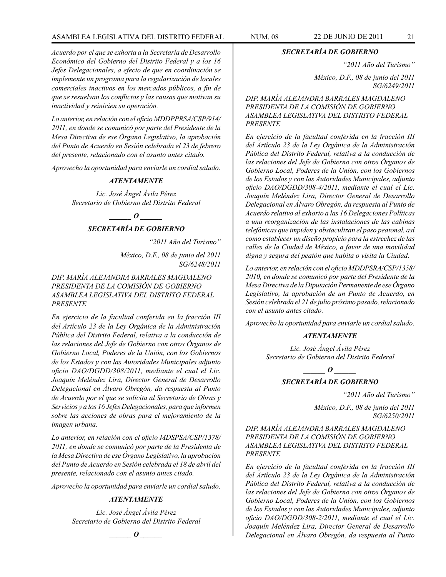# ASAMBLEA LEGISLATIVA DEL DISTRITO FEDERAL NUM. 08 22 DE JUNIO DE 2011 21

*Acuerdo por el que se exhorta a la Secretaría de Desarrollo Económico del Gobierno del Distrito Federal y a los 16 Jefes Delegacionales, a efecto de que en coordinación se implemente un programa para la regularización de locales comerciales inactivos en los mercados públicos, a fin de que se resuelvan los conflictos y las causas que motivan su inactividad y reinicien su operación.*

*Lo anterior, en relación con el oficio MDDPPRSA/CSP/914/ 2011, en donde se comunicó por parte del Presidente de la Mesa Directiva de ese Órgano Legislativo, la aprobación del Punto de Acuerdo en Sesión celebrada el 23 de febrero del presente, relacionado con el asunto antes citado.* 

*Aprovecho la oportunidad para enviarle un cordial saludo.*

#### *ATENTAMENTE*

*Lic. José Ángel Ávila Pérez Secretario de Gobierno del Distrito Federal*

*d*  $\boldsymbol{\theta}$ 

# *SECRETARÍA DE GOBIERNO*

*"2011 Año del Turismo"*

*México, D.F., 08 de junio del 2011 SG/6248/2011*

*DIP. MARÍA ALEJANDRA BARRALES MAGDALENO PRESIDENTA DE LA COMISIÓN DE GOBIERNO ASAMBLEA LEGISLATIVA DEL DISTRITO FEDERAL PRESENTE*

*En ejercicio de la facultad conferida en la fracción III del Artículo 23 de la Ley Orgánica de la Administración Pública del Distrito Federal, relativa a la conducción de las relaciones del Jefe de Gobierno con otros Órganos de Gobierno Local, Poderes de la Unión, con los Gobiernos de los Estados y con las Autoridades Municipales adjunto oficio DAO/DGDD/308/2011, mediante el cual el Lic. Joaquín Meléndez Lira, Director General de Desarrollo Delegacional en Álvaro Obregón, da respuesta al Punto de Acuerdo por el que se solicita al Secretario de Obras y Servicios y a los 16 Jefes Delegacionales, para que informen sobre las acciones de obras para el mejoramiento de la imagen urbana.*

*Lo anterior, en relación con el oficio MDSPSA/CSP/1378/ 2011, en donde se comunicó por parte de la Presidenta de la Mesa Directiva de ese Órgano Legislativo, la aprobación del Punto de Acuerdo en Sesión celebrada el 18 de abril del presente, relacionado con el asunto antes citado.*

*Aprovecho la oportunidad para enviarle un cordial saludo.*

#### *ATENTAMENTE*

*Lic. José Ángel Ávila Pérez Secretario de Gobierno del Distrito Federal*

*d*  $\boldsymbol{\theta}$ 

#### *SECRETARÍA DE GOBIERNO*

*"2011 Año del Turismo"*

*México, D.F., 08 de junio del 2011 SG/6249/2011*

*DIP. MARÍA ALEJANDRA BARRALES MAGDALENO PRESIDENTA DE LA COMISIÓN DE GOBIERNO ASAMBLEA LEGISLATIVA DEL DISTRITO FEDERAL PRESENTE*

*En ejercicio de la facultad conferida en la fracción III del Artículo 23 de la Ley Orgánica de la Administración Pública del Distrito Federal, relativa a la conducción de las relaciones del Jefe de Gobierno con otros Órganos de Gobierno Local, Poderes de la Unión, con los Gobiernos de los Estados y con las Autoridades Municipales, adjunto oficio DAO/DGDD/308-4/2011, mediante el cual el Lic. Joaquín Meléndez Lira, Director General de Desarrollo Delegacional en Álvaro Obregón, da respuesta al Punto de Acuerdo relativo al exhorto a las 16 Delegaciones Políticas a una reorganización de las instalaciones de las cabinas telefónicas que impiden y obstaculizan el paso peatonal, así como establecer un diseño propicio para la estrechez de las calles de la Ciudad de México, a favor de una movilidad digna y segura del peatón que habita o visita la Ciudad.*

*Lo anterior, en relación con el oficio MDDPSRA/CSP/1358/ 2010, en donde se comunicó por parte del Presidente de la Mesa Directiva de la Diputación Permanente de ese Órgano Legislativo, la aprobación de un Punto de Acuerdo, en Sesión celebrada el 21 de julio próximo pasado, relacionado con el asunto antes citado.*

*Aprovecho la oportunidad para enviarle un cordial saludo.*

#### *ATENTAMENTE*

*Lic. José Ángel Ávila Pérez Secretario de Gobierno del Distrito Federal*

> *d*  $\boldsymbol{\theta}$ *SECRETARÍA DE GOBIERNO*

> > *"2011 Año del Turismo"*

*México, D.F., 08 de junio del 2011 SG/6250/2011*

# *DIP. MARÍA ALEJANDRA BARRALES MAGDALENO PRESIDENTA DE LA COMISIÓN DE GOBIERNO ASAMBLEA LEGISLATIVA DEL DISTRITO FEDERAL PRESENTE*

*En ejercicio de la facultad conferida en la fracción III del Artículo 23 de la Ley Orgánica de la Administración Pública del Distrito Federal, relativa a la conducción de las relaciones del Jefe de Gobierno con otros Órganos de Gobierno Local, Poderes de la Unión, con los Gobiernos de los Estados y con las Autoridades Municipales, adjunto oficio DAO/DGDD/308-2/2011, mediante el cual el Lic. Joaquín Meléndez Lira, Director General de Desarrollo Delegacional en Álvaro Obregón, da respuesta al Punto*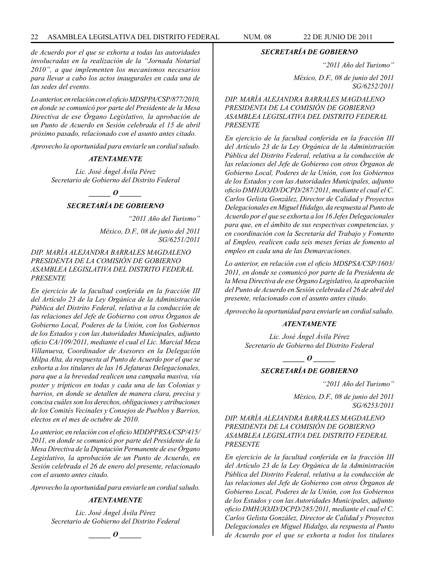*de Acuerdo por el que se exhorta a todas las autoridades involucradas en la realización de la "Jornada Notarial 2010", a que implementen los mecanismos necesarios para llevar a cabo los actos inaugurales en cada una de las sedes del evento.*

*Lo anterior, en relación con el oficio MDSPPA/CSP/877/2010, en donde se comunicó por parte del Presidente de la Mesa Directiva de ese Órgano Legislativo, la aprobación de un Punto de Acuerdo en Sesión celebrada el 15 de abril próximo pasado, relacionado con el asunto antes citado.*

*Aprovecho la oportunidad para enviarle un cordial saludo.*

#### *ATENTAMENTE*

*Lic. José Ángel Ávila Pérez Secretario de Gobierno del Distrito Federal*

> *d*  $\boldsymbol{\theta}$ *SECRETARÍA DE GOBIERNO*

> > *"2011 Año del Turismo"*

*México, D.F., 08 de junio del 2011 SG/6251/2011*

*DIP. MARÍA ALEJANDRA BARRALES MAGDALENO PRESIDENTA DE LA COMISIÓN DE GOBIERNO ASAMBLEA LEGISLATIVA DEL DISTRITO FEDERAL PRESENTE*

*En ejercicio de la facultad conferida en la fracción III del Artículo 23 de la Ley Orgánica de la Administración Pública del Distrito Federal, relativa a la conducción de las relaciones del Jefe de Gobierno con otros Órganos de Gobierno Local, Poderes de la Unión, con los Gobiernos de los Estados y con las Autoridades Municipales, adjunto oficio CA/109/2011, mediante el cual el Lic. Marcial Meza Villanueva, Coordinador de Asesores en la Delegación Milpa Alta, da respuesta al Punto de Acuerdo por el que se exhorta a los titulares de las 16 Jefaturas Delegacionales, para que a la brevedad realicen una campaña masiva, vía poster y trípticos en todas y cada una de las Colonias y barrios, en donde se detallen de manera clara, precisa y concisa cuáles son los derechos, obligaciones y atribuciones de los Comités Vecinales y Consejos de Pueblos y Barrios, electos en el mes de octubre de 2010.*

*Lo anterior, en relación con el oficio MDDPPRSA/CSP/415/ 2011, en donde se comunicó por parte del Presidente de la Mesa Directiva de la Diputación Permanente de ese Órgano Legislativo, la aprobación de un Punto de Acuerdo, en Sesión celebrada el 26 de enero del presente, relacionado con el asunto antes citado.*

*Aprovecho la oportunidad para enviarle un cordial saludo.*

# *ATENTAMENTE*

*Lic. José Ángel Ávila Pérez Secretario de Gobierno del Distrito Federal*



#### *SECRETARÍA DE GOBIERNO*

*"2011 Año del Turismo"*

*México, D.F., 08 de junio del 2011 SG/6252/2011*

*DIP. MARÍA ALEJANDRA BARRALES MAGDALENO PRESIDENTA DE LA COMISIÓN DE GOBIERNO ASAMBLEA LEGISLATIVA DEL DISTRITO FEDERAL PRESENTE*

*En ejercicio de la facultad conferida en la fracción III del Artículo 23 de la Ley Orgánica de la Administración Pública del Distrito Federal, relativa a la conducción de las relaciones del Jefe de Gobierno con otros Órganos de Gobierno Local, Poderes de la Unión, con los Gobiernos de los Estados y con las Autoridades Municipales, adjunto oficio DMH/JOJD/DCPD/287/2011, mediante el cual el C. Carlos Gelista González, Director de Calidad y Proyectos Delegacionales en Miguel Hidalgo, da respuesta al Punto de Acuerdo por el que se exhorta a los 16 Jefes Delegacionales para que, en el ámbito de sus respectivas competencias, y en coordinación con la Secretaría del Trabajo y Fomento al Empleo, realicen cada seis meses ferias de fomento al empleo en cada una de las Demarcaciones.*

*Lo anterior, en relación con el oficio MDSPSA/CSP/1603/ 2011, en donde se comunicó por parte de la Presidenta de la Mesa Directiva de ese Órgano Legislativo, la aprobación del Punto de Acuerdo en Sesión celebrada el 26 de abril del presente, relacionado con el asunto antes citado.*

*Aprovecho la oportunidad para enviarle un cordial saludo.*

#### *ATENTAMENTE*

*Lic. José Ángel Ávila Pérez Secretario de Gobierno del Distrito Federal*

*d*  $\boldsymbol{\theta}$ 

# *SECRETARÍA DE GOBIERNO*

*"2011 Año del Turismo"*

*México, D.F., 08 de junio del 2011 SG/6253/2011*

*DIP. MARÍA ALEJANDRA BARRALES MAGDALENO PRESIDENTA DE LA COMISIÓN DE GOBIERNO ASAMBLEA LEGISLATIVA DEL DISTRITO FEDERAL PRESENTE*

*En ejercicio de la facultad conferida en la fracción III del Artículo 23 de la Ley Orgánica de la Administración Pública del Distrito Federal, relativa a la conducción de las relaciones del Jefe de Gobierno con otros Órganos de Gobierno Local, Poderes de la Unión, con los Gobiernos de los Estados y con las Autoridades Municipales, adjunto oficio DMH/JOJD/DCPD/285/2011, mediante el cual el C. Carlos Gelista González, Director de Calidad y Proyectos Delegacionales en Miguel Hidalgo, da respuesta al Punto de Acuerdo por el que se exhorta a todos los titulares*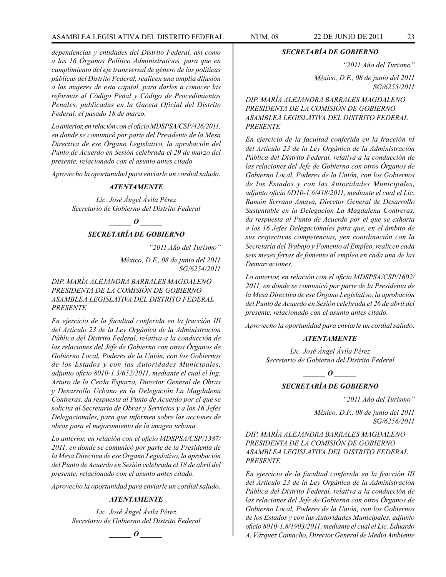# ASAMBLEA LEGISLATIVA DEL DISTRITO FEDERAL NUM. 08 22 DE JUNIO DE 2011 23

*dependencias y entidades del Distrito Federal, así como a los 16 Órganos Político Administrativos, para que en cumplimiento del eje transversal de género de las políticas públicas del Distrito Federal, realicen una amplia difusión a las mujeres de esta capital, para darles a conocer las reformas al Código Penal y Código de Procedimientos Penales, publicadas en la Gaceta Oficial del Distrito Federal, el pasado 18 de marzo.*

*Lo anterior, en relación con el oficio MDSPSA/CSP/426/2011, en donde se comunicó por parte del Presidente de la Mesa Directiva de ese Órgano Legislativo, la aprobación del Punto de Acuerdo en Sesión celebrada el 29 de marzo del presente, relacionado con el asunto antes citado*

*Aprovecho la oportunidad para enviarle un cordial saludo.*

#### *ATENTAMENTE*

*Lic. José Ángel Ávila Pérez Secretario de Gobierno del Distrito Federal*

*o* 

# *SECRETARÍA DE GOBIERNO*

*"2011 Año del Turismo"*

*México, D.F., 08 de junio del 2011 SG/6254/2011*

*DIP. MARÍA ALEJANDRA BARRALES MAGDALENO PRESIDENTA DE LA COMISIÓN DE GOBIERNO ASAMBLEA LEGISLATIVA DEL DISTRITO FEDERAL PRESENTE*

*En ejercicio de la facultad conferida en la fracción III del Artículo 23 de la Ley Orgánica de la Administración Pública del Distrito Federal, relativa a la conducción de las relaciones del Jefe de Gobierno con otros Órganos de Gobierno Local, Poderes de la Unión, con los Gobiernos de los Estados y con las Autoridades Municipales, adjunto oficio 8010-1.3/652/2011, mediante el cual el Ing. Arturo de la Cerda Esparza, Director General de Obras y Desarrollo Urbano en la Delegación La Magdalena Contreras, da respuesta al Punto de Acuerdo por el que se solicita al Secretario de Obras y Servicios y a los 16 Jefes Delegacionales, para que informen sobre las acciones de obras para el mejoramiento de la imagen urbana.*

*Lo anterior, en relación con el oficio MDSPSA/CSP/1387/ 2011, en donde se comunicó por parte de la Presidenta de la Mesa Directiva de ese Órgano Legislativo, la aprobación del Punto de Acuerdo en Sesión celebrada el 18 de abril del presente, relacionado con el asunto antes citado.* 

*Aprovecho la oportunidad para enviarle un cordial saludo.*

# *ATENTAMENTE*

*Lic. José Ángel Ávila Pérez Secretario de Gobierno del Distrito Federal*

*\_\_\_\_\_\_ O \_\_\_\_\_\_*

*SECRETARÍA DE GOBIERNO*

*"2011 Año del Turismo"*

*México, D.F., 08 de junio del 2011 SG/6255/2011*

*DIP. MARÍA ALEJANDRA BARRALES MAGDALENO PRESIDENTA DE LA COMISIÓN DE GOBIERNO ASAMBLEA LEGISLATIVA DEL DISTRITO FEDERAL PRESENTE*

*En ejercicio de la facultad conferida en la fracción nI del Artículo 23 de la Ley Orgánica de la Administración Pública del Distrito Federal, relativa a la conducción de las relaciones del Jefe de Gobierno con otros Órganos de Gobierno Local, Poderes de la Unión, con los Gobiernos de los Estados y con las Autoridades Municipales, adjunto oficio 6D10-1.6/418/2011, mediante el cual el Lic. Ramón Serrano Amaya, Director General de Desarrollo Sustentable en la Delegación La Magdalena Contreras, da respuesta al Punto de Acuerdo por el que se exhorta a los 16 Jefes Delegacionales para que, en el ámbito de sus respectivas competencias, yen coordinación con la Secretaría del Trabajo y Fomento al Empleo, realicen cada seis meses ferias de fomento al empleo en cada una de las Demarcaciones.*

*Lo anterior, en relación con el oficio MDSPSA/CSP/1602/ 2011, en donde se comunicó por parte de la Presidenta de la Mesa Directiva de ese Órgano Legislativo, la aprobación del Punto de Acuerdo en Sesión celebrada el 26 de abril del presente, relacionado con el asunto antes citado.*

*Aprovecho la oportunidad para enviarle un cordial saludo.*

#### *ATENTAMENTE*

*Lic. José Ángel Ávila Pérez Secretario de Gobierno del Distrito Federal*

*\_\_\_\_\_\_ O \_\_\_\_\_\_*

*SECRETARÍA DE GOBIERNO*

*"2011 Año del Turismo"*

*México, D.F., 08 de junio del 2011 SG/6256/2011*

# *DIP. MARÍA ALEJANDRA BARRALES MAGDALENO PRESIDENTA DE LA COMISIÓN DE GOBIERNO ASAMBLEA LEGISLATIVA DEL DISTRITO FEDERAL PRESENTE*

*En ejercicio de la facultad conferida en la fracción III del Artículo 23 de la Ley Orgánica de la Administración Pública del Distrito Federal, relativa a la conducción de las relaciones del Jefe de Gobierno con otros Órganos de Gobierno Local, Poderes de la Unión, con los Gobiernos de los Estados y con las Autoridades Municipales, adjunto oficio 8010-1.8/1903/2011, mediante el cual el Lic. Eduardo A. Vázquez Camacho, Director General de Medio Ambiente*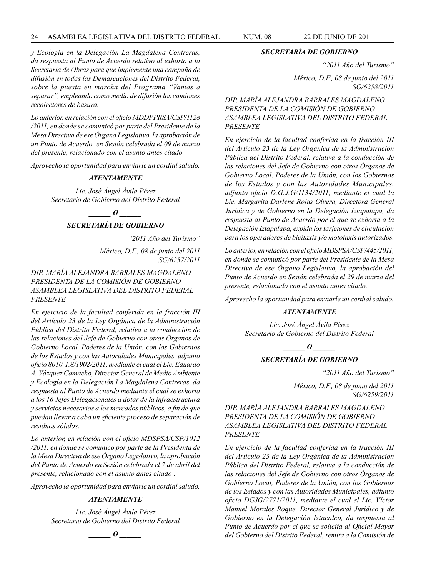# 24 ASAMBLEA LEGISLATIVA DEL DISTRITO FEDERAL NUM. 08 22 de JUNIO de 2011

*y Ecología en la Delegación La Magdalena Contreras, da respuesta al Punto de Acuerdo relativo al exhorto a la Secretaría de Obras para que implemente una campaña de difusión en todas las Demarcaciones del Distrito Federal, sobre la puesta en marcha del Programa "Vamos a separar", empleando como medio de difusión los camiones recolectores de basura.*

*Lo anterior, en relación con el oficio MDDPPRSA/CSP/1128 /2011, en donde se comunicó por parte del Presidente de la Mesa Directiva de ese Órgano Legislativo, la aprobación de un Punto de Acuerdo, en Sesión celebrada el 09 de marzo del presente, relacionado con el asunto antes citado.*

*Aprovecho la oportunidad para enviarle un cordial saludo.*

#### *ATENTAMENTE*

*Lic. José Ángel Ávila Pérez Secretario de Gobierno del Distrito Federal*

*\_\_\_\_\_\_ O \_\_\_\_\_\_*

# *SECRETARÍA DE GOBIERNO*

*"2011 Año del Turismo"*

*México, D.F., 08 de junio del 2011 SG/6257/2011*

# *DIP. MARÍA ALEJANDRA BARRALES MAGDALENO PRESIDENTA DE LA COMISIÓN DE GOBIERNO ASAMBLEA LEGISLATIVA DEL DISTRITO FEDERAL PRESENTE*

*En ejercicio de la facultad conferida en la fracción III del Artículo 23 de la Ley Orgánica de la Administración Pública del Distrito Federal, relativa a la conducción de las relaciones del Jefe de Gobierno con otros Órganos de Gobierno Local, Poderes de la Unión, con los Gobiernos de los Estados y con las Autoridades Municipales, adjunto oficio 8010-1.8/1902/2011, mediante el cual el Lic. Eduardo A. Vázquez Camacho, Director General de Medio Ambiente y Ecología en la Delegación La Magdalena Contreras, da respuesta al Punto de Acuerdo mediante el cual se exhorta a los 16 Jefes Delegacionales a dotar de la infraestructura y servicios necesarios a los mercados públicos, a fin de que puedan llevar a cabo un eficiente proceso de separación de residuos sólidos.*

*Lo anterior, en relación con el oficio MDSPSA/CSP/1012 /2011, en donde se comunicó por parte de la Presidenta de la Mesa Directiva de ese Órgano Legislativo, la aprobación del Punto de Acuerdo en Sesión celebrada el 7 de abril del presente, relacionado con el asunto antes citado .*

*Aprovecho la oportunidad para enviarle un cordial saludo.*

#### *ATENTAMENTE*

*Lic. José Ángel Ávila Pérez Secretario de Gobierno del Distrito Federal*

 $\bm{o}$ 

#### *SECRETARÍA DE GOBIERNO*

*"2011 Año del Turismo"*

*México, D.F., 08 de junio del 2011 SG/6258/2011*

*DIP. MARÍA ALEJANDRA BARRALES MAGDALENO PRESIDENTA DE LA COMISIÓN DE GOBIERNO ASAMBLEA LEGISLATIVA DEL DISTRITO FEDERAL PRESENTE*

*En ejercicio de la facultad conferida en la fracción III del Artículo 23 de la Ley Orgánica de la Administración Pública del Distrito Federal, relativa a la conducción de las relaciones del Jefe de Gobierno con otros Órganos de Gobierno Local, Poderes de la Unión, con los Gobiernos de los Estados y con las Autoridades Municipales, adjunto oficio D.G.J.G/1134/2011, mediante el cual la Lic. Margarita Darlene Rojas Olvera, Directora General Jurídica y de Gobierno en la Delegación Iztapalapa, da respuesta al Punto de Acuerdo por el que se exhorta a la Delegación Iztapalapa, expida los tarjetones de circulación para los operadores de bicitaxis y/o mototaxis autorizados.* 

*Lo anterior, en relación con el oficio MDSPSA/CSP/445/2011, en donde se comunicó por parte del Presidente de la Mesa Directiva de ese Órgano Legislativo, la aprobación del Punto de Acuerdo en Sesión celebrada el 29 de marzo del presente, relacionado con el asunto antes citado.*

*Aprovecho la oportunidad para enviarle un cordial saludo.*

#### *ATENTAMENTE*

*Lic. José Ángel Ávila Pérez Secretario de Gobierno del Distrito Federal*

*\_\_\_\_\_\_ O \_\_\_\_\_\_*

# *SECRETARÍA DE GOBIERNO*

*"2011 Año del Turismo"*

*México, D.F., 08 de junio del 2011 SG/6259/2011*

*DIP. MARÍA ALEJANDRA BARRALES MAGDALENO PRESIDENTA DE LA COMISIÓN DE GOBIERNO ASAMBLEA LEGISLATIVA DEL DISTRITO FEDERAL PRESENTE*

*En ejercicio de la facultad conferida en la fracción III del Artículo 23 de la Ley Orgánica de la Administración Pública del Distrito Federal, relativa a la conducción de las relaciones del Jefe de Gobierno con otros Órganos de Gobierno Local, Poderes de la Unión, con los Gobiernos de los Estados y con las Autoridades Municipales, adjunto oficio DGJG/2771/2011, mediante el cual el Lic. Víctor Manuel Morales Roque, Director General Jurídico y de Gobierno en la Delegación Iztacalco, da respuesta al Punto de Acuerdo por el que se solicita al Oficial Mayor del Gobierno del Distrito Federal, remita a la Comisión de*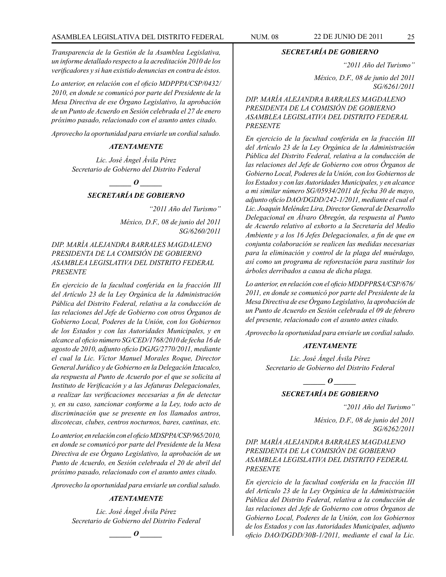*Transparencia de la Gestión de la Asamblea Legislativa, un informe detallado respecto a la acreditación 2010 de los verificadores y si han existido denuncias en contra de éstos.*

*Lo anterior, en relación con el oficio MDPPPA/CSP/0432/ 2010, en donde se comunicó por parte del Presidente de la Mesa Directiva de ese Órgano Legislativo, la aprobación de un Punto de Acuerdo en Sesión celebrada el 27 de enero próximo pasado, relacionado con el asunto antes citado.*

*Aprovecho la oportunidad para enviarle un cordial saludo.*

# *ATENTAMENTE*

*Lic. José Ángel Ávila Pérez Secretario de Gobierno del Distrito Federal*

*o*  $\theta$ 

# *SECRETARÍA DE GOBIERNO*

*"2011 Año del Turismo"*

*México, D.F., 08 de junio del 2011 SG/6260/2011*

*DIP. MARÍA ALEJANDRA BARRALES MAGDALENO PRESIDENTA DE LA COMISIÓN DE GOBIERNO ASAMBLEA LEGISLATIVA DEL DISTRITO FEDERAL PRESENTE*

*En ejercicio de la facultad conferida en la fracción III del Artículo 23 de la Ley Orgánica de la Administración Pública del Distrito Federal, relativa a la conducción de las relaciones del Jefe de Gobierno con otros Órganos de Gobierno Local, Poderes de la Unión, con los Gobiernos de los Estados y con las Autoridades Municipales, y en alcance al oficio número SG/CED/1768/2010 de fecha 16 de agosto de 2010, adjunto oficio DGJG/2770/2011, mediante el cual la Lic. Víctor Manuel Morales Roque, Director General Jurídico y de Gobierno en la Delegación Iztacalco, da respuesta al Punto de Acuerdo por el que se solicita al Instituto de Verificación y a las Jefaturas Delegacionales, a realizar las verificaciones necesarias a fin de detectar y, en su caso, sancionar conforme a la Ley, todo acto de discriminación que se presente en los llamados antros, discotecas, clubes, centros nocturnos, bares, cantinas, etc.*

*Lo anterior, en relación con el oficio MDSPPA/CSP/965/2010, en donde se comunicó por parte del Presidente de la Mesa Directiva de ese Órgano Legislativo, la aprobación de un Punto de Acuerdo, en Sesión celebrada el 20 de abril del próximo pasado, relacionado con el asunto antes citado.*

*Aprovecho la oportunidad para enviarle un cordial saludo.*

# *ATENTAMENTE*

*Lic. José Ángel Ávila Pérez Secretario de Gobierno del Distrito Federal*

 $\bm{o}$ 

*SECRETARÍA DE GOBIERNO*

*"2011 Año del Turismo"*

*México, D.F., 08 de junio del 2011 SG/6261/2011*

*DIP. MARÍA ALEJANDRA BARRALES MAGDALENO PRESIDENTA DE LA COMISIÓN DE GOBIERNO ASAMBLEA LEGISLATIVA DEL DISTRITO FEDERAL PRESENTE*

*En ejercicio de la facultad conferida en la fracción III del Artículo 23 de la Ley Orgánica de la Administración Pública del Distrito Federal, relativa a la conducción de las relaciones del Jefe de Gobierno con otros Órganos de Gobierno Local, Poderes de la Unión, con los Gobiernos de los Estados y con las Autoridades Municipales, y en alcance a mi similar número SG/05934/2011 de fecha 30 de mayo, adjunto oficio DAO/DGDD/242-1/2011, mediante el cual el Lic. Joaquín Meléndez Lira, Director General de Desarrollo Delegacional en Álvaro Obregón, da respuesta al Punto de Acuerdo relativo al exhorto a la Secretaría del Medio Ambiente y a los 16 Jefes Delegacionales, a fin de que en conjunta colaboración se realicen las medidas necesarias para la eliminación y control de la plaga del muérdago, así como un programa de reforestación para sustituir los árboles derribados a causa de dicha plaga.*

*Lo anterior, en relación con el oficio MDDPPRSA/CSP/676/ 2011, en donde se comunicó por parte del Presidente de la Mesa Directiva de ese Órgano Legislativo, la aprobación de un Punto de Acuerdo en Sesión celebrada el 09 de febrero del presente, relacionado con el asunto antes citado.*

*Aprovecho la oportunidad para enviarle un cordial saludo.*

#### *ATENTAMENTE*

*Lic. José Ángel Ávila Pérez Secretario de Gobierno del Distrito Federal*

*\_\_\_\_\_\_ O \_\_\_\_\_\_*

# *SECRETARÍA DE GOBIERNO*

*"2011 Año del Turismo"*

*México, D.F., 08 de junio del 2011 SG/6262/2011*

# *DIP. MARÍA ALEJANDRA BARRALES MAGDALENO PRESIDENTA DE LA COMISIÓN DE GOBIERNO ASAMBLEA LEGISLATIVA DEL DISTRITO FEDERAL PRESENTE*

*En ejercicio de la facultad conferida en la fracción III del Artículo 23 de la Ley Orgánica de la Administración Pública del Distrito Federal, relativa a la conducción de las relaciones del Jefe de Gobierno con otros Órganos de Gobierno Local, Poderes de la Unión, con los Gobiernos de los Estados y con las Autoridades Municipales, adjunto oficio DAO/DGDD/30B-1/2011, mediante el cual la Lic.*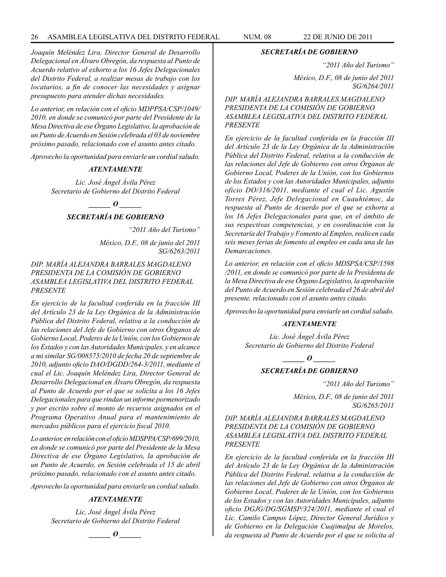*Joaquín Meléndez Lira, Director General de Desarrollo Delegacional en Álvaro Obregón, da respuesta al Punto de Acuerdo relativo al exhorto a los 16 Jefes Delegacionales del Distrito Federal, a realizar mesas de trabajo con los locatarios, a fin de conocer las necesidades y asignar presupuesto para atender dichas necesidades.*

*Lo anterior, en relación con el oficio MDPPSA/CSP/1049/ 2010, en donde se comunicó por parte del Presidente de la Mesa Directiva de ese Órgano Legislativo, la aprobación de un Punto de Acuerdo en Sesión celebrada el 03 de noviembre próximo pasado, relacionado con el asunto antes citado.*

*Aprovecho la oportunidad para enviarle un cordial saludo.*

#### *ATENTAMENTE*

*Lic. José Ángel Ávila Pérez Secretario de Gobierno del Distrito Federal*

*\_\_\_\_\_\_ O \_\_\_\_\_\_*

# *SECRETARÍA DE GOBIERNO*

*"2011 Año del Turismo" México, D.F., 08 de junio del 2011 SG/6263/2011*

*DIP. MARÍA ALEJANDRA BARRALES MAGDALENO PRESIDENTA DE LA COMISIÓN DE GOBIERNO ASAMBLEA LEGISLATIVA DEL DISTRITO FEDERAL PRESENTE*

*En ejercicio de la facultad conferida en la fracción III del Artículo 23 de la Ley Orgánica de la Administración Pública del Distrito Federal, relativa a la conducción de las relaciones del Jefe de Gobierno con otros Órganos de Gobierno Local, Poderes de la Unión, con los Gobiernos de los Estados y con las Autoridades Municipales, y en alcance a mi similar SG/008575/2010 de fecha 20 de septiembre de 2010, adjunto oficio DAO/DGDD/264-3/2011, mediante el cual el Lic. Joaquín Meléndez Lira, Director General de Desarrollo Delegacional en Álvaro Obregón, da respuesta al Punto de Acuerdo por el que se solicita a los 16 Jefes Delegacionales para que rindan un informe pormenorizado y por escrito sobre el monto de recursos asignados en el Programa Operativo Anual para el mantenimiento de mercados públicos para el ejercicio fiscal 2010.*

*Lo anterior, en relación con el oficio MDSPPA/CSP/699/2010, en donde se comunicó por parte del Presidente de la Mesa Directiva de ese Órgano Legislativo, la aprobación de un Punto de Acuerdo, en Sesión celebrada el 15 de abril próximo pasado, relacionado con el asunto antes citado.*

*Aprovecho la oportunidad para enviarle un cordial saludo.*

#### *ATENTAMENTE*

*Lic. José Ángel Ávila Pérez Secretario de Gobierno del Distrito Federal*

*\_\_\_\_\_\_ O \_\_\_\_\_\_*

#### *SECRETARÍA DE GOBIERNO*

*"2011 Año del Turismo"*

*México, D.F., 08 de junio del 2011 SG/6264/2011*

*DIP. MARÍA ALEJANDRA BARRALES MAGDALENO PRESIDENTA DE LA COMISIÓN DE GOBIERNO ASAMBLEA LEGISLATIVA DEL DISTRITO FEDERAL PRESENTE*

*En ejercicio de la facultad conferida en la fracción III del Artículo 23 de la Ley Orgánica de la Administración Pública del Distrito Federal, relativa a la conducción de las relaciones del Jefe de Gobierno con otros Órganos de Gobierno Local, Poderes de la Unión, con los Gobiernos de los Estados y con las Autoridades Municipales, adjunto oficio DO/316/2011, mediante el cual el Lic. Agustín Torres Pérez, Jefe Delegacional en Cuauhtémoc, da respuesta al Punto de Acuerdo por el que se exhorta a los 16 Jefes Delegacionales para que, en el ámbito de sus respectivas competencias, y en coordinación con la Secretaría del Trabajo y Fomento al Empleo, realicen cada seis meses ferias de fomento al empleo en cada una de las Demarcaciones.*

*Lo anterior, en relación con el oficio MDSPSA/CSP/1598 /2011, en donde se comunicó por parte de la Presidenta de la Mesa Directiva de ese Órgano Legislativo, la aprobación del Punto de Acuerdo en Sesión celebrada el 26 de abril del presente, relacionado con el asunto antes citado.*

*Aprovecho la oportunidad para enviarle un cordial saludo.*

#### *ATENTAMENTE*

*Lic. José Ángel Ávila Pérez Secretario de Gobierno del Distrito Federal*

*d*  $\boldsymbol{\theta}$ 

# *SECRETARÍA DE GOBIERNO*

*"2011 Año del Turismo"*

*México, D.F., 08 de junio del 2011 SG/6265/2011*

*DIP. MARÍA ALEJANDRA BARRALES MAGDALENO PRESIDENTA DE LA COMISIÓN DE GOBIERNO ASAMBLEA LEGISLATIVA DEL DISTRITO FEDERAL PRESENTE*

*En ejercicio de la facultad conferida en la fracción III del Artículo 23 de la Ley Orgánica de la Administración Pública del Distrito Federal, relativa a la conducción de las relaciones del Jefe de Gobierno con otros Órganos de Gobierno Local, Poderes de la Unión, con los Gobiernos de los Estados y con las Autoridades Municipales, adjunto oficio DGJG/DG/SGMSP/324/2011, mediante el cual el Lic. Camilo Campos López, Director General Jurídico y de Gobierno en la Delegación Cuajimalpa de Morelos, da respuesta al Punto de Acuerdo por el que se solicita al*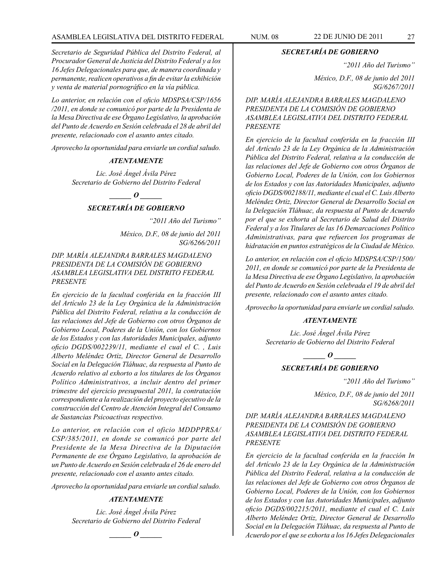*Secretario de Seguridad Pública del Distrito Federal, al Procurador General de Justicia del Distrito Federal y a los 16 Jefes Delegacionales para que, de manera coordinada y permanente, realicen operativos a fin de evitar la exhibición y venta de material pornográfico en la vía pública.*

*Lo anterior, en relación con el oficio MDSPSA/CSP/1656 /2011, en donde se comunicó por parte de la Presidenta de la Mesa Directiva de ese Órgano Legislativo, la aprobación del Punto de Acuerdo en Sesión celebrada el 28 de abril del presente, relacionado con el asunto antes citado.*

*Aprovecho la oportunidad para enviarle un cordial saludo.*

#### *ATENTAMENTE*

*Lic. José Ángel Ávila Pérez Secretario de Gobierno del Distrito Federal*

#### *\_\_\_\_\_\_ O \_\_\_\_\_\_*

# *SECRETARÍA DE GOBIERNO*

*"2011 Año del Turismo"*

*México, D.F., 08 de junio del 2011 SG/6266/2011*

*DIP. MARÍA ALEJANDRA BARRALES MAGDALENO PRESIDENTA DE LA COMISIÓN DE GOBIERNO ASAMBLEA LEGISLATIVA DEL DISTRITO FEDERAL PRESENTE*

*En ejercicio de la facultad conferida en la fracción III del Artículo 23 de la Ley Orgánica de la Administración Pública del Distrito Federal, relativa a la conducción de las relaciones del Jefe de Gobierno con otros Órganos de Gobierno Local, Poderes de la Unión, con los Gobiernos de los Estados y con las Autoridades Municipales, adjunto oficio DGDS/002239/11, mediante el cual el C. , Luis Alberto Meléndez Ortiz, Director General de Desarrollo Social en la Delegación Tláhuac, da respuesta al Punto de Acuerdo relativo al exhorto a los titulares de los Órganos Político Administrativos, a incluir dentro del primer trimestre del ejercicio presupuestal 2011, la contratación correspondiente a la realización del proyecto ejecutivo de la construcción del Centro de Atención Integral del Consumo de Sustancias Psicoactivas respectivo.*

*Lo anterior, en relación con el oficio MDDPPRSA/ CSP/385/2011, en donde se comunicó por parte del Presidente de la Mesa Directiva de la Diputación Permanente de ese Órgano Legislativo, la aprobación de un Punto de Acuerdo en Sesión celebrada el 26 de enero del presente, relacionado con el asunto antes citado.*

*Aprovecho la oportunidad para enviarle un cordial saludo.*

# *ATENTAMENTE*

*Lic. José Ángel Ávila Pérez Secretario de Gobierno del Distrito Federal*

*\_\_\_\_\_\_ O \_\_\_\_\_\_*

*SECRETARÍA DE GOBIERNO*

*"2011 Año del Turismo"*

*México, D.F., 08 de junio del 2011 SG/6267/2011*

*DIP. MARÍA ALEJANDRA BARRALES MAGDALENO PRESIDENTA DE LA COMISIÓN DE GOBIERNO ASAMBLEA LEGISLATIVA DEL DISTRITO FEDERAL PRESENTE*

*En ejercicio de la facultad conferida en la fracción III del Artículo 23 de la Ley Orgánica de la Administración Pública del Distrito Federal, relativa a la conducción de las relaciones del Jefe de Gobierno con otros Órganos de Gobierno Local, Poderes de la Unión, con los Gobiernos de los Estados y con las Autoridades Municipales, adjunto oficio DGDS/002188/11, mediante el cual el C. Luis Alberto Meléndez Ortiz, Director General de Desarrollo Social en la Delegación Tláhuac, da respuesta al Punto de Acuerdo por el que se exhorta al Secretario de Salud del Distrito Federal y a los Titulares de las 16 Demarcaciones Político Administrativas, para que refuercen los programas de hidratación en puntos estratégicos de la Ciudad de México.*

*Lo anterior, en relación con el oficio MDSPSA/CSP/1500/ 2011, en donde se comunicó por parte de la Presidenta de la Mesa Directiva de ese Órgano Legislativo, la aprobación del Punto de Acuerdo en Sesión celebrada el 19 de abril del presente, relacionado con el asunto antes citado.*

*Aprovecho la oportunidad para enviarle un cordial saludo.*

# *ATENTAMENTE*

*Lic. José Ángel Ávila Pérez Secretario de Gobierno del Distrito Federal*

> *\_\_\_\_\_\_ O \_\_\_\_\_\_ SECRETARÍA DE GOBIERNO*

> > *"2011 Año del Turismo"*

*México, D.F., 08 de junio del 2011 SG/6268/2011*

*DIP. MARÍA ALEJANDRA BARRALES MAGDALENO PRESIDENTA DE LA COMISIÓN DE GOBIERNO ASAMBLEA LEGISLATIVA DEL DISTRITO FEDERAL PRESENTE*

*En ejercicio de la facultad conferida en la fracción In del Artículo 23 de la Ley Orgánica de la Administración Pública del Distrito Federal, relativa a la conducción de las relaciones del Jefe de Gobierno con otros Órganos de Gobierno Local, Poderes de la Unión, con los Gobiernos de los Estados y con las Autoridades Municipales, adjunto oficio DGDS/002215/2011, mediante el cual el C. Luis Alberto Meléndez Ortiz, Director General de Desarrollo Social en la Delegación Tláhuac, da respuesta al Punto de Acuerdo por el que se exhorta a los 16 Jefes Delegacionales*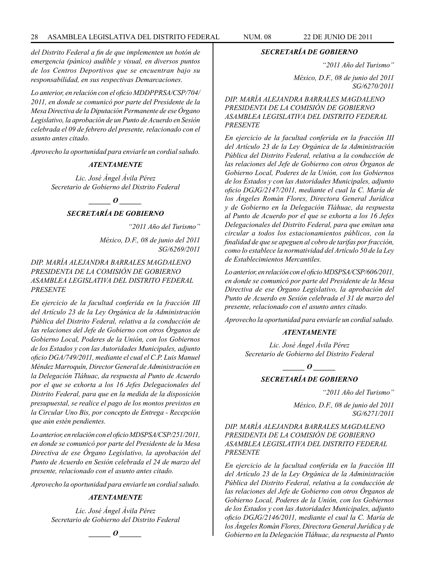*del Distrito Federal a fin de que implementen un botón de emergencia (pánico) audible y visual, en diversos puntos de los Centros Deportivos que se encuentran bajo su responsabilidad, en sus respectivas Demarcaciones.*

*Lo anterior, en relación con el oficio MDDPPRSA/CSP/704/ 2011, en donde se comunicó por parte del Presidente de la Mesa Directiva de la Diputación Permanente de ese Órgano Legislativo, la aprobación de un Punto de Acuerdo en Sesión celebrada el 09 de febrero del presente, relacionado con el asunto antes citado.*

*Aprovecho la oportunidad para enviarle un cordial saludo.*

#### *ATENTAMENTE*

*Lic. José Ángel Ávila Pérez Secretario de Gobierno del Distrito Federal*

*\_\_\_\_\_\_ O \_\_\_\_\_\_*

# *SECRETARÍA DE GOBIERNO*

*"2011 Año del Turismo"*

*México, D.F., 08 de junio del 2011 SG/6269/2011*

*DIP. MARÍA ALEJANDRA BARRALES MAGDALENO PRESIDENTA DE LA COMISIÓN DE GOBIERNO ASAMBLEA LEGISLATIVA DEL DISTRITO FEDERAL PRESENTE*

*En ejercicio de la facultad conferida en la fracción III del Artículo 23 de la Ley Orgánica de la Administración Pública del Distrito Federal, relativa a la conducción de las relaciones del Jefe de Gobierno con otros Órganos de Gobierno Local, Poderes de la Unión, con los Gobiernos de los Estados y con las Autoridades Municipales, adjunto oficio DGA/749/2011, mediante el cual el C.P. Luis Manuel Méndez Marroquín, Director General de Administración en la Delegación Tláhuac, da respuesta al Punto de Acuerdo por el que se exhorta a los 16 Jefes Delegacionales del Distrito Federal, para que en la medida de la disposición presupuestal, se realice el pago de los montos previstos en la Circular Uno Bis, por concepto de Entrega - Recepción que aún estén pendientes.* 

*Lo anterior, en relación con el oficio MDSPSA/CSP/251/2011, en donde se comunicó por parte del Presidente de la Mesa Directiva de ese Órgano Legislativo, la aprobación del Punto de Acuerdo en Sesión celebrada el 24 de marzo del presente, relacionado con el asunto antes citado.*

*Aprovecho la oportunidad para enviarle un cordial saludo.*

# *ATENTAMENTE*

*Lic. José Ángel Ávila Pérez Secretario de Gobierno del Distrito Federal*



#### *SECRETARÍA DE GOBIERNO*

*"2011 Año del Turismo"*

*México, D.F., 08 de junio del 2011 SG/6270/2011*

*DIP. MARÍA ALEJANDRA BARRALES MAGDALENO PRESIDENTA DE LA COMISIÓN DE GOBIERNO ASAMBLEA LEGISLATIVA DEL DISTRITO FEDERAL PRESENTE*

*En ejercicio de la facultad conferida en la fracción III del Artículo 23 de la Ley Orgánica de la Administración Pública del Distrito Federal, relativa a la conducción de las relaciones del Jefe de Gobierno con otros Órganos de Gobierno Local, Poderes de la Unión, con los Gobiernos de los Estados y con las Autoridades Municipales, adjunto oficio DGJG/2147/2011, mediante el cual la C. María de los Ángeles Román Flores, Directora General Jurídica y de Gobierno en la Delegación Tláhuac, da respuesta al Punto de Acuerdo por el que se exhorta a los 16 Jefes Delegacionales del Distrito Federal, para que emitan una circular a todos los estacionamientos públicos, con la finalidad de que se apeguen al cobro de tarifas por fracción, como lo establece la normatividad del Artículo 50 de la Ley de Establecimientos Mercantiles.*

*Lo anterior, en relación con el oficio MDSPSA/CSP/606/2011, en donde se comunicó por parte del Presidente de la Mesa Directiva de ese Órgano Legislativo, la aprobación del Punto de Acuerdo en Sesión celebrada el 31 de marzo del presente, relacionado con el asunto antes citado.*

*Aprovecho la oportunidad para enviarle un cordial saludo.*

#### *ATENTAMENTE*

*Lic. José Ángel Ávila Pérez Secretario de Gobierno del Distrito Federal*

*\_\_\_\_\_\_ O \_\_\_\_\_\_*

# *SECRETARÍA DE GOBIERNO*

*"2011 Año del Turismo"*

*México, D.F., 08 de junio del 2011 SG/6271/2011*

*DIP. MARÍA ALEJANDRA BARRALES MAGDALENO PRESIDENTA DE LA COMISIÓN DE GOBIERNO ASAMBLEA LEGISLATIVA DEL DISTRITO FEDERAL PRESENTE*

*En ejercicio de la facultad conferida en la fracción III del Artículo 23 de la Ley Orgánica de la Administración Pública del Distrito Federal, relativa a la conducción de las relaciones del Jefe de Gobierno con otros Órganos de Gobierno Local, Poderes de la Unión, con los Gobiernos de los Estados y con las Autoridades Municipales, adjunto oficio DGJG/2146/2011, mediante el cual la C. María de los Ángeles Román Flores, Directora General Jurídica y de Gobierno en la Delegación Tláhuac, da respuesta al Punto*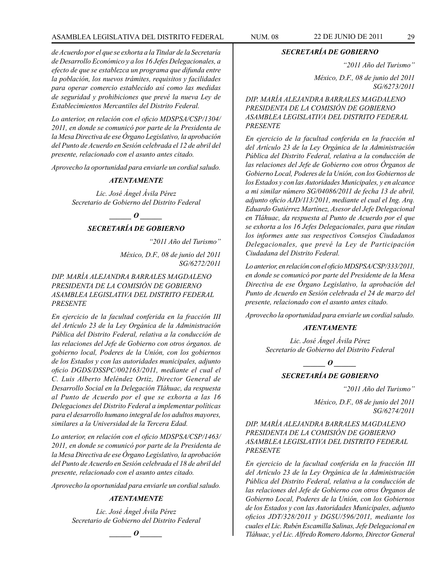# ASAMBLEA LEGISLATIVA DEL DISTRITO FEDERAL NUM. 08 22 DE JUNIO DE 2011 29

*de Acuerdo por el que se exhorta a la Titular de la Secretaría de Desarrollo Económico y a los 16 Jefes Delegacionales, a efecto de que se establezca un programa que difunda entre la población, los nuevos trámites, requisitos y facilidades para operar comercio establecido así como las medidas de seguridad y prohibiciones que prevé la nueva Ley de Establecimientos Mercantiles del Distrito Federal.*

*Lo anterior, en relación con el oficio MDSPSA/CSP/1304/ 2011, en donde se comunicó por parte de la Presidenta de la Mesa Directiva de ese Órgano Legislativo, la aprobación del Punto de Acuerdo en Sesión celebrada el 12 de abril del presente, relacionado con el asunto antes citado.*

*Aprovecho la oportunidad para enviarle un cordial saludo.*

#### *ATENTAMENTE*

*Lic. José Ángel Ávila Pérez Secretario de Gobierno del Distrito Federal*

*\_\_\_\_\_\_ O \_\_\_\_\_\_*

# *SECRETARÍA DE GOBIERNO*

*"2011 Año del Turismo"*

*México, D.F., 08 de junio del 2011 SG/6272/2011*

*DIP. MARÍA ALEJANDRA BARRALES MAGDALENO PRESIDENTA DE LA COMISIÓN DE GOBIERNO ASAMBLEA LEGISLATIVA DEL DISTRITO FEDERAL PRESENTE*

*En ejercicio de la facultad conferida en la fracción III del Artículo 23 de la Ley Orgánica de la Administración Pública del Distrito Federal, relativa a la conducción de las relaciones del Jefe de Gobierno con otros órganos. de gobierno local, Poderes de la Unión, con los gobiernos de los Estados y con las autoridades municipales, adjunto oficio DGDS/DSSPC/002163/2011, mediante el cual el C. Luis Alberto Meléndez Ortiz, Director General de Desarrollo Social en la Delegación Tláhuac, da respuesta al Punto de Acuerdo por el que se exhorta a las 16 Delegaciones del Distrito Federal a implementar políticas para el desarrollo humano integral de los adultos mayores, similares a la Universidad de la Tercera Edad.*

*Lo anterior, en relación con el oficio MDSPSA/CSP/1463/ 2011, en donde se comunicó por parte de la Presidenta de la Mesa Directiva de ese Órgano Legislativo, la aprobación del Punto de Acuerdo en Sesión celebrada el 18 de abril del presente, relacionado con el asunto antes citado.*

*Aprovecho la oportunidad para enviarle un cordial saludo.*

#### *ATENTAMENTE*

*Lic. José Ángel Ávila Pérez Secretario de Gobierno del Distrito Federal*

 $\bm{o}$ 

# *SECRETARÍA DE GOBIERNO*

*"2011 Año del Turismo"*

*México, D.F., 08 de junio del 2011 SG/6273/2011*

*DIP. MARÍA ALEJANDRA BARRALES MAGDALENO PRESIDENTA DE LA COMISIÓN DE GOBIERNO ASAMBLEA LEGISLATIVA DEL DISTRITO FEDERAL PRESENTE*

*En ejercicio de la facultad conferida en la fracción nI del Artículo 23 de la Ley Orgánica de la Administración Pública del Distrito Federal, relativa a la conducción de las relaciones del Jefe de Gobierno con otros Órganos de Gobierno Local, Poderes de la Unión, con los Gobiernos de los Estados y con las Autoridades Municipales, y en alcance a mi similar número SG/04086/2011 de fecha 13 de abril, adjunto oficio AJD/113/2011, mediante el cual el Ing. Arq. Eduardo Gutiérrez Martínez, Asesor del Jefe Delegacional en Tláhuac, da respuesta al Punto de Acuerdo por el que se exhorta a los 16 Jefes Delegacionales, para que rindan los informes ante sus respectivos Consejos Ciudadanos Delegacionales, que prevé la Ley de Participación Ciudadana del Distrito Federal.*

*Lo anterior, en relación con el oficio MDSPSA/CSP/333/2011, en donde se comunicó por parte del Presidente de la Mesa Directiva de ese Órgano Legislativo, la aprobación del Punto de Acuerdo en Sesión celebrada el 24 de marzo del presente, relacionado con el asunto antes citado.*

*Aprovecho la oportunidad para enviarle un cordial saludo.*

#### *ATENTAMENTE*

*Lic. José Ángel Ávila Pérez Secretario de Gobierno del Distrito Federal*

*\_\_\_\_\_\_ O \_\_\_\_\_\_*

#### *SECRETARÍA DE GOBIERNO*

*"2011 Año del Turismo"*

*México, D.F., 08 de junio del 2011 SG/6274/2011*

*DIP. MARÍA ALEJANDRA BARRALES MAGDALENO PRESIDENTA DE LA COMISIÓN DE GOBIERNO ASAMBLEA LEGISLATIVA DEL DISTRITO FEDERAL PRESENTE*

*En ejercicio de la facultad conferida en la fracción III del Artículo 23 de la Ley Orgánica de la Administración Pública del Distrito Federal, relativa a la conducción de las relaciones del Jefe de Gobierno con otros Órganos de Gobierno Local, Poderes de la Unión, con los Gobiernos de los Estados y con las Autoridades Municipales, adjunto oficios JDT/328/2011 y DGSU/596/2011, mediante los cuales el Lic. Rubén Escamilla Salinas, Jefe Delegacional en Tláhuac, y el Lic. Alfredo Romero Adorno, Director General*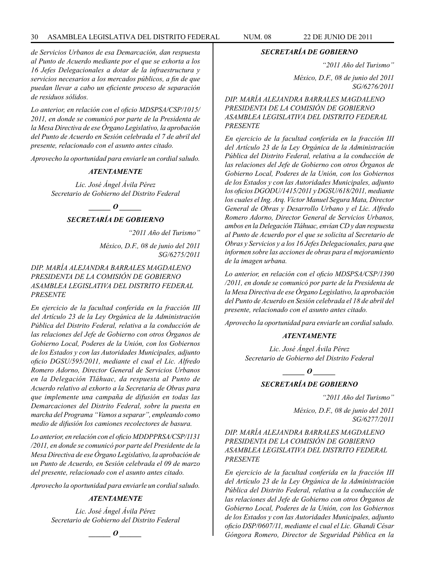*de Servicios Urbanos de esa Demarcación, dan respuesta al Punto de Acuerdo mediante por el que se exhorta a los 16 Jefes Delegacionales a dotar de la infraestructura y servicios necesarios a los mercados públicos, a fin de que puedan llevar a cabo un eficiente proceso de separación de residuos sólidos.*

*Lo anterior, en relación con el oficio MDSPSA/CSP/1015/ 2011, en donde se comunicó por parte de la Presidenta de la Mesa Directiva de ese Órgano Legislativo, la aprobación del Punto de Acuerdo en Sesión celebrada el 7 de abril del presente, relacionado con el asunto antes citado.*

*Aprovecho la oportunidad para enviarle un cordial saludo.*

#### *ATENTAMENTE*

*Lic. José Ángel Ávila Pérez Secretario de Gobierno del Distrito Federal*

# *d*  $\boldsymbol{\theta}$

# *SECRETARÍA DE GOBIERNO*

*"2011 Año del Turismo"*

*México, D.F., 08 de junio del 2011 SG/6275/2011*

# *DIP. MARÍA ALEJANDRA BARRALES MAGDALENO PRESIDENTA DE LA COMISIÓN DE GOBIERNO ASAMBLEA LEGISLATIVA DEL DISTRITO FEDERAL PRESENTE*

*En ejercicio de la facultad conferida en la fracción III del Artículo 23 de la Ley Orgánica de la Administración Pública del Distrito Federal, relativa a la conducción de las relaciones del Jefe de Gobierno con otros Órganos de Gobierno Local, Poderes de la Unión, con los Gobiernos de los Estados y con las Autoridades Municipales, adjunto oficio DGSU/595/2011, mediante el cual el Lic. Alfredo Romero Adorno, Director General de Servicios Urbanos en la Delegación Tláhuac, da respuesta al Punto de Acuerdo relativo al exhorto a la Secretaría de Obras para que implemente una campaña de difusión en todas las Demarcaciones del Distrito Federal, sobre la puesta en marcha del Programa "Vamos a separar", empleando como medio de difusión los camiones recolectores de basura.*

*Lo anterior, en relación con el oficio MDDPPRSA/CSP/1131 /2011, en donde se comunicó por parte del Presidente de la Mesa Directiva de ese Órgano Legislativo, la aprobación de un Punto de Acuerdo, en Sesión celebrada el 09 de marzo del presente, relacionado con el asunto antes citado.*

*Aprovecho la oportunidad para enviarle un cordial saludo.*

# *ATENTAMENTE*

*Lic. José Ángel Ávila Pérez Secretario de Gobierno del Distrito Federal*



#### *SECRETARÍA DE GOBIERNO*

*"2011 Año del Turismo"*

*México, D.F., 08 de junio del 2011 SG/6276/2011*

*DIP. MARÍA ALEJANDRA BARRALES MAGDALENO PRESIDENTA DE LA COMISIÓN DE GOBIERNO ASAMBLEA LEGISLATIVA DEL DISTRITO FEDERAL PRESENTE*

*En ejercicio de la facultad conferida en la fracción III del Artículo 23 de la Ley Orgánica de la Administración Pública del Distrito Federal, relativa a la conducción de las relaciones del Jefe de Gobierno con otros Órganos de Gobierno Local, Poderes de la Unión, con los Gobiernos de los Estados y con las Autoridades Municipales, adjunto los oficios DGODU/1415/2011 y DGSU/618/2011, mediante los cuales el Ing. Arq. Víctor Manuel Segura Mata, Director General de Obras y Desarrollo Urbano y el Lic. Alfredo Romero Adorno, Director General de Servicios Urbanos, ambos en la Delegación Tláhuac, envían CD y dan respuesta al Punto de Acuerdo por el que se solicita al Secretario de Obras y Servicios y a los 16 Jefes Delegacionales, para que informen sobre las acciones de obras para el mejoramiento de la imagen urbana.*

*Lo anterior, en relación con el oficio MDSPSA/CSP/1390 /2011, en donde se comunicó por parte de la Presidenta de la Mesa Directiva de ese Órgano Legislativo, la aprobación del Punto de Acuerdo en Sesión celebrada el 18 de abril del presente, relacionado con el asunto antes citado.*

*Aprovecho la oportunidad para enviarle un cordial saludo.*

#### *ATENTAMENTE*

*Lic. José Ángel Ávila Pérez Secretario de Gobierno del Distrito Federal*

*\_\_\_\_\_\_ O \_\_\_\_\_\_*

# *SECRETARÍA DE GOBIERNO*

*"2011 Año del Turismo"*

*México, D.F., 08 de junio del 2011 SG/6277/2011*

# *DIP. MARÍA ALEJANDRA BARRALES MAGDALENO PRESIDENTA DE LA COMISIÓN DE GOBIERNO ASAMBLEA LEGISLATIVA DEL DISTRITO FEDERAL PRESENTE*

*En ejercicio de la facultad conferida en la fracción III del Artículo 23 de la Ley Orgánica de la Administración Pública del Distrito Federal, relativa a la conducción de las relaciones del Jefe de Gobierno con otros Órganos de Gobierno Local, Poderes de la Unión, con los Gobiernos de los Estados y con las Autoridades Municipales, adjunto oficio DSP/0607/11, mediante el cual el Lic. Ghandi César Góngora Romero, Director de Seguridad Pública en la*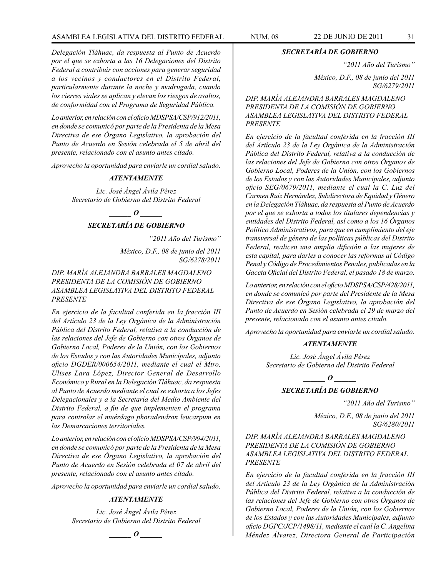# ASAMBLEA LEGISLATIVA DEL DISTRITO FEDERAL NUM. 08 22 DE JUNIO DE 2011 31

*Delegación Tláhuac, da respuesta al Punto de Acuerdo por el que se exhorta a las 16 Delegaciones del Distrito Federal a contribuir con acciones para generar seguridad a los vecinos y conductores en el Distrito Federal, particularmente durante la noche y madrugada, cuando los cierres viales se aplican y elevan los riesgos de asaltos, de conformidad con el Programa de Seguridad Pública.*

*Lo anterior, en relación con el oficio MDSPSA/CSP/912/2011, en donde se comunicó por parte de la Presidenta de la Mesa Directiva de ese Órgano Legislativo, la aprobación del Punto de Acuerdo en Sesión celebrada el 5 de abril del presente, relacionado con el asunto antes citado.*

*Aprovecho la oportunidad para enviarle un cordial saludo.*

#### *ATENTAMENTE*

*Lic. José Ángel Ávila Pérez Secretario de Gobierno del Distrito Federal*

# *\_\_\_\_\_\_ O \_\_\_\_\_\_*

# *SECRETARÍA DE GOBIERNO*

*"2011 Año del Turismo"*

*México, D.F., 08 de junio del 2011 SG/6278/2011*

# *DIP. MARÍA ALEJANDRA BARRALES MAGDALENO PRESIDENTA DE LA COMISIÓN DE GOBIERNO ASAMBLEA LEGISLATIVA DEL DISTRITO FEDERAL PRESENTE*

*En ejercicio de la facultad conferida en la fracción III del Artículo 23 de la Ley Orgánica de la Administración Pública del Distrito Federal, relativa a la conducción de las relaciones del Jefe de Gobierno con otros Órganos de Gobierno Local, Poderes de la Unión, con los Gobiernos de los Estados y con las Autoridades Municipales, adjunto oficio DGDER/000654/2011, mediante el cual el Mtro. Ulises Lara López, Director General de Desarrollo Económico y Rural en la Delegación Tláhuac, da respuesta al Punto de Acuerdo mediante el cual se exhorta a los Jefes Delegacionales y a la Secretaría del Medio Ambiente del Distrito Federal, a fin de que implementen el programa para controlar el muérdago phoradendron leucarpum en las Demarcaciones territoriales.*

*Lo anterior, en relación con el oficio MDSPSA/CSP/994/2011, en donde se comunicó por parte de la Presidenta de la Mesa Directiva de ese Órgano Legislativo, la aprobación del Punto de Acuerdo en Sesión celebrada el 07 de abril del presente, relacionado con el asunto antes citado.*

*Aprovecho la oportunidad para enviarle un cordial saludo.*

# *ATENTAMENTE*

*Lic. José Ángel Ávila Pérez Secretario de Gobierno del Distrito Federal*

 $\bm{o}$ 

*SECRETARÍA DE GOBIERNO*

*"2011 Año del Turismo"*

*México, D.F., 08 de junio del 2011 SG/6279/2011*

*DIP. MARÍA ALEJANDRA BARRALES MAGDALENO PRESIDENTA DE LA COMISIÓN DE GOBIERNO ASAMBLEA LEGISLATIVA DEL DISTRITO FEDERAL PRESENTE*

*En ejercicio de la facultad conferida en la fracción III del Artículo 23 de la Ley Orgánica de la Administración Pública del Distrito Federal, relativa a la conducción de las relaciones del Jefe de Gobierno con otros Órganos de Gobierno Local, Poderes de la Unión, con los Gobiernos de los Estados y con las Autoridades Municipales, adjunto oficio SEG/0679/2011, mediante el cual la C. Luz del Carmen Ruiz Hernández, Subdirectora de Equidad y Género en la Delegación Tláhuac, da respuesta al Punto de Acuerdo por el que se exhorta a todos los titulares dependencias y entidades del Distrito Federal, así como a los 16 Órganos Político Administrativos, para que en cumplimiento del eje transversal de género de las políticas públicas del Distrito Federal, realicen una amplia difusión a las mujeres de esta capital, para darles a conocer las reformas al Código Penal y Código de Procedimientos Penales, publicadas en la Gaceta Oficial del Distrito Federal, el pasado 18 de marzo.*

*Lo anterior, en relación con el oficio MDSPSA/CSP/428/2011, en donde se comunicó por parte del Presidente de la Mesa Directiva de ese Órgano Legislativo, la aprobación del Punto de Acuerdo en Sesión celebrada el 29 de marzo del presente, relacionado con el asunto antes citado.*

*Aprovecho la oportunidad para enviarle un cordial saludo.*

#### *ATENTAMENTE*

*Lic. José Ángel Ávila Pérez Secretario de Gobierno del Distrito Federal*

*\_\_\_\_\_\_ O \_\_\_\_\_\_*

# *SECRETARÍA DE GOBIERNO*

*"2011 Año del Turismo"*

*México, D.F., 08 de junio del 2011 SG/6280/2011*

# *DIP. MARÍA ALEJANDRA BARRALES MAGDALENO PRESIDENTA DE LA COMISIÓN DE GOBIERNO ASAMBLEA LEGISLATIVA DEL DISTRITO FEDERAL PRESENTE*

*En ejercicio de la facultad conferida en la fracción III del Artículo 23 de la Ley Orgánica de la Administración Pública del Distrito Federal, relativa a la conducción de las relaciones del Jefe de Gobierno con otros Órganos de Gobierno Local, Poderes de la Unión, con los Gobiernos de los Estados y con las Autoridades Municipales, adjunto oficio DGPC/JCP/1498/11, mediante el cual la C. Angelina Méndez Álvarez, Directora General de Participación*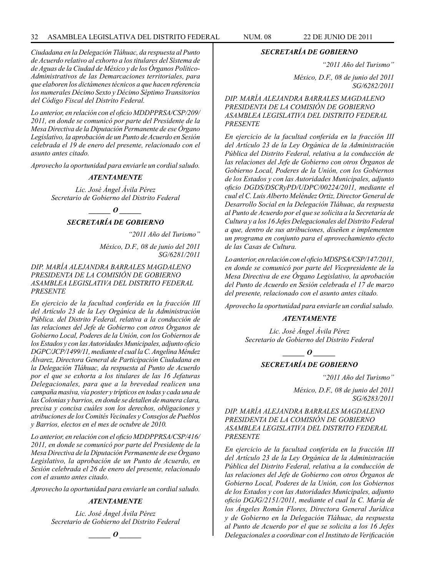*Ciudadana en la Delegación Tláhuac, da respuesta al Punto de Acuerdo relativo al exhorto a los titulares del Sistema de de Aguas de la Ciudad de México y de los Órganos Político-Administrativos de las Demarcaciones territoriales, para que elaboren los dictámenes técnicos a que hacen referencia los numerales Décimo Sexto y Décimo Séptimo Transitorios del Código Fiscal del Distrito Federal.*

*Lo anterior, en relación con el oficio MDDPPRSA/CSP/209/ 2011, en donde se comunicó por parte del Presidente de la Mesa Directiva de la Diputación Permanente de ese Órgano Legislativo, la aprobación de un Punto de Acuerdo en Sesión celebrada el 19 de enero del presente, relacionado con el asunto antes citado.*

*Aprovecho la oportunidad para enviarle un cordial saludo.*

#### *ATENTAMENTE*

*Lic. José Ángel Ávila Pérez Secretario de Gobierno del Distrito Federal*

*\_\_\_\_\_\_ O \_\_\_\_\_\_*

# *SECRETARÍA DE GOBIERNO*

*"2011 Año del Turismo"*

*México, D.F., 08 de junio del 2011 SG/6281/2011*

#### *DIP. MARÍA ALEJANDRA BARRALES MAGDALENO PRESIDENTA DE LA COMISIÓN DE GOBIERNO ASAMBLEA LEGISLATIVA DEL DISTRITO FEDERAL PRESENTE*

*En ejercicio de la facultad conferida en la fracción III del Artículo 23 de la Ley Orgánica de la Administración Pública. del Distrito Federal, relativa a la conducción de las relaciones del Jefe de Gobierno con otros Órganos de Gobierno Local, Poderes de la Unión, con los Gobiernos de los Estados y con las Autoridades Municipales, adjunto oficio DGPC/JCP/1499/11, mediante el cual la C. Angelina Méndez Álvarez, Directora General de Participación Ciudadana en la Delegación Tláhuac, da respuesta al Punto de Acuerdo por el que se exhorta a los titulares de las 16 Jefaturas Delegacionales, para que a la brevedad realicen una campaña masiva, vía poster y trípticos en todas y cada una de las Colonias y barrios, en donde se detallen de manera clara, precisa y concisa cuáles son los derechos, obligaciones y atribuciones de los Comités Vecinales y Consejos de Pueblos y Barrios, electos en el mes de octubre de 2010.* 

*Lo anterior, en relación con el oficio MDDPPRSA/CSP/416/ 2011, en donde se comunicó por parte del Presidente de la Mesa Directiva de la Diputación Permanente de ese Órgano Legislativo, la aprobación de un Punto de Acuerdo, en Sesión celebrada el 26 de enero del presente, relacionado con el asunto antes citado.*

*Aprovecho la oportunidad para enviarle un cordial saludo.*

# *ATENTAMENTE*

*Lic. José Ángel Ávila Pérez Secretario de Gobierno del Distrito Federal*



#### *SECRETARÍA DE GOBIERNO*

*"2011 Año del Turismo"*

*México, D.F., 08 de junio del 2011 SG/6282/2011*

*DIP. MARÍA ALEJANDRA BARRALES MAGDALENO PRESIDENTA DE LA COMISIÓN DE GOBIERNO ASAMBLEA LEGISLATIVA DEL DISTRITO FEDERAL PRESENTE*

*En ejercicio de la facultad conferida en la fracción III del Artículo 23 de la Ley Orgánica de la Administración Pública del Distrito Federal, relativa a la conducción de las relaciones del Jefe de Gobierno con otros Órganos de Gobierno Local, Poderes de la Unión, con los Gobiernos de los Estados y con las Autoridades Municipales, adjunto oficio DGDS/DSCRyPD/UDPC/00224/2011, mediante el cual el C. Luis Alberto Meléndez Ortiz, Director General de Desarrollo Social en la Delegación Tláhuac, da respuesta al Punto de Acuerdo por el que se solicita a la Secretaría de Cultura y a los 16 Jefes Delegacionales del Distrito Federal a que, dentro de sus atribuciones, diseñen e implementen un programa en conjunto para el aprovechamiento efecto de las Casas de Cultura.*

*Lo anterior, en relación con el oficio MDSPSA/CSP/147/2011, en donde se comunicó por parte del Vicepresidente de la Mesa Directiva de ese Órgano Legislativo, la aprobación del Punto de Acuerdo en Sesión celebrada el 17 de marzo del presente, relacionado con el asunto antes citado.*

*Aprovecho la oportunidad para enviarle un cordial saludo.*

#### *ATENTAMENTE*

*Lic. José Ángel Ávila Pérez Secretario de Gobierno del Distrito Federal*

*\_\_\_\_\_\_ O \_\_\_\_\_\_*

#### *SECRETARÍA DE GOBIERNO*

*"2011 Año del Turismo"*

*México, D.F., 08 de junio del 2011 SG/6283/2011*

*DIP. MARÍA ALEJANDRA BARRALES MAGDALENO PRESIDENTA DE LA COMISIÓN DE GOBIERNO ASAMBLEA LEGISLATIVA DEL DISTRITO FEDERAL PRESENTE*

*En ejercicio de la facultad conferida en la fracción III del Artículo 23 de la Ley Orgánica de la Administración Pública del Distrito Federal, relativa a la conducción de las relaciones del Jefe de Gobierno con otros Órganos de Gobierno Local, Poderes de la Unión, con los Gobiernos de los Estados y con las Autoridades Municipales, adjunto oficio DGJG/2151/2011, mediante el cual la C. María de los Ángeles Román Flores, Directora General Jurídica y de Gobierno en la Delegación Tláhuac, da respuesta al Punto de Acuerdo por el que se solicita a los 16 Jefes Delegacionales a coordinar con el Instituto de Verificación*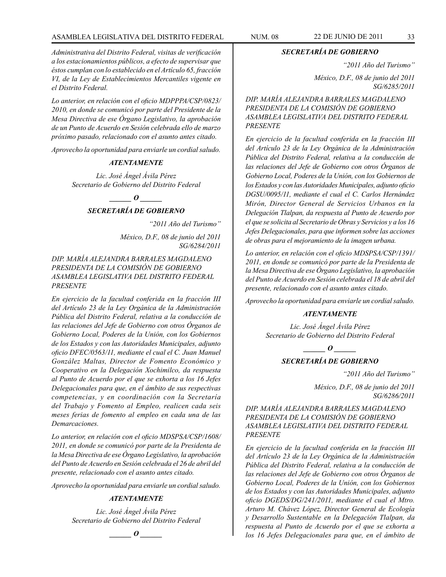# ASAMBLEA LEGISLATIVA DEL DISTRITO FEDERAL NUM. 08 22 DE JUNIO DE 2011 33

*Administrativa del Distrito Federal, visitas de verificación a los estacionamientos públicos, a efecto de supervisar que éstos cumplan con lo establecido en el Artículo 65, fracción VI, de la Ley de Establecimientos Mercantiles vigente en el Distrito Federal.*

*Lo anterior, en relación con el oficio MDPPPA/CSP/0823/ 2010, en donde se comunicó por parte del Presidente de la Mesa Directiva de ese Órgano Legislativo, la aprobación de un Punto de Acuerdo en Sesión celebrada ello de marzo próximo pasado, relacionado con el asunto antes citado.*

*Aprovecho la oportunidad para enviarle un cordial saludo.*

#### *ATENTAMENTE*

*Lic. José Ángel Ávila Pérez Secretario de Gobierno del Distrito Federal*

 $\overline{\phantom{a}}$  *o* 

# *SECRETARÍA DE GOBIERNO*

*"2011 Año del Turismo"*

*México, D.F., 08 de junio del 2011 SG/6284/2011*

*DIP. MARÍA ALEJANDRA BARRALES MAGDALENO PRESIDENTA DE LA COMISIÓN DE GOBIERNO ASAMBLEA LEGISLATIVA DEL DISTRITO FEDERAL PRESENTE*

*En ejercicio de la facultad conferida en la fracción III del Artículo 23 de la Ley Orgánica de la Administración Pública del Distrito Federal, relativa a la conducción de las relaciones del Jefe de Gobierno con otros Órganos de Gobierno Local, Poderes de la Unión, con los Gobiernos de los Estados y con las Autoridades Municipales, adjunto oficio DFEC/0563/11, mediante el cual el C. Juan Manuel González Maltas, Director de Fomento Económico y Cooperativo en la Delegación Xochimilco, da respuesta al Punto de Acuerdo por el que se exhorta a los 16 Jefes Delegacionales para que, en el ámbito de sus respectivas competencias, y en coordinación con la Secretaría del Trabajo y Fomento al Empleo, realicen cada seis meses ferias de fomento al empleo en cada una de las Demarcaciones.*

*Lo anterior, en relación con el oficio MDSPSA/CSP/1608/ 2011, en donde se comunicó por parte de la Presidenta de la Mesa Directiva de ese Órgano Legislativo, la aprobación del Punto de Acuerdo en Sesión celebrada el 26 de abril del presente, relacionado con el asunto antes citado.* 

*Aprovecho la oportunidad para enviarle un cordial saludo.*

#### *ATENTAMENTE*

*Lic. José Ángel Ávila Pérez Secretario de Gobierno del Distrito Federal*

*\_\_\_\_\_\_ O \_\_\_\_\_\_*

# *SECRETARÍA DE GOBIERNO*

*"2011 Año del Turismo"*

*México, D.F., 08 de junio del 2011 SG/6285/2011*

*DIP. MARÍA ALEJANDRA BARRALES MAGDALENO PRESIDENTA DE LA COMISIÓN DE GOBIERNO ASAMBLEA LEGISLATIVA DEL DISTRITO FEDERAL PRESENTE*

*En ejercicio de la facultad conferida en la fracción III del Artículo 23 de la Ley Orgánica de la Administración Pública del Distrito Federal, relativa a la conducción de las relaciones del Jefe de Gobierno con otros Órganos de Gobierno Local, Poderes de la Unión, con los Gobiernos de los Estados y con las Autoridades Municipales, adjunto oficio DGSU/0095/11, mediante el cual el C. Carlos Hernández Mirón, Director General de Servicios Urbanos en la Delegación Tlalpan, da respuesta al Punto de Acuerdo por el que se solicita al Secretario de Obras y Servicios y a los 16 Jefes Delegacionales, para que informen sobre las acciones de obras para el mejoramiento de la imagen urbana.*

*Lo anterior, en relación con el oficio MDSPSA/CSP/1391/ 2011, en donde se comunicó por parte de la Presidenta de la Mesa Directiva de ese Órgano Legislativo, la aprobación del Punto de Acuerdo en Sesión celebrada el 18 de abril del presente, relacionado con el asunto antes citado.*

*Aprovecho la oportunidad para enviarle un cordial saludo.*

#### *ATENTAMENTE*

*Lic. José Ángel Ávila Pérez Secretario de Gobierno del Distrito Federal*

 $\bm{o}$ 

#### *SECRETARÍA DE GOBIERNO*

*"2011 Año del Turismo"*

*México, D.F., 08 de junio del 2011 SG/6286/2011*

*DIP. MARÍA ALEJANDRA BARRALES MAGDALENO PRESIDENTA DE LA COMISIÓN DE GOBIERNO ASAMBLEA LEGISLATIVA DEL DISTRITO FEDERAL PRESENTE*

*En ejercicio de la facultad conferida en la fracción III del Artículo 23 de la Ley Orgánica de la Administración Pública del Distrito Federal, relativa a la conducción de las relaciones del Jefe de Gobierno con otros Órganos de Gobierno Local, Poderes de la Unión, con los Gobiernos de los Estados y con las Autoridades Municipales, adjunto oficio DGEDS/DG/241/2011, mediante el cual el Mtro. Arturo M. Chávez López, Director General de Ecología y Desarrollo Sustentable en la Delegación Tlalpan, da respuesta al Punto de Acuerdo por el que se exhorta a los 16 Jefes Delegacionales para que, en el ámbito de*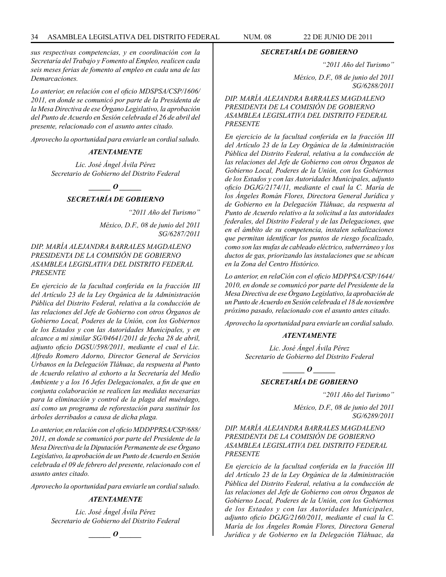*sus respectivas competencias, y en coordinación con la Secretaría del Trabajo y Fomento al Empleo, realicen cada seis meses ferias de fomento al empleo en cada una de las Demarcaciones.*

*Lo anterior, en relación con el oficio MDSPSA/CSP/1606/ 2011, en donde se comunicó por parte de la Presidenta de la Mesa Directiva de ese Órgano Legislativo, la aprobación del Punto de Acuerdo en Sesión celebrada el 26 de abril del presente, relacionado con el asunto antes citado.*

*Aprovecho la oportunidad para enviarle un cordial saludo.*

#### *ATENTAMENTE*

*Lic. José Ángel Ávila Pérez Secretario de Gobierno del Distrito Federal*

*\_\_\_\_\_\_ O \_\_\_\_\_\_*

# *SECRETARÍA DE GOBIERNO*

*"2011 Año del Turismo"*

*México, D.F., 08 de junio del 2011 SG/6287/2011*

# *DIP. MARÍA ALEJANDRA BARRALES MAGDALENO PRESIDENTA DE LA COMISIÓN DE GOBIERNO ASAMBLEA LEGISLATIVA DEL DISTRITO FEDERAL PRESENTE*

*En ejercicio de la facultad conferida en la fracción III del Artículo 23 de la Ley Orgánica de la Administración Pública del Distrito Federal, relativa a la conducción de las relaciones del Jefe de Gobierno con otros Órganos de Gobierno Local, Poderes de la Unión, con los Gobiernos de los Estados y con las Autoridades Municipales, y en alcance a mi similar SG/04641/2011 de fecha 28 de abril, adjunto oficio DGSU/598/2011, mediante el cual el Lic. Alfredo Romero Adorno, Director General de Servicios Urbanos en la Delegación Tláhuac, da respuesta al Punto de Acuerdo relativo al exhorto a la Secretaría del Medio Ambiente y a los 16 Jefes Delegacionales, a fin de que en conjunta colaboración se realicen las medidas necesarias para la eliminación y control de la plaga del muérdago, así como un programa de reforestación para sustituir los árboles derribados a causa de dicha plaga.*

*Lo anterior, en relación con el oficio MDDPPRSA/CSP/688/ 2011, en donde se comunicó por parte del Presidente de la Mesa Directiva de la Diputación Permanente de ese Órgano Legislativo, la aprobación de un Punto de Acuerdo en Sesión celebrada el 09 de febrero del presente, relacionado con el asunto antes citado.*

*Aprovecho la oportunidad para enviarle un cordial saludo.*

# *ATENTAMENTE*

*Lic. José Ángel Ávila Pérez Secretario de Gobierno del Distrito Federal*



#### *SECRETARÍA DE GOBIERNO*

*"2011 Año del Turismo"*

*México, D.F., 08 de junio del 2011 SG/6288/2011*

*DIP. MARÍA ALEJANDRA BARRALES MAGDALENO PRESIDENTA DE LA COMISIÓN DE GOBIERNO ASAMBLEA LEGISLATIVA DEL DISTRITO FEDERAL PRESENTE*

*En ejercicio de la facultad conferida en la fracción III del Artículo 23 de la Ley Orgánica de la Administración Pública del Distrito Federal, relativa a la conducción de las relaciones del Jefe de Gobierno con otros Órganos de Gobierno Local, Poderes de la Unión, con los Gobiernos de los Estados y con las Autoridades Municipales, adjunto oficio DGJG/2174/11, mediante el cual la C. María de los Ángeles Román Flores, Directora General Jurídica y de Gobierno en la Delegación Tláhuac, da respuesta al Punto de Acuerdo relativo a la solicitud a las autoridades federales, del Distrito Federal y de las Delegaciones, que en el ámbito de su competencia, instalen señalizaciones que permitan identificar los puntos de riesgo focalizado, como son las mufas de cableado eléctrico, subterráneo y los ductos de gas, priorizando las instalaciones que se ubican en la Zona del Centro Histórico.*

*Lo anterior, en relaCión con el oficio MDPPSA/CSP/1644/ 2010, en donde se comunicó por parte del Presidente de la Mesa Directiva de ese Órgano Legislativo, la aprobación de un Punto de Acuerdo en Sesión celebrada el 18 de noviembre próximo pasado, relacionado con el asunto antes citado.*

*Aprovecho la oportunidad para enviarle un cordial saludo.*

#### *ATENTAMENTE*

*Lic. José Ángel Ávila Pérez Secretario de Gobierno del Distrito Federal*

*\_\_\_\_\_\_ O \_\_\_\_\_\_*

# *SECRETARÍA DE GOBIERNO*

*"2011 Año del Turismo"*

*México, D.F., 08 de junio del 2011 SG/6289/2011*

# *DIP. MARÍA ALEJANDRA BARRALES MAGDALENO PRESIDENTA DE LA COMISIÓN DE GOBIERNO ASAMBLEA LEGISLATIVA DEL DISTRITO FEDERAL PRESENTE*

*En ejercicio de la facultad conferida en la fracción III del Artículo 23 de la Ley Orgánica de la Administración Pública del Distrito Federal, relativa a la conducción de las relaciones del Jefe de Gobierno con otros Órganos de Gobierno Local, Poderes de la Unión, con los Gobiernos de los Estados y con las Autoridades Municipales, adjunto oficio DGJG/2160/2011, mediante el cual la C. María de los Ángeles Román Flores, Directora General Jurídica y de Gobierno en la Delegación Tláhuac, da*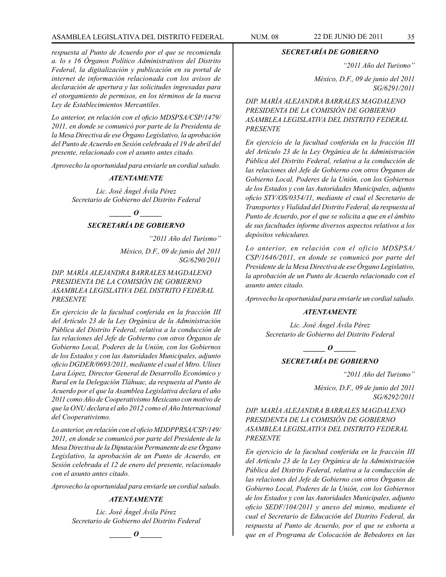# ASAMBLEA LEGISLATIVA DEL DISTRITO FEDERAL NUM. 08 22 de JUNIO de 2011 35

*respuesta al Punto de Acuerdo por el que se recomienda a. lo s 16 Órganos Político Administrativos del Distrito Federal, la digitalización y publicación en su portal de internet de información relacionada con los avisos de declaración de apertura y las solicitudes ingresadas para el otorgamiento de permisos, en los términos de la nueva Ley de Establecimientos Mercantiles.*

*Lo anterior, en relación con el oficio MDSPSA/CSP/1479/ 2011, en donde se comunicó por parte de la Presidenta de la Mesa Directiva de ese Órgano Legislativo, la aprobación del Punto de Acuerdo en Sesión celebrada el 19 de abril del presente, relacionado con el asunto antes citado.*

*Aprovecho la oportunidad para enviarle un cordial saludo.*

#### *ATENTAMENTE*

*Lic. José Ángel Ávila Pérez Secretario de Gobierno del Distrito Federal*

# *\_\_\_\_\_\_ O \_\_\_\_\_\_*

# *SECRETARÍA DE GOBIERNO*

*"2011 Año del Turismo"*

*México, D.F., 09 de junio del 2011 SG/6290/2011*

# *DIP. MARÍA ALEJANDRA BARRALES MAGDALENO PRESIDENTA DE LA COMISIÓN DE GOBIERNO ASAMBLEA LEGISLATIVA DEL DISTRITO FEDERAL PRESENTE*

*En ejercicio de la facultad conferida en la fracción III del Artículo 23 de la Ley Orgánica de la Administración Pública del Distrito Federal, relativa a la conducción de las relaciones del Jefe de Gobierno con otros Órganos de Gobierno Local, Poderes de la Unión, con los Gobiernos de los Estados y con las Autoridades Municipales, adjunto oficio DGDER/0693/2011, mediante el cual el Mtro. Ulises Lara López, Director General de Desarrollo Económico y Rural en la Delegación Tláhuac, da respuesta al Punto de Acuerdo por el que la Asamblea Legislativa declara el año 2011 como Año de Cooperativismo Mexicano con motivo de que la ONU declara el año 2012 como el Año Internacional del Cooperativismo.*

*Lo anterior, en relación con el oficio MDDPPRSA/CSP/149/ 2011, en donde se comunicó por parte del Presidente de la Mesa Directiva de la Diputación Permanente de ese Órgano Legislativo, la aprobación de un Punto de Acuerdo, en Sesión celebrada el 12 de enero del presente, relacionado con el asunto antes citado.*

*Aprovecho la oportunidad para enviarle un cordial saludo.*

# *ATENTAMENTE*

*Lic. José Ángel Ávila Pérez Secretario de Gobierno del Distrito Federal*

 $\bm{o}$ 

*SECRETARÍA DE GOBIERNO*

*"2011 Año del Turismo"*

*México, D.F., 09 de junio del 2011 SG/6291/2011*

*DIP. MARÍA ALEJANDRA BARRALES MAGDALENO PRESIDENTA DE LA COMISIÓN DE GOBIERNO ASAMBLEA LEGISLATIVA DEL DISTRITO FEDERAL PRESENTE*

*En ejercicio de la facultad conferida en la fracción III del Artículo 23 de la Ley Orgánica de la Administración Pública del Distrito Federal, relativa a la conducción de las relaciones del Jefe de Gobierno con otros Órganos de Gobierno Local, Poderes de la Unión, con los Gobiernos de los Estados y con las Autoridades Municipales, adjunto oficio STV/OS/0354/11, mediante el cual el Secretario de Transportes y Vialidad del Distrito Federal, da respuesta al Punto de Acuerdo, por el que se solicita a que en el ámbito de sus facultades informe diversos aspectos relativos a los depósitos vehiculares.*

*Lo anterior, en relación con el oficio MDSPSA/ CSP/1646/2011, en donde se comunicó por parte del Presidente de la Mesa Directiva de ese Órgano Legislativo, la aprobación de un Punto de Acuerdo relacionado con el asunto antes citado.*

*Aprovecho la oportunidad para enviarle un cordial saludo.*

#### *ATENTAMENTE*

*Lic. José Ángel Ávila Pérez Secretario de Gobierno del Distrito Federal*

 $\bm{o}$ 

# *SECRETARÍA DE GOBIERNO*

*"2011 Año del Turismo"*

*México, D.F., 09 de junio del 2011 SG/6292/2011*

*DIP. MARÍA ALEJANDRA BARRALES MAGDALENO PRESIDENTA DE LA COMISIÓN DE GOBIERNO ASAMBLEA LEGISLATIVA DEL DISTRITO FEDERAL PRESENTE*

*En ejercicio de la facultad conferida en la fracción III del Artículo 23 de la Ley Orgánica de la Administración Pública del Distrito Federal, relativa a la conducción de las relaciones del Jefe de Gobierno con otros Órganos de Gobierno Local, Poderes de la Unión, con los Gobiernos de los Estados y con las Autoridades Municipales, adjunto oficio SEDF/104/2011 y anexo del mismo, mediante el cual el Secretario de Educación del Distrito Federal, da respuesta al Punto de Acuerdo, por el que se exhorta a que en el Programa de Colocación de Bebedores en las*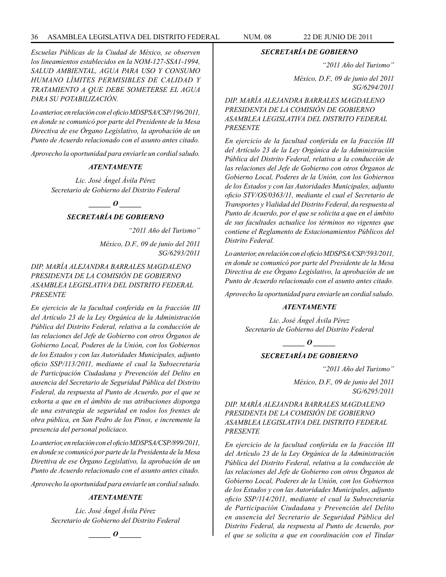# 36 ASAMBLEA LEGISLATIVA DEL DISTRITO FEDERAL NUM. 08 22 de JUNIO de 2011

*Escuelas Públicas de la Ciudad de México, se observen los lineamientos establecidos en la NOM-127-SSA1-1994, SALUD AMBIENTAL, AGUA PARA USO Y CONSUMO HUMANO LÍMITES PERMISIBLES DE CALIDAD Y TRATAMIENTO A QUE DEBE SOMETERSE EL AGUA PARA SU POTABILlZACIÓN.*

*Lo anterior, en relación con el oficio MDSPSA/CSP/196/2011, en donde se comunicó por parte del Presidente de la Mesa Directiva de ese Órgano Legislativo, la aprobación de un Punto de Acuerdo relacionado con el asunto antes citado.*

*Aprovecho la oportunidad para enviarle un cordial saludo.*

#### *ATENTAMENTE*

*Lic. José Ángel Ávila Pérez Secretario de Gobierno del Distrito Federal*

*\_\_\_\_\_\_ O \_\_\_\_\_\_*

# *SECRETARÍA DE GOBIERNO*

*"2011 Año del Turismo"*

*México, D.F., 09 de junio del 2011 SG/6293/2011*

# *DIP. MARÍA ALEJANDRA BARRALES MAGDALENO PRESIDENTA DE LA COMISIÓN DE GOBIERNO ASAMBLEA LEGISLATIVA DEL DISTRITO FEDERAL PRESENTE*

*En ejercicio de la facultad conferida en la fracción III del Artículo 23 de la Ley Orgánica de la Administración Pública del Distrito Federal, relativa a la conducción de las relaciones del Jefe de Gobierno con otros Órganos de Gobierno Local, Poderes de la Unión, con los Gobiernos de los Estados y con las Autoridades Municipales, adjunto oficio SSP/113/2011, mediante el cual la Subsecretaría de Participación Ciudadana y Prevención del Delito en ausencia del Secretario de Seguridad Pública del Distrito Federal, da respuesta al Punto de Acuerdo, por el que se exhorta a que en el ámbito de sus atribuciones disponga de una estrategia de seguridad en todos los frentes de obra pública, en San Pedro de los Pinos, e incremente la presencia del personal policiaco.*

*Lo anterior, en relación con el oficio MDSPSA/CSP/899/2011, en donde se comunicó por parte de la Presidenta de la Mesa Direttiva de ese Órgano Legislativo, la aprobación de un Punto de Acuerdo relacionado con el asunto antes citado.*

*Aprovecho la oportunidad para enviarle un cordial saludo.*

#### *ATENTAMENTE*

*Lic. José Ángel Ávila Pérez Secretario de Gobierno del Distrito Federal*

$$
\_\_o\_
$$

#### *SECRETARÍA DE GOBIERNO*

*"2011 Año del Turismo"*

*México, D.F., 09 de junio del 2011 SG/6294/2011*

*DIP. MARÍA ALEJANDRA BARRALES MAGDALENO PRESIDENTA DE LA COMISIÓN DE GOBIERNO ASAMBLEA LEGISLATIVA DEL DISTRITO FEDERAL PRESENTE*

*En ejercicio de la facultad conferida en la fracción III del Artículo 23 de la Ley Orgánica de la Administración Pública del Distrito Federal, relativa a la conducción de las relaciones del Jefe de Gobierno con otros Órganos de Gobierno Local, Poderes de la Unión, con los Gobiernos de los Estados y con las Autoridades Municipales, adjunto oficio STV/OS/0363/11, mediante el cual el Secretario de Transportes y Vialidad del Distrito Federal, da respuesta al Punto de Acuerdo, por el que se solicita a que en el ámbito de sus facultades actualice los términos no vigentes que contiene el Reglamento de Estacionamientos Públicos del Distrito Federal.*

*Lo anterior, en relación con el oficio MDSPSA/CSP/593/2011, en donde se comunicó por parte del Presidente de la Mesa Directiva de ese Órgano Legislativo, la aprobación de un Punto de Acuerdo relacionado con el asunto antes citado.*

*Aprovecho la oportunidad para enviarle un cordial saludo.*

#### *ATENTAMENTE*

*Lic. José Ángel Ávila Pérez Secretario de Gobierno del Distrito Federal*

*o*  $\theta$ 

# *SECRETARÍA DE GOBIERNO*

*"2011 Año del Turismo"*

*México, D.F., 09 de junio del 2011 SG/6295/2011*

*DIP. MARÍA ALEJANDRA BARRALES MAGDALENO PRESIDENTA DE LA COMISIÓN DE GOBIERNO ASAMBLEA LEGISLATIVA DEL DISTRITO FEDERAL PRESENTE*

*En ejercicio de la facultad conferida en la fracción III del Artículo 23 de la Ley Orgánica de la Administración Pública del Distrito Federal, relativa a la conducción de las relaciones del Jefe de Gobierno con otros Órganos de Gobierno Local, Poderes de la Unión, con los Gobiernos de los Estados y con las Autoridades Municipales, adjunto oficio SSP/114/2011, mediante el cual la Subsecretaría de Participación Ciudadana y Prevención del Delito en ausencia del Secretario de Seguridad Pública del Distrito Federal, da respuesta al Punto de Acuerdo, por el que se solicita a que en coordinación con el Titular*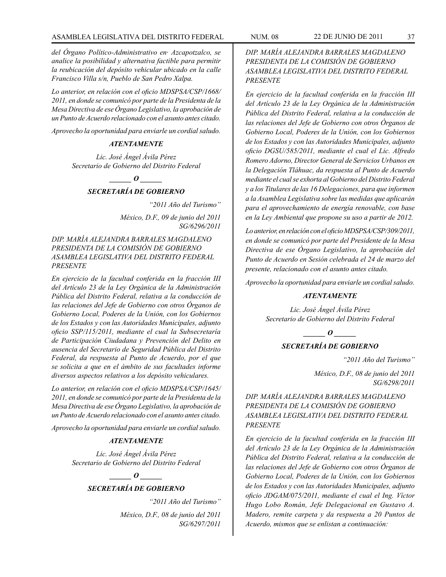*del Órgano Político-Administrativo en· Azcapotzalco, se analice la posibilidad y alternativa factible para permitir la reubicación del depósito vehicular ubicado en la calle Francisco Villa s/n, Pueblo de San Pedro Xalpa.*

*Lo anterior, en relación con el oficio MDSPSA/CSP/1668/ 2011, en donde se comunicó por parte de la Presidenta de la Mesa Directiva de ese Órgano Legislativo, la aprobación de un Punto de Acuerdo relacionado con el asunto antes citado.*

*Aprovecho la oportunidad para enviarle un cordial saludo.*

## *ATENTAMENTE*

*Lic. José Ángel Ávila Pérez Secretario de Gobierno del Distrito Federal*

 $\bm{o}$ 

# *SECRETARÍA DE GOBIERNO*

*"2011 Año del Turismo" México, D.F., 09 de junio del 2011 SG/6296/2011*

*DIP. MARÍA ALEJANDRA BARRALES MAGDALENO PRESIDENTA DE LA COMISIÓN DE GOBIERNO ASAMBLEA LEGISLATIVA DEL DISTRITO FEDERAL PRESENTE*

*En ejercicio de la facultad conferida en la fracción III del Artículo 23 de la Ley Orgánica de la Administración Pública del Distrito Federal, relativa a la conducción de las relaciones del Jefe de Gobierno con otros Órganos de Gobierno Local, Poderes de la Unión, con los Gobiernos de los Estados y con las Autoridades Municipales, adjunto oficio SSP/115/2011, mediante el cual la Subsecretaría de Participación Ciudadana y Prevención del Delito en ausencia del Secretario de Seguridad Pública del Distrito Federal, da respuesta al Punto de Acuerdo, por el que se solicita a que en el ámbito de sus facultades informe diversos aspectos relativos a los depósito vehiculares.*

*Lo anterior, en relación con el oficio MDSPSA/CSP/1645/ 2011, en donde se comunicó por parte de la Presidenta de la Mesa Directiva de ese Órgano Legislativo, la aprobación de un Punto de Acuerdo relacionado con el asunto antes citado.*

*Aprovecho la oportunidad para enviarle un cordial saludo.*

## *ATENTAMENTE*

*Lic. José Ángel Ávila Pérez Secretario de Gobierno del Distrito Federal*

# *\_\_\_\_\_\_ O \_\_\_\_\_\_*

# *SECRETARÍA DE GOBIERNO*

*"2011 Año del Turismo"*

*México, D.F., 08 de junio del 2011 SG/6297/2011*

*En ejercicio de la facultad conferida en la fracción III del Artículo 23 de la Ley Orgánica de la Administración Pública del Distrito Federal, relativa a la conducción de las relaciones del Jefe de Gobierno con otros Órganos de Gobierno Local, Poderes de la Unión, con los Gobiernos de los Estados y con las Autoridades Municipales, adjunto oficio DGSU/585/2011, mediante el cual el Lic. Alfredo Romero Adorno, Director General de Servicios Urbanos en la Delegación Tláhuac, da respuesta al Punto de Acuerdo mediante el cual se exhorta al Gobierno del Distrito Federal y a los Titulares de las 16 Delegaciones, para que informen a la Asamblea Legislativa sobre las medidas que aplicarán para el aprovechamiento de energía renovable, con base en la Ley Ambiental que propone su uso a partir de 2012.* 

*Lo anterior, en relación con el oficio MDSPSA/CSP/309/2011, en donde se comunicó por parte del Presidente de la Mesa Directiva de ese Órgano Legislativo, la aprobación del Punto de Acuerdo en Sesión celebrada el 24 de marzo del presente, relacionado con el asunto antes citado.*

*Aprovecho la oportunidad para enviarle un cordial saludo.*

#### *ATENTAMENTE*

*Lic. José Ángel Ávila Pérez Secretario de Gobierno del Distrito Federal*

*\_\_\_\_\_\_ O \_\_\_\_\_\_*

## *SECRETARÍA DE GOBIERNO*

*"2011 Año del Turismo"*

*México, D.F., 08 de junio del 2011 SG/6298/2011*

*DIP. MARÍA ALEJANDRA BARRALES MAGDALENO PRESIDENTA DE LA COMISIÓN DE GOBIERNO ASAMBLEA LEGISLATIVA DEL DISTRITO FEDERAL PRESENTE*

*En ejercicio de la facultad conferida en la fracción III del Artículo 23 de la Ley Orgánica de la Administración Pública del Distrito Federal, relativa a la conducción de las relaciones del Jefe de Gobierno con otros Órganos de Gobierno Local, Poderes de la Unión, con los Gobiernos de los Estados y con las Autoridades Municipales, adjunto oficio JDGAM/075/2011, mediante el cual el Ing. Víctor Hugo Lobo Román, Jefe Delegacional en Gustavo A. Madero, remite carpeta y da respuesta a 20 Puntos de Acuerdo, mismos que se enlistan a continuación:*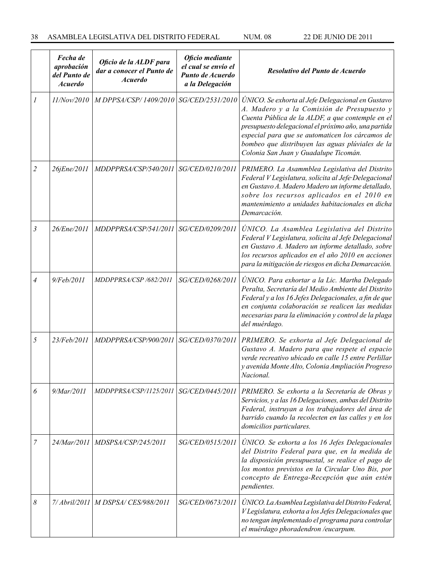|   | Fecha de<br>aprobación<br>del Punto de<br><b>Acuerdo</b> | Oficio de la ALDF para<br>dar a conocer el Punto de<br><b>Acuerdo</b> | Oficio mediante<br>el cual se envío el<br>Punto de Acuerdo<br>a la Delegación | Resolutivo del Punto de Acuerdo                                                                                                                                                                                                                                                                                                                              |
|---|----------------------------------------------------------|-----------------------------------------------------------------------|-------------------------------------------------------------------------------|--------------------------------------------------------------------------------------------------------------------------------------------------------------------------------------------------------------------------------------------------------------------------------------------------------------------------------------------------------------|
|   | 11/Nov/2010                                              | M DPPSA/CSP/1409/2010                                                 | SG/CED/2531/2010                                                              | ÚNICO. Se exhorta al Jefe Delegacional en Gustavo<br>A. Madero y a la Comisión de Presupuesto y<br>Cuenta Pública de la ALDF, a que contemple en el<br>presupuesto delegacional el próximo año, una partida<br>especial para que se automaticen los cárcamos de<br>bombeo que distribuyen las aguas plúviales de la<br>Colonia San Juan y Guadalupe Ticomán. |
| 2 | 26jEne/2011                                              | MDDPPRSA/CSP/540/2011                                                 | SG/CED/0210/2011                                                              | PRIMERO. La Asammblea Legislativa del Distrito<br>Federal V Legislatura, solicita al Jefe Delegacional<br>en Gustavo A. Madero Madero un informe detallado,<br>sobre los recursos aplicados en el 2010 en<br>mantenimiento a unidades habitacionales en dicha<br>Demarcación.                                                                                |
| 3 | 26/Ene/2011                                              | MDDPPRSA/CSP/541/2011                                                 | SG/CED/0209/2011                                                              | UNICO. La Asamblea Legislativa del Distrito<br>Federal V Legislatura, solicita al Jefe Delegacional<br>en Gustavo A. Madero un informe detallado, sobre<br>los recursos aplicados en el año 2010 en acciones<br>para la mitigación de riesgos en dicha Demarcación.                                                                                          |
| 4 | 9/Feb/2011                                               | MDDPPRSA/CSP /682/2011                                                | SG/CED/0268/2011                                                              | UNICO. Para exhortar a la Lic. Martha Delegado<br>Peralta, Secretaría del Medio Ambiente del Distrito<br>Federal y a los 16 Jefes Delegacionales, a fin de que<br>en conjunta colaboración se realicen las medidas<br>necesarias para la eliminación y control de la plaga<br>del muérdago.                                                                  |
| 5 | 23/Feb/2011                                              | MDDPPRSA/CSP/900/2011                                                 | SG/CED/0370/2011                                                              | PRIMERO. Se exhorta al Jefe Delegacional de<br>Gustavo A. Madero para que respete el espacio<br>verde recreativo ubicado en calle 15 entre Perlillar<br>y avenida Monte Alto, Colonia Ampliación Progreso<br>Nacional.                                                                                                                                       |
| 6 | 9/Mar/2011                                               | <i>MDDPPRSA/CSP/1125/2011</i>                                         | <i>SG/CED/0445/2011</i>                                                       | PRIMERO. Se exhorta a la Secretaría de Obras y<br>Servicios, y a las 16 Delegaciones, ambas del Distrito<br>Federal, instruyan a los trabajadores del área de<br>barrido cuando la recolecten en las calles y en los<br>domicilios particulares.                                                                                                             |
| 7 | 24/Mar/2011                                              | MDSPSA/CSP/245/2011                                                   | SG/CED/0515/2011                                                              | UNICO. Se exhorta a los 16 Jefes Delegacionales<br>del Distrito Federal para que, en la medida de<br>la disposición presupuestal, se realice el pago de<br>los montos previstos en la Circular Uno Bis, por<br>concepto de Entrega-Recepción que aún estén<br>pendientes.                                                                                    |
| 8 |                                                          | 7/ Abril/2011   M DSPSA/ CES/988/2011                                 | SG/CED/0673/2011                                                              | UNICO. La Asamblea Legislativa del Distrito Federal,<br>V Legislatura, exhorta a los Jefes Delegacionales que<br>no tengan implementado el programa para controlar<br>el muérdago phoradendron /eucarpum.                                                                                                                                                    |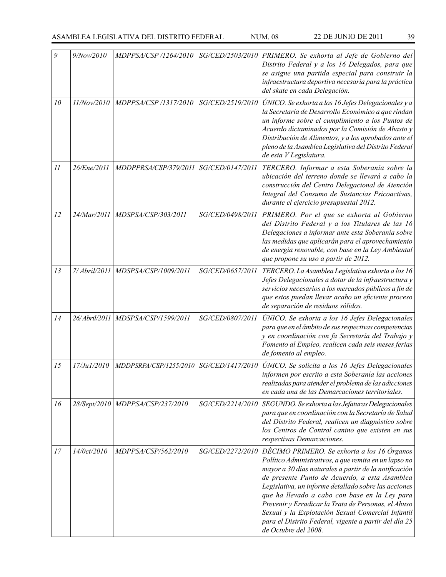| 9       | 9/Nov/2010    |                                      |                  | MDPPSA/CSP /1264/2010   SG/CED/2503/2010   PRIMERO. Se exhorta al Jefe de Gobierno del<br>Distrito Federal y a los 16 Delegados, para que<br>se asigne una partida especial para construir la<br>infraestructura deportiva necesaria para la práctica<br>del skate en cada Delegación.                                                                                                                                                                                                                               |  |
|---------|---------------|--------------------------------------|------------------|----------------------------------------------------------------------------------------------------------------------------------------------------------------------------------------------------------------------------------------------------------------------------------------------------------------------------------------------------------------------------------------------------------------------------------------------------------------------------------------------------------------------|--|
| 10      | 11/Nov/2010   | MDPPSA/CSP /1317/2010                | SG/CED/2519/2010 | ÚNICO. Se exhorta a los 16 Jefes Delegacionales y a<br>la Secretaría de Desarrollo Económico a que rindan<br>un informe sobre el cumplimiento a los Puntos de<br>Acuerdo dictaminados por la Comisión de Abasto y<br>Distribución de Alimentos, y a los aprobados ante el<br>pleno de la Asamblea Legislativa del Distrito Federal<br>de esta V Legislatura.                                                                                                                                                         |  |
| $_{II}$ | 26/Ene/2011   | MDDPPRSA/CSP/379/2011                | SG/CED/0147/2011 | TERCERO. Informar a esta Soberanía sobre la<br>ubicación del terreno donde se llevará a cabo la<br>construcción del Centro Delegacional de Atención<br>Integral del Consumo de Sustancias Psicoactivas,<br>durante el ejercicio presupuestal 2012.                                                                                                                                                                                                                                                                   |  |
| 12      | 24/Mar/2011   | MDSPSA/CSP/303/2011                  | SG/CED/0498/2011 | PRIMERO. Por el que se exhorta al Gobierno<br>del Distrito Federal y a los Titulares de las 16<br>Delegaciones a informar ante esta Soberanía sobre<br>las medidas que aplicarán para el aprovechamiento<br>de energía renovable, con base en la Ley Ambiental<br>que propone su uso a partir de 2012.                                                                                                                                                                                                               |  |
| 13      | 7/ Abril/2011 | MDSPSA/CSP/1009/2011                 | SG/CED/0657/2011 | TERCERO. La Asamblea Legislativa exhorta a los 16<br>Jefes Delegacionales a dotar de la infraestructura y<br>servicios necesarios a los mercados públicos a fin de<br>que estos puedan llevar acabo un eficiente proceso<br>de separación de residuos sólidos.                                                                                                                                                                                                                                                       |  |
| 14      |               | 26/Abril/2011   MDSPSA/CSP/1599/2011 | SG/CED/0807/2011 | UNICO. Se exhorta a los 16 Jefes Delegacionales<br>para que en el ámbito de sus respectivas competencias<br>y en coordinación con fa Secretaría del Trabajo y<br>Fomento al Empleo, realicen cada seis meses ferias<br>de fomento al empleo.                                                                                                                                                                                                                                                                         |  |
| 15      | 17/Ju1/2010   | MDDPSRPA/CSP/1255/2010               | SG/CED/1417/2010 | ÚNICO. Se solicita a los 16 Jefes Delegacionales<br>informen por escrito a esta Soberanía las acciones<br>realizadas para atender el problema de las adicciones<br>en cada una de las Demarcaciones territoriales.                                                                                                                                                                                                                                                                                                   |  |
| 16      |               | 28/Sept/2010   MDPPSA/CSP/237/2010   | SG/CED/2214/2010 | SEGUNDO. Se exhorta a las Jefaturas Delegacionales<br>para que en coordinación con la Secretaría de Salud<br>del Distrito Federal, realicen un diagnóstico sobre<br>los Centros de Control canino que existen en sus<br>respectivas Demarcaciones.                                                                                                                                                                                                                                                                   |  |
| 17      | 14/0ct/2010   | MDPPSA/CSP/562/2010                  | SG/CED/2272/2010 | DÉCIMO PRIMERO. Se exhorta a los 16 Órganos<br>Político Administrativos, a que remita en un lapso no<br>mayor a 30 días naturales a partir de la notificación<br>de presente Punto de Acuerdo, a esta Asamblea<br>Legislativa, un informe detallado sobre las acciones<br>que ha llevado a cabo con base en la Ley para<br>Prevenir y Erradicar la Trata de Personas, el Abuso<br>Sexual y la Explotación Sexual Comercial Infantil<br>para el Distrito Federal, vigente a partir del día 25<br>de Octubre del 2008. |  |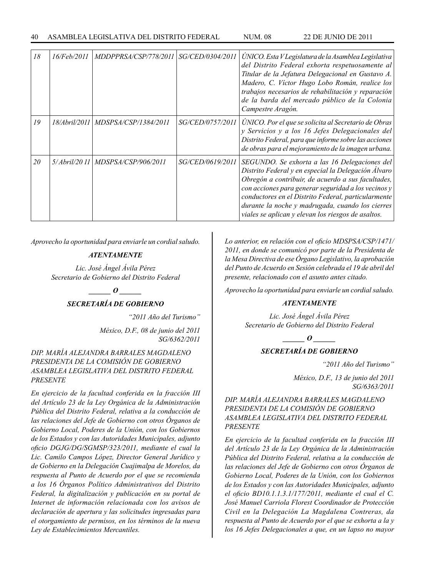| 18 | <i>16/Feb/2011</i> | MDDPPRSA/CSP/778/2011                | <i>SG/CED/0304/2011</i> | UNICO. Esta V Legislatura de la Asamblea Legislativa<br>del Distrito Federal exhorta respetuosamente al<br>Titular de la Jefatura Delegacional en Gustavo A.<br>Madero, C. Víctor Hugo Lobo Román, realice los<br>trabajos necesarios de rehabilitación y reparación<br>de la barda del mercado público de la Colonia<br>Campestre Aragón.                                         |  |
|----|--------------------|--------------------------------------|-------------------------|------------------------------------------------------------------------------------------------------------------------------------------------------------------------------------------------------------------------------------------------------------------------------------------------------------------------------------------------------------------------------------|--|
| 19 |                    | 18/Abril/2011   MDSPSA/CSP/1384/2011 | <i>SG/CED/0757/2011</i> | ÚNICO. Por el que se solicita al Secretario de Obras<br>y Servicios y a los 16 Jefes Delegacionales del<br>Distrito Federal, para que informe sobre las acciones<br>de obras para el mejoramiento de la imagen urbana.                                                                                                                                                             |  |
| 20 |                    | 5/Abril/2011   MDSPSA/CSP/906/2011   | <i>SG/CED/0619/2011</i> | SEGUNDO. Se exhorta a las 16 Delegaciones del<br>Distrito Federal y en especial la Delegación Álvaro<br>Obregón a contribuir, de acuerdo a sus facultades,<br>con acciones para generar seguridad a los vecinos y<br>conductores en el Distrito Federal, particularmente<br>durante la noche y madrugada, cuando los cierres<br>viales se aplican y elevan los riesgos de asaltos. |  |

*Aprovecho la oportunidad para enviarle un cordial saludo.*

#### *ATENTAMENTE*

*Lic. José Ángel Ávila Pérez Secretario de Gobierno del Distrito Federal*

 $\overline{\phantom{a}}$  *o*  $\overline{\phantom{a}}$ 

# *SECRETARÍA DE GOBIERNO*

*"2011 Año del Turismo"*

*México, D.F., 08 de junio del 2011 SG/6362/2011*

# *DIP. MARÍA ALEJANDRA BARRALES MAGDALENO PRESIDENTA DE LA COMISIÓN DE GOBIERNO ASAMBLEA LEGISLATIVA DEL DISTRITO FEDERAL PRESENTE*

*En ejercicio de la facultad conferida en la fracción III del Artículo 23 de la Ley Orgánica de la Administración Pública del Distrito Federal, relativa a la conducción de las relaciones del Jefe de Gobierno con otros Órganos de Gobierno Local, Poderes de la Unión, con los Gobiernos de los Estados y con las Autoridades Municipales, adjunto oficio DGJG/DG/SGMSP/323/2011, mediante el cual la Lic. Camilo Campos López, Director General Jurídico y de Gobierno en la Delegación Cuajimalpa de Morelos, da respuesta al Punto de Acuerdo por el que se recomienda a los 16 Órganos Político Administrativos del Distrito Federal, la digitalización y publicación en su portal de Internet de información relacionada con los avisos de declaración de apertura y las solicitudes ingresadas para el otorgamiento de permisos, en los términos de la nueva Ley de Establecimientos Mercantiles.*

*Lo anterior, en relación con el oficio MDSPSA/CSP/1471/ 2011, en donde se comunicó por parte de la Presidenta de la Mesa Directiva de ese Órgano Legislativo, la aprobación del Punto de Acuerdo en Sesión celebrada el 19 de abril del presente, relacionado con el asunto antes citado.*

*Aprovecho la oportunidad para enviarle un cordial saludo.*

### *ATENTAMENTE*

*Lic. José Ángel Ávila Pérez Secretario de Gobierno del Distrito Federal*

*\_\_\_\_\_\_ O \_\_\_\_\_\_*

# *SECRETARÍA DE GOBIERNO*

*"2011 Año del Turismo"*

*México, D.F., 13 de junio del 2011 SG/6363/2011*

# *DIP. MARÍA ALEJANDRA BARRALES MAGDALENO PRESIDENTA DE LA COMISIÓN DE GOBIERNO ASAMBLEA LEGISLATIVA DEL DISTRITO FEDERAL PRESENTE*

*En ejercicio de la facultad conferida en la fracción III del Artículo 23 de la Ley Orgánica de la Administración Pública del Distrito Federal, relativa a la conducción de las relaciones del Jefe de Gobierno con otros Órganos de Gobierno Local, Poderes de la Unión, con los Gobiernos de los Estados y con las Autoridades Municipales, adjunto el oficio BD10.1.1.3.1/177/2011, mediante el cual el C. José Manuel Carriola Florest Coordinador de Protección Civil en la Delegación La Magdalena Contreras, da respuesta al Punto de Acuerdo por el que se exhorta a la y los 16 Jefes Delegacionales a que, en un lapso no mayor*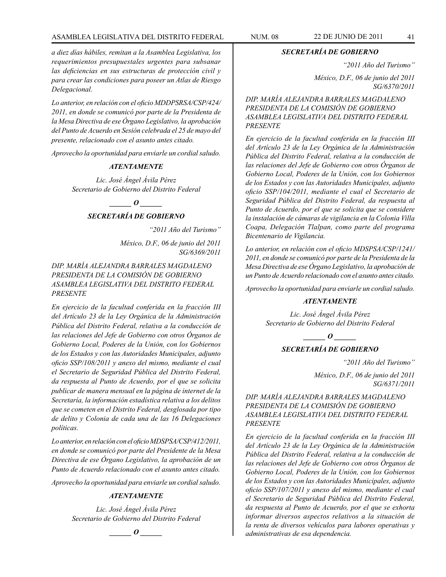# ASAMBLEA LEGISLATIVA DEL DISTRITO FEDERAL NUM. 08 22 de JUNIO de 2011 41

*a diez días hábiles, remitan a la Asamblea Legislativa, los requerimientos presupuestales urgentes para subsanar las deficiencias en sus estructuras de protección civil y para crear las condiciones para poseer un Atlas de Riesgo Delegacional.*

*Lo anterior, en relación con el oficio MDDPSRSA/CSP/424/ 2011, en donde se comunicó por parte de la Presidenta de la Mesa Directiva de ese Órgano Legislativo, la aprobación del Punto de Acuerdo en Sesión celebrada el 25 de mayo del presente, relacionado con el asunto antes citado.*

*Aprovecho la oportunidad para enviarle un cordial saludo.*

#### *ATENTAMENTE*

*Lic. José Ángel Ávila Pérez Secretario de Gobierno del Distrito Federal*

*\_\_\_\_\_\_ O \_\_\_\_\_\_*

# *SECRETARÍA DE GOBIERNO*

*"2011 Año del Turismo"*

*México, D.F., 06 de junio del 2011 SG/6369/2011*

# *DIP. MARÍA ALEJANDRA BARRALES MAGDALENO PRESIDENTA DE LA COMISIÓN DE GOBIERNO ASAMBLEA LEGISLATIVA DEL DISTRITO FEDERAL PRESENTE*

*En ejercicio de la facultad conferida en la fracción III del Artículo 23 de la Ley Orgánica de la Administración Pública del Distrito Federal, relativa a la conducción de las relaciones del Jefe de Gobierno con otros Órganos de Gobierno Local, Poderes de la Unión, con los Gobiernos de los Estados y con las Autoridades Municipales, adjunto oficio SSP/108/2011 y anexo del mismo, mediante el cual el Secretario de Seguridad Pública del Distrito Federal, da respuesta al Punto de Acuerdo, por el que se solicita publicar de manera mensual en la página de internet de la Secretaría, la información estadística relativa a los delitos que se cometen en el Distrito Federal, desglosada por tipo de delito y Colonia de cada una de las 16 Delegaciones políticas.*

*Lo anterior, en relación con el oficio MDSPSA/CSP/412/2011, en donde se comunicó por parte del Presidente de la Mesa Directiva de ese Órgano Legislativo, la aprobación de un Punto de Acuerdo relacionado con el asunto antes citado.*

*Aprovecho la oportunidad para enviarle un cordial saludo.*

### *ATENTAMENTE*

*Lic. José Ángel Ávila Pérez Secretario de Gobierno del Distrito Federal* *SECRETARÍA DE GOBIERNO*

*"2011 Año del Turismo"*

*México, D.F., 06 de junio del 2011 SG/6370/2011*

*DIP. MARÍA ALEJANDRA BARRALES MAGDALENO PRESIDENTA DE LA COMISIÓN DE GOBIERNO ASAMBLEA LEGISLATIVA DEL DISTRITO FEDERAL PRESENTE*

*En ejercicio de la facultad conferida en la fracción III del Artículo 23 de la Ley Orgánica de la Administración Pública del Distrito Federal, relativa a la conducción de las relaciones del Jefe de Gobierno con otros Órganos de Gobierno Local, Poderes de la Unión, con los Gobiernos de los Estados y con las Autoridades Municipales, adjunto oficio SSP/104/2011, mediante el cual el Secretario de Seguridad Pública del Distrito Federal, da respuesta al Punto de Acuerdo, por el que se solicita que se considere la instalación de cámaras de vigilancia en la Colonia Villa Coapa, Delegación Tlalpan, como parte del programa Bicentenario de Vigilancia.*

*Lo anterior, en relación con el oficio MDSPSA/CSP/1241/ 2011, en donde se comunicó por parte de la Presidenta de la Mesa Directiva de ese Órgano Legislativo, la aprobación de un Punto de Acuerdo relacionado con el asunto antes citado.*

*Aprovecho la oportunidad para enviarle un cordial saludo.*

### *ATENTAMENTE*

*Lic. José Ángel Ávila Pérez Secretario de Gobierno del Distrito Federal*

*\_\_\_\_\_\_ O \_\_\_\_\_\_*

# *SECRETARÍA DE GOBIERNO*

*"2011 Año del Turismo"*

*México, D.F., 06 de junio del 2011 SG/6371/2011*

*DIP. MARÍA ALEJANDRA BARRALES MAGDALENO PRESIDENTA DE LA COMISIÓN DE GOBIERNO ASAMBLEA LEGISLATIVA DEL DISTRITO FEDERAL PRESENTE*

*En ejercicio de la facultad conferida en la fracción III del Artículo 23 de la Ley Orgánica de la Administración Pública del Distrito Federal, relativa a la conducción de las relaciones del Jefe de Gobierno con otros Órganos de Gobierno Local, Poderes de la Unión, con los Gobiernos de los Estados y con las Autoridades Municipales, adjunto oficio SSP/107/2011 y anexo del mismo, mediante el cual el Secretario de Seguridad Pública del Distrito Federal, da respuesta al Punto de Acuerdo, por el que se exhorta informar diversos aspectos relativos a la situación de la renta de diversos vehículos para labores operativas y administrativas de esa dependencia.*

*o*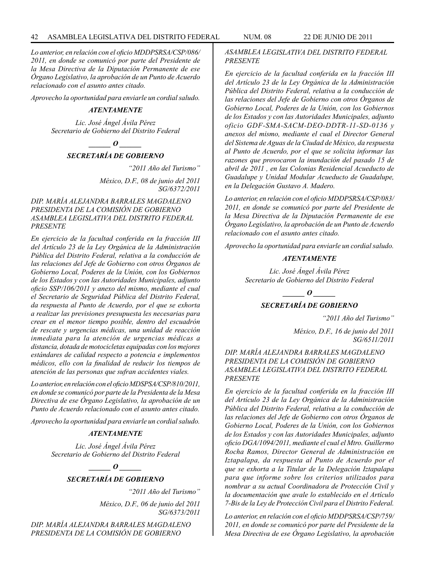*Lo anterior, en relación con el oficio MDDPSRSA/CSP/086/ 2011, en donde se comunicó por parte del Presidente de la Mesa Directiva de la Diputación Permanente de ese Órgano Legislativo, la aprobación de un Punto de Acuerdo relacionado con el asunto antes citado.*

*Aprovecho la oportunidad para enviarle un cordial saludo.*

### *ATENTAMENTE*

*Lic. José Ángel Ávila Pérez Secretario de Gobierno del Distrito Federal*

*d*  $\boldsymbol{\theta}$ 

# *SECRETARÍA DE GOBIERNO*

*"2011 Año del Turismo"*

*México, D.F., 08 de junio del 2011 SG/6372/2011*

# *DIP. MARÍA ALEJANDRA BARRALES MAGDALENO PRESIDENTA DE LA COMISIÓN DE GOBIERNO ASAMBLEA LEGISLATIVA DEL DISTRITO FEDERAL PRESENTE*

*En ejercicio de la facultad conferida en la fracción III del Artículo 23 de la Ley Orgánica de la Administración Pública del Distrito Federal, relativa a la conducción de las relaciones del Jefe de Gobierno con otros Órganos de Gobierno Local, Poderes de la Unión, con los Gobiernos de los Estados y con las Autoridades Municipales, adjunto oficio SSP/106/2011 y anexo del mismo, mediante el cual el Secretario de Seguridad Pública del Distrito Federal, da respuesta al Punto de Acuerdo, por el que se exhorta a realizar las previsiones presupuesta les necesarias para crear en el menor tiempo posible, dentro del escuadrón de rescate y urgencias médicas, una unidad de reacción inmediata para la atención de urgencias médicas a distancia, dotada de motocicletas equipadas con los mejores estándares de calidad respecto a potencia e implementos médicos, ello con la finalidad de reducir los tiempos de atención de las personas que sufran accidentes viales.*

*Lo anterior, en relación con el oficio MDSPSA/CSP/810/2011, en donde se comunicó por parte de la Presidenta de la Mesa Directiva de ese Órgano Legislativo, la aprobación de un Punto de Acuerdo relacionado con el asunto antes citado.*

*Aprovecho la oportunidad para enviarle un cordial saludo.*

# *ATENTAMENTE*

*Lic. José Ángel Ávila Pérez Secretario de Gobierno del Distrito Federal*

> *\_\_\_\_\_\_ O \_\_\_\_\_\_ SECRETARÍA DE GOBIERNO*

> > *"2011 Año del Turismo"*

*México, D.F., 06 de junio del 2011 SG/6373/2011*

*DIP. MARÍA ALEJANDRA BARRALES MAGDALENO PRESIDENTA DE LA COMISIÓN DE GOBIERNO* 

*ASAMBLEA LEGISLATIVA DEL DISTRITO FEDERAL PRESENTE*

*En ejercicio de la facultad conferida en la fracción III del Artículo 23 de la Ley Orgánica de la Administración Pública del Distrito Federal, relativa a la conducción de las relaciones del Jefe de Gobierno con otros Órganos de Gobierno Local, Poderes de la Unión, con los Gobiernos de los Estados y con las Autoridades Municipales, adjunto oficio GDF-SMA-SACM-DEO-DDTR-11-SD-0136 y anexos del mismo, mediante el cual el Director General del Sistema de Aguas de la Ciudad de México, da respuesta al Punto de Acuerdo, por el que se solicita informar las razones que provocaron la inundación del pasado 15 de abril de 2011 , en las Colonias Residencial Acueducto de Guadalupe y Unidad Modular Acueducto de Guadalupe, en la Delegación Gustavo A. Madero.*

*Lo anterior, en relación con el oficio MDDPSRSA/CSP/083/ 2011, en donde se comunicó por parte del Presidente de la Mesa Directiva de la Diputación Permanente de ese Órgano Legislativo, la aprobación de un Punto de Acuerdo relacionado con el asunto antes citado.*

*Aprovecho la oportunidad para enviarle un cordial saludo.*

### *ATENTAMENTE*

*Lic. José Ángel Ávila Pérez Secretario de Gobierno del Distrito Federal*

*o*  $\theta$ 

# *SECRETARÍA DE GOBIERNO*

*"2011 Año del Turismo"*

*México, D.F., 16 de junio del 2011 SG/6511/2011*

# *DIP. MARÍA ALEJANDRA BARRALES MAGDALENO PRESIDENTA DE LA COMISIÓN DE GOBIERNO ASAMBLEA LEGISLATIVA DEL DISTRITO FEDERAL PRESENTE*

*En ejercicio de la facultad conferida en la fracción III del Artículo 23 de la Ley Orgánica de la Administración Pública del Distrito Federal, relativa a la conducción de las relaciones del Jefe de Gobierno con otros Órganos de Gobierno Local, Poderes de la Unión, con los Gobiernos de los Estados y con las Autoridades Municipales, adjunto oficio DGA/1094/2011, mediante el cual el Mtro. Guillermo Rocha Ramos, Director General de Administración en Iztapalapa, da respuesta al Punto de Acuerdo por el que se exhorta a la Titular de la Delegación Iztapalapa para que informe sobre los criterios utilizados para nombrar a su actual Coordinadora de Protección Civil y la documentación que avale lo establecido en el Artículo 7-Bis de la Ley de Protección Civil para el Distrito Federal.*

*Lo anterior, en relación con el oficio MDDPSRSA/CSP/759/ 2011, en donde se comunicó por parte del Presidente de la Mesa Directiva de ese Órgano Legislativo, la aprobación*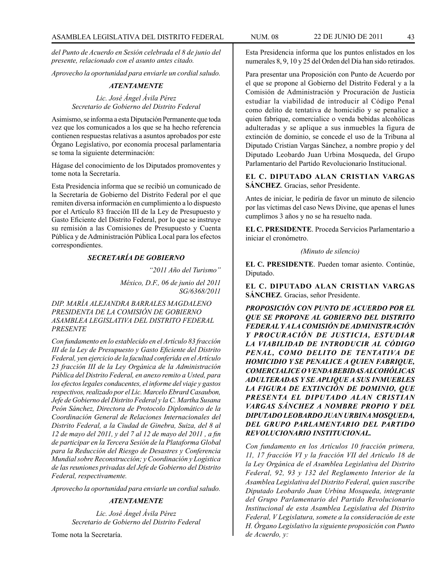*del Punto de Acuerdo en Sesión celebrada el 8 de junio del presente, relacionado con el asunto antes citado.*

*Aprovecho la oportunidad para enviarle un cordial saludo.*

## *ATENTAMENTE*

*Lic. José Ángel Ávila Pérez Secretario de Gobierno del Distrito Federal*

Asimismo, se informa a esta Diputación Permanente que toda vez que los comunicados a los que se ha hecho referencia contienen respuestas relativas a asuntos aprobados por este Órgano Legislativo, por economía procesal parlamentaria se toma la siguiente determinación:

Hágase del conocimiento de los Diputados promoventes y tome nota la Secretaría.

Esta Presidencia informa que se recibió un comunicado de la Secretaría de Gobierno del Distrito Federal por el que remiten diversa información en cumplimiento a lo dispuesto por el Artículo 83 fracción III de la Ley de Presupuesto y Gasto Eficiente del Distrito Federal, por lo que se instruye su remisión a las Comisiones de Presupuesto y Cuenta Pública y de Administración Pública Local para los efectos correspondientes.

# *SECRETARÍA DE GOBIERNO*

*"2011 Año del Turismo"*

*México, D.F., 06 de junio del 2011 SG/6368/2011*

*DIP. MARÍA ALEJANDRA BARRALES MAGDALENO PRESIDENTA DE LA COMISIÓN DE GOBIERNO ASAMBLEA LEGISLATIVA DEL DISTRITO FEDERAL PRESENTE*

*Con fundamento en lo establecido en el Artículo 83 fracción III de la Ley de Presupuesto y Gasto Eficiente del Distrito Federal, yen ejercicio de la facultad conferida en el Artículo 23 fracción III de la Ley Orgánica de la Administración Pública del Distrito Federal, en anexo remito a Usted, para los efectos legales conducentes, el informe del viaje y gastos respectivos, realizado por el Lic. Marcelo Ebrard Casaubon, Jefe de Gobierno del Distrito Federal y la C. Martha Susana Peón Sánchez, Directora de Protocolo Diplomático de la Coordinación General de Relaciones Internacionales del Distrito Federal, a la Ciudad de Ginebra, Suiza, del 8 al 12 de mayo del 2011, y del 7 al 12 de mayo del 2011 , a fin de participar en la Tercera Sesión de la Plataforma Global para la Reducción del Riesgo de Desastres y Conferencia Mundial sobre Reconstrucción; y Coordinación y Logística de las reuniones privadas del Jefe de Gobierno del Distrito Federal, respectivamente.*

*Aprovecho la oportunidad para enviarle un cordial saludo.*

# *ATENTAMENTE*

*Lic. José Ángel Ávila Pérez Secretario de Gobierno del Distrito Federal*

Tome nota la Secretaría.

Esta Presidencia informa que los puntos enlistados en los numerales 8, 9, 10 y 25 del Orden del Día han sido retirados.

Para presentar una Proposición con Punto de Acuerdo por el que se propone al Gobierno del Distrito Federal y a la Comisión de Administración y Procuración de Justicia estudiar la viabilidad de introducir al Código Penal como delito de tentativa de homicidio y se penalice a quien fabrique, comercialice o venda bebidas alcohólicas adulteradas y se aplique a sus inmuebles la figura de extinción de dominio, se concede el uso de la Tribuna al Diputado Cristian Vargas Sánchez, a nombre propio y del Diputado Leobardo Juan Urbina Mosqueda, del Grupo Parlamentario del Partido Revolucionario Institucional.

**EL C. DIPUTADO ALAN CRISTIAN VARGAS SÁNCHEZ**. Gracias, señor Presidente.

Antes de iniciar, le pediría de favor un minuto de silencio por las víctimas del caso News Divine, que apenas el lunes cumplimos 3 años y no se ha resuelto nada.

**EL C. PRESIDENTE**. Proceda Servicios Parlamentario a iniciar el cronómetro.

*(Minuto de silencio)*

**EL C. PRESIDENTE**. Pueden tomar asiento. Continúe, Diputado.

**EL C. DIPUTADO ALAN CRISTIAN VARGAS SÁNCHEZ**. Gracias, señor Presidente.

*PROPOSICIÓN CON PUNTO DE ACUERDO POR EL QUE SE PROPONE AL GOBIERNO DEL DISTRITO FEDERAL Y A LA COMISIÓN DE ADMINISTRACIÓN Y PROCURACIÓN DE JUSTICIA, ESTUDIAR LA VIABILIDAD DE INTRODUCIR AL CÓDIGO PENAL, COMO DELITO DE TENTATIVA DE HOMICIDIO Y SE PENALICE A QUIEN FABRIQUE, COMERCIALICE O VENDA BEBIDAS ALCOHÓLICAS ADULTERADAS Y SE APLIQUE A SUS INMUEBLES LA FIGURA DE EXTINCIÓN DE DOMINIO, QUE PRESENTA EL DIPUTADO ALAN CRISTIAN VARGAS SÁNCHEZ A NOMBRE PROPIO Y DEL DIPUTADO LEOBARDO JUAN URBINA MOSQUEDA, DEL GRUPO PARLAMENTARIO DEL PARTIDO REVOLUCIONARIO INSTITUCIONAL.*

*Con fundamento en los Artículos 10 fracción primera, 11, 17 fracción VI y la fracción VII del Artículo 18 de la Ley Orgánica de el Asamblea Legislativa del Distrito Federal, 92, 93 y 132 del Reglamento Interior de la Asamblea Legislativa del Distrito Federal, quien suscribe Diputado Leobardo Juan Urbina Mosqueda, integrante del Grupo Parlamentario del Partido Revolucionario Institucional de esta Asamblea Legislativa del Distrito Federal, V Legislatura, somete a la consideración de este H. Órgano Legislativo la siguiente proposición con Punto de Acuerdo, y:*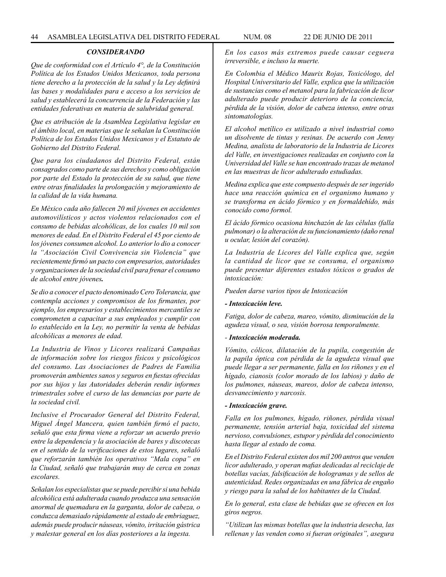## *CONSIDERANDO*

*Que de conformidad con el Artículo 4°, de la Constitución Política de los Estados Unidos Mexicanos, toda persona tiene derecho a la protección de la salud y la Ley definirá las bases y modalidades para e acceso a los servicios de salud y establecerá la concurrencia de la Federación y las entidades federativas en materia de salubridad general.*

*Que es atribución de la Asamblea Legislativa legislar en el ámbito local, en materias que le señalan la Constitución Política de los Estados Unidos Mexicanos y el Estatuto de Gobierno del Distrito Federal.*

*Que para los ciudadanos del Distrito Federal, están consagrados como parte de sus derechos y como obligación por parte del Estado la protección de su salud, que tiene entre otras finalidades la prolongación y mejoramiento de la calidad de la vida humana.*

*En México cada año fallecen 20 mil jóvenes en accidentes automovilísticos y actos violentos relacionados con el consumo de bebidas alcohólicas, de los cuales 10 mil son menores de edad. En el Distrito Federal el 45 por ciento de los jóvenes consumen alcohol. Lo anterior lo dio a conocer la "Asociación Civil Convivencia sin Violencia" que recientemente firmó un pacto con empresarios, autoridades y organizaciones de la sociedad civil para frenar el consumo de alcohol entre jóvenes.*

*Se dio a conocer el pacto denominado Cero Tolerancia, que contempla acciones y compromisos de los firmantes, por ejemplo, los empresarios y establecimientos mercantiles se comprometen a capacitar a sus empleados y cumplir con lo establecido en la Ley, no permitir la venta de bebidas alcohólicas a menores de edad.*

*La Industria de Vinos y Licores realizará Campañas de información sobre los riesgos físicos y psicológicos del consumo. Las Asociaciones de Padres de Familia promoverán ambientes sanos y seguros en fiestas ofrecidas por sus hijos y las Autoridades deberán rendir informes trimestrales sobre el curso de las denuncias por parte de la sociedad civil.*

*Inclusive el Procurador General del Distrito Federal, Miguel Ángel Mancera, quien también firmó el pacto, señaló que esta firma viene a reforzar un acuerdo previo entre la dependencia y la asociación de bares y discotecas en el sentido de la verificaciones de estos lugares, señaló que reforzarán también los operativos "Mala copa" en la Ciudad, señaló que trabajarán muy de cerca en zonas escolares.*

*Señalan los especialistas que se puede percibir si una bebida alcohólica está adulterada cuando produzca una sensación anormal de quemadura en la garganta, dolor de cabeza, o conduzca demasiado rápidamente al estado de embriaguez, además puede producir náuseas, vómito, irritación gástrica y malestar general en los días posteriores a la ingesta.*

*En los casos más extremos puede causar ceguera irreversible, e incluso la muerte.*

*En Colombia el Médico Maurix Rojas, Toxicólogo, del Hospital Universitario del Valle, explica que la utilización de sustancias como el metanol para la fabricación de licor adulterado puede producir deterioro de la conciencia, pérdida de la visión, dolor de cabeza intenso, entre otras sintomatologías.*

*El alcohol metílico es utilizado a nivel industrial como un disolvente de tintas y resinas. De acuerdo con Jenny Medina, analista de laboratorio de la Industria de Licores del Valle, en investigaciones realizadas en conjunto con la Universidad del Valle se han encontrado trazas de metanol en las muestras de licor adulterado estudiadas.*

*Medina explica que este compuesto después de ser ingerido hace una reacción química en el organismo humano y se transforma en ácido fórmico y en formaldehído, más conocido como formol.*

*El ácido fórmico ocasiona hinchazón de las células (falla pulmonar) o la alteración de su funcionamiento (daño renal u ocular, lesión del corazón).*

*La Industria de Licores del Valle explica que, según la cantidad de licor que se consuma, el organismo puede presentar diferentes estados tóxicos o grados de intoxicación:*

*Pueden darse varios tipos de Intoxicación*

#### *- Intoxicación leve.*

*Fatiga, dolor de cabeza, mareo, vómito, disminución de la agudeza visual, o sea, visión borrosa temporalmente.*

#### *- Intoxicación moderada.*

*Vómito, cólicos, dilatación de la pupila, congestión de la papila óptica con pérdida de la agudeza visual que puede llegar a ser permanente, falla en los riñones y en el hígado, cianosis (color morado de los labios) y daño de los pulmones, náuseas, mareos, dolor de cabeza intenso, desvanecimiento y narcosis.*

#### *- Intoxicación grave.*

*Falla en los pulmones, hígado, riñones, pérdida visual permanente, tensión arterial baja, toxicidad del sistema nervioso, convulsiones, estupor y pérdida del conocimiento hasta llegar al estado de coma.*

*En el Distrito Federal existen dos mil 200 antros que venden licor adulterado, y operan mafias dedicadas al reciclaje de botellas vacías, falsificación de hologramas y de sellos de autenticidad. Redes organizadas en una fábrica de engaño y riesgo para la salud de los habitantes de la Ciudad.*

*En lo general, esta clase de bebidas que se ofrecen en los giros negros.*

*"Utilizan las mismas botellas que la industria desecha, las rellenan y las venden como si fueran originales", asegura*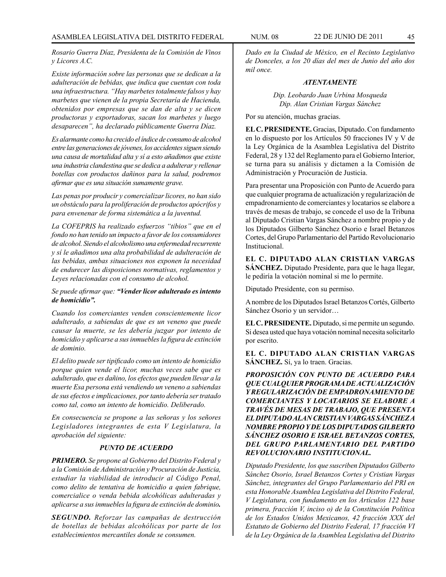*Rosario Guerra Díaz, Presidenta de la Comisión de Vinos y Licores A.C.*

*Existe información sobre las personas que se dedican a la adulteración de bebidas, que indica que cuentan con toda una infraestructura. "Hay marbetes totalmente falsos y hay marbetes que vienen de la propia Secretaría de Hacienda, obtenidos por empresas que se dan de alta y se dicen productoras y exportadoras, sacan los marbetes y luego desaparecen", ha declarado públicamente Guerra Díaz.*

*Es alarmante como ha crecido el índice de consumo de alcohol entre las generaciones de jóvenes, los accidentes siguen siendo una causa de mortalidad alta y sí a esto añadimos que existe una industria clandestina que se dedica a adulterar y rellenar botellas con productos dañinos para la salud, podremos afirmar que es una situación sumamente grave.*

*Las penas por producir y comercializar licores, no han sido un obstáculo para la proliferación de productos apócrifos y para envenenar de forma sistemática a la juventud.*

*La COFEPRIS ha realizado esfuerzos "tibios" que en el fondo no han tenido un impacto a favor de los consumidores de alcohol. Siendo el alcoholismo una enfermedad recurrente y sí le añadimos una alta probabilidad de adulteración de las bebidas, ambas situaciones nos exponen la necesidad de endurecer las disposiciones normativas, reglamentos y Leyes relacionadas con el consumo de alcohol.* 

## *Se puede afirmar que: "Vender licor adulterado es intento de homicidio".*

*Cuando los comerciantes venden conscientemente licor adulterado, a sabiendas de que es un veneno que puede causar la muerte, se les debería juzgar por intento de homicidio y aplicarse a sus inmuebles la figura de extinción de dominio.*

*El delito puede ser tipificado como un intento de homicidio porque quien vende el licor, muchas veces sabe que es adulterado, que es dañino, los efectos que pueden llevar a la muerte Esa persona está vendiendo un veneno a sabiendas de sus efectos e implicaciones, por tanto debería ser tratado como tal, como un intento de homicidio. Deliberado.*

*En consecuencia se propone a las señoras y los señores Legisladores integrantes de esta V Legislatura, la aprobación del siguiente:*

# *PUNTO DE ACUERDO*

*PRIMERO. Se propone al Gobierno del Distrito Federal y a la Comisión de Administración y Procuración de Justicia, estudiar la viabilidad de introducir al Código Penal, como delito de tentativa de homicidio a quien fabrique, comercialice o venda bebida alcohólicas adulteradas y aplicarse a sus inmuebles la figura de extinción de dominio.*

*SEGUNDO. Reforzar las campañas de destrucción de botellas de bebidas alcohólicas por parte de los establecimientos mercantiles donde se consumen.*

*Dado en la Ciudad de México, en el Recinto Legislativo de Donceles, a los 20 días del mes de Junio del año dos mil once.*

### *ATENTAMENTE*

*Dip. Leobardo Juan Urbina Mosqueda Dip. Alan Cristian Vargas Sánchez*

Por su atención, muchas gracias.

**EL C. PRESIDENTE.** Gracias, Diputado. Con fundamento en lo dispuesto por los Artículos 50 fracciones IV y V de la Ley Orgánica de la Asamblea Legislativa del Distrito Federal, 28 y 132 del Reglamento para el Gobierno Interior, se turna para su análisis y dictamen a la Comisión de Administración y Procuración de Justicia.

Para presentar una Proposición con Punto de Acuerdo para que cualquier programa de actualización y regularización de empadronamiento de comerciantes y locatarios se elabore a través de mesas de trabajo, se concede el uso de la Tribuna al Diputado Cristian Vargas Sánchez a nombre propio y de los Diputados Gilberto Sánchez Osorio e Israel Betanzos Cortes, del Grupo Parlamentario del Partido Revolucionario Institucional.

**EL C. DIPUTADO ALAN CRISTIAN VARGAS SÁNCHEZ.** Diputado Presidente, para que le haga llegar, le pediría la votación nominal si me lo permite.

Diputado Presidente, con su permiso.

A nombre de los Diputados Israel Betanzos Cortés, Gilberto Sánchez Osorio y un servidor…

**EL C. PRESIDENTE.** Diputado, si me permite un segundo. Si desea usted que haya votación nominal necesita solicitarlo por escrito.

**EL C. DIPUTADO ALAN CRISTIAN VARGAS SÁNCHEZ.** Sí, ya lo traen. Gracias.

*PROPOSICIÓN CON PUNTO DE ACUERDO PARA QUE CUALQUIER PROGRAMA DE ACTUALIZACIÓN Y REGULARIZACIÓN DE EMPADRONAMIENTO DE COMERCIANTES Y LOCATARIOS SE ELABORE A TRAVÉS DE MESAS DE TRABAJO, QUE PRESENTA EL DIPUTADO ALAN CRISTIAN VARGAS SÁNCHEZ A NOMBRE PROPIO Y DE LOS DIPUTADOS GILBERTO SÁNCHEZ OSORIO E ISRAEL BETANZOS CORTES, DEL GRUPO PARLAMENTARIO DEL PARTIDO REVOLUCIONARIO INSTITUCIONAL.*

*Diputado Presidente, los que suscriben Diputados Gilberto Sánchez Osorio, Israel Betanzos Cortes y Cristian Vargas Sánchez, integrantes del Grupo Parlamentario del PRI en esta Honorable Asamblea Legislativa del Distrito Federal, V Legislatura, con fundamento en los Artículos 122 base primera, fracción V, inciso o) de la Constitución Política de los Estados Unidos Mexicanos, 42 fracción XXX del Estatuto de Gobierno del Distrito Federal, 17 fracción VI de la Ley Orgánica de la Asamblea Legislativa del Distrito*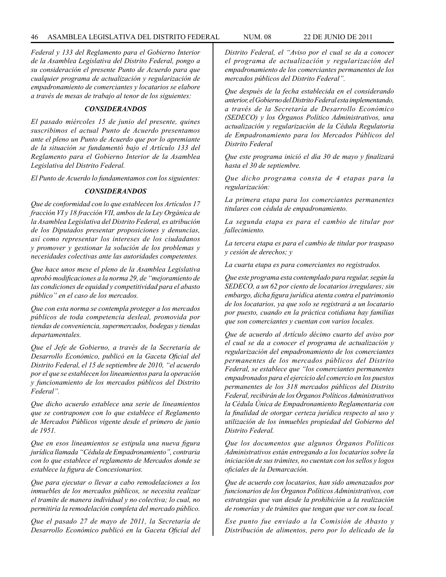*Federal y 133 del Reglamento para el Gobierno Interior de la Asamblea Legislativa del Distrito Federal, pongo a su consideración el presente Punto de Acuerdo para que cualquier programa de actualización y regularización de empadronamiento de comerciantes y locatarios se elabore a través de mesas de trabajo al tenor de los siguientes:*

# *CONSIDERANDOS*

*El pasado miércoles 15 de junio del presente, quines suscribimos el actual Punto de Acuerdo presentamos ante el pleno un Punto de Acuerdo que por lo apremiante de la situación se fundamentó bajo el Artículo 133 del Reglamento para el Gobierno Interior de la Asamblea Legislativa del Distrito Federal.*

*El Punto de Acuerdo lo fundamentamos con los siguientes:*

#### *CONSIDERANDOS*

*Que de conformidad con lo que establecen los Artículos 17 fracción VI y 18 fracción VII, ambos de la Ley Orgánica de la Asamblea Legislativa del Distrito Federal, es atribución de los Diputados presentar proposiciones y denuncias, así como representar los intereses de los ciudadanos y promover y gestionar la solución de los problemas y necesidades colectivas ante las autoridades competentes.*

*Que hace unos mese el pleno de la Asamblea Legislativa aprobó modificaciones a la norma 29, de "mejoramiento de las condiciones de equidad y competitividad para el abasto público" en el caso de los mercados.*

*Que con esta norma se contempla proteger a los mercados públicos de toda competencia desleal, promovida por tiendas de conveniencia, supermercados, bodegas y tiendas departamentales.*

*Que el Jefe de Gobierno, a través de la Secretaría de Desarrollo Económico, publicó en la Gaceta Oficial del Distrito Federal, el 15 de septiembre de 2010, "el acuerdo por el que se establecen los lineamientos para la operación y funcionamiento de los mercados públicos del Distrito Federal".*

*Que dicho acuerdo establece una serie de lineamientos que se contraponen con lo que establece el Reglamento de Mercados Públicos vigente desde el primero de junio de 1951.*

*Que en esos lineamientos se estipula una nueva figura jurídica llamada "Cédula de Empadronamiento", contraria con lo que establece el reglamento de Mercados donde se establece la figura de Concesionarios.*

*Que para ejecutar o llevar a cabo remodelaciones a los inmuebles de los mercados públicos, se necesita realizar el tramite de manera individual y no colectiva; lo cual, no permitiría la remodelación completa del mercado público.*

*Que el pasado 27 de mayo de 2011, la Secretaría de Desarrollo Económico publicó en la Gaceta Oficial del*  *Distrito Federal, el "Aviso por el cual se da a conocer el programa de actualización y regularización del empadronamiento de los comerciantes permanentes de los mercados públicos del Distrito Federal".*

*Que después de la fecha establecida en el considerando anterior, el Gobierno del Distrito Federal esta implementando, a través de la Secretaría de Desarrollo Económico (SEDECO) y los Órganos Político Administrativos, una actualización y regularización de la Cédula Regulatoria de Empadronamiento para los Mercados Públicos del Distrito Federal*

*Que este programa inició el día 30 de mayo y finalizará hasta el 30 de septiembre.*

*Que dicho programa consta de 4 etapas para la regularización:*

*La primera etapa para los comerciantes permanentes titulares con cédula de empadronamiento.*

*La segunda etapa es para el cambio de titular por fallecimiento.*

*La tercera etapa es para el cambio de titular por traspaso y cesión de derechos; y*

*La cuarta etapa es para comerciantes no registrados.* 

*Que este programa esta contemplado para regular, según la SEDECO, a un 62 por ciento de locatarios irregulares; sin embargo, dicha figura jurídica atenta contra el patrimonio de los locatarios, ya que solo se registrará a un locatario por puesto, cuando en la práctica cotidiana hay familias que son comerciantes y cuentan con varios locales.*

*Que de acuerdo al Artículo décimo cuarto del aviso por el cual se da a conocer el programa de actualización y regularización del empadronamiento de los comerciantes permanentes de los mercados públicos del Distrito Federal, se establece que "los comerciantes permanentes empadronados para el ejercicio del comercio en los puestos permanentes de los 318 mercados públicos del Distrito Federal, recibirán de los Órganos Políticos Administrativos la Cédula Única de Empadronamiento Reglamentaria con la finalidad de otorgar certeza jurídica respecto al uso y utilización de los inmuebles propiedad del Gobierno del Distrito Federal.*

*Que los documentos que algunos Órganos Políticos Administrativos están entregando a los locatarios sobre la iniciación de sus trámites, no cuentan con los sellos y logos oficiales de la Demarcación.*

*Que de acuerdo con locatarios, han sido amenazados por funcionarios de los Órganos Políticos Administrativos, con estrategias que van desde la prohibición a la realización de romerías y de trámites que tengan que ver con su local.*

*Ese punto fue enviado a la Comisión de Abasto y Distribución de alimentos, pero por lo delicado de la*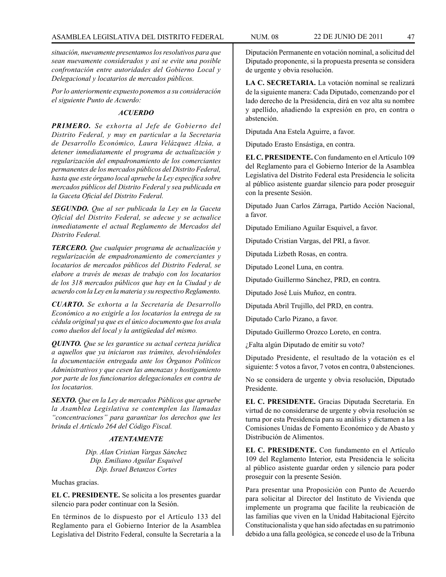*situación, nuevamente presentamos los resolutivos para que sean nuevamente considerados y así se evite una posible confrontación entre autoridades del Gobierno Local y Delegacional y locatarios de mercados públicos.* 

*Por lo anteriormente expuesto ponemos a su consideración el siguiente Punto de Acuerdo:*

## *ACUERDO*

*PRIMERO. Se exhorta al Jefe de Gobierno del Distrito Federal, y muy en particular a la Secretaria de Desarrollo Económico, Laura Velázquez Alzúa, a detener inmediatamente el programa de actualización y regularización del empadronamiento de los comerciantes permanentes de los mercados públicos del Distrito Federal, hasta que este órgano local apruebe la Ley específica sobre mercados públicos del Distrito Federal y sea publicada en la Gaceta Oficial del Distrito Federal.*

*SEGUNDO. Que al ser publicada la Ley en la Gaceta Oficial del Distrito Federal, se adecue y se actualice inmediatamente el actual Reglamento de Mercados del Distrito Federal.*

*TERCERO. Que cualquier programa de actualización y regularización de empadronamiento de comerciantes y locatarios de mercados públicos del Distrito Federal, se elabore a través de mesas de trabajo con los locatarios de los 318 mercados públicos que hay en la Ciudad y de acuerdo con la Ley en la materia y su respectivo Reglamento.*

*CUARTO. Se exhorta a la Secretaría de Desarrollo Económico a no exigirle a los locatarios la entrega de su cédula original ya que es el único documento que los avala como dueños del local y la antigüedad del mismo.*

*QUINTO. Que se les garantice su actual certeza jurídica a aquellos que ya iniciaron sus trámites, devolviéndoles la documentación entregada ante los Órganos Políticos Administrativos y que cesen las amenazas y hostigamiento por parte de los funcionarios delegacionales en contra de los locatarios.*

*SEXTO. Que en la Ley de mercados Públicos que apruebe la Asamblea Legislativa se contemplen las llamadas "concentraciones" para garantizar los derechos que les brinda el Artículo 264 del Código Fiscal.*

### *ATENTAMENTE*

*Dip. Alan Cristian Vargas Sánchez Dip. Emiliano Aguilar Esquivel Dip. Israel Betanzos Cortes*

Muchas gracias.

**EL C. PRESIDENTE.** Se solicita a los presentes guardar silencio para poder continuar con la Sesión.

En términos de lo dispuesto por el Artículo 133 del Reglamento para el Gobierno Interior de la Asamblea Legislativa del Distrito Federal, consulte la Secretaría a la

Diputación Permanente en votación nominal, a solicitud del Diputado proponente, si la propuesta presenta se considera de urgente y obvia resolución.

**LA C. SECRETARIA.** La votación nominal se realizará de la siguiente manera: Cada Diputado, comenzando por el lado derecho de la Presidencia, dirá en voz alta su nombre y apellido, añadiendo la expresión en pro, en contra o abstención.

Diputada Ana Estela Aguirre, a favor.

Diputado Erasto Ensástiga, en contra.

**EL C. PRESIDENTE.** Con fundamento en el Artículo 109 del Reglamento para el Gobierno Interior de la Asamblea Legislativa del Distrito Federal esta Presidencia le solicita al público asistente guardar silencio para poder proseguir con la presente Sesión.

Diputado Juan Carlos Zárraga, Partido Acción Nacional, a favor.

Diputado Emiliano Aguilar Esquivel, a favor.

Diputado Cristian Vargas, del PRI, a favor.

Diputada Lizbeth Rosas, en contra.

Diputado Leonel Luna, en contra.

Diputado Guillermo Sánchez, PRD, en contra.

Diputado José Luis Muñoz, en contra.

Diputada Abril Trujillo, del PRD, en contra.

Diputado Carlo Pizano, a favor.

Diputado Guillermo Orozco Loreto, en contra.

¿Falta algún Diputado de emitir su voto?

Diputado Presidente, el resultado de la votación es el siguiente: 5 votos a favor, 7 votos en contra, 0 abstenciones.

No se considera de urgente y obvia resolución, Diputado Presidente.

**EL C. PRESIDENTE.** Gracias Diputada Secretaria. En virtud de no considerarse de urgente y obvia resolución se turna por esta Presidencia para su análisis y dictamen a las Comisiones Unidas de Fomento Económico y de Abasto y Distribución de Alimentos.

**EL C. PRESIDENTE.** Con fundamento en el Artículo 109 del Reglamento Interior, esta Presidencia le solicita al público asistente guardar orden y silencio para poder proseguir con la presente Sesión.

Para presentar una Proposición con Punto de Acuerdo para solicitar al Director del Instituto de Vivienda que implemente un programa que facilite la reubicación de las familias que viven en la Unidad Habitacional Ejército Constitucionalista y que han sido afectadas en su patrimonio debido a una falla geológica, se concede el uso de la Tribuna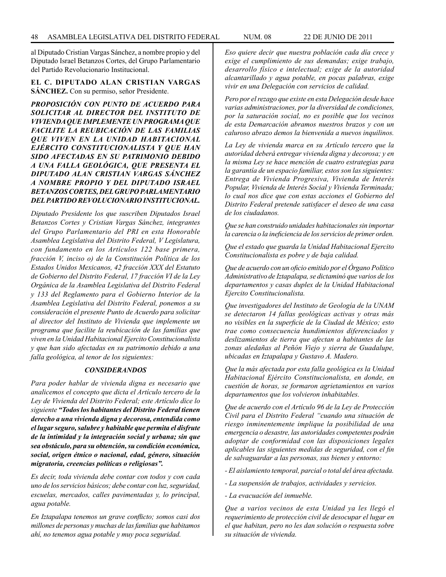al Diputado Cristian Vargas Sánchez, a nombre propio y del Diputado Israel Betanzos Cortes, del Grupo Parlamentario del Partido Revolucionario Institucional.

### **EL C. DIPUTADO ALAN CRISTIAN VARGAS SÁNCHEZ.** Con su permiso, señor Presidente.

*PROPOSICIÓN CON PUNTO DE ACUERDO PARA SOLICITAR AL DIRECTOR DEL INSTITUTO DE VIVIENDA QUE IMPLEMENTE UN PROGRAMA QUE FACILITE LA REUBICACIÓN DE LAS FAMILIAS QUE VIVEN EN LA UNIDAD HABITACIONAL EJÉRCITO CONSTITUCIONALISTA Y QUE HAN SIDO AFECTADAS EN SU PATRIMONIO DEBIDO A UNA FALLA GEOLÓGICA, QUE PRESENTA EL DIPUTADO ALAN CRISTIAN VARGAS SÁNCHEZ A NOMBRE PROPIO Y DEL DIPUTADO ISRAEL BETANZOS CORTES, DEL GRUPO PARLAMENTARIO DEL PARTIDO REVOLUCIONARIO INSTITUCIONAL.*

*Diputado Presidente los que suscriben Diputados Israel Betanzos Cortes y Cristian Vargas Sánchez, integrantes del Grupo Parlamentario del PRI en esta Honorable Asamblea Legislativa del Distrito Federal, V Legislatura, con fundamento en los Artículos 122 base primera, fracción V, inciso o) de la Constitución Política de los Estados Unidos Mexicanos, 42 fracción XXX del Estatuto de Gobierno del Distrito Federal, 17 fracción VI de la Ley Orgánica de la Asamblea Legislativa del Distrito Federal y 133 del Reglamento para el Gobierno Interior de la Asamblea Legislativa del Distrito Federal, ponemos a su consideración el presente Punto de Acuerdo para solicitar al director del Instituto de Vivienda que implemente un programa que facilite la reubicación de las familias que viven en la Unidad Habitacional Ejercito Constitucionalista y que han sido afectadas en su patrimonio debido a una falla geológica, al tenor de los siguientes:*

### *CONSIDERANDOS*

*Para poder hablar de vivienda digna es necesario que analicemos el concepto que dicta el Artículo tercero de la Ley de Vivienda del Distrito Federal; este Artículo dice lo siguiente "Todos los habitantes del Distrito Federal tienen derecho a una vivienda digna y decorosa, entendida como el lugar seguro, salubre y habitable que permita el disfrute de la intimidad y la integración social y urbana; sin que sea obstáculo, para su obtención, su condición económica, social, origen étnico o nacional, edad, género, situación migratoria, creencias políticas o religiosas".*

*Es decir, toda vivienda debe contar con todos y con cada uno de los servicios básicos; debe contar con luz, seguridad, escuelas, mercados, calles pavimentadas y, lo principal, agua potable.* 

*En Iztapalapa tenemos un grave conflicto; somos casi dos millones de personas y muchas de las familias que habitamos ahí, no tenemos agua potable y muy poca seguridad.*

*Eso quiere decir que nuestra población cada día crece y exige el cumplimiento de sus demandas; exige trabajo, desarrollo físico e intelectual; exige de la autoridad alcantarillado y agua potable, en pocas palabras, exige vivir en una Delegación con servicios de calidad.*

*Pero por el rezago que existe en esta Delegación desde hace varias administraciones, por la diversidad de condiciones, por la saturación social, no es posible que los vecinos de esta Demarcación abramos nuestros brazos y con un caluroso abrazo demos la bienvenida a nuevos inquilinos.*

*La Ley de vivienda marca en su Artículo tercero que la autoridad deberá entregar vivienda digna y decorosa; y en la misma Ley se hace mención de cuatro estrategias para la garantía de un espacio familiar, estos son las siguientes: Entrega de Vivienda Progresiva, Vivienda de Interés Popular, Vivienda de Interés Social y Vivienda Terminada; lo cual nos dice que con estas acciones el Gobierno del Distrito Federal pretende satisfacer el deseo de una casa de los ciudadanos.*

*Que se han construido unidades habitacionales sin importar la carencia o la ineficiencia de los servicios de primer orden.*

*Que el estado que guarda la Unidad Habitacional Ejercito Constitucionalista es pobre y de baja calidad.*

*Que de acuerdo con un oficio emitido por el Órgano Político Administrativo de Iztapalapa, se dictaminó que varios de los departamentos y casas duplex de la Unidad Habitacional Ejercito Constitucionalista.*

*Que investigadores del Instituto de Geología de la UNAM se detectaron 14 fallas geológicas activas y otras más no visibles en la superficie de la Ciudad de México; esto trae como consecuencia hundimientos diferenciados y deslizamientos de tierra que afectan a habitantes de las zonas aledañas al Peñón Viejo y sierra de Guadalupe, ubicadas en Iztapalapa y Gustavo A. Madero.*

*Que la más afectada por esta falla geológica es la Unidad Habitacional Ejército Constitucionalista, en donde, en cuestión de horas, se formaron agrietamientos en varios departamentos que los volvieron inhabitables.* 

*Que de acuerdo con el Artículo 96 de la Ley de Protección Civil para el Distrito Federal "cuando una situación de riesgo inminentemente implique la posibilidad de una emergencia o desastre, las autoridades competentes podrán adoptar de conformidad con las disposiciones legales aplicables las siguientes medidas de seguridad, con el fin de salvaguardar a las personas, sus bienes y entorno:*

*- El aislamiento temporal, parcial o total del área afectada.*

*- La suspensión de trabajos, actividades y servicios.*

*- La evacuación del inmueble.*

*Que a varios vecinos de esta Unidad ya les llegó el requerimiento de protección civil de desocupar el lugar en el que habitan, pero no les dan solución o respuesta sobre su situación de vivienda.*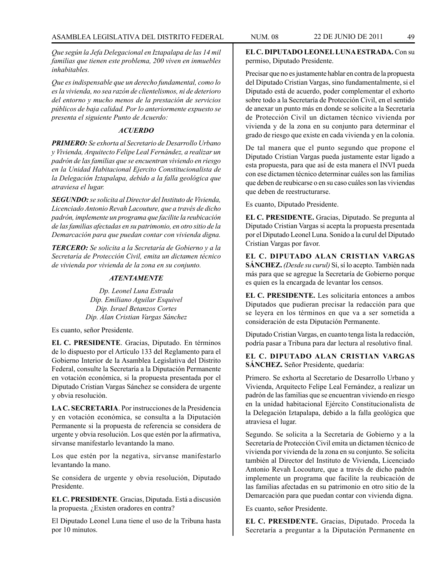*Que según la Jefa Delegacional en Iztapalapa de las 14 mil familias que tienen este problema, 200 viven en inmuebles inhabitables.* 

*Que es indispensable que un derecho fundamental, como lo es la vivienda, no sea razón de clientelismos, ni de deterioro del entorno y mucho menos de la prestación de servicios públicos de baja calidad. Por lo anteriormente expuesto se presenta el siguiente Punto de Acuerdo:*

## *ACUERDO*

*PRIMERO: Se exhorta al Secretario de Desarrollo Urbano y Vivienda, Arquitecto Felipe Leal Fernández, a realizar un padrón de las familias que se encuentran viviendo en riesgo en la Unidad Habitacional Ejercito Constitucionalista de la Delegación Iztapalapa, debido a la falla geológica que atraviesa el lugar.*

*SEGUNDO: se solicita al Director del Instituto de Vivienda, Licenciado Antonio Revah Lacouture, que a través de dicho padrón, implemente un programa que facilite la reubicación de las familias afectadas en su patrimonio, en otro sitio de la Demarcación para que puedan contar con vivienda digna.*

*TERCERO: Se solicita a la Secretaría de Gobierno y a la Secretaría de Protección Civil, emita un dictamen técnico de vivienda por vivienda de la zona en su conjunto.*

# *ATENTAMENTE*

*Dp. Leonel Luna Estrada Dip. Emiliano Aguilar Esquivel Dip. Israel Betanzos Cortes Dip. Alan Cristian Vargas Sánchez*

Es cuanto, señor Presidente.

**EL C. PRESIDENTE**. Gracias, Diputado. En términos de lo dispuesto por el Artículo 133 del Reglamento para el Gobierno Interior de la Asamblea Legislativa del Distrito Federal, consulte la Secretaría a la Diputación Permanente en votación económica, si la propuesta presentada por el Diputado Cristian Vargas Sánchez se considera de urgente y obvia resolución.

**LA C. SECRETARIA**. Por instrucciones de la Presidencia y en votación económica, se consulta a la Diputación Permanente si la propuesta de referencia se considera de urgente y obvia resolución. Los que estén por la afirmativa, sírvanse manifestarlo levantando la mano.

Los que estén por la negativa, sírvanse manifestarlo levantando la mano.

Se considera de urgente y obvia resolución, Diputado Presidente.

**EL C. PRESIDENTE**. Gracias, Diputada. Está a discusión la propuesta. ¿Existen oradores en contra?

El Diputado Leonel Luna tiene el uso de la Tribuna hasta por 10 minutos.

**EL C. DIPUTADO LEONEL LUNA ESTRADA.** Con su permiso, Diputado Presidente.

Precisar que no es justamente hablar en contra de la propuesta del Diputado Cristian Vargas, sino fundamentalmente, si el Diputado está de acuerdo, poder complementar el exhorto sobre todo a la Secretaría de Protección Civil, en el sentido de anexar un punto más en donde se solicite a la Secretaría de Protección Civil un dictamen técnico vivienda por vivienda y de la zona en su conjunto para determinar el grado de riesgo que existe en cada vivienda y en la colonia.

De tal manera que el punto segundo que propone el Diputado Cristian Vargas pueda justamente estar ligado a esta propuesta, para que así de esta manera el INVI pueda con ese dictamen técnico determinar cuáles son las familias que deben de reubicarse o en su caso cuáles son las viviendas que deben de reestructurarse.

Es cuanto, Diputado Presidente.

**EL C. PRESIDENTE.** Gracias, Diputado. Se pregunta al Diputado Cristian Vargas si acepta la propuesta presentada por el Diputado Leonel Luna. Sonido a la curul del Diputado Cristian Vargas por favor.

**EL C. DIPUTADO ALAN CRISTIAN VARGAS SÁNCHEZ.** *(Desde su curul)* Sí, sí lo acepto. También nada más para que se agregue la Secretaría de Gobierno porque es quien es la encargada de levantar los censos.

**EL C. PRESIDENTE.** Les solicitaría entonces a ambos Diputados que pudieran precisar la redacción para que se leyera en los términos en que va a ser sometida a consideración de esta Diputación Permanente.

Diputado Cristian Vargas, en cuanto tenga lista la redacción, podría pasar a Tribuna para dar lectura al resolutivo final.

# **EL C. DIPUTADO ALAN CRISTIAN VARGAS SÁNCHEZ.** Señor Presidente, quedaría:

Primero. Se exhorta al Secretario de Desarrollo Urbano y Vivienda, Arquitecto Felipe Leal Fernández, a realizar un padrón de las familias que se encuentran viviendo en riesgo en la unidad habitacional Ejército Constitucionalista de la Delegación Iztapalapa, debido a la falla geológica que atraviesa el lugar.

Segundo. Se solicita a la Secretaría de Gobierno y a la Secretaría de Protección Civil emita un dictamen técnico de vivienda por vivienda de la zona en su conjunto. Se solicita también al Director del Instituto de Vivienda, Licenciado Antonio Revah Locouture, que a través de dicho padrón implemente un programa que facilite la reubicación de las familias afectadas en su patrimonio en otro sitio de la Demarcación para que puedan contar con vivienda digna.

Es cuanto, señor Presidente.

**EL C. PRESIDENTE.** Gracias, Diputado. Proceda la Secretaría a preguntar a la Diputación Permanente en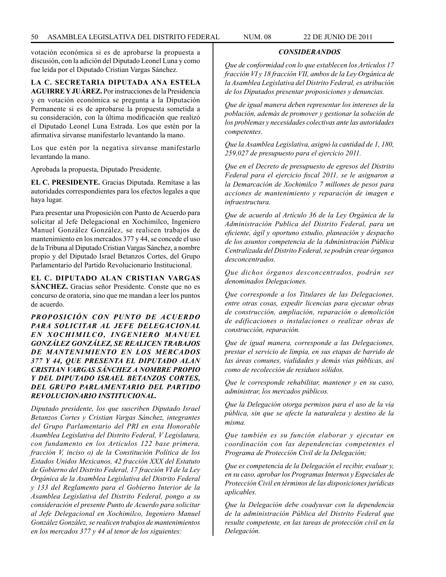votación económica si es de aprobarse la propuesta a discusión, con la adición del Diputado Leonel Luna y como fue leída por el Diputado Cristian Vargas Sánchez.

**LA C. SECRETARIA DIPUTADA ANA ESTELA AGUIRRE Y JUÁREZ.** Por instrucciones de la Presidencia y en votación económica se pregunta a la Diputación Permanente si es de aprobarse la propuesta sometida a su consideración, con la última modificación que realizó el Diputado Leonel Luna Estrada. Los que estén por la afirmativa sírvanse manifestarlo levantando la mano.

Los que estén por la negativa sírvanse manifestarlo levantando la mano.

Aprobada la propuesta, Diputado Presidente.

**EL C. PRESIDENTE.** Gracias Diputada. Remítase a las autoridades correspondientes para los efectos legales a que haya lugar.

Para presentar una Proposición con Punto de Acuerdo para solicitar al Jefe Delegacional en Xochimilco, Ingeniero Manuel González González, se realicen trabajos de mantenimiento en los mercados 377 y 44, se concede el uso de la Tribuna al Diputado Cristian Vargas Sánchez, a nombre propio y del Diputado Israel Betanzos Cortes, del Grupo Parlamentario del Partido Revolucionario Institucional.

**EL C. DIPUTADO ALAN CRISTIAN VARGAS SÁNCHEZ.** Gracias señor Presidente. Conste que no es concurso de oratoria, sino que me mandan a leer los puntos de acuerdo.

*PROPOSICIÓN CON PUNTO DE ACUERDO PARA SOLICITAR AL JEFE DELEGACIONAL EN XOCHIMILCO, INGENIERO MANUEL GONZÁLEZ GONZÁLEZ, SE REALICEN TRABAJOS DE MANTENIMIENTO EN LOS MERCADOS 377 Y 44, QUE PRESENTA EL DIPUTADO ALAN CRISTIAN VARGAS SÁNCHEZ A NOMBRE PROPIO Y DEL DIPUTADO ISRAEL BETANZOS CORTES, DEL GRUPO PARLAMENTARIO DEL PARTIDO REVOLUCIONARIO INSTITUCIONAL.*

*Diputado presidente, los que suscriben Diputado Israel Betanzos Cortes y Cristian Vargas Sánchez, integrantes del Grupo Parlamentario del PRI en esta Honorable Asamblea Legislativa del Distrito Federal, V Legislatura, con fundamento en los Artículos 122 base primera, fracción V, inciso o) de la Constitución Política de los Estados Unidos Mexicanos, 42 fracción XXX del Estatuto de Gobierno del Distrito Federal, 17 fracción VI de la Ley Orgánica de la Asamblea Legislativa del Distrito Federal y 133 del Reglamento para el Gobierno Interior de la Asamblea Legislativa del Distrito Federal, pongo a su consideración el presente Punto de Acuerdo para solicitar al Jefe Delegacional en Xochimilco, Ingeniero Manuel González González, se realicen trabajos de mantenimientos en los mercados 377 y 44 al tenor de los siguientes:*

*Que de conformidad con lo que establecen los Artículos 17 fracción VI y 18 fracción VII, ambos de la Ley Orgánica de la Asamblea Legislativa del Distrito Federal, es atribución de los Diputados presentar proposiciones y denuncias.*

*CONSIDERANDOS*

*Que de igual manera deben representar los intereses de la población, además de promover y gestionar la solución de los problemas y necesidades colectivas ante las autoridades competentes.*

*Que la Asamblea Legislativa, asignó la cantidad de 1, 180, 259,027 de presupuesto para el ejercicio 2011.*

*Que en el Decreto de presupuesto de egresos del Distrito Federal para el ejercicio fiscal 2011, se le asignaron a la Demarcación de Xochimilco 7 millones de pesos para acciones de mantenimiento y reparación de imagen e infraestructura.*

*Que de acuerdo al Artículo 36 de la Ley Orgánica de la Administración Publica del Distrito Federal, para un eficiente, ágil y oportuno estudio, planeación y despacho de los asuntos competencia de la Administración Pública Centralizada del Distrito Federal, se podrán crear órganos desconcentrados.*

*Que dichos órganos desconcentrados, podrán ser denominados Delegaciones.*

*Que corresponde a los Titulares de las Delegaciones, entre otras cosas, expedir licencias para ejecutar obras de construcción, ampliación, reparación o demolición de edificaciones o instalaciones o realizar obras de construcción, reparación.*

*Que de igual manera, corresponde a las Delegaciones, prestar el servicio de limpia, en sus etapas de barrido de las áreas comunes, vialidades y demás vías públicas, así como de recolección de residuos sólidos.*

*Que le corresponde rehabilitar, mantener y en su caso, administrar, los mercados públicos.*

*Que la Delegación otorga permisos para el uso de la vía pública, sin que se afecte la naturaleza y destino de la misma.*

*Que también es su función elaborar y ejecutar en coordinación con las dependencias competentes el Programa de Protección Civil de la Delegación;*

*Que es competencia de la Delegación el recibir, evaluar y, en su caso, aprobar los Programas Internos y Especiales de Protección Civil en términos de las disposiciones jurídicas aplicables.*

*Que la Delegación debe coadyuvar con la dependencia de la administración Pública del Distrito Federal que resulte competente, en las tareas de protección civil en la Delegación.*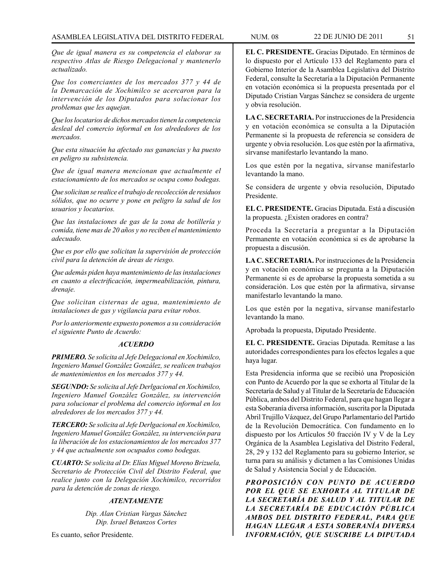*Que de igual manera es su competencia el elaborar su respectivo Atlas de Riesgo Delegacional y mantenerlo actualizado.*

*Que los comerciantes de los mercados 377 y 44 de la Demarcación de Xochimilco se acercaron para la intervención de los Diputados para solucionar los problemas que les aquejan.*

*Que los locatarios de dichos mercados tienen la competencia desleal del comercio informal en los alrededores de los mercados.*

*Que esta situación ha afectado sus ganancias y ha puesto en peligro su subsistencia.*

*Que de igual manera mencionan que actualmente el estacionamiento de los mercados se ocupa como bodegas.*

*Que solicitan se realice el trabajo de recolección de residuos sólidos, que no ocurre y pone en peligro la salud de los usuarios y locatarios.*

*Que las instalaciones de gas de la zona de botillería y comida, tiene mas de 20 años y no reciben el mantenimiento adecuado.*

*Que es por ello que solicitan la supervisión de protección civil para la detención de áreas de riesgo.*

*Que además piden haya mantenimiento de las instalaciones en cuanto a electrificación, impermeabilización, pintura, drenaje.*

*Que solicitan cisternas de agua, mantenimiento de instalaciones de gas y vigilancia para evitar robos.*

*Por lo anteriormente expuesto ponemos a su consideración el siguiente Punto de Acuerdo:*

### *ACUERDO*

*PRIMERO. Se solicita al Jefe Delegacional en Xochimilco, Ingeniero Manuel González González, se realicen trabajos de mantenimientos en los mercados 377 y 44.*

*SEGUNDO: Se solicita al Jefe Derlgacional en Xochimilco, Ingeniero Manuel González González, su intervención para solucionar el problema del comercio informal en los alrededores de los mercados 377 y 44.*

*TERCERO: Se solicita al Jefe Derlgacional en Xochimilco, Ingeniero Manuel González González, su intervención para la liberación de los estacionamientos de los mercados 377 y 44 que actualmente son ocupados como bodegas.*

*CUARTO: Se solicita al Dr. Elías Miguel Moreno Brizuela, Secretario de Protección Civil del Distrito Federal, que realice junto con la Delegación Xochimilco, recorridos para la detención de zonas de riesgo.*

## *ATENTAMENTE*

*Dip. Alan Cristian Vargas Sánchez Dip. Israel Betanzos Cortes*

Es cuanto, señor Presidente.

**EL C. PRESIDENTE.** Gracias Diputado. En términos de lo dispuesto por el Artículo 133 del Reglamento para el Gobierno Interior de la Asamblea Legislativa del Distrito Federal, consulte la Secretaría a la Diputación Permanente en votación económica si la propuesta presentada por el Diputado Cristian Vargas Sánchez se considera de urgente y obvia resolución.

**LA C. SECRETARIA.** Por instrucciones de la Presidencia y en votación económica se consulta a la Diputación Permanente si la propuesta de referencia se considera de urgente y obvia resolución. Los que estén por la afirmativa, sírvanse manifestarlo levantando la mano.

Los que estén por la negativa, sírvanse manifestarlo levantando la mano.

Se considera de urgente y obvia resolución, Diputado Presidente.

**EL C. PRESIDENTE.** Gracias Diputada. Está a discusión la propuesta. ¿Existen oradores en contra?

Proceda la Secretaría a preguntar a la Diputación Permanente en votación económica si es de aprobarse la propuesta a discusión.

**LA C. SECRETARIA.** Por instrucciones de la Presidencia y en votación económica se pregunta a la Diputación Permanente si es de aprobarse la propuesta sometida a su consideración. Los que estén por la afirmativa, sírvanse manifestarlo levantando la mano.

Los que estén por la negativa, sírvanse manifestarlo levantando la mano.

Aprobada la propuesta, Diputado Presidente.

**EL C. PRESIDENTE.** Gracias Diputada. Remítase a las autoridades correspondientes para los efectos legales a que haya lugar.

Esta Presidencia informa que se recibió una Proposición con Punto de Acuerdo por la que se exhorta al Titular de la Secretaría de Salud y al Titular de la Secretaría de Educación Pública, ambos del Distrito Federal, para que hagan llegar a esta Soberanía diversa información, suscrita por la Diputada Abril Trujillo Vázquez, del Grupo Parlamentario del Partido de la Revolución Democrática. Con fundamento en lo dispuesto por los Artículos 50 fracción IV y V de la Ley Orgánica de la Asamblea Legislativa del Distrito Federal, 28, 29 y 132 del Reglamento para su gobierno Interior, se turna para su análisis y dictamen a las Comisiones Unidas de Salud y Asistencia Social y de Educación.

*PROPOSICIÓN CON PUNTO DE ACUERDO POR EL QUE SE EXHORTA AL TITULAR DE LA SECRETARÍA DE SALUD Y AL TITULAR DE LA SECRETARÍA DE EDUCACIÓN PÚBLICA AMBOS DEL DISTRITO FEDERAL, PARA QUE HAGAN LLEGAR A ESTA SOBERANÍA DIVERSA INFORMACIÓN, QUE SUSCRIBE LA DIPUTADA*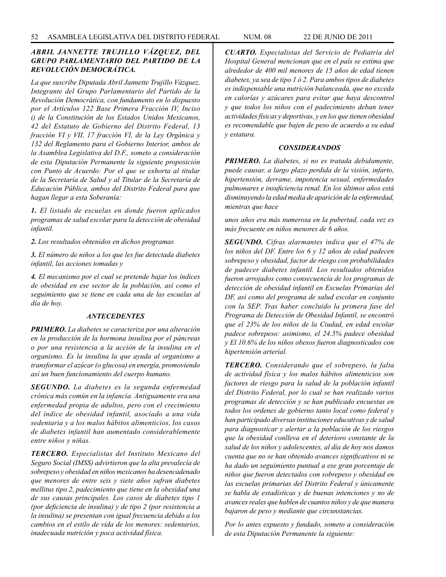# *ABRIL JANNETTE TRUJILLO VÁZQUEZ, DEL GRUPO PARLAMENTARIO DEL PARTIDO DE LA REVOLUCIÓN DEMOCRÁTICA.*

*La que suscribe Diputada Abril Jannette Trujillo Vázquez, Integrante del Grupo Parlamentario del Partido de la Revolución Democrática, con fundamento en lo dispuesto por el Artículos 122 Base Primera Fracción IV, Inciso i) de la Constitución de los Estados Unidos Mexicanos, 42 del Estatuto de Gobierno del Distrito Federal, 13 fracción VI y VII, 17 fracción VI, de la Ley Orgánica y 132 del Reglamento para el Gobierno Interior, ambos de la Asamblea Legislativa del D.F., someto a consideración de esta Diputación Permanente la siguiente proposición con Punto de Acuerdo: Por el que se exhorta al titular de la Secretaría de Salud y al Titular de la Secretaría de Educación Pública, ambos del Distrito Federal para que hagan llegar a esta Soberanía:*

*1. El listado de escuelas en donde fueron aplicados programas de salud escolar para la detección de obesidad infantil.*

*2. Los resultados obtenidos en dichos programas*

*3. El número de niños a los que les fue detectada diabetes infantil, las acciones tomadas y*

*4. El mecanismo por el cual se pretende bajar los índices de obesidad en ese sector de la población, así como el seguimiento que se tiene en cada una de las escuelas al día de hoy.*

#### *ANTECEDENTES*

*PRIMERO. La diabetes se caracteriza por una alteración en la producción de la hormona insulina por el páncreas o por una resistencia a la acción de la insulina en el organismo. Es la insulina la que ayuda al organismo a transformar el azúcar (o glucosa) en energía, promoviendo así un buen funcionamiento del cuerpo humano.*

*SEGUNDO. La diabetes es la segunda enfermedad crónica más común en la infancia. Antiguamente era una enfermedad propia de adultos, pero con el crecimiento del índice de obesidad infantil, asociado a una vida sedentaria y a los malos hábitos alimenticios, los casos de diabetes infantil han aumentado considerablemente entre niños y niñas.*

*TERCERO. Especialistas del Instituto Mexicano del Seguro Social (IMSS) advirtieron que la alta prevalecía de sobrepeso y obesidad en niños mexicanos ha desencadenado que menores de entre seis y siete años sufran diabetes mellitus tipo 2, padecimiento que tiene en la obesidad una de sus causas principales. Los casos de diabetes tipo 1 (por deficiencia de insulina) y de tipo 2 (por resistencia a la insulina) se presentan con igual frecuencia debido a los cambios en el estilo de vida de los menores: sedentarios, inadecuada nutrición y poca actividad física.*

*CUARTO. Especialistas del Servicio de Pediatría del Hospital General mencionan que en el país se estima que alrededor de 400 mil menores de 15 años de edad tienen diabetes, ya sea de tipo 1 ó 2. Para ambos tipos de diabetes es indispensable una nutrición balanceada, que no exceda en calorías y azúcares para evitar que haya descontrol y que todos los niños con el padecimiento deban tener actividades físicas y deportivas, y en los que tienen obesidad es recomendable que bajen de peso de acuerdo a su edad y estatura.*

### *CONSIDERANDOS*

*PRIMERO. La diabetes, si no es tratada debidamente, puede causar, a largo plazo perdida de la visión, infarto, hipertensión, derrame, impotencia sexual, enfermedades pulmonares e insuficiencia renal. En los últimos años está disminuyendo la edad media de aparición de la enfermedad, mientras que hace*

*unos años era más numerosa en la pubertad, cada vez es más frecuente en niños menores de 6 años.*

*SEGUNDO. Cifras alarmantes indica que el 47% de los niños del DF. Entre los 6 y 12 años de edad padecen sobrepeso y obesidad, factor de riesgo con probabilidades de padecer diabetes infantil. Los resultados obtenidos fueron arrojados como consecuencia de los programas de detección de obesidad infantil en Escuelas Primarias del DF, así como del programa de salud escolar en conjunto con la SEP. Tras haber concluido la primera fase del Programa de Detección de Obesidad Infantil, se encontró que el 23% de los niños de la Ciudad, en edad escolar padece sobrepeso: asimismo, el 24.5% padece obesidad y El 10.6% de los niños obesos fueron diagnosticados con hipertensión arterial.*

*TERCERO. Considerando que el sobrepeso, la falta de actividad física y los malos hábitos alimenticios son factores de riesgo para la salud de la población infantil del Distrito Federal, por lo cual se han realizado varios programas de detección y se han publicado encuestas en todos los ordenes de gobierno tanto local como federal y han participado diversas instituciones educativas y de salud para diagnosticar y alertar a la población de los riesgos que la obesidad conlleva en el deterioro constante de la salud de los niños y adolescentes, al día de hoy nos damos cuenta que no se han obtenido avances significativos ni se ha dado un seguimiento puntual a ese gran porcentaje de niños que fueron detectados con sobrepeso y obesidad en las escuelas primarias del Distrito Federal y únicamente se habla de estadísticas y de buenas intenciones y no de avances reales que hablen de cuantos niños y de que manera bajaron de peso y mediante que circunstancias.*

*Por lo antes expuesto y fundado, someto a consideración de esta Diputación Permanente la siguiente:*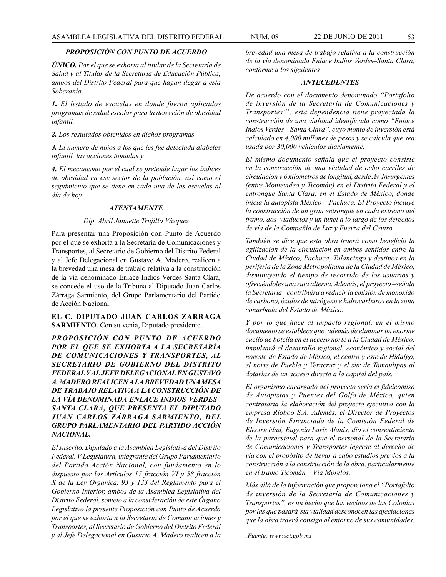## *PROPOSICIÓN CON PUNTO DE ACUERDO*

*ÚNICO. Por el que se exhorta al titular de la Secretaría de Salud y al Titular de la Secretaría de Educación Pública, ambos del Distrito Federal para que hagan llegar a esta Soberanía:*

*1. El listado de escuelas en donde fueron aplicados programas de salud escolar para la detección de obesidad infantil.* 

*2. Los resultados obtenidos en dichos programas*

*3. El número de niños a los que les fue detectada diabetes infantil, las acciones tomadas y*

*4. El mecanismo por el cual se pretende bajar los índices de obesidad en ese sector de la población, así como el seguimiento que se tiene en cada una de las escuelas al día de hoy.*

## *ATENTAMENTE*

#### *Dip. Abril Jannette Trujillo Vázquez*

Para presentar una Proposición con Punto de Acuerdo por el que se exhorta a la Secretaría de Comunicaciones y Transportes, al Secretario de Gobierno del Distrito Federal y al Jefe Delegacional en Gustavo A. Madero, realicen a la brevedad una mesa de trabajo relativa a la construcción de la vía denominado Enlace Indios Verdes-Santa Clara, se concede el uso de la Tribuna al Diputado Juan Carlos Zárraga Sarmiento, del Grupo Parlamentario del Partido de Acción Nacional.

# **EL C. DIPUTADO JUAN CARLOS ZARRAGA SARMIENTO**. Con su venia, Diputado presidente.

*PROPOSICIÓN CON PUNTO DE ACUERDO POR EL QUE SE EXHORTA A LA SECRETARÍA DE COMUNICACIONES Y TRANSPORTES, AL SECRETARIO DE GOBIERNO DEL DISTRITO FEDERAL Y AL JEFE DELEGACIONAL EN GUSTAVO A. MADERO REALICEN A LA BREVEDAD UNA MESA DE TRABAJO RELATIVA A LA CONSTRUCCIÓN DE LA VÍA DENOMINADA ENLACE INDIOS VERDES– SANTA CLARA, QUE PRESENTA EL DIPUTADO JUAN CARLOS ZÁRRAGA SARMIENTO, DEL GRUPO PARLAMENTARIO DEL PARTIDO ACCIÓN NACIONAL.*

*El suscrito, Diputado a la Asamblea Legislativa del Distrito Federal, V Legislatura, integrante del Grupo Parlamentario del Partido Acción Nacional, con fundamento en lo dispuesto por los Artículos 17 fracción VI y 58 fracción X de la Ley Orgánica, 93 y 133 del Reglamento para el Gobierno Interior, ambos de la Asamblea Legislativa del Distrito Federal, someto a la consideración de este Órgano Legislativo la presente Proposición con Punto de Acuerdo por el que se exhorta a la Secretaría de Comunicaciones y Transportes, al Secretario de Gobierno del Distrito Federal y al Jefe Delegacional en Gustavo A. Madero realicen a la* 

*brevedad una mesa de trabajo relativa a la construcción de la vía denominada Enlace Indios Verdes–Santa Clara, conforme a los siguientes*

#### *ANTECEDENTES*

*De acuerdo con el documento denominado "Portafolio de inversión de la Secretaría de Comunicaciones y Transportes"1 , esta dependencia tiene proyectada la construcción de una vialidad identificada como "Enlace Indios Verdes – Santa Clara", cuyo monto de inversión está calculado en 4,000 millones de pesos y se calcula que sea usada por 30,000 vehículos diariamente.*

*El mismo documento señala que el proyecto consiste en la construcción de una vialidad de ocho carriles de circulación y 6 kilómetros de longitud, desde Av. Insurgentes (entre Montevideo y Ticomán) en el Distrito Federal y el entronque Santa Clara, en el Estado de México, donde inicia la autopista México – Pachuca. El Proyecto incluye la construcción de un gran entronque en cada extremo del tramo, dos viaductos y un túnel a lo largo de los derechos de vía de la Compañía de Luz y Fuerza del Centro.*

*También se dice que esta obra traerá como beneficio la agilización de la circulación en ambos sentidos entre la Ciudad de México, Pachuca, Tulancingo y destinos en la periferia de la Zona Metropolitana de la Ciudad de México, disminuyendo el tiempo de recorrido de los usuarios y ofreciéndoles una ruta alterna. Además, el proyecto –señala la Secretaría– contribuirá a reducir la emisión de monóxido de carbono, óxidos de nitrógeno e hidrocarburos en la zona conurbada del Estado de México.*

*Y por lo que hace al impacto regional, en el mismo documento se establece que, además de eliminar un enorme cuello de botella en el acceso norte a la Ciudad de México, impulsará el desarrollo regional, económico y social del noreste de Estado de México, el centro y este de Hidalgo, el norte de Puebla y Veracruz y el sur de Tamaulipas al dotarlas de un acceso directo a la capital del país.*

*El organismo encargado del proyecto sería el fideicomiso de Autopistas y Puentes del Golfo de México, quien contrataría la elaboración del proyecto ejecutivo con la empresa Rioboo S.A. Además, el Director de Proyectos de Inversión Financiada de la Comisión Federal de Electricidad, Eugenio Laris Alanis, dio el consentimiento de la paraestatal para que el personal de la Secretaría de Comunicaciones y Transportes ingrese al derecho de vía con el propósito de llevar a cabo estudios previos a la construcción a la construcción de la obra, particularmente en el tramo Ticomán – Vía Morelos.*

*Más allá de la información que proporciona el "Portafolio de inversión de la Secretaría de Comunicaciones y Transportes", es un hecho que los vecinos de las Colonias por las que pasará sta vialidad desconocen las afectaciones que la obra traerá consigo al entorno de sus comunidades.* 

<sup>1</sup> *Fuente: www.sct.gob.mx*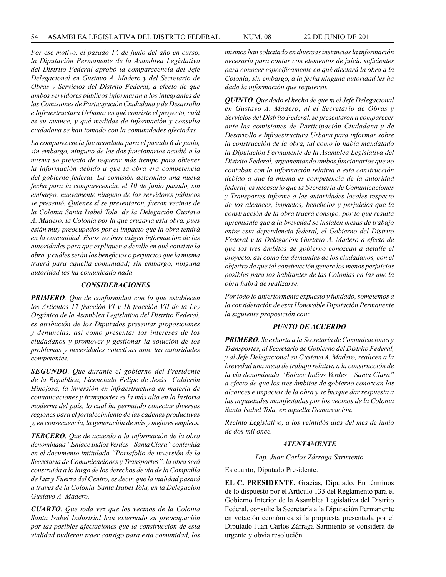*Por ese motivo, el pasado 1º. de junio del año en curso, la Diputación Permanente de la Asamblea Legislativa del Distrito Federal aprobó la comparecencia del Jefe Delegacional en Gustavo A. Madero y del Secretario de Obras y Servicios del Distrito Federal, a efecto de que ambos servidores públicos informaran a los integrantes de las Comisiones de Participación Ciudadana y de Desarrollo e Infraestructura Urbana: en qué consiste el proyecto, cuál es su avance, y qué medidas de información y consulta ciudadana se han tomado con la comunidades afectadas.*

*La comparecencia fue acordada para el pasado 6 de junio, sin embargo, ninguno de los dos funcionarios acudió a la misma so pretexto de requerir más tiempo para obtener la información debido a que la obra era competencia del gobierno federal. La comisión determinó una nueva fecha para la comparecencia, el 10 de junio pasado, sin embargo, nuevamente ninguno de los servidores públicos se presentó. Quienes sí se presentaron, fueron vecinos de la Colonia Santa Isabel Tola, de la Delegación Gustavo A. Madero, la Colonia por la que cruzaría esta obra, pues están muy preocupados por el impacto que la obra tendrá en la comunidad. Estos vecinos exigen información de las autoridades para que expliquen a detalle en qué consiste la obra, y cuáles serán los beneficios o perjuicios que la misma traerá para aquella comunidad; sin embargo, ninguna autoridad les ha comunicado nada.*

## *CONSIDERACIONES*

*PRIMERO. Que de conformidad con lo que establecen los Artículos 17 fracción VI y 18 fracción VII de la Ley Orgánica de la Asamblea Legislativa del Distrito Federal, es atribución de los Diputados presentar proposiciones y denuncias, así como presentar los intereses de los ciudadanos y promover y gestionar la solución de los problemas y necesidades colectivas ante las autoridades competentes.*

*SEGUNDO. Que durante el gobierno del Presidente de la República, Licenciado Felipe de Jesús Calderón Hinojosa, la inversión en infraestructura en materia de comunicaciones y transportes es la más alta en la historia moderna del país, lo cual ha permitido conectar diversas regiones para el fortalecimiento de las cadenas productivas y, en consecuencia, la generación de más y mejores empleos.*

*TERCERO. Que de acuerdo a la información de la obra denominada "Enlace Indios Verdes – Santa Clara" contenida en el documento intitulado "Portafolio de inversión de la Secretaría de Comunicaciones y Transportes", la obra será construida a lo largo de los derechos de vía de la Compañía de Luz y Fuerza del Centro, es decir, que la vialidad pasará a través de la Colonia Santa Isabel Tola, en la Delegación Gustavo A. Madero.*

*CUARTO. Que toda vez que los vecinos de la Colonia Santa Isabel Industrial han externado su preocupación por las posibles afectaciones que la construcción de esta vialidad pudieran traer consigo para esta comunidad, los* 

*mismos han solicitado en diversas instancias la información necesaria para contar con elementos de juicio suficientes para conocer específicamente en qué afectará la obra a la Colonia; sin embargo, a la fecha ninguna autoridad les ha dado la información que requieren.*

*QUINTO. Que dado el hecho de que ni el Jefe Delegacional en Gustavo A. Madero, ni el Secretario de Obras y Servicios del Distrito Federal, se presentaron a comparecer ante las comisiones de Participación Ciudadana y de Desarrollo e Infraestructura Urbana para informar sobre la construcción de la obra, tal como lo había mandatado la Diputación Permanente de la Asamblea Legislativa del Distrito Federal, argumentando ambos funcionarios que no contaban con la información relativa a esta construcción debido a que la misma es competencia de la autoridad federal, es necesario que la Secretaría de Comunicaciones y Transportes informe a las autoridades locales respecto de los alcances, impactos, beneficios y perjuicios que la construcción de la obra traerá consigo, por lo que resulta apremiante que a la brevedad se instalen mesas de trabajo entre esta dependencia federal, el Gobierno del Distrito Federal y la Delegación Gustavo A. Madero a efecto de que los tres ámbitos de gobierno conozcan a detalle el proyecto, así como las demandas de los ciudadanos, con el objetivo de que tal construcción genere los menos perjuicios posibles para los habitantes de las Colonias en las que la obra habrá de realizarse.*

*Por todo lo anteriormente expuesto y fundado, sometemos a la consideración de esta Honorable Diputación Permanente la siguiente proposición con:*

#### *PUNTO DE ACUERDO*

*PRIMERO. Se exhorta a la Secretaría de Comunicaciones y Transportes, al Secretario de Gobierno del Distrito Federal, y al Jefe Delegacional en Gustavo A. Madero, realicen a la brevedad una mesa de trabajo relativa a la construcción de la vía denominada "Enlace Indios Verdes – Santa Clara" a efecto de que los tres ámbitos de gobierno conozcan los alcances e impactos de la obra y se busque dar respuesta a las inquietudes manifestadas por los vecinos de la Colonia Santa Isabel Tola, en aquella Demarcación.* 

*Recinto Legislativo, a los veintidós días del mes de junio de dos mil once.*

#### *ATENTAMENTE*

*Dip. Juan Carlos Zárraga Sarmiento*

Es cuanto, Diputado Presidente.

**EL C. PRESIDENTE.** Gracias, Diputado. En términos de lo dispuesto por el Artículo 133 del Reglamento para el Gobierno Interior de la Asamblea Legislativa del Distrito Federal, consulte la Secretaría a la Diputación Permanente en votación económica si la propuesta presentada por el Diputado Juan Carlos Zárraga Sarmiento se considera de urgente y obvia resolución.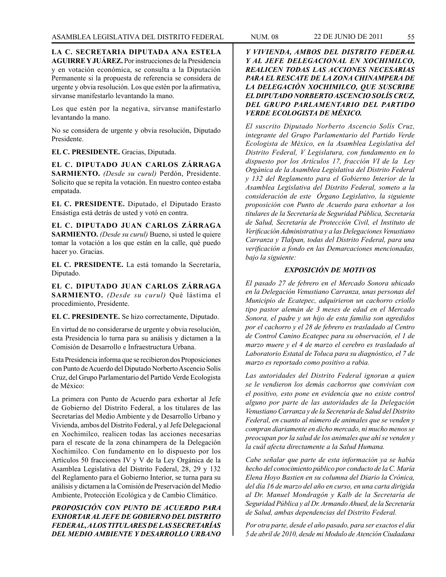**LA C. SECRETARIA DIPUTADA ANA ESTELA AGUIRRE Y JUÁREZ.** Por instrucciones de la Presidencia y en votación económica, se consulta a la Diputación Permanente si la propuesta de referencia se considera de urgente y obvia resolución. Los que estén por la afirmativa, sírvanse manifestarlo levantando la mano.

Los que estén por la negativa, sírvanse manifestarlo levantando la mano.

No se considera de urgente y obvia resolución, Diputado Presidente.

# **EL C. PRESIDENTE.** Gracias, Diputada.

**EL C. DIPUTADO JUAN CARLOS ZÁRRAGA SARMIENTO.** *(Desde su curul)* Perdón, Presidente. Solicito que se repita la votación. En nuestro conteo estaba empatada.

**EL C. PRESIDENTE.** Diputado, el Diputado Erasto Ensástiga está detrás de usted y votó en contra.

**EL C. DIPUTADO JUAN CARLOS ZÁRRAGA SARMIENTO.** *(Desde su curul)* Bueno, si usted le quiere tomar la votación a los que están en la calle, qué puedo hacer yo. Gracias.

**EL C. PRESIDENTE.** La está tomando la Secretaría, Diputado.

**EL C. DIPUTADO JUAN CARLOS ZÁRRAGA SARMIENTO.** *(Desde su curul)* Qué lástima el procedimiento, Presidente.

**EL C. PRESIDENTE.** Se hizo correctamente, Diputado.

En virtud de no considerarse de urgente y obvia resolución, esta Presidencia lo turna para su análisis y dictamen a la Comisión de Desarrollo e Infraestructura Urbana.

Esta Presidencia informa que se recibieron dos Proposiciones con Punto de Acuerdo del Diputado Norberto Ascencio Solís Cruz, del Grupo Parlamentario del Partido Verde Ecologista de México:

La primera con Punto de Acuerdo para exhortar al Jefe de Gobierno del Distrito Federal, a los titulares de las Secretarías del Medio Ambiente y de Desarrollo Urbano y Vivienda, ambos del Distrito Federal, y al Jefe Delegacional en Xochimilco, realicen todas las acciones necesarias para el rescate de la zona chinampera de la Delegación Xochimilco. Con fundamento en lo dispuesto por los Artículos 50 fracciones IV y V de la Ley Orgánica de la Asamblea Legislativa del Distrito Federal, 28, 29 y 132 del Reglamento para el Gobierno Interior, se turna para su análisis y dictamen a la Comisión de Preservación del Medio Ambiente, Protección Ecológica y de Cambio Climático.

*PROPOSICIÓN CON PUNTO DE ACUERDO PARA EXHORTAR AL JEFE DE GOBIERNO DEL DISTRITO FEDERAL, A LOS TITULARES DE LAS SECRETARÍAS DEL MEDIO AMBIENTE Y DESARROLLO URBANO* 

*Y VIVIENDA, AMBOS DEL DISTRITO FEDERAL Y AL JEFE DELEGACIONAL EN XOCHIMILCO, REALICEN TODAS LAS ACCIONES NECESARIAS PARA EL RESCATE DE LA ZONA CHINAMPERA DE LA DELEGACIÓN XOCHIMILCO, QUE SUSCRIBE EL DIPUTADO NORBERTO ASCENCIO SOLÍS CRUZ, DEL GRUPO PARLAMENTARIO DEL PARTIDO VERDE ECOLOGISTA DE MÉXICO.*

*El suscrito Diputado Norberto Ascencio Solís Cruz, integrante del Grupo Parlamentario del Partido Verde Ecologista de México, en la Asamblea Legislativa del Distrito Federal, V Legislatura, con fundamento en lo dispuesto por los Artículos 17, fracción VI de la Ley Orgánica de la Asamblea Legislativa del Distrito Federal y 132 del Reglamento para el Gobierno Interior de la Asamblea Legislativa del Distrito Federal, someto a la consideración de este Órgano Legislativo, la siguiente proposición con Punto de Acuerdo para exhortar a los titulares de la Secretaría de Seguridad Pública, Secretaría de Salud, Secretaría de Protección Civil, el Instituto de Verificación Administrativa y a las Delegaciones Venustiano Carranza y Tlalpan, todas del Distrito Federal, para una verificación a fondo en las Demarcaciones mencionadas, bajo la siguiente:* 

# *EXPOSICIÓN DE MOTIVOS*

*El pasado 27 de febrero en el Mercado Sonora ubicado en la Delegación Venustiano Carranza, unas personas del Municipio de Ecatepec, adquirieron un cachorro criollo tipo pastor alemán de 3 meses de edad en el Mercado Sonora, el padre y un hijo de esta familia son agredidos por el cachorro y el 28 de febrero es trasladado al Centro de Control Canino Ecatepec para su observación, el 1 de marzo muere y el 4 de marzo el cerebro es trasladado al Laboratorio Estatal de Toluca para su diagnóstico, el 7 de marzo es reportado como positivo a rabia.* 

*Las autoridades del Distrito Federal ignoran a quien se le vendieron los demás cachorros que convivían con el positivo, esto pone en evidencia que no existe control alguno por parte de las autoridades de la Delegación Venustiano Carranza y de la Secretaría de Salud del Distrito Federal, en cuanto al número de animales que se venden y compran diariamente en dicho mercado, ni mucho menos se preocupan por la salud de los animales que ahí se venden y la cuál afecta directamente a la Salud Humana.*

*Cabe señalar que parte de esta información ya se había hecho del conocimiento público por conducto de la C. María Elena Hoyo Bastien en su columna del Diario la Crónica, del día 16 de marzo del año en curso, en una carta dirigida al Dr. Manuel Mondragón y Kalb de la Secretaría de Seguridad Pública y al Dr. Armando Ahued, de la Secretaría de Salud, ambas dependencias del Distrito Federal.*

*Por otra parte, desde el año pasado, para ser exactos el día 5 de abril de 2010, desde mi Modulo de Atención Ciudadana*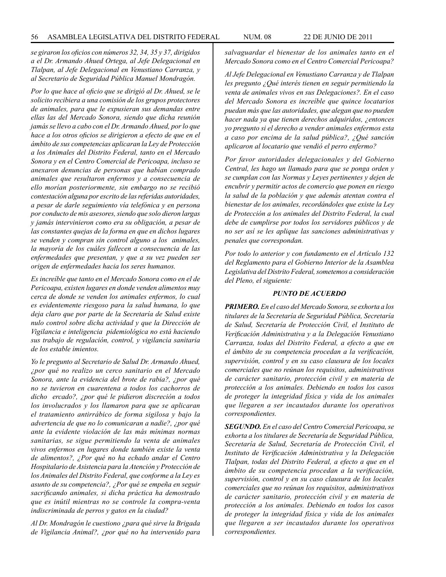*se giraron los oficios con números 32, 34, 35 y 37, dirigidos a el Dr. Armando Ahued Ortega, al Jefe Delegacional en Tlalpan, al Jefe Delegacional en Venustiano Carranza, y al Secretario de Seguridad Pública Manuel Mondragón.* 

*Por lo que hace al oficio que se dirigió al Dr. Ahued, se le solicito recibiera a una comisión de los grupos protectores de animales, para que le expusieran sus demandas entre ellas las del Mercado Sonora, siendo que dicha reunión jamás se llevo a cabo con el Dr. Armando Ahued, por lo que hace a los otros oficios se dirigieron a efecto de que en el ámbito de sus competencias aplicaran la Ley de Protección a los Animales del Distrito Federal, tanto en el Mercado Sonora y en el Centro Comercial de Pericoapa, incluso se anexaron denuncias de personas que habían comprado animales que resultaron enfermos y a consecuencia de ello morían posteriormente, sin embargo no se recibió contestación alguna por escrito de las referidas autoridades, a pesar de darle seguimiento vía telefónica y en persona por conducto de mis asesores, siendo que solo dieron largas y jamás intervinieron como era su obligación, a pesar de las constantes quejas de la forma en que en dichos lugares se venden y compran sin control alguno a los animales, la mayoría de los cuáles fallecen a consecuencia de las enfermedades que presentan, y que a su vez pueden ser origen de enfermedades hacia los seres humanos.*

*Es increíble que tanto en el Mercado Sonora como en el de Pericoapa, existen lugares en donde venden alimentos muy cerca de donde se venden los animales enfermos, lo cual es evidentemente riesgoso para la salud humana, lo que deja claro que por parte de la Secretaría de Salud existe nulo control sobre dicha actividad y que la Dirección de Vigilancia e inteligencia pidemiológica no está haciendo sus trabajo de regulación, control, y vigilancia sanitaria de los estable imientos.* 

*Yo le pregunto al Secretario de Salud Dr. Armando Ahued, ¿por qué no realizo un cerco sanitario en el Mercado Sonora, ante la evidencia del brote de rabia?, ¿por qué no se tuvieron en cuarentena a todos los cachorros de dicho ercado?, ¿por qué le pidieron discreción a todos los involucrados y los llamaron para que se aplicaran el tratamiento antirrábico de forma sigilosa y bajo la advertencia de que no lo comunicaran a nadie?, ¿por qué ante la evidente violación de las más mínimas normas sanitarias, se sigue permitiendo la venta de animales vivos enfermos en lugares donde también existe la venta de alimentos?, ¿Por qué no ha echado andar el Centro Hospitalario de Asistencia para la Atención y Protección de los Animales del Distrito Federal, que conforme a la Ley es asunto de su competencia?, ¿Por qué se empeña en seguir sacrificando animales, si dicha práctica ha demostrado que es inútil mientras no se controle la compra-venta indiscriminada de perros y gatos en la ciudad?*

*Al Dr. Mondragón le cuestiono ¿para qué sirve la Brigada de Vigilancia Animal?, ¿por qué no ha intervenido para* 

*salvaguardar el bienestar de los animales tanto en el Mercado Sonora como en el Centro Comercial Pericoapa?*

*Al Jefe Delegacional en Venustiano Carranza y de Tlalpan les pregunto ¿Qué interés tienen en seguir permitiendo la venta de animales vivos en sus Delegaciones?. En el caso del Mercado Sonora es increíble que quince locatarios puedan más que las autoridades, que alegan que no pueden hacer nada ya que tienen derechos adquiridos, ¿entonces yo pregunto si el derecho a vender animales enfermos esta a caso por encima de la salud pública?, ¿Qué sanción aplicaron al locatario que vendió el perro enfermo?*

*Por favor autoridades delegacionales y del Gobierno Central, les hago un llamado para que se ponga orden y se cumplan con las Normas y Leyes pertinentes y dejen de encubrir y permitir actos de comercio que ponen en riesgo la salud de la población y que además atentan contra el bienestar de los animales, recordándoles que existe la Ley de Protección a los animales del Distrito Federal, la cual debe de cumplirse por todos los servidores públicos y de no ser así se les aplique las sanciones administrativas y penales que correspondan.*

*Por todo lo anterior y con fundamento en el Artículo 132 del Reglamento para el Gobierno Interior de la Asamblea Legislativa del Distrito Federal, sometemos a consideración del Pleno, el siguiente:*

#### *PUNTO DE ACUERDO*

*PRIMERO. En el caso del Mercado Sonora, se exhorta a los titulares de la Secretaría de Seguridad Pública, Secretaría de Salud, Secretaría de Protección Civil, el Instituto de Verificación Administrativa y a la Delegación Venustiano Carranza, todas del Distrito Federal, a efecto a que en el ámbito de su competencia procedan a la verificación, supervisión, control y en su caso clausura de los locales comerciales que no reúnan los requisitos, administrativos de carácter sanitario, protección civil y en materia de protección a los animales. Debiendo en todos los casos de proteger la integridad física y vida de los animales que llegaren a ser incautados durante los operativos correspondientes.*

*SEGUNDO. En el caso del Centro Comercial Pericoapa, se exhorta a los titulares de Secretaría de Seguridad Pública, Secretaría de Salud, Secretaría de Protección Civil, el Instituto de Verificación Administrativa y la Delegación Tlalpan, todas del Distrito Federal, a efecto a que en el ámbito de su competencia procedan a la verificación, supervisión, control y en su caso clausura de los locales comerciales que no reúnan los requisitos, administrativos de carácter sanitario, protección civil y en materia de protección a los animales. Debiendo en todos los casos de proteger la integridad física y vida de los animales que llegaren a ser incautados durante los operativos correspondientes.*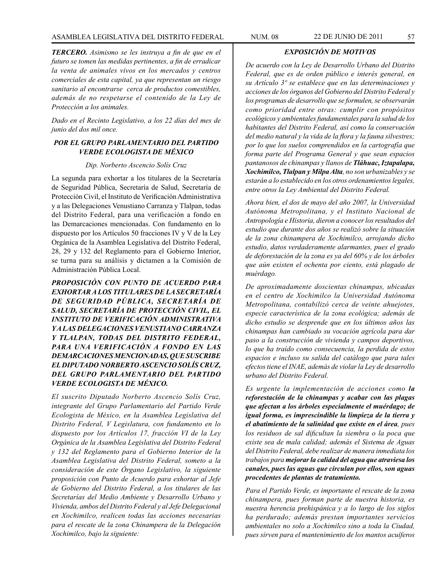# ASAMBLEA LEGISLATIVA DEL DISTRITO FEDERAL NUM. 08 22 DE JUNIO DE 2011 57

*TERCERO. Asimismo se les instruya a fin de que en el futuro se tomen las medidas pertinentes, a fin de erradicar la venta de animales vivos en los mercados y centros comerciales de esta capital, ya que representan un riesgo sanitario al encontrarse cerca de productos comestibles, además de no respetarse el contenido de la Ley de Protección a los animales.*

*Dado en el Recinto Legislativo, a los 22 días del mes de junio del dos mil once.*

#### *POR EL GRUPO PARLAMENTARIO DEL PARTIDO VERDE ECOLOGISTA DE MÉXICO*

#### *Dip. Norberto Ascencio Solís Cruz*

La segunda para exhortar a los titulares de la Secretaría de Seguridad Pública, Secretaría de Salud, Secretaría de Protección Civil, el Instituto de Verificación Administrativa y a las Delegaciones Venustiano Carranza y Tlalpan, todas del Distrito Federal, para una verificación a fondo en las Demarcaciones mencionadas. Con fundamento en lo dispuesto por los Artículos 50 fracciones IV y V de la Ley Orgánica de la Asamblea Legislativa del Distrito Federal, 28, 29 y 132 del Reglamento para el Gobierno Interior, se turna para su análisis y dictamen a la Comisión de Administración Pública Local.

*PROPOSICIÓN CON PUNTO DE ACUERDO PARA EXHORTAR A LOS TITULARES DE LA SECRETARÍA DE SEGURIDAD PÚBLICA, SECRETARÍA DE SALUD, SECRETARÍA DE PROTECCIÓN CIVIL, EL INSTITUTO DE VERIFICACIÓN ADMINISTRATIVA Y A LAS DELEGACIONES VENUSTIANO CARRANZA Y TLALPAN, TODAS DEL DISTRITO FEDERAL, PARA UNA VERIFICACIÓN A FONDO EN LAS DEMARCACIONES MENCIONADAS, QUE SUSCRIBE EL DIPUTADO NORBERTO ASCENCIO SOLÍS CRUZ, DEL GRUPO PARLAMENTARIO DEL PARTIDO VERDE ECOLOGISTA DE MÉXICO.*

*El suscrito Diputado Norberto Ascencio Solís Cruz, integrante del Grupo Parlamentario del Partido Verde Ecologista de México, en la Asamblea Legislativa del Distrito Federal, V Legislatura, con fundamento en lo dispuesto por los Artículos 17, fracción VI de la Ley Orgánica de la Asamblea Legislativa del Distrito Federal y 132 del Reglamento para el Gobierno Interior de la Asamblea Legislativa del Distrito Federal, someto a la consideración de este Órgano Legislativo, la siguiente proposición con Punto de Acuerdo para exhortar al Jefe de Gobierno del Distrito Federal, a los titulares de las Secretarías del Medio Ambiente y Desarrollo Urbano y Vivienda, ambos del Distrito Federal y al Jefe Delegacional en Xochimilco, realicen todas las acciones necesarias para el rescate de la zona Chinampera de la Delegación Xochimilco, bajo la siguiente:*

### *EXPOSICIÓN DE MOTIVOS*

*De acuerdo con la Ley de Desarrollo Urbano del Distrito Federal, que es de orden público e interés general, en su Artículo 3º se establece que en las determinaciones y acciones de los órganos del Gobierno del Distrito Federal y los programas de desarrollo que se formulen, se observarán como prioridad entre otras: cumplir con propósitos ecológicos y ambientales fundamentales para la salud de los habitantes del Distrito Federal, así como la conservación del medio natural y la vida de la flora y la fauna silvestres; por lo que los suelos comprendidos en la cartografía que forma parte del Programa General y que sean espacios pantanosos de chinampas y llanos de Tláhuac, Iztapalapa, Xochimilco, Tlalpan y Milpa Alta, no son urbanizables y se estarán a lo establecido en los otros ordenamientos legales, entre otros la Ley Ambiental del Distrito Federal.*

*Ahora bien, el dos de mayo del año 2007, la Universidad Autónoma Metropolitana, y el Instituto Nacional de Antropología e Historia, dieron a conocer los resultados del estudio que durante dos años se realizó sobre la situación de la zona chinampera de Xochimilco, arrojando dicho estudio, datos verdaderamente alarmantes, pues el grado de deforestación de la zona es ya del 60% y de los árboles que aún existen el ochenta por ciento, está plagado de muérdago.* 

*De aproximadamente doscientas chinampas, ubicadas en el centro de Xochimilco la Universidad Autónoma Metropolitana, contabilizó cerca de veinte ahuejotes, especie característica de la zona ecológica; además de dicho estudio se desprende que en los últimos años las chinampas han cambiado su vocación agrícola para dar paso a la construcción de vivienda y campos deportivos, lo que ha traído como consecuencia, la perdida de estos espacios e incluso su salida del catálogo que para tales efectos tiene el INAE, además de violar la Ley de desarrollo urbano del Distrito Federal.* 

*Es urgente la implementación de acciones como la reforestación de la chinampas y acabar con las plagas que afectan a los árboles especialmente el muérdago; de igual forma, es imprescindible la limpieza de la tierra y el abatimiento de la salinidad que existe en el área, pues los residuos de sal dificultan la siembra o la poca que existe sea de mala calidad; además el Sistema de Aguas del Distrito Federal, debe realizar de manera inmediata los trabajos para mejorar la calidad del agua que atraviesa los canales, pues las aguas que circulan por ellos, son aguas procedentes de plantas de tratamiento.*

*Para el Partido Verde, es importante el rescate de la zona chinampera, pues forman parte de nuestra historia, es nuestra herencia prehispánica y a lo largo de los siglos ha perdurado; además prestan importantes servicios ambientales no solo a Xochimilco sino a toda la Ciudad, pues sirven para el mantenimiento de los mantos acuíferos*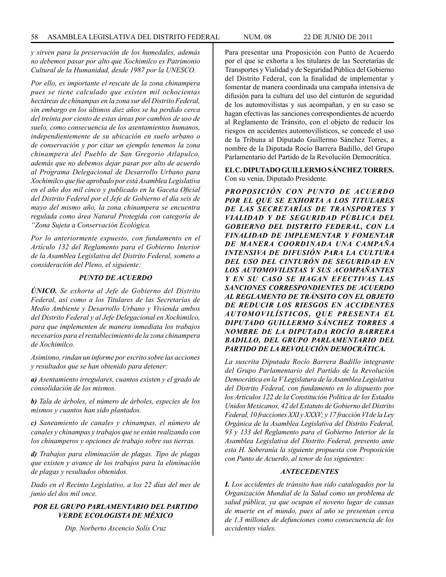*y sirven para la preservación de los humedales, además no debemos pasar por alto que Xochimilco es Patrimonio Cultural de la Humanidad, desde 1987 por la UNESCO.*

*Por ello, es importante el rescate de la zona chinampera pues se tiene calculado que existen mil ochocientas hectáreas de chinampas en la zona sur del Distrito Federal, sin embargo en los últimos diez años se ha perdido cerca del treinta por ciento de estas áreas por cambios de uso de suelo, como consecuencia de los asentamientos humanos, independientemente de su ubicación en suelo urbano o de conservación y por citar un ejemplo tenemos la zona chinampera del Pueblo de San Gregorio Atlapulco, además que no debemos dejar pasar por alto de acuerdo al Programa Delegacional de Desarrollo Urbano para Xochimilco que fue aprobado por está Asamblea Legislativa en el año dos mil cinco y publicado en la Gaceta Oficial del Distrito Federal por el Jefe de Gobierno el día seis de mayo del mismo año, la zona chinampera se encuentra regulada como área Natural Protegida con categoría de "Zona Sujeta a Conservación Ecológica.*

*Por lo anteriormente expuesto, con fundamento en el Artículo 132 del Reglamento para el Gobierno Interior de la Asamblea Legislativa del Distrito Federal, someto a consideración del Pleno, el siguiente:*

# *PUNTO DE ACUERDO*

*ÚNICO. Se exhorta al Jefe de Gobierno del Distrito Federal, así como a los Titulares de las Secretarías de Medio Ambiente y Desarrollo Urbano y Vivienda ambos del Distrito Federal y al Jefe Delegacional en Xochimilco, para que implementen de manera inmediata los trabajos necesarios para el restablecimiento de la zona chinampera de Xochimilco.*

*Asimismo, rindan un informe por escrito sobre las acciones y resultados que se han obtenido para detener:* 

*a) Asentamiento irregulares, cuantos existen y el grado de consolidación de los mismos.*

*b) Tala de árboles, el número de árboles, especies de los mismos y cuantos han sido plantados.*

*c) Saneamiento de canales y chinampas, el número de canales y chinampas y trabajos que se están realizando con los chinamperos y opciones de trabajo sobre sus tierras.*

*d) Trabajos para eliminación de plagas. Tipo de plagas que existen y avance de los trabajos para la eliminación de plagas y resultados obtenidos.*

*Dado en el Recinto Legislativo, a los 22 días del mes de junio del dos mil once.*

*POR EL GRUPO PARLAMENTARIO DEL PARTIDO VERDE ECOLOGISTA DE MÉXICO*

*Dip. Norberto Ascencio Solís Cruz*

Para presentar una Proposición con Punto de Acuerdo por el que se exhorta a los titulares de las Secretarías de Transportes y Vialidad y de Seguridad Pública del Gobierno del Distrito Federal, con la finalidad de implementar y fomentar de manera coordinada una campaña intensiva de difusión para la cultura del uso del cinturón de seguridad de los automovilistas y sus acompañan, y en su caso se hagan efectivas las sanciones correspondientes de acuerdo al Reglamento de Tránsito, con el objeto de reducir los riesgos en accidentes automovilísticos, se concede el uso de la Tribuna al Diputado Guillermo Sánchez Torres, a nombre de la Diputada Rocío Barrera Badillo, del Grupo Parlamentario del Partido de la Revolución Democrática.

**EL C. DIPUTADO GUILLERMO SÁNCHEZ TORRES.**  Con su venia, Diputado Presidente.

*PROPOSICIÓN CON PUNTO DE ACUERDO POR EL QUE SE EXHORTA A LOS TITULARES DE LAS SECRETARÍAS DE TRANSPORTES Y VIALIDAD Y DE SEGURIDAD PÚBLICA DEL GOBIERNO DEL DISTRITO FEDERAL, CON LA FINALIDAD DE IMPLEMENTAR Y FOMENTAR DE MANERA COORDINADA UNA CAMPAÑA INTENSIVA DE DIFUSIÓN PARA LA CULTURA DEL USO DEL CINTURÓN DE SEGURIDAD EN LOS AUTOMOVILISTAS Y SUS ACOMPAÑANTES Y EN SU CASO SE HAGAN EFECTIVAS LAS SANCIONES CORRESPONDIENTES DE ACUERDO AL REGLAMENTO DE TRÁNSITO CON EL OBJETO DE REDUCIR LOS RIESGOS EN ACCIDENTES AUTOMOVILÍSTICOS, QUE PRESENTA EL DIPUTADO GUILLERMO SÁNCHEZ TORRES A NOMBRE DE LA DIPUTADA ROCÍO BARRERA BADILLO, DEL GRUPO PARLAMENTARIO DEL PARTIDO DE LA REVOLUCIÓN DEMOCRÁTICA.*

*La suscrita Diputada Rocío Barrera Badillo integrante del Grupo Parlamentario del Partido de la Revolución Democrática en la V Legislatura de la Asamblea Legislativa del Distrito Federal, con fundamento en lo dispuesto por los Artículos 122 de la Constitución Política de los Estados Unidos Mexicanos, 42 del Estatuto de Gobierno del Distrito Federal, 10 fracciones XXI y XXXV; y 17 fracción VI de la Ley Orgánica de la Asamblea Legislativa del Distrito Federal, 93 y 133 del Reglamento para el Gobierno Interior de la Asamblea Legislativa del Distrito Federal, presento ante esta H. Soberanía la siguiente propuesta con Proposición con Punto de Acuerdo, al tenor de los siguientes:*

#### *ANTECEDENTES*

*I. Los accidentes de tránsito han sido catalogados por la Organización Mundial de la Salud como un problema de salud pública, ya que ocupan el noveno lugar de causas de muerte en el mundo, pues al año se presentan cerca de 1.3 millones de defunciones como consecuencia de los accidentes viales.*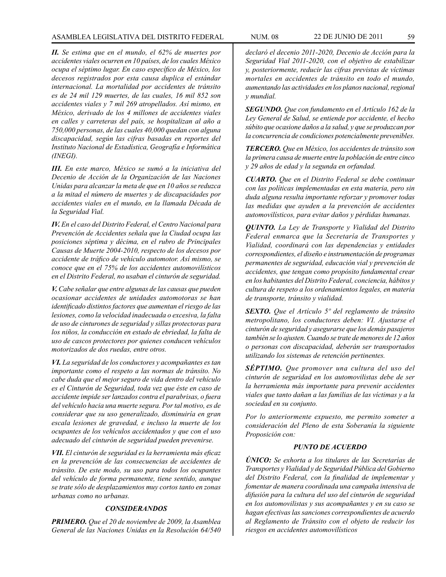# ASAMBLEA LEGISLATIVA DEL DISTRITO FEDERAL NUM. 08 22 de JUNIO de 2011 59

*II. Se estima que en el mundo, el 62% de muertes por accidentes viales ocurren en 10 países, de los cuales México ocupa el séptimo lugar. En caso específico de México, los decesos registrados por esta causa duplica el estándar internacional. La mortalidad por accidentes de tránsito es de 24 mil 129 muertes, de las cuales, 16 mil 852 son accidentes viales y 7 mil 269 atropellados. Así mismo, en México, derivado de los 4 millones de accidentes viales en calles y carreteras del país, se hospitalizan al año a 750,000 personas, de las cuales 40,000 quedan con alguna discapacidad, según las cifras basadas en reportes del Instituto Nacional de Estadística, Geografía e Informática (INEGI).*

*III. En este marco, México se sumó a la iniciativa del Decenio de Acción de la Organización de las Naciones Unidas para alcanzar la meta de que en 10 años se reduzca a la mitad el número de muertes y de discapacidades por accidentes viales en el mundo, en la llamada Década de la Seguridad Vial.*

*IV. En el caso del Distrito Federal, el Centro Nacional para Prevención de Accidentes señala que la Ciudad ocupa las posiciones séptima y décima, en el rubro de Principales Causas de Muerte 2004-2010, respecto de los decesos por accidente de tráfico de vehículo automotor. Así mismo, se conoce que en el 75% de los accidentes automovilísticos en el Distrito Federal, no usaban el cinturón de seguridad.*

*V. Cabe señalar que entre algunas de las causas que pueden ocasionar accidentes de unidades automotoras se han identificado distintos factores que aumentan el riesgo de las lesiones, como la velocidad inadecuada o excesiva, la falta de uso de cinturones de seguridad y sillas protectoras para los niños, la conducción en estado de ebriedad, la falta de uso de cascos protectores por quienes conducen vehículos motorizados de dos ruedas, entre otros.*

*VI. La seguridad de los conductores y acompañantes es tan importante como el respeto a las normas de tránsito. No cabe duda que el mejor seguro de vida dentro del vehículo es el Cinturón de Seguridad, toda vez que éste en caso de accidente impide ser lanzados contra el parabrisas, o fuera del vehículo hacia una muerte segura. Por tal motivo, es de considerar que su uso generalizado, disminuiría en gran escala lesiones de gravedad, e incluso la muerte de los ocupantes de los vehículos accidentados y que con el uso adecuado del cinturón de seguridad pueden prevenirse.*

*VII. El cinturón de seguridad es la herramienta más eficaz en la prevención de las consecuencias de accidentes de tránsito. De este modo, su uso para todos los ocupantes del vehículo de forma permanente, tiene sentido, aunque se trate sólo de desplazamientos muy cortos tanto en zonas urbanas como no urbanas.*

# *CONSIDERANDOS*

*PRIMERO. Que el 20 de noviembre de 2009, la Asamblea General de las Naciones Unidas en la Resolución 64/540*  *declaró el decenio 2011-2020, Decenio de Acción para la Seguridad Vial 2011-2020, con el objetivo de estabilizar y, posteriormente, reducir las cifras previstas de víctimas mortales en accidentes de tránsito en todo el mundo, aumentando las actividades en los planos nacional, regional y mundial.*

*SEGUNDO. Que con fundamento en el Artículo 162 de la Ley General de Salud, se entiende por accidente, el hecho súbito que ocasione daños a la salud, y que se produzcan por la concurrencia de condiciones potencialmente prevenibles.*

*TERCERO. Que en México, los accidentes de tránsito son la primera causa de muerte entre la población de entre cinco y 29 años de edad y la segunda en orfandad.*

*CUARTO. Que en el Distrito Federal se debe continuar con las políticas implementadas en esta materia, pero sin duda alguna resulta importante reforzar y promover todas las medidas que ayuden a la prevención de accidentes automovilísticos, para evitar daños y pérdidas humanas.*

*QUINTO. La Ley de Transporte y Vialidad del Distrito Federal enmarca que la Secretaría de Transportes y Vialidad, coordinará con las dependencias y entidades correspondientes, el diseño e instrumentación de programas permanentes de seguridad, educación vial y prevención de accidentes, que tengan como propósito fundamental crear en los habitantes del Distrito Federal, conciencia, hábitos y cultura de respeto a los ordenamientos legales, en materia de transporte, tránsito y vialidad.*

*SEXTO. Que el Artículo 5º del reglamento de tránsito metropolitano, los conductores deben: VI. Ajustarse el cinturón de seguridad y asegurarse que los demás pasajeros también se lo ajusten. Cuando se trate de menores de 12 años o personas con discapacidad, deberán ser transportados utilizando los sistemas de retención pertinentes.*

*SÉPTIMO. Que promover una cultura del uso del cinturón de seguridad en los automovilistas debe de ser la herramienta más importante para prevenir accidentes viales que tanto dañan a las familias de las víctimas y a la sociedad en su conjunto.*

*Por lo anteriormente expuesto, me permito someter a consideración del Pleno de esta Soberanía la siguiente Proposición con:*

# *PUNTO DE ACUERDO*

*ÚNICO: Se exhorta a los titulares de las Secretarías de Transportes y Vialidad y de Seguridad Pública del Gobierno del Distrito Federal, con la finalidad de implementar y fomentar de manera coordinada una campaña intensiva de difusión para la cultura del uso del cinturón de seguridad en los automovilistas y sus acompañantes y en su caso se hagan efectivas las sanciones correspondientes de acuerdo al Reglamento de Tránsito con el objeto de reducir los riesgos en accidentes automovilísticos*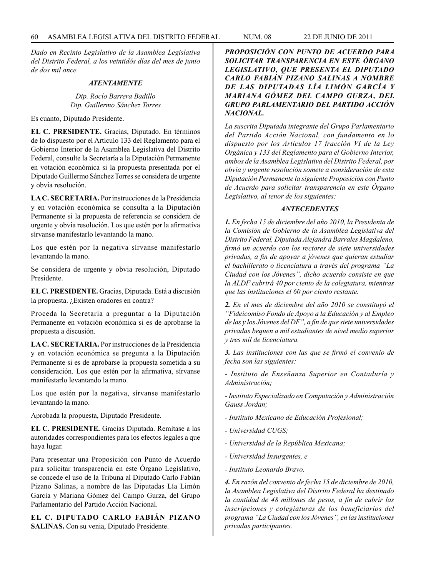*Dado en Recinto Legislativo de la Asamblea Legislativa del Distrito Federal, a los veintidós días del mes de junio de dos mil once.*

#### *ATENTAMENTE*

# *Dip. Rocío Barrera Badillo Dip. Guillermo Sánchez Torres*

Es cuanto, Diputado Presidente.

**EL C. PRESIDENTE.** Gracias, Diputado. En términos de lo dispuesto por el Artículo 133 del Reglamento para el Gobierno Interior de la Asamblea Legislativa del Distrito Federal, consulte la Secretaría a la Diputación Permanente en votación económica si la propuesta presentada por el Diputado Guillermo Sánchez Torres se considera de urgente y obvia resolución.

**LA C. SECRETARIA.** Por instrucciones de la Presidencia y en votación económica se consulta a la Diputación Permanente si la propuesta de referencia se considera de urgente y obvia resolución. Los que estén por la afirmativa sírvanse manifestarlo levantando la mano.

Los que estén por la negativa sírvanse manifestarlo levantando la mano.

Se considera de urgente y obvia resolución, Diputado Presidente.

**EL C. PRESIDENTE.** Gracias, Diputada. Está a discusión la propuesta. ¿Existen oradores en contra?

Proceda la Secretaría a preguntar a la Diputación Permanente en votación económica si es de aprobarse la propuesta a discusión.

**LA C. SECRETARIA.** Por instrucciones de la Presidencia y en votación económica se pregunta a la Diputación Permanente si es de aprobarse la propuesta sometida a su consideración. Los que estén por la afirmativa, sírvanse manifestarlo levantando la mano.

Los que estén por la negativa, sírvanse manifestarlo levantando la mano.

Aprobada la propuesta, Diputado Presidente.

**EL C. PRESIDENTE.** Gracias Diputada. Remítase a las autoridades correspondientes para los efectos legales a que haya lugar.

Para presentar una Proposición con Punto de Acuerdo para solicitar transparencia en este Órgano Legislativo, se concede el uso de la Tribuna al Diputado Carlo Fabián Pizano Salinas, a nombre de las Diputadas Lía Limón García y Mariana Gómez del Campo Gurza, del Grupo Parlamentario del Partido Acción Nacional.

**EL C. DIPUTADO CARLO FABIÁN PIZANO SALINAS.** Con su venia, Diputado Presidente.

*PROPOSICIÓN CON PUNTO DE ACUERDO PARA SOLICITAR TRANSPARENCIA EN ESTE ÓRGANO LEGISLATIVO, QUE PRESENTA EL DIPUTADO CARLO FABIÁN PIZANO SALINAS A NOMBRE DE LAS DIPUTADAS LÍA LIMÓN GARCÍA Y MARIANA GÓMEZ DEL CAMPO GURZA, DEL GRUPO PARLAMENTARIO DEL PARTIDO ACCIÓN NACIONAL.*

*La suscrita Diputada integrante del Grupo Parlamentario del Partido Acción Nacional, con fundamento en lo dispuesto por los Artículos 17 fracción VI de la Ley Orgánica y 133 del Reglamento para el Gobierno Interior, ambos de la Asamblea Legislativa del Distrito Federal, por obvia y urgente resolución somete a consideración de esta Diputación Permanente la siguiente Proposición con Punto de Acuerdo para solicitar transparencia en este Órgano Legislativo, al tenor de los siguientes:*

#### *ANTECEDENTES*

*1. En fecha 15 de diciembre del año 2010, la Presidenta de la Comisión de Gobierno de la Asamblea Legislativa del Distrito Federal, Diputada Alejandra Barrales Magdaleno, firmó un acuerdo con los rectores de siete universidades privadas, a fin de apoyar a jóvenes que quieran estudiar el bachillerato o licenciatura a través del programa "La Ciudad con los Jóvenes", dicho acuerdo consiste en que la ALDF cubrirá 40 por ciento de la colegiatura, mientras que las instituciones el 60 por ciento restante.*

*2. En el mes de diciembre del año 2010 se constituyó el "Fideicomiso Fondo de Apoyo a la Educación y al Empleo de las y los Jóvenes del DF", a fin de que siete universidades privadas bequen a mil estudiantes de nivel medio superior y tres mil de licenciatura.*

*3. Las instituciones con las que se firmó el convenio de fecha son las siguientes:*

*- Instituto de Enseñanza Superior en Contaduría y Administración;*

*- Instituto Especializado en Computación y Administración Gauss Jordan;*

- *Instituto Mexicano de Educación Profesional;*
- *Universidad CUGS;*
- *Universidad de la República Mexicana;*
- *Universidad Insurgentes, e*
- *Instituto Leonardo Bravo.*

*4. En razón del convenio de fecha 15 de diciembre de 2010, la Asamblea Legislativa del Distrito Federal ha destinado la cantidad de 48 millones de pesos, a fin de cubrir las inscripciones y colegiaturas de los beneficiarios del programa "La Ciudad con los Jóvenes", en las instituciones privadas participantes.*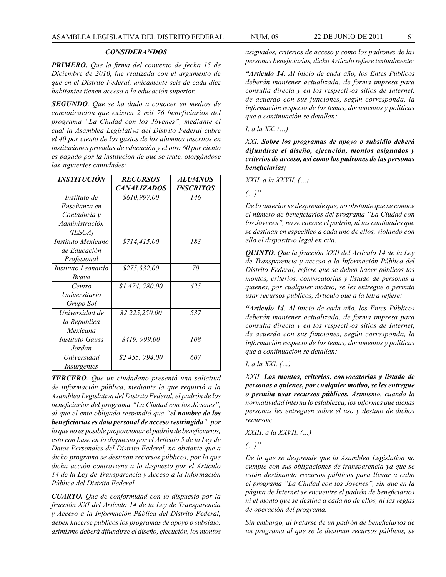*PRIMERO. Que la firma del convenio de fecha 15 de Diciembre de 2010, fue realizada con el argumento de que en el Distrito Federal, únicamente seis de cada diez habitantes tienen acceso a la educación superior.*

*SEGUNDO. Que se ha dado a conocer en medios de comunicación que existen 2 mil 76 beneficiarios del programa "La Ciudad con los Jóvenes", mediante el cual la Asamblea Legislativa del Distrito Federal cubre el 40 por ciento de los gastos de los alumnos inscritos en instituciones privadas de educación y el otro 60 por ciento es pagado por la institución de que se trate, otorgándose las siguientes cantidades:*

| <i><b>INSTITUCIÓN</b></i> | <b>RECURSOS</b>    | <b>ALUMNOS</b>          |
|---------------------------|--------------------|-------------------------|
|                           | <b>CANALIZADOS</b> | <i><b>INSCRITOS</b></i> |
| Instituto de              | \$610,997.00       | 146                     |
| Enseñanza en              |                    |                         |
| Contaduría y              |                    |                         |
| Administración            |                    |                         |
| (IESCA)                   |                    |                         |
| Instituto Mexicano        | \$714,415.00       | 183                     |
| de Educación              |                    |                         |
| Profesional               |                    |                         |
| Instituto Leonardo        | \$275,332.00       | 70                      |
| <b>Bravo</b>              |                    |                         |
| Centro                    | \$1474,780.00      | 425                     |
| Universitario             |                    |                         |
| Grupo Sol                 |                    |                         |
| Universidad de            | \$2 225,250.00     | 537                     |
| la Republica              |                    |                         |
| Mexicana                  |                    |                         |
| Instituto Gauss           | \$419, 999.00      | 108                     |
| Jordan                    |                    |                         |
| Universidad               | \$2 455, 794.00    | 607                     |
| Insurgentes               |                    |                         |

*TERCERO. Que un ciudadano presentó una solicitud de información pública, mediante la que requirió a la Asamblea Legislativa del Distrito Federal, el padrón de los beneficiarios del programa "La Ciudad con los Jóvenes", al que el ente obligado respondió que "el nombre de los beneficiarios es dato personal de acceso restringido", por lo que no es posible proporcionar el padrón de beneficiarios, esto con base en lo dispuesto por el Artículo 5 de la Ley de Datos Personales del Distrito Federal, no obstante que a dicho programa se destinan recursos públicos, por lo que dicha acción contraviene a lo dispuesto por el Artículo 14 de la Ley de Transparencia y Acceso a la Información Pública del Distrito Federal.*

*CUARTO. Que de conformidad con lo dispuesto por la fracción XXI del Artículo 14 de la Ley de Transparencia y Acceso a la Información Pública del Distrito Federal, deben hacerse públicos los programas de apoyo o subsidio, asimismo deberá difundirse el diseño, ejecución, los montos* 

*asignados, criterios de acceso y como los padrones de las personas beneficiarias, dicho Artículo refiere textualmente:*

*"Artículo 14. Al inicio de cada año, los Entes Públicos deberán mantener actualizada, de forma impresa para consulta directa y en los respectivos sitios de Internet, de acuerdo con sus funciones, según corresponda, la información respecto de los temas, documentos y políticas que a continuación se detallan:*

*I. a la XX. (…)*

*XXI. Sobre los programas de apoyo o subsidio deberá difundirse el diseño, ejecución, montos asignados y criterios de acceso, así como los padrones de las personas beneficiarias;*

*XXII. a la XXVII. (…)*

*(…)"*

*De lo anterior se desprende que, no obstante que se conoce el número de beneficiarios del programa "La Ciudad con los Jóvenes", no se conoce el padrón, ni las cantidades que se destinan en específico a cada uno de ellos, violando con ello el dispositivo legal en cita.*

*QUINTO. Que la fracción XXII del Artículo 14 de la Ley de Transparencia y acceso a la Información Pública del Distrito Federal, refiere que se deben hacer públicos los montos, criterios, convocatorias y listado de personas a quienes, por cualquier motivo, se les entregue o permita usar recursos públicos, Artículo que a la letra refiere:*

*"Artículo 14. Al inicio de cada año, los Entes Públicos deberán mantener actualizada, de forma impresa para consulta directa y en los respectivos sitios de Internet, de acuerdo con sus funciones, según corresponda, la información respecto de los temas, documentos y políticas que a continuación se detallan:*

*I. a la XXI. (…)*

*XXII. Los montos, criterios, convocatorias y listado de personas a quienes, por cualquier motivo, se les entregue o permita usar recursos públicos. Asimismo, cuando la normatividad interna lo establezca, los informes que dichas personas les entreguen sobre el uso y destino de dichos recursos;*

*XXIII. a la XXVII. (…)*

*(…)"*

*De lo que se desprende que la Asamblea Legislativa no cumple con sus obligaciones de transparencia ya que se están destinando recursos públicos para llevar a cabo el programa "La Ciudad con los Jóvenes", sin que en la página de Internet se encuentre el padrón de beneficiarios ni el monto que se destina a cada no de ellos, ni las reglas de operación del programa.* 

*Sin embargo, al tratarse de un padrón de beneficiarios de un programa al que se le destinan recursos públicos, se*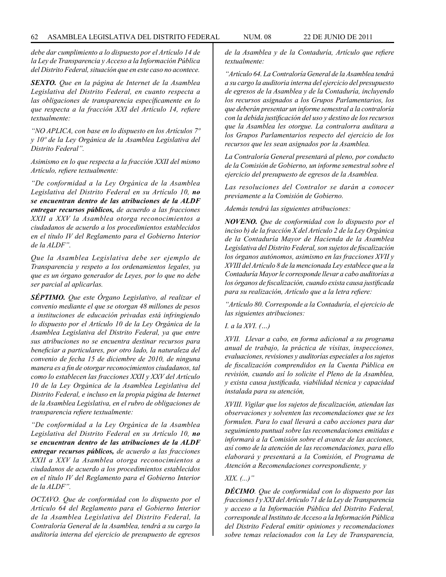*debe dar cumplimiento a lo dispuesto por el Artículo 14 de la Ley de Transparencia y Acceso a la Información Pública del Distrito Federal, situación que en este caso no acontece.*

*SEXTO. Que en la página de Internet de la Asamblea Legislativa del Distrito Federal, en cuanto respecta a las obligaciones de transparencia específicamente en lo que respecta a la fracción XXI del Artículo 14, refiere textualmente:* 

*"NO APLICA, con base en lo dispuesto en los Artículos 7º y 10º de la Ley Orgánica de la Asamblea Legislativa del Distrito Federal".* 

*Asimismo en lo que respecta a la fracción XXII del mismo Artículo, refiere textualmente:*

*"De conformidad a la Ley Orgánica de la Asamblea Legislativa del Distrito Federal en su Artículo 10, no se encuentran dentro de las atribuciones de la ALDF entregar recursos públicos, de acuerdo a las fracciones XXII a XXV la Asamblea otorga reconocimientos a ciudadanos de acuerdo a los procedimientos establecidos en el título IV del Reglamento para el Gobierno Interior de la ALDF".*

*Que la Asamblea Legislativa debe ser ejemplo de Transparencia y respeto a los ordenamientos legales, ya que es un órgano generador de Leyes, por lo que no debe ser parcial al aplicarlas.*

*SÉPTIMO. Que este Órgano Legislativo, al realizar el convenio mediante el que se otorgan 48 millones de pesos a instituciones de educación privadas está infringiendo lo dispuesto por el Artículo 10 de la Ley Orgánica de la Asamblea Legislativa del Distrito Federal, ya que entre sus atribuciones no se encuentra destinar recursos para beneficiar a particulares, por otro lado, la naturaleza del convenio de fecha 15 de diciembre de 2010, de ninguna manera es a fin de otorgar reconocimientos ciudadanos, tal como lo establecen las fracciones XXII y XXV del Artículo 10 de la Ley Orgánica de la Asamblea Legislativa del Distrito Federal, e incluso en la propia página de Internet de la Asamblea Legislativa, en el rubro de obligaciones de transparencia refiere textualmente:*

*"De conformidad a la Ley Orgánica de la Asamblea Legislativa del Distrito Federal en su Artículo 10, no se encuentran dentro de las atribuciones de la ALDF entregar recursos públicos, de acuerdo a las fracciones XXII a XXV la Asamblea otorga reconocimientos a ciudadanos de acuerdo a los procedimientos establecidos en el título IV del Reglamento para el Gobierno Interior de la ALDF".*

*OCTAVO. Que de conformidad con lo dispuesto por el Artículo 64 del Reglamento para el Gobierno Interior de la Asamblea Legislativa del Distrito Federal, la Contraloría General de la Asamblea, tendrá a su cargo la auditoría interna del ejercicio de presupuesto de egresos* 

*de la Asamblea y de la Contaduría, Artículo que refiere textualmente:*

*"Artículo 64. La Contraloría General de la Asamblea tendrá a su cargo la auditoria interna del ejercicio del presupuesto de egresos de la Asamblea y de la Contaduría, incluyendo los recursos asignados a los Grupos Parlamentarios, los que deberán presentar un informe semestral a la contraloría con la debida justificación del uso y destino de los recursos que la Asamblea les otorgue. La contralorra auditara a los Grupos Parlamentarios respecto del ejercicio de los recursos que les sean asignados por la Asamblea.*

*La Contraloría General presentará al pleno, por conducto de la Comisión de Gobierno, un informe semestral sobre el ejercicio del presupuesto de egresos de la Asamblea.*

*Las resoluciones del Contralor se darán a conocer previamente a la Comisión de Gobierno.*

*Además tendrá las siguientes atribuciones:*

*NOVENO. Que de conformidad con lo dispuesto por el inciso b) de la fracción X del Artículo 2 de la Ley Orgánica de la Contaduría Mayor de Hacienda de la Asamblea Legislativa del Distrito Federal, son sujetos de fiscalización los órganos autónomos, asimismo en las fracciones XVII y XVIII del Artículo 8 de la mencionada Ley establece que a la Contaduría Mayor le corresponde llevar a cabo auditorías a los órganos de fiscalización, cuando exista causa justificada para su realización, Artículo que a la letra refiere:* 

*"Artículo 80. Corresponde a la Contaduría, el ejercicio de las siguientes atribuciones:*

*I. a la XVI. (…)*

*XVII. Llevar a cabo, en forma adicional a su programa anual de trabajo, la práctica de visitas, inspecciones, evaluaciones, revisiones y auditorías especiales a los sujetos de fiscalización comprendidos en la Cuenta Pública en revisión, cuando así lo solicite el Pleno de la Asamblea, y exista causa justificada, viabilidad técnica y capacidad instalada para su atención,*

*XVIII. Vigilar que los sujetos de fiscalización, atiendan las observaciones y solventen las recomendaciones que se les formulen. Para lo cual llevará a cabo acciones para dar seguimiento puntual sobre las recomendaciones emitidas e informará a la Comisión sobre el avance de las acciones, así como de la atención de las recomendaciones, para ello elaborará y presentará a la Comisión, el Programa de Atención a Recomendaciones correspondiente, y*

## *XIX. (...)"*

*DÉCIMO. Que de conformidad con lo dispuesto por las fracciones I y XXI del Artículo 71 de la Ley de Transparencia y acceso a la Información Pública del Distrito Federal, corresponde al Instituto de Acceso a la Información Pública del Distrito Federal emitir opiniones y recomendaciones sobre temas relacionados con la Ley de Transparencia,*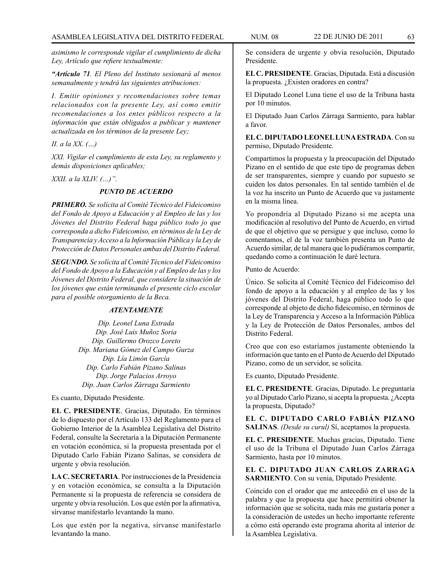*asimismo le corresponde vigilar el cumplimiento de dicha Ley, Artículo que refiere textualmente:*

*"Artículo 71. El Pleno del Instituto sesionará al menos semanalmente y tendrá las siguientes atribuciones:*

*I. Emitir opiniones y recomendaciones sobre temas relacionados con la presente Ley, así como emitir recomendaciones a los entes públicos respecto a la información que están obligados a publicar y mantener actualizada en los términos de la presente Ley;*

*II. a la XX. (…)*

*XXI. Vigilar el cumplimiento de esta Ley, su reglamento y demás disposiciones aplicables;*

*XXII. a la XLIV. (…)".*

# *PUNTO DE ACUERDO*

*PRIMERO. Se solícita al Comité Técnico del Fideicomiso del Fondo de Apoyo a Educación y al Empleo de las y los Jóvenes del Distrito Federal haga público todo jo que corresponda a dicho Fideicomiso, en términos de la Ley de Transparencia y Acceso a la Información Pública y la Ley de Protección de Datos Personales ambas del Distrito Federal.*

*SEGUNDO. Se solícita al Comité Técnico del Fideicomiso del Fondo de Apoyo a la Educación y al Empleo de las y los Jóvenes del Distrito Federal, que considere la situación de los jóvenes que están terminando el presente ciclo escolar para el posible otorgamiento de la Beca.*

### *ATENTAMENTE*

*Dip. Leonel Luna Estrada Dip. José Luis Muñoz Soria Dip. Guillermo Orozco Loreto Dip. Mariana Gómez del Campo Gurza Dip. Lía Limón García Dip. Carlo Fabián Pizano Salinas Dip. Jorge Palacios Arroyo Dip. Juan Carlos Zárraga Sarmiento*

Es cuanto, Diputado Presidente.

**EL C. PRESIDENTE**. Gracias, Diputado. En términos de lo dispuesto por el Artículo 133 del Reglamento para el Gobierno Interior de la Asamblea Legislativa del Distrito Federal, consulte la Secretaría a la Diputación Permanente en votación económica, si la propuesta presentada por el Diputado Carlo Fabián Pizano Salinas, se considera de urgente y obvia resolución.

**LA C. SECRETARIA**. Por instrucciones de la Presidencia y en votación económica, se consulta a la Diputación Permanente si la propuesta de referencia se considera de urgente y obvia resolución. Los que estén por la afirmativa, sírvanse manifestarlo levantando la mano.

Los que estén por la negativa, sírvanse manifestarlo levantando la mano.

Se considera de urgente y obvia resolución, Diputado Presidente.

**EL C. PRESIDENTE**. Gracias, Diputada. Está a discusión la propuesta. ¿Existen oradores en contra?

El Diputado Leonel Luna tiene el uso de la Tribuna hasta por 10 minutos.

El Diputado Juan Carlos Zárraga Sarmiento, para hablar a favor.

**EL C. DIPUTADO LEONEL LUNA ESTRADA**. Con su permiso, Diputado Presidente.

Compartimos la propuesta y la preocupación del Diputado Pizano en el sentido de que este tipo de programas deben de ser transparentes, siempre y cuando por supuesto se cuiden los datos personales. En tal sentido también el de la voz ha inscrito un Punto de Acuerdo que va justamente en la misma línea.

Yo propondría al Diputado Pizano si me acepta una modificación al resolutivo del Punto de Acuerdo, en virtud de que el objetivo que se persigue y que incluso, como lo comentamos, el de la voz también presenta un Punto de Acuerdo similar, de tal manera que lo pudiéramos compartir, quedando como a continuación le daré lectura.

Punto de Acuerdo:

Único. Se solicita al Comité Técnico del Fideicomiso del fondo de apoyo a la educación y al empleo de las y los jóvenes del Distrito Federal, haga público todo lo que corresponde al objeto de dicho fideicomiso, en términos de la Ley de Transparencia y Acceso a la Información Pública y la Ley de Protección de Datos Personales, ambos del Distrito Federal.

Creo que con eso estaríamos justamente obteniendo la información que tanto en el Punto de Acuerdo del Diputado Pizano, como de un servidor, se solicita.

Es cuanto, Diputado Presidente.

**EL C. PRESIDENTE**. Gracias, Diputado. Le preguntaría yo al Diputado Carlo Pizano, si acepta la propuesta. ¿Acepta la propuesta, Diputado?

**EL C. DIPUTADO CARLO FABIÁN PIZANO SALINAS**. *(Desde su curul)* Sí, aceptamos la propuesta.

**EL C. PRESIDENTE**. Muchas gracias, Diputado. Tiene el uso de la Tribuna el Diputado Juan Carlos Zárraga Sarmiento, hasta por 10 minutos.

**EL C. DIPUTADO JUAN CARLOS ZARRAGA SARMIENTO**. Con su venia, Diputado Presidente.

Coincido con el orador que me antecedió en el uso de la palabra y que la propuesta que hace permitirá obtener la información que se solicita, nada más me gustaría poner a la consideración de ustedes un hecho importante referente a cómo está operando este programa ahorita al interior de la Asamblea Legislativa.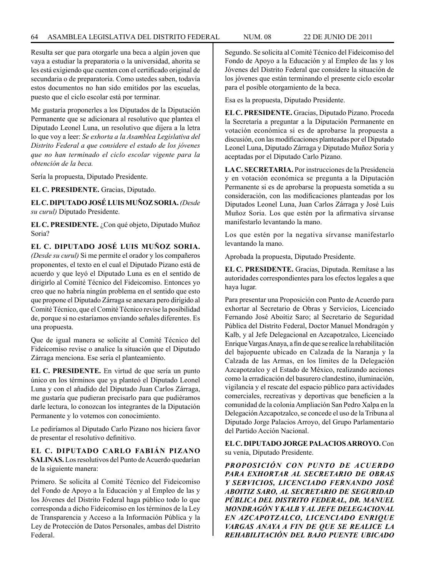Resulta ser que para otorgarle una beca a algún joven que vaya a estudiar la preparatoria o la universidad, ahorita se les está exigiendo que cuenten con el certificado original de secundaria o de preparatoria. Como ustedes saben, todavía estos documentos no han sido emitidos por las escuelas, puesto que el ciclo escolar está por terminar.

Me gustaría proponerles a los Diputados de la Diputación Permanente que se adicionara al resolutivo que plantea el Diputado Leonel Luna, un resolutivo que dijera a la letra lo que voy a leer: *Se exhorta a la Asamblea Legislativa del Distrito Federal a que considere el estado de los jóvenes que no han terminado el ciclo escolar vigente para la obtención de la beca.*

Sería la propuesta, Diputado Presidente.

**EL C. PRESIDENTE.** Gracias, Diputado.

**EL C. DIPUTADO JOSÉ LUIS MUÑOZ SORIA.** *(Desde su curul)* Diputado Presidente.

**EL C. PRESIDENTE.** ¿Con qué objeto, Diputado Muñoz Soria?

**EL C. DIPUTADO JOSÉ LUIS MUÑOZ SORIA.**  *(Desde su curul)* Si me permite el orador y los compañeros proponentes, el texto en el cual el Diputado Pizano está de acuerdo y que leyó el Diputado Luna es en el sentido de dirigirlo al Comité Técnico del Fideicomiso. Entonces yo creo que no habría ningún problema en el sentido que esto que propone el Diputado Zárraga se anexara pero dirigido al Comité Técnico, que el Comité Técnico revise la posibilidad de, porque si no estaríamos enviando señales diferentes. Es una propuesta.

Que de igual manera se solicite al Comité Técnico del Fideicomiso revise o analice la situación que el Diputado Zárraga menciona. Ese sería el planteamiento.

**EL C. PRESIDENTE.** En virtud de que sería un punto único en los términos que ya planteó el Diputado Leonel Luna y con el añadido del Diputado Juan Carlos Zárraga, me gustaría que pudieran precisarlo para que pudiéramos darle lectura, lo conozcan los integrantes de la Diputación Permanente y lo votemos con conocimiento.

Le pediríamos al Diputado Carlo Pizano nos hiciera favor de presentar el resolutivo definitivo.

# **EL C. DIPUTADO CARLO FABIÁN PIZANO SALINAS.** Los resolutivos del Punto de Acuerdo quedarían de la siguiente manera:

Primero. Se solicita al Comité Técnico del Fideicomiso del Fondo de Apoyo a la Educación y al Empleo de las y los Jóvenes del Distrito Federal haga público todo lo que corresponda a dicho Fideicomiso en los términos de la Ley de Transparencia y Acceso a la Información Pública y la Ley de Protección de Datos Personales, ambas del Distrito Federal.

Segundo. Se solicita al Comité Técnico del Fideicomiso del Fondo de Apoyo a la Educación y al Empleo de las y los Jóvenes del Distrito Federal que considere la situación de los jóvenes que están terminando el presente ciclo escolar para el posible otorgamiento de la beca.

Esa es la propuesta, Diputado Presidente.

**EL C. PRESIDENTE.** Gracias, Diputado Pizano. Proceda la Secretaría a preguntar a la Diputación Permanente en votación económica si es de aprobarse la propuesta a discusión, con las modificaciones planteadas por el Diputado Leonel Luna, Diputado Zárraga y Diputado Muñoz Soria y aceptadas por el Diputado Carlo Pizano.

**LA C. SECRETARIA.** Por instrucciones de la Presidencia y en votación económica se pregunta a la Diputación Permanente si es de aprobarse la propuesta sometida a su consideración, con las modificaciones planteadas por los Diputados Leonel Luna, Juan Carlos Zárraga y José Luis Muñoz Soria. Los que estén por la afirmativa sírvanse manifestarlo levantando la mano.

Los que estén por la negativa sírvanse manifestarlo levantando la mano.

Aprobada la propuesta, Diputado Presidente.

**EL C. PRESIDENTE.** Gracias, Diputada. Remítase a las autoridades correspondientes para los efectos legales a que haya lugar.

Para presentar una Proposición con Punto de Acuerdo para exhortar al Secretario de Obras y Servicios, Licenciado Fernando José Aboitiz Saro; al Secretario de Seguridad Pública del Distrito Federal, Doctor Manuel Mondragón y Kalb, y al Jefe Delegacional en Azcapotzalco, Licenciado Enrique Vargas Anaya, a fin de que se realice la rehabilitación del bajopuente ubicado en Calzada de la Naranja y la Calzada de las Armas, en los límites de la Delegación Azcapotzalco y el Estado de México, realizando acciones como la erradicación del basurero clandestino, iluminación, vigilancia y el rescate del espacio público para actividades comerciales, recreativas y deportivas que beneficien a la comunidad de la colonia Ampliación San Pedro Xalpa en la Delegación Azcapotzalco, se concede el uso de la Tribuna al Diputado Jorge Palacios Arroyo, del Grupo Parlamentario del Partido Acción Nacional.

**EL C. DIPUTADO JORGE PALACIOS ARROYO.** Con su venia, Diputado Presidente.

*PROPOSICIÓN CON PUNTO DE ACUERDO PARA EXHORTAR AL SECRETARIO DE OBRAS Y SERVICIOS, LICENCIADO FERNANDO JOSÉ ABOITIZ SARO, AL SECRETARIO DE SEGURIDAD PÚBLICA DEL DISTRITO FEDERAL, DR. MANUEL MONDRAGÓN Y KALB Y AL JEFE DELEGACIONAL EN AZCAPOTZALCO, LICENCIADO ENRIQUE VARGAS ANAYA A FIN DE QUE SE REALICE LA REHABILITACIÓN DEL BAJO PUENTE UBICADO*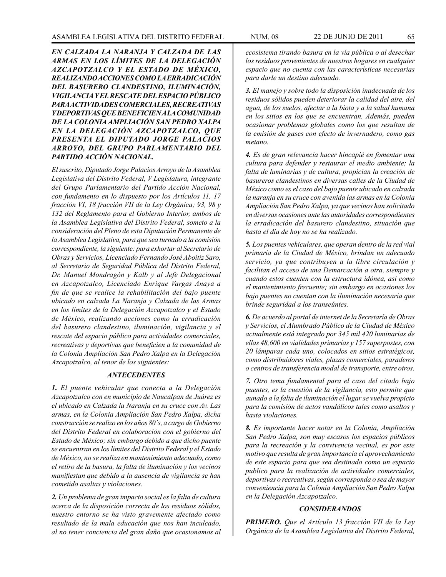*EN CALZADA LA NARANJA Y CALZADA DE LAS ARMAS EN LOS LÍMITES DE LA DELEGACIÓN AZCAPOTZALCO Y EL ESTADO DE MÉXICO, REALIZANDO ACCIONES COMO LA ERRADICACIÓN DEL BASURERO CLANDESTINO, ILUMINACIÓN, VIGILANCIA Y EL RESCATE DEL ESPACIO PÚBLICO PARA ACTIVIDADES COMERCIALES, RECREATIVAS Y DEPORTIVAS QUE BENEFICIEN A LA COMUNIDAD DE LA COLONIA AMPLIACIÓN SAN PEDRO XALPA EN LA DELEGACIÓN AZCAPOTZALCO, QUE PRESENTA EL DIPUTADO JORGE PALACIOS ARROYO, DEL GRUPO PARLAMENTARIO DEL PARTIDO ACCIÓN NACIONAL.*

*El suscrito, Diputado Jorge Palacios Arroyo de la Asamblea Legislativa del Distrito Federal, V Legislatura, integrante del Grupo Parlamentario del Partido Acción Nacional, con fundamento en lo dispuesto por los Artículos 11, 17 fracción VI, 18 fracción VII de la Ley Orgánica; 93, 98 y 132 del Reglamento para el Gobierno Interior, ambos de la Asamblea Legislativa del Distrito Federal, someto a la consideración del Pleno de esta Diputación Permanente de la Asamblea Legislativa, para que sea turnado a la comisión correspondiente, la siguiente: para exhortar al Secretario de Obras y Servicios, Licenciado Fernando José Aboitiz Saro, al Secretario de Seguridad Pública del Distrito Federal, Dr. Manuel Mondragón y Kalb y al Jefe Delegacional en Azcapotzalco, Licenciado Enrique Vargas Anaya a fin de que se realice la rehabilitación del bajo puente ubicado en calzada La Naranja y Calzada de las Armas en los límites de la Delegación Azcapotzalco y el Estado de México, realizando acciones como la erradicación del basurero clandestino, iluminación, vigilancia y el rescate del espacio público para actividades comerciales, recreativas y deportivas que beneficien a la comunidad de la Colonia Ampliación San Pedro Xalpa en la Delegación Azcapotzalco, al tenor de los siguientes:*

### *ANTECEDENTES*

*1. El puente vehicular que conecta a la Delegación Azcapotzalco con en municipio de Naucalpan de Juárez es el ubicado en Calzada la Naranja en su cruce con Av. Las armas, en la Colonia Ampliación San Pedro Xalpa, dicha construcción se realizo en los años 80´s, a cargo de Gobierno del Distrito Federal en colaboración con el gobierno del Estado de México; sin embargo debido a que dicho puente se encuentran en los limites del Distrito Federal y el Estado de México, no se realiza en mantenimiento adecuado, como el retiro de la basura, la falta de iluminación y los vecinos manifiestan que debido a la ausencia de vigilancia se han cometido asaltas y violaciones.*

*2. Un problema de gran impacto social es la falta de cultura acerca de la disposición correcta de los residuos sólidos, nuestro entorno se ha visto gravemente afectado como resultado de la mala educación que nos han inculcado, al no tener conciencia del gran daño que ocasionamos al*  *ecosistema tirando basura en la vía pública o al desechar los residuos provenientes de nuestros hogares en cualquier espacio que no cuenta con las características necesarias para darle un destino adecuado.*

*3. El manejo y sobre todo la disposición inadecuada de los residuos sólidos pueden deteriorar la calidad del aire, del agua, de los suelos, afectar a la biota y a la salud humana en los sitios en los que se encuentran. Además, pueden ocasionar problemas globales como los que resultan de la emisión de gases con efecto de invernadero, como gas metano.*

*4. Es de gran relevancia hacer hincapié en fomentar una cultura para defender y restaurar el medio ambiente; la falta de luminarias y de cultura, propician la creación de basureros clandestinos en diversas calles de la Ciudad de México como es el caso del bajo puente ubicado en calzada la naranja en su cruce con avenida las armas en la Colonia Ampliación San Pedro Xalpa, ya que vecinos han solicitado en diversas ocasiones ante las autoridades correspondientes la erradicación del basurero clandestino, situación que hasta el día de hoy no se ha realizado.*

*5. Los puentes vehiculares, que operan dentro de la red vial primaria de la Ciudad de México, brindan un adecuado servicio, ya que contribuyen a la libre circulación y facilitan el acceso de una Demarcación a otra, siempre y cuando estos cuenten con la estructura idónea, así como el mantenimiento frecuente; sin embargo en ocasiones los bajo puentes no cuentan con la iluminación necesaria que brinde seguridad a los transeúntes.*

*6. De acuerdo al portal de internet de la Secretaría de Obras y Servicios, el Alumbrado Público de la Ciudad de México actualmente está integrado por 345 mil 420 luminarias de ellas 48,600 en vialidades primarias y 157 superpostes, con 20 lámparas cada uno, colocados en sitios estratégicos, como distribuidores viales, plazas comerciales, paraderos o centros de transferencia modal de transporte, entre otros.*

*7. Otro tema fundamental para el caso del citado bajo puentes, es la cuestión de la vigilancia, esto permite que aunado a la falta de iluminación el lugar se vuelva propicio para la comisión de actos vandálicos tales como asaltos y hasta violaciones.*

*8. Es importante hacer notar en la Colonia, Ampliación San Pedro Xalpa, son muy escasos los espacios públicos para la recreación y la convivencia vecinal, es por este motivo que resulta de gran importancia el aprovechamiento de este espacio para que sea destinado como un espacio publico para la realización de actividades comerciales, deportivas o recreativas, según corresponda o sea de mayor conveniencia para la Colonia Ampliación San Pedro Xalpa en la Delegación Azcapotzalco.*

## *CONSIDERANDOS*

*PRIMERO. Que el Artículo 13 fracción VII de la Ley Orgánica de la Asamblea Legislativa del Distrito Federal,*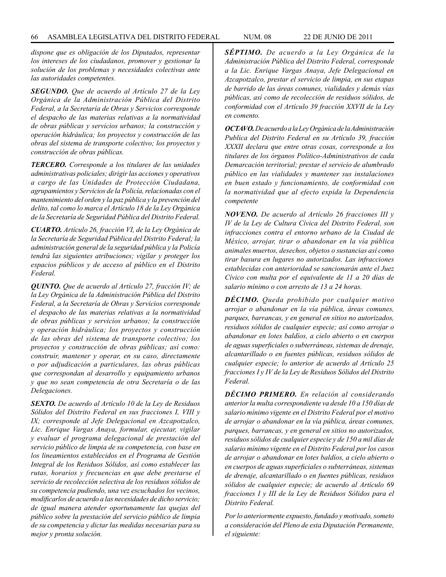*dispone que es obligación de los Diputados, representar los intereses de los ciudadanos, promover y gestionar la solución de los problemas y necesidades colectivas ante las autoridades competentes.*

*SEGUNDO. Que de acuerdo al Artículo 27 de la Ley Orgánica de la Administración Pública del Distrito Federal, a la Secretaría de Obras y Servicios corresponde el despacho de las materias relativas a la normatividad de obras públicas y servicios urbanos; la construcción y operación hidráulica; los proyectos y construcción de las obras del sistema de transporte colectivo; los proyectos y construcción de obras públicas.*

*TERCERO. Corresponde a los titulares de las unidades administrativas policiales; dirigir las acciones y operativos a cargo de las Unidades de Protección Ciudadana, agrupamientos y Servicios de la Policía, relacionadas con el mantenimiento del orden y la paz pública y la prevención del delito, tal como lo marca el Artículo 18 de la Ley Orgánica de la Secretaría de Seguridad Pública del Distrito Federal.*

*CUARTO. Artículo 26, fracción VI, de la Ley Orgánica de la Secretaría de Seguridad Pública del Distrito Federal; la administración general de la seguridad pública y la Policía tendrá las siguientes atribuciones; vigilar y proteger los espacios públicos y de acceso al público en el Distrito Federal.*

*QUINTO. Que de acuerdo al Artículo 27, fracción IV; de la Ley Orgánica de la Administración Pública del Distrito Federal, a la Secretaría de Obras y Servicios corresponde el despacho de las materias relativas a la normatividad de obras públicas y servicios urbanos; la construcción y operación hidráulica; los proyectos y construcción de las obras del sistema de transporte colectivo; los proyectos y construcción de obras públicas; así como: construir, mantener y operar, en su caso, directamente o por adjudicación a particulares, las obras públicas que correspondan al desarrollo y equipamiento urbanos y que no sean competencia de otra Secretaría o de las Delegaciones.*

*SEXTO. De acuerdo al Artículo 10 de la Ley de Residuos Sólidos del Distrito Federal en sus fracciones I, VIII y IX; corresponde al Jefe Delegacional en Azcapotzalco, Lic. Enrique Vargas Anaya, formular, ejecutar, vigilar y evaluar el programa delegacional de prestación del servicio público de limpia de su competencia, con base en los lineamientos establecidos en el Programa de Gestión Integral de los Residuos Sólidos, así como establecer las rutas, horarios y frecuencias en que debe prestarse el servicio de recolección selectiva de los residuos sólidos de su competencia pudiendo, una vez escuchados los vecinos, modificarlos de acuerdo a las necesidades de dicho servicio; de igual manera atender oportunamente las quejas del público sobre la prestación del servicio público de limpia de su competencia y dictar las medidas necesarias para su mejor y pronta solución.*

*SÉPTIMO. De acuerdo a la Ley Orgánica de la Administración Pública del Distrito Federal, corresponde a la Lic. Enrique Vargas Anaya, Jefe Delegacional en Azcapotzalco, prestar el servicio de limpia, en sus etapas de barrido de las áreas comunes, vialidades y demás vías públicas, así como de recolección de residuos sólidos, de conformidad con el Artículo 39 fracción XXVII de la Ley en comento.*

*OCTAVO. De acuerdo a la Ley Orgánica de la Administración Publica del Distrito Federal en su Artículo 39, fracción XXXII declara que entre otras cosas, corresponde a los titulares de los órganos Político-Administrativos de cada Demarcación territorial; prestar el servicio de alumbrado público en las vialidades y mantener sus instalaciones en buen estado y funcionamiento, de conformidad con la normatividad que al efecto expida la Dependencia competente*

*NOVENO. De acuerdo al Artículo 26 fracciones III y IV de la Ley de Cultura Cívica del Distrito Federal, son infracciones contra el entorno urbano de la Ciudad de México, arrojar, tirar o abandonar en la vía pública animales muertos, desechos, objetos o sustancias así como tirar basura en lugares no autorizados. Las infracciones establecidas con anterioridad se sancionarán ante el Juez Cívico con multa por el equivalente de 11 a 20 días de salario mínimo o con arresto de 13 a 24 horas.*

*DÉCIMO. Queda prohibido por cualquier motivo arrojar o abandonar en la vía pública, áreas comunes, parques, barrancas, y en general en sitios no autorizados, residuos sólidos de cualquier especie; así como arrojar o abandonar en lotes baldíos, a cielo abierto o en cuerpos de aguas superficiales o subterráneas, sistemas de drenaje, alcantarillado o en fuentes públicas, residuos sólidos de cualquier especie; lo anterior de acuerdo al Artículo 25 fracciones I y IV de la Ley de Residuos Sólidos del Distrito Federal.*

*DÉCIMO PRIMERO. En relación al considerando anterior la multa correspondiente va desde 10 a 150 días de salario mínimo vigente en el Distrito Federal por el motivo de arrojar o abandonar en la vía pública, áreas comunes, parques, barrancas, y en general en sitios no autorizados, residuos sólidos de cualquier especie y de 150 a mil días de salario mínimo vigente en el Distrito Federal por los casos de arrojar o abandonar en lotes baldíos, a cielo abierto o en cuerpos de aguas superficiales o subterráneas, sistemas de drenaje, alcantarillado o en fuentes públicas, residuos sólidos de cualquier especie; de acuerdo al Artículo 69 fracciones I y III de la Ley de Residuos Sólidos para el Distrito Federal.*

*Por lo anteriormente expuesto, fundado y motivado, someto a consideración del Pleno de esta Diputación Permanente, el siguiente:*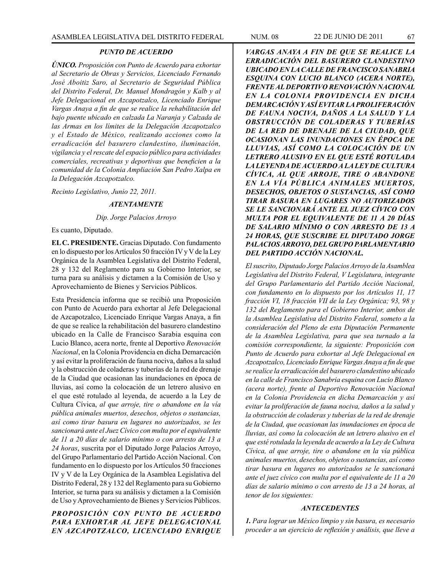#### *PUNTO DE ACUERDO*

*ÚNICO. Proposición con Punto de Acuerdo para exhortar al Secretario de Obras y Servicios, Licenciado Fernando José Aboitiz Saro, al Secretario de Seguridad Pública del Distrito Federal, Dr. Manuel Mondragón y Kalb y al Jefe Delegacional en Azcapotzalco, Licenciado Enrique Vargas Anaya a fin de que se realice la rehabilitación del bajo puente ubicado en calzada La Naranja y Calzada de las Armas en los límites de la Delegación Azcapotzalco y el Estado de México, realizando acciones como la erradicación del basurero clandestino, iluminación, vigilancia y el rescate del espacio público para actividades comerciales, recreativas y deportivas que beneficien a la comunidad de la Colonia Ampliación San Pedro Xalpa en la Delegación Azcapotzalco.*

*Recinto Legislativo, Junio 22, 2011.*

### *ATENTAMENTE*

*Dip. Jorge Palacios Arroyo*

Es cuanto, Diputado.

**EL C. PRESIDENTE.** Gracias Diputado. Con fundamento en lo dispuesto por los Artículos 50 fracción IV y V de la Ley Orgánica de la Asamblea Legislativa del Distrito Federal, 28 y 132 del Reglamento para su Gobierno Interior, se turna para su análisis y dictamen a la Comisión de Uso y Aprovechamiento de Bienes y Servicios Públicos.

Esta Presidencia informa que se recibió una Proposición con Punto de Acuerdo para exhortar al Jefe Delegacional de Azcapotzalco, Licenciado Enrique Vargas Anaya, a fin de que se realice la rehabilitación del basurero clandestino ubicado en la Calle de Francisco Sarabia esquina con Lucio Blanco, acera norte, frente al Deportivo *Renovación Nacional*, en la Colonia Providencia en dicha Demarcación y así evitar la proliferación de fauna nociva, daños a la salud y la obstrucción de coladeras y tuberías de la red de drenaje de la Ciudad que ocasionan las inundaciones en época de lluvias, así como la colocación de un letrero alusivo en el que esté rotulado al leyenda, de acuerdo a la Ley de Cultura Cívica, *al que arroje, tire o abandone en la vía pública animales muertos, desechos, objetos o sustancias, así como tirar basura en lugares no autorizados, se les sancionará ante el Juez Cívico con multa por el equivalente de 11 a 20 días de salario mínimo o con arresto de 13 a 24 horas*, suscrita por el Diputado Jorge Palacios Arroyo, del Grupo Parlamentario del Partido Acción Nacional. Con fundamento en lo dispuesto por los Artículos 50 fracciones IV y V de la Ley Orgánica de la Asamblea Legislativa del Distrito Federal, 28 y 132 del Reglamento para su Gobierno Interior, se turna para su análisis y dictamen a la Comisión de Uso y Aprovechamiento de Bienes y Servicios Públicos.

*PROPOSICIÓN CON PUNTO DE ACUERDO PARA EXHORTAR AL JEFE DELEGACIONAL EN AZCAPOTZALCO, LICENCIADO ENRIQUE* 

*VARGAS ANAYA A FIN DE QUE SE REALICE LA ERRADICACIÓN DEL BASURERO CLANDESTINO UBICADO EN LA CALLE DE FRANCISCO SANABRIA ESQUINA CON LUCIO BLANCO (ACERA NORTE), FRENTE AL DEPORTIVO RENOVACIÓN NACIONAL EN LA COLONIA PROVIDENCIA EN DICHA DEMARCACIÓN Y ASÍ EVITAR LA PROLIFERACIÓN DE FAUNA NOCIVA, DAÑOS A LA SALUD Y LA OBSTRUCCIÓN DE COLADERAS Y TUBERÍAS DE LA RED DE DRENAJE DE LA CIUDAD, QUE OCASIONAN LAS INUNDACIONES EN ÉPOCA DE LLUVIAS, ASÍ COMO LA COLOCACIÓN DE UN LETRERO ALUSIVO EN EL QUE ESTÉ ROTULADA LA LEYENDA DE ACUERDO A LA LEY DE CULTURA CÍVICA, AL QUE ARROJE, TIRE O ABANDONE EN LA VÍA PÚBLICA ANIMALES MUERTOS, DESECHOS, OBJETOS O SUSTANCIAS, ASÍ COMO TIRAR BASURA EN LUGARES NO AUTORIZADOS SE LE SANCIONARÁ ANTE EL JUEZ CÍVICO CON MULTA POR EL EQUIVALENTE DE 11 A 20 DÍAS DE SALARIO MÍNIMO O CON ARRESTO DE 13 A 24 HORAS, QUE SUSCRIBE EL DIPUTADO JORGE PALACIOS ARROYO, DEL GRUPO PARLAMENTARIO DEL PARTIDO ACCIÓN NACIONAL.*

*El suscrito, Diputado Jorge Palacios Arroyo de la Asamblea Legislativa del Distrito Federal, V Legislatura, integrante del Grupo Parlamentario del Partido Acción Nacional, con fundamento en lo dispuesto por los Artículos 11, 17 fracción VI, 18 fracción VII de la Ley Orgánica; 93, 98 y 132 del Reglamento para el Gobierno Interior, ambos de la Asamblea Legislativa del Distrito Federal, someto a la consideración del Pleno de esta Diputación Permanente de la Asamblea Legislativa, para que sea turnado a la comisión correspondiente, la siguiente: Proposición con Punto de Acuerdo para exhortar al Jefe Delegacional en Azcapotzalco, Licenciado Enrique Vargas Anaya a fin de que se realice la erradicación del basurero clandestino ubicado en la calle de Francisco Sanabria esquina con Lucio Blanco (acera norte), frente al Deportivo Renovación Nacional en la Colonia Providencia en dicha Demarcación y así evitar la proliferación de fauna nociva, daños a la salud y la obstrucción de coladeras y tuberías de la red de drenaje de la Ciudad, que ocasionan las inundaciones en época de lluvias, así como la colocación de un letrero alusivo en el que esté rotulada la leyenda de acuerdo a la Ley de Cultura Cívica, al que arroje, tire o abandone en la vía pública animales muertos, desechos, objetos o sustancias, así como tirar basura en lugares no autorizados se le sancionará ante el juez cívico con multa por el equivalente de 11 a 20 días de salario mínimo o con arresto de 13 a 24 horas, al tenor de los siguientes:*

#### *ANTECEDENTES*

*1. Para lograr un México limpio y sin basura, es necesario proceder a un ejercicio de reflexión y análisis, que lleve a*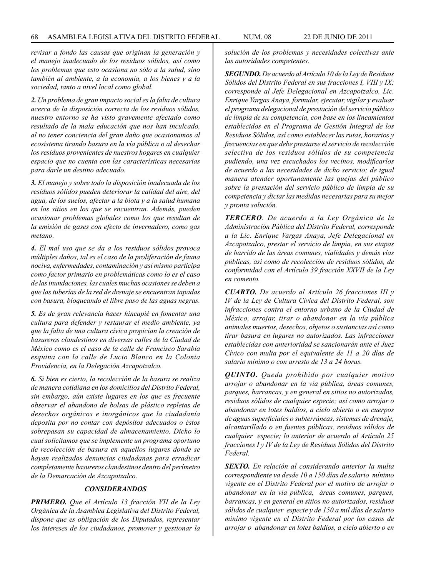*revisar a fondo las causas que originan la generación y el manejo inadecuado de los residuos sólidos, así como los problemas que esto ocasiona no sólo a la salud, sino también al ambiente, a la economía, a los bienes y a la sociedad, tanto a nivel local como global.*

*2. Un problema de gran impacto social es la falta de cultura acerca de la disposición correcta de los residuos sólidos, nuestro entorno se ha visto gravemente afectado como resultado de la mala educación que nos han inculcado, al no tener conciencia del gran daño que ocasionamos al ecosistema tirando basura en la vía pública o al desechar los residuos provenientes de nuestros hogares en cualquier espacio que no cuenta con las características necesarias para darle un destino adecuado.*

*3. El manejo y sobre todo la disposición inadecuada de los residuos sólidos pueden deteriorar la calidad del aire, del agua, de los suelos, afectar a la biota y a la salud humana en los sitios en los que se encuentran. Además, pueden ocasionar problemas globales como los que resultan de la emisión de gases con efecto de invernadero, como gas metano.*

*4. El mal uso que se da a los residuos sólidos provoca múltiples daños, tal es el caso de la proliferación de fauna nociva, enfermedades, contaminación y así mismo participa como factor primario en problemáticas como lo es el caso de las inundaciones, las cuales muchas ocasiones se deben a que las tuberías de la red de drenaje se encuentran tapadas con basura, bloqueando el libre paso de las aguas negras.*

*5. Es de gran relevancia hacer hincapié en fomentar una cultura para defender y restaurar el medio ambiente, ya que la falta de una cultura cívica propician la creación de basureros clandestinos en diversas calles de la Ciudad de México como es el caso de la calle de Francisco Sarabia esquina con la calle de Lucio Blanco en la Colonia Providencia, en la Delegación Azcapotzalco.*

*6. Si bien es cierto, la recolección de la basura se realiza de manera cotidiana en los domicilios del Distrito Federal, sin embargo, aún existe lugares en los que es frecuente observar el abandono de bolsas de plástico repletas de desechos orgánicos e inorgánicos que la ciudadanía deposita por no contar con depósitos adecuados o éstos sobrepasan su capacidad de almacenamiento. Dicho lo cual solicitamos que se implemente un programa oportuno de recolección de basura en aquellos lugares donde se hayan realizados denuncias ciudadanas para erradicar completamente basureros clandestinos dentro del perímetro de la Demarcación de Azcapotzalco.*

#### *CONSIDERANDOS*

*PRIMERO. Que el Artículo 13 fracción VII de la Ley Orgánica de la Asamblea Legislativa del Distrito Federal, dispone que es obligación de los Diputados, representar los intereses de los ciudadanos, promover y gestionar la* 

*solución de los problemas y necesidades colectivas ante las autoridades competentes.*

*SEGUNDO. De acuerdo al Artículo 10 de la Ley de Residuos Sólidos del Distrito Federal en sus fracciones I, VIII y IX; corresponde al Jefe Delegacional en Azcapotzalco, Lic. Enrique Vargas Anaya, formular, ejecutar, vigilar y evaluar el programa delegacional de prestación del servicio público de limpia de su competencia, con base en los lineamientos establecidos en el Programa de Gestión Integral de los Residuos Sólidos, así como establecer las rutas, horarios y frecuencias en que debe prestarse el servicio de recolección selectiva de los residuos sólidos de su competencia pudiendo, una vez escuchados los vecinos, modificarlos de acuerdo a las necesidades de dicho servicio; de igual manera atender oportunamente las quejas del público sobre la prestación del servicio público de limpia de su competencia y dictar las medidas necesarias para su mejor y pronta solución.*

*TERCERO. De acuerdo a la Ley Orgánica de la Administración Pública del Distrito Federal, corresponde a la Lic. Enrique Vargas Anaya, Jefe Delegacional en Azcapotzalco, prestar el servicio de limpia, en sus etapas de barrido de las áreas comunes, vialidades y demás vías públicas, así como de recolección de residuos sólidos, de conformidad con el Artículo 39 fracción XXVII de la Ley en comento.*

*CUARTO. De acuerdo al Artículo 26 fracciones III y IV de la Ley de Cultura Cívica del Distrito Federal, son infracciones contra el entorno urbano de la Ciudad de México, arrojar, tirar o abandonar en la vía pública animales muertos, desechos, objetos o sustancias así como tirar basura en lugares no autorizados. Las infracciones establecidas con anterioridad se sancionarán ante el Juez Cívico con multa por el equivalente de 11 a 20 días de salario mínimo o con arresto de 13 a 24 horas.*

*QUINTO. Queda prohibido por cualquier motivo arrojar o abandonar en la vía pública, áreas comunes, parques, barrancas, y en general en sitios no autorizados, residuos sólidos de cualquier especie; así como arrojar o abandonar en lotes baldíos, a cielo abierto o en cuerpos de aguas superficiales o subterráneas, sistemas de drenaje, alcantarillado o en fuentes públicas, residuos sólidos de cualquier especie; lo anterior de acuerdo al Artículo 25 fracciones I y IV de la Ley de Residuos Sólidos del Distrito Federal.*

*SEXTO. En relación al considerando anterior la multa correspondiente va desde 10 a 150 días de salario mínimo vigente en el Distrito Federal por el motivo de arrojar o abandonar en la vía pública, áreas comunes, parques, barrancas, y en general en sitios no autorizados, residuos sólidos de cualquier especie y de 150 a mil días de salario mínimo vigente en el Distrito Federal por los casos de arrojar o abandonar en lotes baldíos, a cielo abierto o en*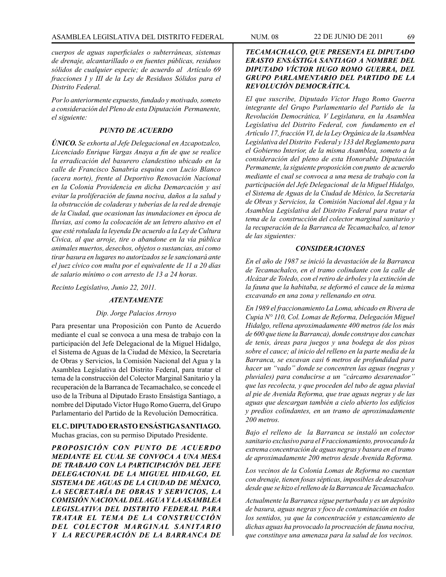*cuerpos de aguas superficiales o subterráneas, sistemas de drenaje, alcantarillado o en fuentes públicas, residuos sólidos de cualquier especie; de acuerdo al Artículo 69 fracciones I y III de la Ley de Residuos Sólidos para el Distrito Federal.* 

*Por lo anteriormente expuesto, fundado y motivado, someto a consideración del Pleno de esta Diputación Permanente, el siguiente:*

### *PUNTO DE ACUERDO*

*ÚNICO. Se exhorta al Jefe Delegacional en Azcapotzalco, Licenciado Enrique Vargas Anaya a fin de que se realice la erradicación del basurero clandestino ubicado en la calle de Francisco Sanabria esquina con Lucio Blanco (acera norte), frente al Deportivo Renovación Nacional en la Colonia Providencia en dicha Demarcación y así evitar la proliferación de fauna nociva, daños a la salud y la obstrucción de coladeras y tuberías de la red de drenaje de la Ciudad, que ocasionan las inundaciones en época de lluvias, así como la colocación de un letrero alusivo en el que esté rotulada la leyenda De acuerdo a la Ley de Cultura Cívica, al que arroje, tire o abandone en la vía pública animales muertos, desechos, objetos o sustancias, así como tirar basura en lugares no autorizados se le sancionará ante el juez cívico con multa por el equivalente de 11 a 20 días de salario mínimo o con arresto de 13 a 24 horas.*

*Recinto Legislativo, Junio 22, 2011.*

#### *ATENTAMENTE*

#### *Dip. Jorge Palacios Arroyo*

Para presentar una Proposición con Punto de Acuerdo mediante el cual se convoca a una mesa de trabajo con la participación del Jefe Delegacional de la Miguel Hidalgo, el Sistema de Aguas de la Ciudad de México, la Secretaría de Obras y Servicios, la Comisión Nacional del Agua y la Asamblea Legislativa del Distrito Federal, para tratar el tema de la construcción del Colector Marginal Sanitario y la recuperación de la Barranca de Tecamachalco, se concede el uso de la Tribuna al Diputado Erasto Ensástiga Santiago, a nombre del Diputado Víctor Hugo Romo Guerra, del Grupo Parlamentario del Partido de la Revolución Democrática.

**EL C. DIPUTADO ERASTO ENSÁSTIGA SANTIAGO.** Muchas gracias, con su permiso Diputado Presidente.

*PROPOSICIÓN CON PUNTO DE ACUERDO MEDIANTE EL CUAL SE CONVOCA A UNA MESA DE TRABAJO CON LA PARTICIPACIÓN DEL JEFE DELEGACIONAL DE LA MIGUEL HIDALGO, EL SISTEMA DE AGUAS DE LA CIUDAD DE MÉXICO, LA SECRETARÍA DE OBRAS Y SERVICIOS, LA COMISIÓN NACIONAL DEL AGUA Y LA ASAMBLEA LEGISLATIVA DEL DISTRITO FEDERAL PARA TRATAR EL TEMA DE LA CONSTRUCCIÓN DEL COLECTOR MARGINAL SANITARIO Y LA RECUPERACIÓN DE LA BARRANCA DE* 

# *TECAMACHALCO, QUE PRESENTA EL DIPUTADO ERASTO ENSÁSTIGA SANTIAGO A NOMBRE DEL DIPUTADO VÍCTOR HUGO ROMO GUERRA, DEL GRUPO PARLAMENTARIO DEL PARTIDO DE LA REVOLUCIÓN DEMOCRÁTICA.*

*El que suscribe, Diputado Víctor Hugo Romo Guerra integrante del Grupo Parlamentario del Partido de la Revolución Democrática, V Legislatura, en la Asamblea Legislativa del Distrito Federal, con fundamento en el Artículo 17, fracción VI, de la Ley Orgánica de la Asamblea Legislativa del Distrito Federal y 133 del Reglamento para el Gobierno Interior, de la misma Asamblea, someto a la consideración del pleno de esta Honorable Diputación Permanente, la siguiente proposición con punto de acuerdo mediante el cual se convoca a una mesa de trabajo con la participación del Jefe Delegacional de la Miguel Hidalgo, el Sistema de Aguas de la Ciudad de México, la Secretaría de Obras y Servicios, la Comisión Nacional del Agua y la Asamblea Legislativa del Distrito Federal para tratar el tema de la construcción del colector marginal sanitario y la recuperación de la Barranca de Tecamachalco, al tenor de las siguientes:*

## *CONSIDERACIONES*

*En el año de 1987 se inició la devastación de la Barranca de Tecamachalco, en el tramo colindante con la calle de Alcázar de Toledo, con el retiro de árboles y la extinción de la fauna que la habitaba, se deformó el cauce de la misma excavando en una zona y rellenando en otra.*

*En 1989 el fraccionamiento La Loma, ubicado en Rivera de Cupia N° 110, Col. Lomas de Reforma, Delegación Miguel Hidalgo, rellena aproximadamente 400 metros (de los más de 600 que tiene la Barranca), donde construye dos canchas de tenis, áreas para juegos y una bodega de dos pisos sobre el cauce; al inicio del relleno en la parte media de la Barranca, se excavan casi 6 metros de profundidad para hacer un "vado" donde se concentren las aguas (negras y pluviales) para conducirse a un "cárcamo desarenador" que las recolecta, y que proceden del tubo de agua pluvial al pie de Avenida Reforma, que trae aguas negras y de las aguas que descargan también a cielo abierto los edificios y predios colindantes, en un tramo de aproximadamente 200 metros.*

*Bajo el relleno de la Barranca se instaló un colector sanitario exclusivo para el Fraccionamiento, provocando la extrema concentración de aguas negras y basura en el tramo de aproximadamente 200 metros desde Avenida Reforma.* 

*Los vecinos de la Colonia Lomas de Reforma no cuentan con drenaje, tienen fosas sépticas, imposibles de desazolvar desde que se hizo el relleno de la Barranca de Tecamachalco.*

*Actualmente la Barranca sigue perturbada y es un depósito de basura, aguas negras y foco de contaminación en todos los sentidos, ya que la concentración y estancamiento de dichas aguas ha provocado la procreación de fauna nociva, que constituye una amenaza para la salud de los vecinos.*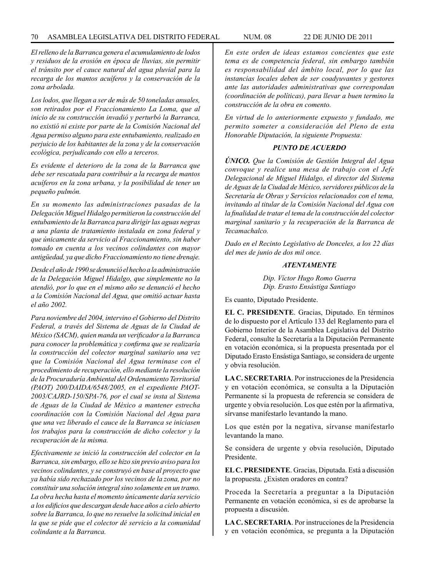*El relleno de la Barranca genera el acumulamiento de lodos y residuos de la erosión en época de lluvias, sin permitir el tránsito por el cauce natural del agua pluvial para la recarga de los mantos acuíferos y la conservación de la zona arbolada.*

*Los lodos, que llegan a ser de más de 50 toneladas anuales, son retirados por el Fraccionamiento La Loma, que al inicio de su construcción invadió y perturbó la Barranca, no existió ni existe por parte de la Comisión Nacional del Agua permiso alguno para este entubamiento, realizado en perjuicio de los habitantes de la zona y de la conservación ecológica, perjudicando con ello a terceros.*

*Es evidente el deterioro de la zona de la Barranca que debe ser rescatada para contribuir a la recarga de mantos acuíferos en la zona urbana, y la posibilidad de tener un pequeño pulmón.*

*En su momento las administraciones pasadas de la Delegación Miguel Hidalgo permitieron la construcción del entubamiento de la Barranca para dirigir las aguas negras a una planta de tratamiento instalada en zona federal y que únicamente da servicio al Fraccionamiento, sin haber tomado en cuenta a los vecinos colindantes con mayor antigüedad, ya que dicho Fraccionamiento no tiene drenaje.*

*Desde el año de 1990 se denunció el hecho a la administración de la Delegación Miguel Hidalgo, que simplemente no la atendió, por lo que en el mismo año se denunció el hecho a la Comisión Nacional del Agua, que omitió actuar hasta el año 2002.*

*Para noviembre del 2004, intervino el Gobierno del Distrito Federal, a través del Sistema de Aguas de la Ciudad de México (SACM), quien manda un verificador a la Barranca para conocer la problemática y confirma que se realizaría la construcción del colector marginal sanitario una vez que la Comisión Nacional del Agua terminase con el procedimiento de recuperación, ello mediante la resolución de la Procuraduría Ambiental del Ordenamiento Territorial (PAOT) 200/DAIDA/6548/2005, en el expediente PAOT-2003/CAJRD-150/SPA-76, por el cual se insta al Sistema de Aguas de la Ciudad de México a mantener estrecha coordinación con la Comisión Nacional del Agua para que una vez liberado el cauce de la Barranca se iniciasen los trabajos para la construcción de dicho colector y la recuperación de la misma.* 

*Efectivamente se inició la construcción del colector en la Barranca, sin embargo, ello se hizo sin previo aviso para los vecinos colindantes, y se construyó en base al proyecto que ya había sido rechazado por los vecinos de la zona, por no constituir una solución integral sino solamente en un tramo. La obra hecha hasta el momento únicamente daría servicio a los edificios que descargan desde hace años a cielo abierto sobre la Barranca, lo que no resuelve la solicitud inicial en la que se pide que el colector dé servicio a la comunidad colindante a la Barranca.*

*En este orden de ideas estamos concientes que este tema es de competencia federal, sin embargo también es responsabilidad del ámbito local, por lo que las instancias locales deben de ser coadyuvantes y gestores ante las autoridades administrativas que correspondan (coordinación de políticas), para llevar a buen termino la construcción de la obra en comento.*

*En virtud de lo anteriormente expuesto y fundado, me permito someter a consideración del Pleno de esta Honorable Diputación, la siguiente Propuesta:*

## *PUNTO DE ACUERDO*

*ÚNICO. Que la Comisión de Gestión Integral del Agua convoque y realice una mesa de trabajo con el Jefe Delegacional de Miguel Hidalgo, el director del Sistema de Aguas de la Ciudad de México, servidores públicos de la Secretaría de Obras y Servicios relacionados con el tema, invitando al titular de la Comisión Nacional del Agua con la finalidad de tratar el tema de la construcción del colector marginal sanitario y la recuperación de la Barranca de Tecamachalco.*

*Dado en el Recinto Legislativo de Donceles, a los 22 días del mes de junio de dos mil once.*

#### *ATENTAMENTE*

*Dip. Víctor Hugo Romo Guerra Dip. Erasto Ensástiga Santiago*

Es cuanto, Diputado Presidente.

**EL C. PRESIDENTE**. Gracias, Diputado. En términos de lo dispuesto por el Artículo 133 del Reglamento para el Gobierno Interior de la Asamblea Legislativa del Distrito Federal, consulte la Secretaría a la Diputación Permanente en votación económica, si la propuesta presentada por el Diputado Erasto Ensástiga Santiago, se considera de urgente y obvia resolución.

**LA C. SECRETARIA**. Por instrucciones de la Presidencia y en votación económica, se consulta a la Diputación Permanente si la propuesta de referencia se considera de urgente y obvia resolución. Los que estén por la afirmativa, sírvanse manifestarlo levantando la mano.

Los que estén por la negativa, sírvanse manifestarlo levantando la mano.

Se considera de urgente y obvia resolución, Diputado Presidente.

**EL C. PRESIDENTE**. Gracias, Diputada. Está a discusión la propuesta. ¿Existen oradores en contra?

Proceda la Secretaría a preguntar a la Diputación Permanente en votación económica, si es de aprobarse la propuesta a discusión.

**LA C. SECRETARIA**. Por instrucciones de la Presidencia y en votación económica, se pregunta a la Diputación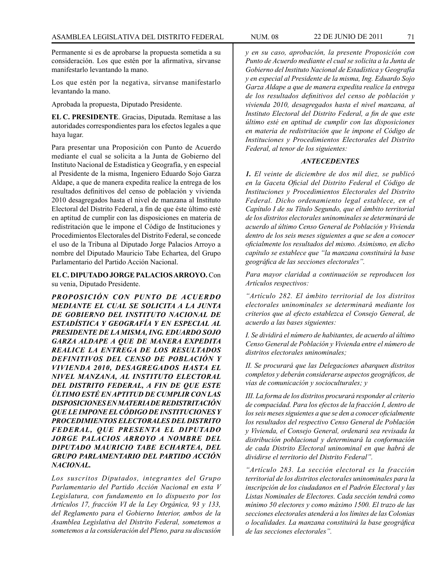Permanente si es de aprobarse la propuesta sometida a su consideración. Los que estén por la afirmativa, sírvanse manifestarlo levantando la mano.

Los que estén por la negativa, sírvanse manifestarlo levantando la mano.

Aprobada la propuesta, Diputado Presidente.

**EL C. PRESIDENTE**. Gracias, Diputada. Remítase a las autoridades correspondientes para los efectos legales a que haya lugar.

Para presentar una Proposición con Punto de Acuerdo mediante el cual se solicita a la Junta de Gobierno del Instituto Nacional de Estadística y Geografía, y en especial al Presidente de la misma, Ingeniero Eduardo Sojo Garza Aldape, a que de manera expedita realice la entrega de los resultados definitivos del censo de población y vivienda 2010 desagregados hasta el nivel de manzana al Instituto Electoral del Distrito Federal, a fin de que éste último esté en aptitud de cumplir con las disposiciones en materia de redistritación que le impone el Código de Instituciones y Procedimientos Electorales del Distrito Federal, se concede el uso de la Tribuna al Diputado Jorge Palacios Arroyo a nombre del Diputado Mauricio Tabe Echartea, del Grupo Parlamentario del Partido Acción Nacional.

**EL C. DIPUTADO JORGE PALACIOS ARROYO.** Con su venia, Diputado Presidente.

*PROPOSICIÓN CON PUNTO DE ACUERDO MEDIANTE EL CUAL SE SOLICITA A LA JUNTA DE GOBIERNO DEL INSTITUTO NACIONAL DE ESTADÍSTICA Y GEOGRAFÍA Y EN ESPECIAL AL PRESIDENTE DE LA MISMA, ING. EDUARDO SOJO GARZA ALDAPE A QUE DE MANERA EXPEDITA REALICE LA ENTREGA DE LOS RESULTADOS DEFINITIVOS DEL CENSO DE POBLACIÓN Y VIVIENDA 2010, DESAGREGADOS HASTA EL NIVEL MANZANA, AL INSTITUTO ELECTORAL DEL DISTRITO FEDERAL, A FIN DE QUE ESTE ÚLTIMO ESTÉ EN APTITUD DE CUMPLIR CON LAS DISPOSICIONES EN MATERIA DE REDISTRITACIÓN QUE LE IMPONE EL CÓDIGO DE INSTITUCIONES Y PROCEDIMIENTOS ELECTORALES DEL DISTRITO FEDERAL, QUE PRESENTA EL DIPUTADO JORGE PALACIOS ARROYO A NOMBRE DEL DIPUTADO MAURICIO TABE ECHARTEA, DEL GRUPO PARLAMENTARIO DEL PARTIDO ACCIÓN NACIONAL.*

*Los suscritos Diputados, integrantes del Grupo Parlamentario del Partido Acción Nacional en esta V Legislatura, con fundamento en lo dispuesto por los Artículos 17, fracción VI de la Ley Orgánica, 93 y 133, del Reglamento para el Gobierno Interior, ambos de la Asamblea Legislativa del Distrito Federal, sometemos a sometemos a la consideración del Pleno, para su discusión* 

*y en su caso, aprobación, la presente Proposición con Punto de Acuerdo mediante el cual se solicita a la Junta de Gobierno del Instituto Nacional de Estadística y Geografía y en especial al Presidente de la misma, Ing. Eduardo Sojo Garza Aldape a que de manera expedita realice la entrega de los resultados definitivos del censo de población y vivienda 2010, desagregados hasta el nivel manzana, al Instituto Electoral del Distrito Federal, a fin de que este último esté en aptitud de cumplir con las disposiciones en materia de redistritación que le impone el Código de Instituciones y Procedimientos Electorales del Distrito Federal, al tenor de los siguientes:*

#### *ANTECEDENTES*

*1. El veinte de diciembre de dos mil diez, se publicó en la Gaceta Oficial del Distrito Federal el Código de Instituciones y Procedimientos Electorales del Distrito Federal. Dicho ordenamiento legal establece, en el Capítulo I de su Título Segundo, que el ámbito territorial de los distritos electorales uninominales se determinará de acuerdo al último Censo General de Población y Vivienda dentro de los seis meses siguientes a que se den a conocer oficialmente los resultados del mismo. Asimismo, en dicho capítulo se establece que "la manzana constituirá la base geográfica de las secciones electorales".*

*Para mayor claridad a continuación se reproducen los Artículos respectivos:* 

*"Artículo 282. El ámbito territorial de los distritos electorales uninominales se determinará mediante los criterios que al efecto establezca el Consejo General, de acuerdo a las bases siguientes:*

*I. Se dividirá el número de habitantes, de acuerdo al último Censo General de Población y Vivienda entre el número de distritos electorales uninominales;* 

*II. Se procurará que las Delegaciones abarquen distritos completos y deberán considerarse aspectos geográficos, de vías de comunicación y socioculturales; y*

*III. La forma de los distritos procurará responder al criterio de compacidad. Para los efectos de la fracción I, dentro de los seis meses siguientes a que se den a conocer oficialmente los resultados del respectivo Censo General de Población y Vivienda, el Consejo General, ordenará sea revisada la distribución poblacional y determinará la conformación de cada Distrito Electoral uninominal en que habrá de dividirse el territorio del Distrito Federal".*

*"Artículo 283. La sección electoral es la fracción territorial de los distritos electorales uninominales para la inscripción de los ciudadanos en el Padrón Electoral y las Listas Nominales de Electores. Cada sección tendrá como mínimo 50 electores y como máximo 1500. El trazo de las secciones electorales atenderá a los límites de las Colonias o localidades. La manzana constituirá la base geográfica de las secciones electorales".*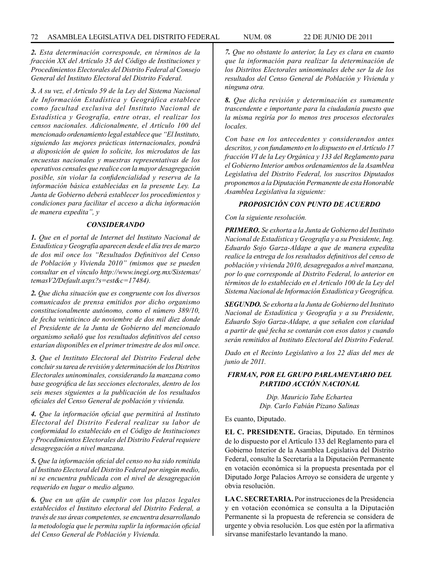*2. Esta determinación corresponde, en términos de la fracción XX del Artículo 35 del Código de Instituciones y Procedimientos Electorales del Distrito Federal al Consejo General del Instituto Electoral del Distrito Federal.*

*3. A su vez, el Artículo 59 de la Ley del Sistema Nacional de Información Estadística y Geográfica establece como facultad exclusiva del Instituto Nacional de Estadística y Geografía, entre otras, el realizar los censos nacionales. Adicionalmente, el Artículo 100 del mencionado ordenamiento legal establece que "El Instituto, siguiendo las mejores prácticas internacionales, pondrá a disposición de quien lo solicite, los microdatos de las encuestas nacionales y muestras representativas de los operativos censales que realice con la mayor desagregación posible, sin violar la confidencialidad y reserva de la información básica establecidas en la presente Ley. La Junta de Gobierno deberá establecer los procedimientos y condiciones para facilitar el acceso a dicha información de manera expedita", y*

#### *CONSIDERANDO*

*1. Que en el portal de Internet del Instituto Nacional de Estadística y Geografía aparecen desde el día tres de marzo de dos mil once los "Resultados Definitivos del Censo de Población y Vivienda 2010" (mismos que se pueden consultar en el vínculo http://www.inegi.org.mx/Sistemas/ temasV2/Default.aspx?s=est&c=17484).* 

*2. Que dicha situación que es congruente con los diversos comunicados de prensa emitidos por dicho organismo constitucionalmente autónomo, como el número 389/10, de fecha veinticinco de noviembre de dos mil diez donde el Presidente de la Junta de Gobierno del mencionado organismo señaló que los resultados definitivos del censo estarían disponibles en el primer trimestre de dos mil once.*

*3. Que el Instituto Electoral del Distrito Federal debe concluir su tarea de revisión y determinación de los Distritos Electorales uninominales, considerando la manzana como base geográfica de las secciones electorales, dentro de los seis meses siguientes a la publicación de los resultados oficiales del Censo General de población y vivienda.*

*4. Que la información oficial que permitirá al Instituto Electoral del Distrito Federal realizar su labor de conformidad lo establecido en el Código de Instituciones y Procedimientos Electorales del Distrito Federal requiere desagregación a nivel manzana.*

*5. Que la información oficial del censo no ha sido remitida al Instituto Electoral del Distrito Federal por ningún medio, ni se encuentra publicada con el nivel de desagregación requerido en lugar o medio alguno.* 

*6. Que en un afán de cumplir con los plazos legales establecidos el Instituto electoral del Distrito Federal, a través de sus áreas competentes, se encuentra desarrollando la metodología que le permita suplir la información oficial del Censo General de Población y Vivienda.*

*7. Que no obstante lo anterior, la Ley es clara en cuanto que la información para realizar la determinación de los Distritos Electorales uninominales debe ser la de los resultados del Censo General de Población y Vivienda y ninguna otra.*

*8. Que dicha revisión y determinación es sumamente trascendente e importante para la ciudadanía puesto que la misma regiría por lo menos tres procesos electorales locales.*

*Con base en los antecedentes y considerandos antes descritos, y con fundamento en lo dispuesto en el Artículo 17 fracción VI de la Ley Orgánica y 133 del Reglamento para el Gobierno Interior ambos ordenamientos de la Asamblea Legislativa del Distrito Federal, los suscritos Diputados proponemos a la Diputación Permanente de esta Honorable Asamblea Legislativa la siguiente:*

# *PROPOSICIÓN CON PUNTO DE ACUERDO*

#### *Con la siguiente resolución.*

*PRIMERO. Se exhorta a la Junta de Gobierno del Instituto Nacional de Estadística y Geografía y a su Presidente, Ing. Eduardo Sojo Garza-Aldape a que de manera expedita realice la entrega de los resultados definitivos del censo de población y vivienda 2010, desagregados a nivel manzana, por lo que corresponde al Distrito Federal, lo anterior en términos de lo establecido en el Artículo 100 de la Ley del Sistema Nacional de Información Estadística y Geográfica.*

*SEGUNDO. Se exhorta a la Junta de Gobierno del Instituto Nacional de Estadística y Geografía y a su Presidente, Eduardo Sojo Garza-Aldape, a que señalen con claridad a partir de qué fecha se contarán con esos datos y cuando serán remitidos al Instituto Electoral del Distrito Federal.*

*Dado en el Recinto Legislativo a los 22 días del mes de junio de 2011.*

## *FIRMAN, POR EL GRUPO PARLAMENTARIO DEL PARTIDO ACCIÓN NACIONAL*

*Dip. Mauricio Tabe Echartea Dip. Carlo Fabián Pizano Salinas*

Es cuanto, Diputado.

**EL C. PRESIDENTE.** Gracias, Diputado. En términos de lo dispuesto por el Artículo 133 del Reglamento para el Gobierno Interior de la Asamblea Legislativa del Distrito Federal, consulte la Secretaría a la Diputación Permanente en votación económica si la propuesta presentada por el Diputado Jorge Palacios Arroyo se considera de urgente y obvia resolución.

**LA C. SECRETARIA.** Por instrucciones de la Presidencia y en votación económica se consulta a la Diputación Permanente si la propuesta de referencia se considera de urgente y obvia resolución. Los que estén por la afirmativa sírvanse manifestarlo levantando la mano.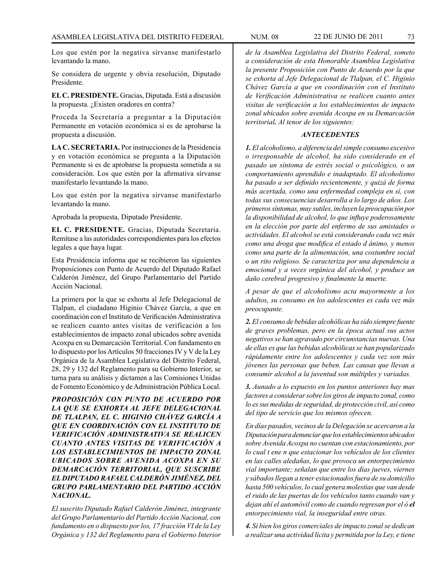Los que estén por la negativa sírvanse manifestarlo levantando la mano.

Se considera de urgente y obvia resolución, Diputado Presidente.

**EL C. PRESIDENTE.** Gracias, Diputada. Está a discusión la propuesta. ¿Existen oradores en contra?

Proceda la Secretaría a preguntar a la Diputación Permanente en votación económica si es de aprobarse la propuesta a discusión.

**LA C. SECRETARIA.** Por instrucciones de la Presidencia y en votación económica se pregunta a la Diputación Permanente si es de aprobarse la propuesta sometida a su consideración. Los que estén por la afirmativa sírvanse manifestarlo levantando la mano.

Los que estén por la negativa sírvanse manifestarlo levantando la mano.

Aprobada la propuesta, Diputado Presidente.

**EL C. PRESIDENTE.** Gracias, Diputada Secretaria. Remítase a las autoridades correspondientes para los efectos legales a que haya lugar.

Esta Presidencia informa que se recibieron las siguientes Proposiciones con Punto de Acuerdo del Diputado Rafael Calderón Jiménez, del Grupo Parlamentario del Partido Acción Nacional.

La primera por la que se exhorta al Jefe Delegacional de Tlalpan, el ciudadano Higinio Chávez García, a que en coordinación con el Instituto de Verificación Administrativa se realicen cuanto antes visitas de verificación a los establecimientos de impacto zonal ubicados sobre avenida Acoxpa en su Demarcación Territorial. Con fundamento en lo dispuesto por los Artículos 50 fracciones IV y V de la Ley Orgánica de la Asamblea Legislativa del Distrito Federal, 28, 29 y 132 del Reglamento para su Gobierno Interior, se turna para su análisis y dictamen a las Comisiones Unidas de Fomento Económico y de Administración Pública Local.

*PROPOSICIÓN CON PUNTO DE ACUERDO POR LA QUE SE EXHORTA AL JEFE DELEGACIONAL DE TLALPAN, EL C. HIGINIO CHÁVEZ GARCÍA A QUE EN COORDINACIÓN CON EL INSTITUTO DE VERIFICACIÓN ADMINISTRATIVA SE REALICEN CUANTO ANTES VISITAS DE VERIFICACIÓN A LOS ESTABLECIMIENTOS DE IMPACTO ZONAL UBICADOS SOBRE AVENIDA ACOXPA EN SU DEMARCACIÓN TERRITORIAL, QUE SUSCRIBE EL DIPUTADO RAFAEL CALDERÓN JIMÉNEZ, DEL GRUPO PARLAMENTARIO DEL PARTIDO ACCIÓN NACIONAL.*

*El suscrito Diputado Rafael Calderón Jiménez, integrante del Grupo Parlamentario del Partido Acción Nacional, con fundamento en o dispuesto por los, 17 fracción VI de la Ley Orgánica y 132 del Reglamento para el Gobierno Interior* 

*de la Asamblea Legislativa del Distrito Federal, someto a consideración de esta Honorable Asamblea Legislativa la presente Proposición con Punto de Acuerdo por la que se exhorta al Jefe Delegacional de Tlalpan, el C. Higinio Chávez García a que en coordinación con el Instituto de Verificación Administrativa se realicen cuanto antes visitas de verificación a los establecimientos de impacto zonal ubicados sobre avenida Acoxpa en su Demarcación territorial. Al tenor de los siguientes:*

#### *ANTECEDENTES*

*1. El alcoholismo, a diferencia del simple consumo excesivo o irresponsable de alcohol, ha sido considerado en el pasado un síntoma de estrés social o psicológico, o un comportamiento aprendido e inadaptado. El alcoholismo ha pasado a ser definido recientemente, y quizá de forma más acertada, como una enfermedad compleja en sí, con todas sus consecuencias desarrolla a lo largo de años. Los primeros síntomas, muy sutiles, incluyen la preocupación por la disponibilidad de alcohol, lo que influye poderosamente en la elección por parte del enfermo de sus amistades o actividades. El alcohol se está considerando cada vez más como una droga que modifica el estado d ánimo, y menos como una parte de la alimentación, una costumbre social o un rito religioso. Se caracteriza por una dependencia a emocional y a veces orgánica del alcohol, y produce un daño cerebral progresivo y finalmente la muerte.*

*A pesar de que el alcoholismo acta mayormente a los adultos, su consumo en los adolescentes es cada vez más preocupante.*

*2. El consumo de bebidas alcohólicas ha sido siempre fuente de graves problemas, pero en la época actual sus actos negativos se han agravado por circunstancias nuevas. Una de ellas es que las bebidas alcohólicas se han popularizado rápidamente entre los adolescentes y cada vez son más jóvenes las personas que beben. Las causas que llevan a consumir alcohol a la juventud son múltiples y variadas.*

*3. Aunado a lo expuesto en los puntos anteriores hay mas factores a considerar sobre los giros de impacto zonal, como lo es sus medidas de seguridad, de protección civil, así como del tipo de servicio que los mismos ofrecen.*

*En días pasados, vecinos de la Delegación se acercaron a la Diputación para denunciar que los establecimientos ubicados sobre Avenida Acoxpa no cuentan con estacionamiento, por lo cual t ene n que estacionar los vehículos de los clientes en las calles aledañas, lo que provoca un entorpecimiento vial importante; señalan que entre los días jueves, viernes y sábados llegan a tener estacionados fuera de su domicilio hasta 500 vehículos, lo cual genera molestias que van desde el ruido de las puertas de los vehículos tanto cuando van y dejan ahí el automóvil como de cuando regresan por el ó el entorpecimiento vial, la inseguridad entre otras.*

*4. Si bien los giros comerciales de impacto zonal se dedican a realizar una actividad lícita y permitida por la Ley, e tiene*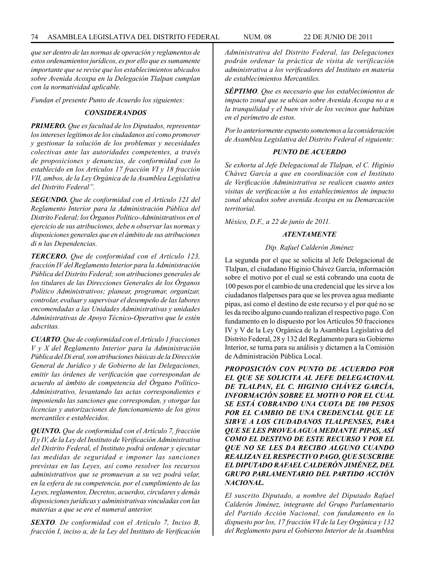*que ser dentro de las normas de operación y reglamentos de estos ordenamientos jurídicos, es por ello que es sumamente importante que se revise que los establecimientos ubicados sobre Avenida Acoxpa en la Delegación Tlalpan cumplan con la normatividad aplicable.*

*Fundan el presente Punto de Acuerdo los siguientes:*

#### *CONSIDERANDOS*

*PRIMERO. Que es facultad de los Diputados, representar los intereses legítimos de los ciudadanos así como promover y gestionar la solución de los problemas y necesidades colectivas ante las autoridades competentes, a través de proposiciones y denuncias, de conformidad con lo establecido en los Artículos 17 fracción VI y 18 fracción VII, ambos, de la Ley Orgánica de la Asamblea Legislativa del Distrito Federal".*

*SEGUNDO. Que de conformidad con el Artículo 121 del Reglamento Interior para la Administración Pública del Distrito Federal; los Órganos Político-Administrativos en el ejercicio de sus atribuciones, debe n observar las normas y disposiciones generales que en el ámbito de sus atribuciones di n las Dependencias.*

*TERCERO. Que de conformidad con el Artículo 123, fracción IV del Reglamento Interior para la Administración Pública del Distrito Federal; son atribuciones generales de los titulares de las Direcciones Generales de los Órganos Político Administrativos; planear, programar, organizar, controlar, evaluar y supervisar el desempeño de las labores encomendadas a las Unidades Administrativas y unidades Administrativas de Apoyo Técnico-Operativo que le estén adscritas.*

*CUARTO. Que de conformidad con el Artículo 1 fracciones V y X del Reglamento Interior para la Administración Pública del Di eral, son atribuciones básicas de la Dirección General de Jurídico y de Gobierno de las Delegaciones, emitir las órdenes de verificación que correspondan de acuerdo al ámbito de competencia del Órgano Político-Administrativo, levantando las actas correspondientes e imponiendo las sanciones que correspondan, y otorgar las licencias y autorizaciones de funcionamiento de los giros mercantiles e establecidos.*

*QUINTO. Que de conformidad con el Artículo 7, fracción Il y IV, de la Ley del Instituto de Verificación Administrativa del Distrito Federal, el Instituto podrá ordenar y ejecutar las medidas de seguridad e imponer las sanciones previstas en las Leyes, así como resolver los recursos administrativos que se promuevan a su vez podrá velar, en la esfera de su competencia, por el cumplimiento de las Leyes, reglamentos, Decretos, acuerdos, circulares y demás disposiciones jurídicas y administrativas vinculadas con las materias a que se ere el numeral anterior.*

*SEXTO. De conformidad con el Artículo 7, Inciso B, fracción I, inciso a, de la Ley del Instituto de Verificación*  *Administrativa del Distrito Federal, las Delegaciones podrán ordenar la práctica de visita de verificación administrativa a los verificadores del Instituto en materia de establecimientos Mercantiles.* 

*SÉPTIMO. Que es necesario que los establecimientos de impacto zonal que se ubican sobre Avenida Acoxpa no a n la tranquilidad y el buen vivir de los vecinos que habitan en el perímetro de estos.* 

*Por lo anteriormente expuesto sometemos a la consideración de Asamblea Legislativa del Distrito Federal el siguiente:*

# *PUNTO DE ACUERDO*

*Se exhorta al Jefe Delegacional de Tlalpan, el C. Higinio Chávez García a que en coordinación con el Instituto de Verificación Administrativa se realicen cuanto antes visitas de verificación a los establecimientos de impacto zonal ubicados sobre avenida Acoxpa en su Demarcación territorial.*

*México, D.F., a 22 de junio de 2011.*

## *ATENTAMENTE*

#### *Dip. Rafael Calderón Jiménez*

La segunda por el que se solicita al Jefe Delegacional de Tlalpan, el ciudadano Higinio Chávez García, información sobre el motivo por el cual se está cobrando una cuota de 100 pesos por el cambio de una credencial que les sirve a los ciudadanos tlalpenses para que se les provea agua mediante pipas, así como el destino de este recurso y el por qué no se les da recibo alguno cuando realizan el respectivo pago. Con fundamento en lo dispuesto por los Artículos 50 fracciones IV y V de la Ley Orgánica de la Asamblea Legislativa del Distrito Federal, 28 y 132 del Reglamento para su Gobierno Interior, se turna para su análisis y dictamen a la Comisión de Administración Pública Local.

*PROPOSICIÓN CON PUNTO DE ACUERDO POR EL QUE SE SOLICITA AL JEFE DELEGACIONAL DE TLALPAN, EL C. HIGINIO CHÁVEZ GARCÍA, INFORMACIÓN SOBRE EL MOTIVO POR EL CUAL SE ESTÁ COBRANDO UNA CUOTA DE 100 PESOS POR EL CAMBIO DE UNA CREDENCIAL QUE LE SIRVE A LOS CIUDADANOS TLALPENSES, PARA QUE SE LES PROVEA AGUA MEDIANTE PIPAS, ASÍ COMO EL DESTINO DE ESTE RECURSO Y POR EL QUE NO SE LES DA RECIBO ALGUNO CUANDO REALIZAN EL RESPECTIVO PAGO, QUE SUSCRIBE EL DIPUTADO RAFAEL CALDERÓN JIMÉNEZ, DEL GRUPO PARLAMENTARIO DEL PARTIDO ACCIÓN NACIONAL.*

*El suscrito Diputado, a nombre del Diputado Rafael Calderón Jiménez, integrante del Grupo Parlamentario del Partido Acción Nacional, con fundamento en lo dispuesto por los, 17 fracción VI de la Ley Orgánica y 132 del Reglamento para el Gobierno Interior de la Asamblea*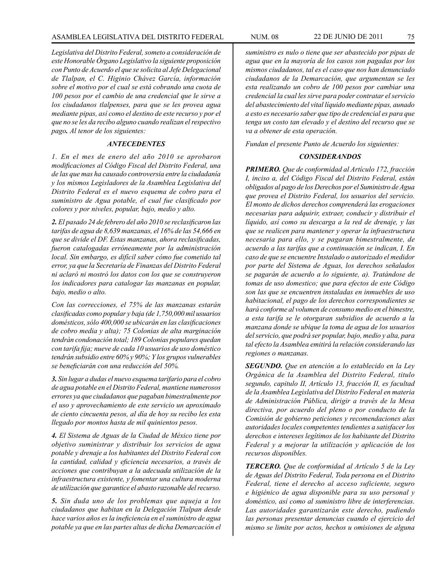*Legislativa del Distrito Federal, someto a consideración de este Honorable Órgano Legislativo la siguiente proposición con Punto de Acuerdo el que se solicita al Jefe Delegacional de Tlalpan, el C. Higinio Chávez García, información sobre el motivo por el cual se está cobrando una cuota de 100 pesos por el cambio de una credencial que le sirve a los ciudadanos tlalpenses, para que se les provea agua mediante pipas, así como el destino de este recurso y por el que no se les da recibo alguno cuando realizan el respectivo pago. Al tenor de los siguientes:*

# *ANTECEDENTES*

*1. En el mes de enero del año 2010 se aprobaron modificaciones al Código Fiscal del Distrito Federal, una de las que mas ha causado controversia entre la ciudadanía y los mismos Legisladores de la Asamblea Legislativa del Distrito Federal es el nuevo esquema de cobro para el suministro de Agua potable, el cual fue clasificado por colores y por niveles, popular, bajo, medio y alto.*

*2. El pasado 24 de febrero del año 2010 se reclasificaron las tarifas de agua de 8,639 manzanas, el 16% de las 54,666 en que se divide el DF. Estas manzanas, ahora reclasificadas, fueron catalogadas erróneamente por la administración local. Sin embargo, es difícil saber cómo fue cometido tal error, ya que la Secretaría de Finanzas del Distrito Federal ni aclaró ni mostró los datos con los que se construyeron los indicadores para catalogar las manzanas en popular, bajo, medio o alto.*

*Con las correcciones, el 75% de las manzanas estarán clasificadas como popular y baja (de 1,750,000 mil usuarios domésticos, sólo 400,000 se ubicarán en las clasificaciones de cobro media y alta); 75 Colonias de alta marginación tendrán condonación total; 189 Colonias populares quedan con tarifa fija; nueve de cada 10 usuarios de uso doméstico tendrán subsidio entre 60% y 90%; Y los grupos vulnerables se beneficiarán con una reducción del 50%.* 

*3. Sin lugar a dudas el nuevo esquema tarifario para el cobro de agua potable en el Distrito Federal, mantiene numerosos errores ya que ciudadanos que pagaban bimestralmente por el uso y aprovechamiento de este servicio un aproximado de ciento cincuenta pesos, al día de hoy su recibo les esta llegado por montos hasta de mil quinientos pesos.*

*4. El Sistema de Aguas de la Ciudad de México tiene por objetivo suministrar y distribuir los servicios de agua potable y drenaje a los habitantes del Distrito Federal con la cantidad, calidad y eficiencia necesarios, a través de acciones que contribuyan a la adecuada utilización de la infraestructura existente, y fomentar una cultura moderna de utilización que garantice el abasto razonable del recurso.*

*5. Sin duda uno de los problemas que aqueja a los ciudadanos que habitan en la Delegación Tlalpan desde hace varios años es la ineficiencia en el suministro de agua potable ya que en las partes altas de dicha Demarcación el* 

*suministro es nulo o tiene que ser abastecido por pipas de agua que en la mayoría de los casos son pagadas por los mismos ciudadanos, tal es el caso que nos han denunciado ciudadanos de la Demarcación, que argumentan se les esta realizando un cobro de 100 pesos por cambiar una credencial la cual les sirve para poder contratar el servicio del abastecimiento del vital líquido mediante pipas, aunado a esto es necesario saber que tipo de credencial es para que tenga un costo tan elevado y el destino del recurso que se va a obtener de esta operación.* 

*Fundan el presente Punto de Acuerdo los siguientes:*

# *CONSIDERANDOS*

*PRIMERO. Que de conformidad al Artículo 172, fracción I, inciso a, del Código Fiscal del Distrito Federal, están obligados al pago de los Derechos por el Suministro de Agua que provea el Distrito Federal, los usuarios del servicio. El monto de dichos derechos comprenderá las erogaciones necesarias para adquirir, extraer, conducir y distribuir el líquido, así como su descarga a la red de drenaje, y las que se realicen para mantener y operar la infraestructura necesaria para ello, y se pagaran bimestralmente, de acuerdo a las tarifas que a continuación se indican, I. En caso de que se encuentre Instalado o autorizado el medidor por parte del Sistema de Aguas, los derechos señalados se pagarán de acuerdo a lo siguiente, a). Tratándose de tomas de uso domestico; que para efectos de este Código son las que se encuentren instaladas en inmuebles de uso habitacional, el pago de los derechos correspondientes se hará conforme al volumen de consumo medio en el bimestre, a esta tarifa se le otorgaran subsidios de acuerdo a la manzana donde se ubique la toma de agua de los usuarios del servicio, que podrá ser popular, bajo, medio y alta, para tal efecto la Asamblea emitirá la relación considerando las regiones o manzanas.*

*SEGUNDO. Que en atención a lo establecido en la Ley Orgánica de la Asamblea del Distrito Federal, titulo segundo, capitulo II, Artículo 13, fracción II, es facultad de la Asamblea Legislativa del Distrito Federal en materia de Administración Pública, dirigir a través de la Mesa directiva, por acuerdo del pleno o por conducto de la Comisión de gobierno peticiones y recomendaciones alas autoridades locales competentes tendientes a satisfacer los derechos e intereses legítimos de los habitante del Distrito Federal y a mejorar la utilización y aplicación de los recursos disponibles.*

*TERCERO. Que de conformidad al Artículo 5 de la Ley de Aguas del Distrito Federal, Toda persona en el Distrito Federal, tiene el derecho al acceso suficiente, seguro e higiénico de agua disponible para su uso personal y doméstico, así como al suministro libre de interferencias. Las autoridades garantizarán este derecho, pudiendo las personas presentar denuncias cuando el ejercicio del mismo se limite por actos, hechos u omisiones de alguna*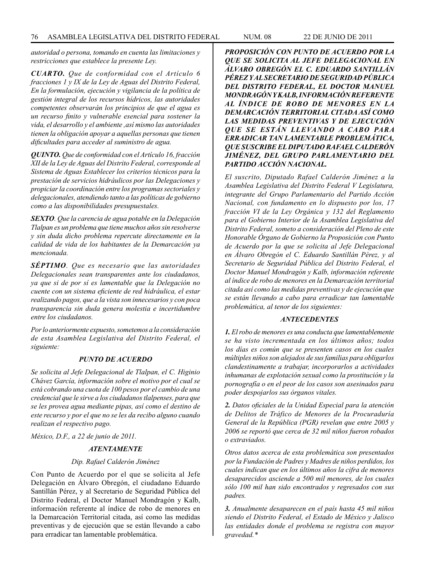*autoridad o persona, tomando en cuenta las limitaciones y restricciones que establece la presente Ley.* 

*CUARTO. Que de conformidad con el Artículo 6 fracciones 1 y IX de la Ley de Aguas del Distrito Federal, En la formulación, ejecución y vigilancia de la política de gestión integral de los recursos hídricos, las autoridades competentes observarán los principios de que el agua es un recurso finito y vulnerable esencial para sostener la vida, el desarrollo y el ambiente ,así mismo las autoridades tienen la obligación apoyar a aquellas personas que tienen dificultades para acceder al suministro de agua.*

*QUINTO. Que de conformidad con el Artículo 16, fracción XII de la Ley de Aguas del Distrito Federal, corresponde al Sistema de Aguas Establecer los criterios técnicos para la prestación de servicios hidráulicos por las Delegaciones y propiciar la coordinación entre los programas sectoriales y delegacionales, atendiendo tanto a las políticas de gobierno como a las disponibilidades presupuestales.*

*SEXTO. Que la carencia de agua potable en la Delegación Tlalpan es un problema que tiene muchos años sin resolverse y sin duda dicho problema repercute directamente en la calidad de vida de los habitantes de la Demarcación ya mencionada.*

*SÉPTIMO. Que es necesario que las autoridades Delegacionales sean transparentes ante los ciudadanos, ya que si de por sí es lamentable que la Delegación no cuente con un sistema eficiente de red hidráulica, el estar realizando pagos, que a la vista son innecesarios y con poca transparencia sin duda genera molestia e incertidumbre entre los ciudadanos.* 

*Por lo anteriormente expuesto, sometemos a la consideración de esta Asamblea Legislativa del Distrito Federal, el siguiente:*

#### *PUNTO DE ACUERDO*

*Se solicita al Jefe Delegacional de Tlalpan, el C. Higinio Chávez García, información sobre el motivo por el cual se está cobrando una cuota de 100 pesos por el cambio de una credencial que le sirve a los ciudadanos tlalpenses, para que se les provea agua mediante pipas, así como el destino de este recurso y por el que no se les da recibo alguno cuando realizan el respectivo pago.*

*México, D.F., a 22 de junio de 2011.*

### *ATENTAMENTE*

#### *Dip. Rafael Calderón Jiménez*

Con Punto de Acuerdo por el que se solicita al Jefe Delegación en Álvaro Obregón, el ciudadano Eduardo Santillán Pérez, y al Secretario de Seguridad Pública del Distrito Federal, el Doctor Manuel Mondragón y Kalb, información referente al índice de robo de menores en la Demarcación Territorial citada, así como las medidas preventivas y de ejecución que se están llevando a cabo para erradicar tan lamentable problemática.

*PROPOSICIÓN CON PUNTO DE ACUERDO POR LA QUE SE SOLICITA AL JEFE DELEGACIONAL EN ÁLVARO OBREGÓN EL C. EDUARDO SANTILLÁN PÉREZ Y AL SECRETARIO DE SEGURIDAD PÚBLICA DEL DISTRITO FEDERAL, EL DOCTOR MANUEL MONDRAGÓN Y KALB, INFORMACIÓN REFERENTE AL ÍNDICE DE ROBO DE MENORES EN LA DEMARCACIÓN TERRITORIAL CITADA ASÍ COMO LAS MEDIDAS PREVENTIVAS Y DE EJECUCIÓN QUE SE ESTÁN LLEVANDO A CABO PARA ERRADICAR TAN LAMENTABLE PROBLEMÁTICA, QUE SUSCRIBE EL DIPUTADO RAFAEL CALDERÓN JIMÉNEZ, DEL GRUPO PARLAMENTARIO DEL PARTIDO ACCIÓN NACIONAL.*

*El suscrito, Diputado Rafael Calderón Jiménez a la Asamblea Legislativa del Distrito Federal V Legislatura, integrante del Grupo Parlamentario del Partido Acción Nacional, con fundamento en lo dispuesto por los, 17 fracción VI de la Ley Orgánica y 132 del Reglamento para el Gobierno Interior de la Asamblea Legislativa del Distrito Federal, someto a consideración del Pleno de este Honorable Órgano de Gobierno la Proposición con Punto de Acuerdo por la que se solicita al Jefe Delegacional en Álvaro Obregón el C. Eduardo Santillán Pérez, y al Secretario de Seguridad Pública del Distrito Federal, el Doctor Manuel Mondragón y Kalb, información referente al índice de robo de menores en la Demarcación territorial citada así como las medidas preventivas y de ejecución que se están llevando a cabo para erradicar tan lamentable problemática, al tenor de los siguientes:* 

#### *ANTECEDENTES*

*1. El robo de menores es una conducta que lamentablemente se ha visto incrementada en los últimos años; todos los días es común que se presenten casos en los cuales múltiples niños son alejados de sus familias para obligarlos clandestinamente a trabajar, incorporarlos a actividades inhumanas de explotación sexual como la prostitución y la pornografía o en el peor de los casos son asesinados para poder despojarlos sus órganos vitales.*

*2. Datos oficiales de la Unidad Especial para la atención de Delitos de Tráfico de Menores de la Procuraduría General de la República (PGR) revelan que entre 2005 y 2006 se reportó que cerca de 32 mil niños fueron robados o extraviados.*

*Otros datos acerca de esta problemática son presentados por la Fundación de Padres y Madres de niños perdidos, los cuales indican que en los últimos años la cifra de menores desaparecidos asciende a 500 mil menores, de los cuales sólo 100 mil han sido encontrados y regresados con sus padres.* 

*3. Anualmente desaparecen en el país hasta 45 mil niños siendo el Distrito Federal, el Estado de México y Jalisco las entidades donde el problema se registra con mayor gravedad.\**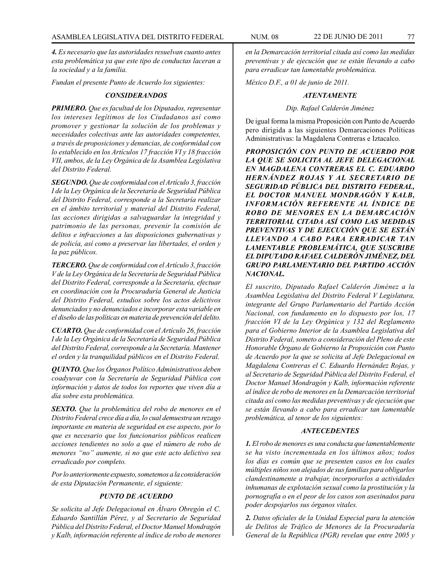*4. Es necesario que las autoridades resuelvan cuanto antes esta problemática ya que este tipo de conductas laceran a la sociedad y a la familia.* 

*Fundan el presente Punto de Acuerdo los siguientes:*

### *CONSIDERANDOS*

*PRIMERO. Que es facultad de los Diputados, representar los intereses legítimos de los Ciudadanos así como promover y gestionar la solución de los problemas y necesidades colectivas ante las autoridades competentes, a través de proposiciones y denuncias, de conformidad con lo establecido en los Artículos 17 fracción VI y 18 fracción VII, ambos, de la Ley Orgánica de la Asamblea Legislativa del Distrito Federal.*

*SEGUNDO. Que de conformidad con el Artículo 3, fracción I de la Ley Orgánica de la Secretaría de Seguridad Pública del Distrito Federal, corresponde a la Secretaría realizar en el ámbito territorial y material del Distrito Federal, las acciones dirigidas a salvaguardar la integridad y patrimonio de las personas, prevenir la comisión de delitos e infracciones a las disposiciones gubernativas y de policía, así como a preservar las libertades, el orden y la paz públicos.*

*TERCERO. Que de conformidad con el Artículo 3, fracción V de la Ley Orgánica de la Secretaría de Seguridad Pública del Distrito Federal, corresponde a la Secretaría, efectuar en coordinación con la Procuraduría General de Justicia del Distrito Federal, estudios sobre los actos delictivos denunciados y no denunciados e incorporar esta variable en el diseño de las políticas en materia de prevención del delito.*

*CUARTO. Que de conformidad con el Artículo 26, fracción I de la Ley Orgánica de la Secretaría de Seguridad Pública del Distrito Federal, corresponde a la Secretaría. Mantener el orden y la tranquilidad públicos en el Distrito Federal.*

*QUINTO. Que los Órganos Político Administrativos deben coadyuvar con la Secretaría de Seguridad Pública con información y datos de todos los reportes que viven día a día sobre esta problemática.*

*SEXTO. Que la problemática del robo de menores en el Distrito Federal crece día a día, lo cual demuestra un rezago importante en materia de seguridad en ese aspecto, por lo que es necesario que los funcionarios públicos realicen acciones tendientes no solo a que el número de robo de menores "no" aumente, si no que este acto delictivo sea erradicado por completo.*

*Por lo anteriormente expuesto, sometemos a la consideración de esta Diputación Permanente, el siguiente:* 

#### *PUNTO DE ACUERDO*

*Se solicita al Jefe Delegacional en Álvaro Obregón el C. Eduardo Santillán Pérez, y al Secretario de Seguridad Pública del Distrito Federal, el Doctor Manuel Mondragón y Kalb, información referente al índice de robo de menores*  *en la Demarcación territorial citada así como las medidas preventivas y de ejecución que se están llevando a cabo para erradicar tan lamentable problemática.*

*México D.F., a 01 de junio de 2011.*

# *ATENTAMENTE*

# *Dip. Rafael Calderón Jiménez*

De igual forma la misma Proposición con Punto de Acuerdo pero dirigida a las siguientes Demarcaciones Políticas Administrativas: la Magdalena Contreras e Iztacalco.

*PROPOSICIÓN CON PUNTO DE ACUERDO POR LA QUE SE SOLICITA AL JEFE DELEGACIONAL EN MAGDALENA CONTRERAS EL C. EDUARDO HERNÁNDEZ ROJAS Y AL SECRETARIO DE SEGURIDAD PÚBLICA DEL DISTRITO FEDERAL, EL DOCTOR MANUEL MONDRAGÓN Y KALB, INFORMACIÓN REFERENTE AL ÍNDICE DE ROBO DE MENORES EN LA DEMARCACIÓN TERRITORIAL CITADA ASÍ COMO LAS MEDIDAS PREVENTIVAS Y DE EJECUCIÓN QUE SE ESTÁN LLEVANDO A CABO PARA ERRADICAR TAN LAMENTABLE PROBLEMÁTICA, QUE SUSCRIBE EL DIPUTADO RAFAEL CALDERÓN JIMÉNEZ, DEL GRUPO PARLAMENTARIO DEL PARTIDO ACCIÓN NACIONAL.*

*El suscrito, Diputado Rafael Calderón Jiménez a la Asamblea Legislativa del Distrito Federal V Legislatura, integrante del Grupo Parlamentario del Partido Acción Nacional, con fundamento en lo dispuesto por los, 17 fracción VI de la Ley Orgánica y 132 del Reglamento para el Gobierno Interior de la Asamblea Legislativa del Distrito Federal, someto a consideración del Pleno de este Honorable Órgano de Gobierno la Proposición con Punto de Acuerdo por la que se solicita al Jefe Delegacional en Magdalena Contreras el C. Eduardo Hernández Rojas, y al Secretario de Seguridad Pública del Distrito Federal, el Doctor Manuel Mondragón y Kalb, información referente al índice de robo de menores en la Demarcación territorial citada así como las medidas preventivas y de ejecución que se están llevando a cabo para erradicar tan lamentable problemática, al tenor de los siguientes:* 

## *ANTECEDENTES*

*1. El robo de menores es una conducta que lamentablemente se ha visto incrementada en los últimos años; todos los días es común que se presenten casos en los cuales múltiples niños son alejados de sus familias para obligarlos clandestinamente a trabajar, incorporarlos a actividades inhumanas de explotación sexual como la prostitución y la pornografía o en el peor de los casos son asesinados para poder despojarlos sus órganos vitales.*

*2. Datos oficiales de la Unidad Especial para la atención de Delitos de Tráfico de Menores de la Procuraduría General de la República (PGR) revelan que entre 2005 y*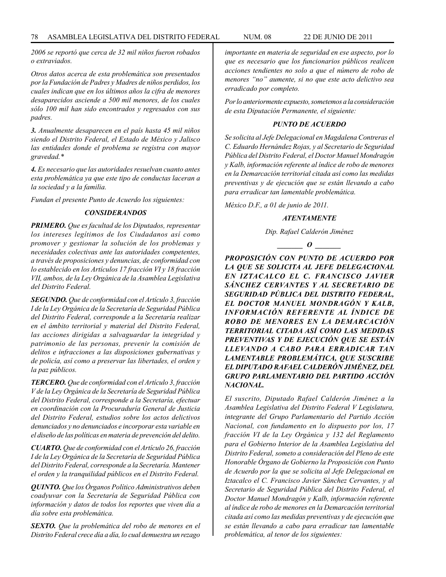*2006 se reportó que cerca de 32 mil niños fueron robados o extraviados.*

*Otros datos acerca de esta problemática son presentados por la Fundación de Padres y Madres de niños perdidos, los cuales indican que en los últimos años la cifra de menores desaparecidos asciende a 500 mil menores, de los cuales sólo 100 mil han sido encontrados y regresados con sus padres.* 

*3. Anualmente desaparecen en el país hasta 45 mil niños siendo el Distrito Federal, el Estado de México y Jalisco las entidades donde el problema se registra con mayor gravedad.\**

*4. Es necesario que las autoridades resuelvan cuanto antes esta problemática ya que este tipo de conductas laceran a la sociedad y a la familia.* 

*Fundan el presente Punto de Acuerdo los siguientes:*

# *CONSIDERANDOS*

*PRIMERO. Que es facultad de los Diputados, representar los intereses legítimos de los Ciudadanos así como promover y gestionar la solución de los problemas y necesidades colectivas ante las autoridades competentes, a través de proposiciones y denuncias, de conformidad con lo establecido en los Artículos 17 fracción VI y 18 fracción VII, ambos, de la Ley Orgánica de la Asamblea Legislativa del Distrito Federal.*

*SEGUNDO. Que de conformidad con el Artículo 3, fracción I de la Ley Orgánica de la Secretaría de Seguridad Pública del Distrito Federal, corresponde a la Secretaría realizar en el ámbito territorial y material del Distrito Federal, las acciones dirigidas a salvaguardar la integridad y patrimonio de las personas, prevenir la comisión de delitos e infracciones a las disposiciones gubernativas y de policía, así como a preservar las libertades, el orden y la paz públicos.*

*TERCERO. Que de conformidad con el Artículo 3, fracción V de la Ley Orgánica de la Secretaría de Seguridad Pública del Distrito Federal, corresponde a la Secretaría, efectuar en coordinación con la Procuraduría General de Justicia del Distrito Federal, estudios sobre los actos delictivos denunciados y no denunciados e incorporar esta variable en el diseño de las políticas en materia de prevención del delito.*

*CUARTO. Que de conformidad con el Artículo 26, fracción I de la Ley Orgánica de la Secretaría de Seguridad Pública del Distrito Federal, corresponde a la Secretaría. Mantener el orden y la tranquilidad públicos en el Distrito Federal.*

*QUINTO. Que los Órganos Político Administrativos deben coadyuvar con la Secretaría de Seguridad Pública con información y datos de todos los reportes que viven día a día sobre esta problemática.*

*SEXTO. Que la problemática del robo de menores en el Distrito Federal crece día a día, lo cual demuestra un rezago* 

*importante en materia de seguridad en ese aspecto, por lo que es necesario que los funcionarios públicos realicen acciones tendientes no solo a que el número de robo de menores "no" aumente, si no que este acto delictivo sea erradicado por completo.*

*Por lo anteriormente expuesto, sometemos a la consideración de esta Diputación Permanente, el siguiente:* 

# *PUNTO DE ACUERDO*

*Se solicita al Jefe Delegacional en Magdalena Contreras el C. Eduardo Hernández Rojas, y al Secretario de Seguridad Pública del Distrito Federal, el Doctor Manuel Mondragón y Kalb, información referente al índice de robo de menores en la Demarcación territorial citada así como las medidas preventivas y de ejecución que se están llevando a cabo para erradicar tan lamentable problemática.*

*México D.F., a 01 de junio de 2011.*

# *ATENTAMENTE*

*Dip. Rafael Calderón Jiménez*

*\_\_\_\_\_\_\_ O \_\_\_\_\_\_\_*

*PROPOSICIÓN CON PUNTO DE ACUERDO POR LA QUE SE SOLICITA AL JEFE DELEGACIONAL EN IZTACALCO EL C. FRANCISCO JAVIER SÁNCHEZ CERVANTES Y AL SECRETARIO DE SEGURIDAD PÚBLICA DEL DISTRITO FEDERAL, EL DOCTOR MANUEL MONDRAGÓN Y KALB, INFORMACIÓN REFERENTE AL ÍNDICE DE ROBO DE MENORES EN LA DEMARCACIÓN TERRITORIAL CITADA ASÍ COMO LAS MEDIDAS PREVENTIVAS Y DE EJECUCIÓN QUE SE ESTÁN LLEVANDO A CABO PARA ERRADICAR TAN LAMENTABLE PROBLEMÁTICA, QUE SUSCRIBE EL DIPUTADO RAFAEL CALDERÓN JIMÉNEZ, DEL GRUPO PARLAMENTARIO DEL PARTIDO ACCIÓN NACIONAL.*

*El suscrito, Diputado Rafael Calderón Jiménez a la Asamblea Legislativa del Distrito Federal V Legislatura, integrante del Grupo Parlamentario del Partido Acción Nacional, con fundamento en lo dispuesto por los, 17 fracción VI de la Ley Orgánica y 132 del Reglamento para el Gobierno Interior de la Asamblea Legislativa del Distrito Federal, someto a consideración del Pleno de este Honorable Órgano de Gobierno la Proposición con Punto de Acuerdo por la que se solicita al Jefe Delegacional en Iztacalco el C. Francisco Javier Sánchez Cervantes, y al Secretario de Seguridad Pública del Distrito Federal, el Doctor Manuel Mondragón y Kalb, información referente al índice de robo de menores en la Demarcación territorial citada así como las medidas preventivas y de ejecución que se están llevando a cabo para erradicar tan lamentable problemática, al tenor de los siguientes:*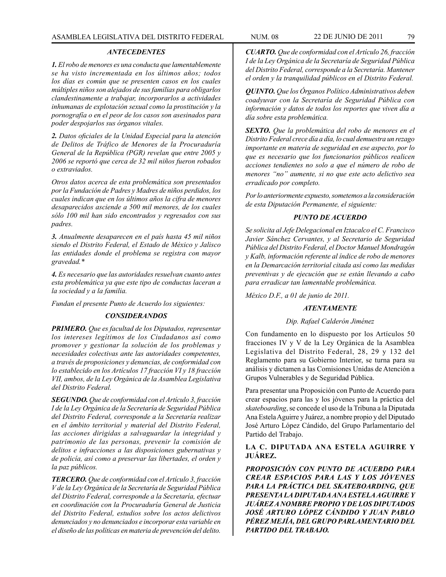#### *ANTECEDENTES*

*1. El robo de menores es una conducta que lamentablemente se ha visto incrementada en los últimos años; todos los días es común que se presenten casos en los cuales múltiples niños son alejados de sus familias para obligarlos clandestinamente a trabajar, incorporarlos a actividades inhumanas de explotación sexual como la prostitución y la pornografía o en el peor de los casos son asesinados para poder despojarlos sus órganos vitales.*

*2. Datos oficiales de la Unidad Especial para la atención de Delitos de Tráfico de Menores de la Procuraduría General de la República (PGR) revelan que entre 2005 y 2006 se reportó que cerca de 32 mil niños fueron robados o extraviados.*

*Otros datos acerca de esta problemática son presentados por la Fundación de Padres y Madres de niños perdidos, los cuales indican que en los últimos años la cifra de menores desaparecidos asciende a 500 mil menores, de los cuales sólo 100 mil han sido encontrados y regresados con sus padres.* 

*3. Anualmente desaparecen en el país hasta 45 mil niños siendo el Distrito Federal, el Estado de México y Jalisco las entidades donde el problema se registra con mayor gravedad.\**

*4. Es necesario que las autoridades resuelvan cuanto antes esta problemática ya que este tipo de conductas laceran a la sociedad y a la familia.* 

*Fundan el presente Punto de Acuerdo los siguientes:*

## *CONSIDERANDOS*

*PRIMERO. Que es facultad de los Diputados, representar los intereses legítimos de los Ciudadanos así como promover y gestionar la solución de los problemas y necesidades colectivas ante las autoridades competentes, a través de proposiciones y denuncias, de conformidad con lo establecido en los Artículos 17 fracción VI y 18 fracción VII, ambos, de la Ley Orgánica de la Asamblea Legislativa del Distrito Federal.*

*SEGUNDO. Que de conformidad con el Artículo 3, fracción I de la Ley Orgánica de la Secretaría de Seguridad Pública del Distrito Federal, corresponde a la Secretaría realizar en el ámbito territorial y material del Distrito Federal, las acciones dirigidas a salvaguardar la integridad y patrimonio de las personas, prevenir la comisión de delitos e infracciones a las disposiciones gubernativas y de policía, así como a preservar las libertades, el orden y la paz públicos.*

*TERCERO. Que de conformidad con el Artículo 3, fracción V de la Ley Orgánica de la Secretaría de Seguridad Pública del Distrito Federal, corresponde a la Secretaría, efectuar en coordinación con la Procuraduría General de Justicia del Distrito Federal, estudios sobre los actos delictivos denunciados y no denunciados e incorporar esta variable en el diseño de las políticas en materia de prevención del delito.*

*CUARTO. Que de conformidad con el Artículo 26, fracción I de la Ley Orgánica de la Secretaría de Seguridad Pública del Distrito Federal, corresponde a la Secretaría. Mantener el orden y la tranquilidad públicos en el Distrito Federal.*

*QUINTO. Que los Órganos Político Administrativos deben coadyuvar con la Secretaría de Seguridad Pública con información y datos de todos los reportes que viven día a día sobre esta problemática.*

*SEXTO. Que la problemática del robo de menores en el Distrito Federal crece día a día, lo cual demuestra un rezago importante en materia de seguridad en ese aspecto, por lo que es necesario que los funcionarios públicos realicen acciones tendientes no solo a que el número de robo de menores "no" aumente, si no que este acto delictivo sea erradicado por completo.*

*Por lo anteriormente expuesto, sometemos a la consideración de esta Diputación Permanente, el siguiente:* 

#### *PUNTO DE ACUERDO*

*Se solicita al Jefe Delegacional en Iztacalco el C. Francisco Javier Sánchez Cervantes, y al Secretario de Seguridad Pública del Distrito Federal, el Doctor Manuel Mondragón y Kalb, información referente al índice de robo de menores en la Demarcación territorial citada así como las medidas preventivas y de ejecución que se están llevando a cabo para erradicar tan lamentable problemática.*

*México D.F., a 01 de junio de 2011.*

## *ATENTAMENTE*

#### *Dip. Rafael Calderón Jiménez*

Con fundamento en lo dispuesto por los Artículos 50 fracciones IV y V de la Ley Orgánica de la Asamblea Legislativa del Distrito Federal, 28, 29 y 132 del Reglamento para su Gobierno Interior, se turna para su análisis y dictamen a las Comisiones Unidas de Atención a Grupos Vulnerables y de Seguridad Pública.

Para presentar una Proposición con Punto de Acuerdo para crear espacios para las y los jóvenes para la práctica del *skateboarding*, se concede el uso de la Tribuna a la Diputada Ana Estela Aguirre y Juárez, a nombre propio y del Diputado José Arturo López Cándido, del Grupo Parlamentario del Partido del Trabajo.

# **LA C. DIPUTADA ANA ESTELA AGUIRRE Y JUÁREZ.**

*PROPOSICIÓN CON PUNTO DE ACUERDO PARA CREAR ESPACIOS PARA LAS Y LOS JÓVENES PARA LA PRÁCTICA DEL SKATEBOARDING, QUE PRESENTA LA DIPUTADA ANA ESTELA AGUIRRE Y JUÁREZ A NOMBRE PROPIO Y DE LOS DIPUTADOS JOSÉ ARTURO LÓPEZ CÁNDIDO Y JUAN PABLO PÉREZ MEJÍA, DEL GRUPO PARLAMENTARIO DEL PARTIDO DEL TRABAJO.*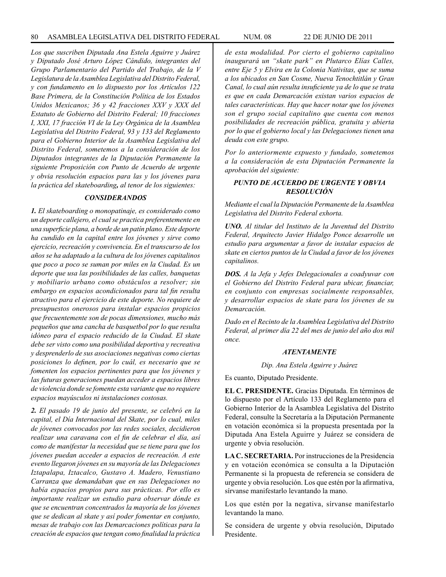*Los que suscriben Diputada Ana Estela Aguirre y Juárez y Diputado José Arturo López Cándido, integrantes del Grupo Parlamentario del Partido del Trabajo, de la V Legislatura de la Asamblea Legislativa del Distrito Federal, y con fundamento en lo dispuesto por los Artículos 122 Base Primera, de la Constitución Política de los Estados Unidos Mexicanos; 36 y 42 fracciones XXV y XXX del Estatuto de Gobierno del Distrito Federal; 10 fracciones I, XXI, 17 fracción VI de la Ley Orgánica de la Asamblea Legislativa del Distrito Federal, 93 y 133 del Reglamento para el Gobierno Interior de la Asamblea Legislativa del Distrito Federal, sometemos a la consideración de los Diputados integrantes de la Diputación Permanente la siguiente Proposición con Punto de Acuerdo de urgente y obvia resolución espacios para las y los jóvenes para la práctica del skateboarding, al tenor de los siguientes:*

#### *CONSIDERANDOS*

*1. El skateboarding o monopatinaje, es considerado como un deporte callejero, el cual se practica preferentemente en una superficie plana, a borde de un patín plano. Este deporte ha cundido en la capital entre los jóvenes y sirve como ejercicio, recreación y convivencia. En el transcurso de los años se ha adaptado a la cultura de los jóvenes capitalinos que poco a poco se suman por miles en la Ciudad. Es un deporte que usa las posibilidades de las calles, banquetas y mobiliario urbano como obstáculos a resolver; sin embargo en espacios acondicionados para tal fin resulta atractivo para el ejercicio de este deporte. No requiere de presupuestos onerosos para instalar espacios propicios que frecuentemente son de pocas dimensiones, mucho más pequeños que una cancha de basquetbol por lo que resulta idóneo para el espacio reducido de la Ciudad. El skate debe ser visto como una posibilidad deportiva y recreativa y desprenderlo de sus asociaciones negativas como ciertas posiciones lo definen, por lo cuál, es necesario que se fomenten los espacios pertinentes para que los jóvenes y las futuras generaciones puedan acceder a espacios libres de violencia donde se fomente esta variante que no requiere espacios mayúsculos ni instalaciones costosas.*

*2. El pasado 19 de junio del presente, se celebró en la capital, el Día Internacional del Skate, por lo cual, miles de jóvenes convocados por las redes sociales, decidieron realizar una caravana con el fin de celebrar el día, así como de manifestar la necesidad que se tiene para que los jóvenes puedan acceder a espacios de recreación. A este evento llegaron jóvenes en su mayoría de las Delegaciones Iztapalapa, Iztacalco, Gustavo A. Madero, Venustiano Carranza que demandaban que en sus Delegaciones no había espacios propios para sus prácticas. Por ello es importante realizar un estudio para observar dónde es que se encuentran concentrados la mayoría de los jóvenes que se dedican al skate y así poder fomentar en conjunto, mesas de trabajo con las Demarcaciones políticas para la creación de espacios que tengan como finalidad la práctica* 

*de esta modalidad. Por cierto el gobierno capitalino inaugurará un "skate park" en Plutarco Elías Calles, entre Eje 5 y Elvira en la Colonia Nativitas, que se suma a los ubicados en San Cosme, Nueva Tenochtitlán y Gran Canal, lo cual aún resulta insuficiente ya de lo que se trata es que en cada Demarcación existan varios espacios de tales características. Hay que hacer notar que los jóvenes son el grupo social capitalino que cuenta con menos posibilidades de recreación pública, gratuita y abierta por lo que el gobierno local y las Delegaciones tienen una deuda con este grupo.*

*Por lo anteriormente expuesto y fundado, sometemos a la consideración de esta Diputación Permanente la aprobación del siguiente:* 

# *PUNTO DE ACUERDO DE URGENTE Y OBVIA RESOLUCIÓN*

*Mediante el cual la Diputación Permanente de la Asamblea Legislativa del Distrito Federal exhorta.*

*UNO. Al titular del Instituto de la Juventud del Distrito Federal, Arquitecto Javier Hidalgo Ponce desarrolle un estudio para argumentar a favor de instalar espacios de skate en ciertos puntos de la Ciudad a favor de los jóvenes capitalinos.*

*DOS. A la Jefa y Jefes Delegacionales a coadyuvar con el Gobierno del Distrito Federal para ubicar, financiar, en conjunto con empresas socialmente responsables, y desarrollar espacios de skate para los jóvenes de su Demarcación.*

*Dado en el Recinto de la Asamblea Legislativa del Distrito Federal, al primer día 22 del mes de junio del año dos mil once.*

## *ATENTAMENTE*

*Dip. Ana Estela Aguirre y Juárez*

Es cuanto, Diputado Presidente.

**EL C. PRESIDENTE.** Gracias Diputada. En términos de lo dispuesto por el Artículo 133 del Reglamento para el Gobierno Interior de la Asamblea Legislativa del Distrito Federal, consulte la Secretaría a la Diputación Permanente en votación económica si la propuesta presentada por la Diputada Ana Estela Aguirre y Juárez se considera de urgente y obvia resolución.

**LA C. SECRETARIA.** Por instrucciones de la Presidencia y en votación económica se consulta a la Diputación Permanente si la propuesta de referencia se considera de urgente y obvia resolución. Los que estén por la afirmativa, sírvanse manifestarlo levantando la mano.

Los que estén por la negativa, sírvanse manifestarlo levantando la mano.

Se considera de urgente y obvia resolución, Diputado Presidente.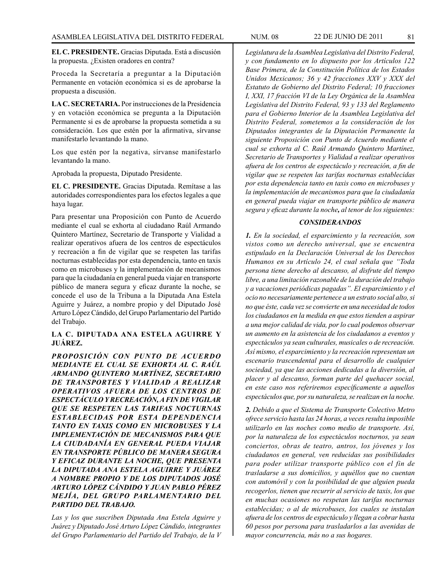**EL C. PRESIDENTE.** Gracias Diputada. Está a discusión la propuesta. ¿Existen oradores en contra?

Proceda la Secretaría a preguntar a la Diputación Permanente en votación económica si es de aprobarse la propuesta a discusión.

**LA C. SECRETARIA.** Por instrucciones de la Presidencia y en votación económica se pregunta a la Diputación Permanente si es de aprobarse la propuesta sometida a su consideración. Los que estén por la afirmativa, sírvanse manifestarlo levantando la mano.

Los que estén por la negativa, sírvanse manifestarlo levantando la mano.

Aprobada la propuesta, Diputado Presidente.

**EL C. PRESIDENTE.** Gracias Diputada. Remítase a las autoridades correspondientes para los efectos legales a que haya lugar.

Para presentar una Proposición con Punto de Acuerdo mediante el cual se exhorta al ciudadano Raúl Armando Quintero Martínez, Secretario de Transporte y Vialidad a realizar operativos afuera de los centros de espectáculos y recreación a fin de vigilar que se respeten las tarifas nocturnas establecidas por esta dependencia, tanto en taxis como en microbuses y la implementación de mecanismos para que la ciudadanía en general pueda viajar en transporte público de manera segura y eficaz durante la noche, se concede el uso de la Tribuna a la Diputada Ana Estela Aguirre y Juárez, a nombre propio y del Diputado José Arturo López Cándido, del Grupo Parlamentario del Partido del Trabajo.

# **LA C. DIPUTADA ANA ESTELA AGUIRRE Y JUÁREZ.**

*PROPOSICIÓN CON PUNTO DE ACUERDO MEDIANTE EL CUAL SE EXHORTA AL C. RAÚL ARMANDO QUINTERO MARTÍNEZ, SECRETARIO DE TRANSPORTES Y VIALIDAD A REALIZAR OPERATIVOS AFUERA DE LOS CENTROS DE ESPECTÁCULO Y RECREACIÓN, A FIN DE VIGILAR QUE SE RESPETEN LAS TARIFAS NOCTURNAS ESTABLECIDAS POR ESTA DEPENDENCIA TANTO EN TAXIS COMO EN MICROBUSES Y LA IMPLEMENTACIÓN DE MECANISMOS PARA QUE LA CIUDADANÍA EN GENERAL PUEDA VIAJAR EN TRANSPORTE PÚBLICO DE MANERA SEGURA Y EFICAZ DURANTE LA NOCHE, QUE PRESENTA LA DIPUTADA ANA ESTELA AGUIRRE Y JUÁREZ A NOMBRE PROPIO Y DE LOS DIPUTADOS JOSÉ ARTURO LÓPEZ CÁNDIDO Y JUAN PABLO PÉREZ MEJÍA, DEL GRUPO PARLAMENTARIO DEL PARTIDO DEL TRABAJO.*

*Las y los que suscriben Diputada Ana Estela Aguirre y Juárez y Diputado José Arturo López Cándido, integrantes del Grupo Parlamentario del Partido del Trabajo, de la V*  *Legislatura de la Asamblea Legislativa del Distrito Federal, y con fundamento en lo dispuesto por los Artículos 122 Base Primera, de la Constitución Política de los Estados Unidos Mexicanos; 36 y 42 fracciones XXV y XXX del Estatuto de Gobierno del Distrito Federal; 10 fracciones I, XXI, 17 fracción VI de la Ley Orgánica de la Asamblea Legislativa del Distrito Federal, 93 y 133 del Reglamento para el Gobierno Interior de la Asamblea Legislativa del Distrito Federal, sometemos a la consideración de los Diputados integrantes de la Diputación Permanente la siguiente Proposición con Punto de Acuerdo mediante el cual se exhorta al C. Raúl Armando Quintero Martínez, Secretario de Transportes y Vialidad a realizar operativos afuera de los centros de espectáculo y recreación, a fin de vigilar que se respeten las tarifas nocturnas establecidas por esta dependencia tanto en taxis como en microbuses y la implementación de mecanismos para que la ciudadanía en general pueda viajar en transporte público de manera segura y eficaz durante la noche, al tenor de los siguientes:*

# *CONSIDERANDOS*

*1. En la sociedad, el esparcimiento y la recreación, son vistos como un derecho universal, que se encuentra estipulado en la Declaración Universal de los Derechos Humanos en su Artículo 24, el cual señala que "Toda persona tiene derecho al descanso, al disfrute del tiempo libre, a una limitación razonable de la duración del trabajo y a vacaciones periódicas pagadas". El esparcimiento y el ocio no necesariamente pertenece a un estrato social alto, si no que éste, cada vez se convierte en una necesidad de todos los ciudadanos en la medida en que estos tienden a aspirar a una mejor calidad de vida, por lo cual podemos observar un aumento en la asistencia de los ciudadanos a eventos y espectáculos ya sean culturales, musicales o de recreación. Así mismo, el esparcimiento y la recreación representan un escenario trascendental para el desarrollo de cualquier sociedad, ya que las acciones dedicadas a la diversión, al placer y al descanso, forman parte del quehacer social, en este caso nos referiremos específicamente a aquellos espectáculos que, por su naturaleza, se realizan en la noche.*

*2. Debido a que el Sistema de Transporte Colectivo Metro ofrece servicio hasta las 24 horas, a veces resulta imposible utilizarlo en las noches como medio de transporte. Así, por la naturaleza de los espectáculos nocturnos, ya sean conciertos, obras de teatro, antros, los jóvenes y los ciudadanos en general, ven reducidas sus posibilidades para poder utilizar transporte público con el fin de trasladarse a sus domicilios, y aquéllos que no cuentan con automóvil y con la posibilidad de que alguien pueda recogerlos, tienen que recurrir al servicio de taxis, los que en muchas ocasiones no respetan las tarifas nocturnas establecidas; o al de microbuses, los cuales se instalan afuera de los centros de espectáculo y llegan a cobrar hasta 60 pesos por persona para trasladarlos a las avenidas de mayor concurrencia, más no a sus hogares.*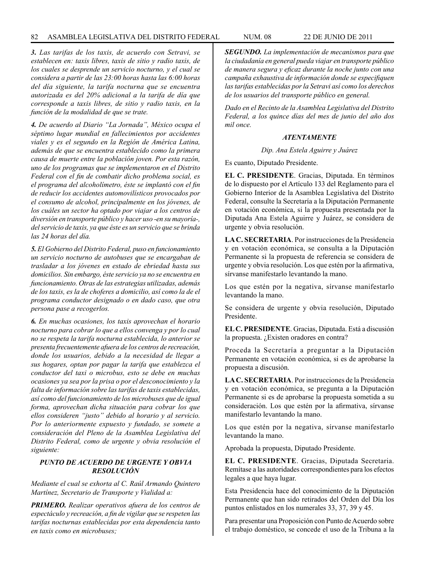#### 82 ASAMBLEA LEGISLATIVA DEL DISTRITO FEDERAL NUM. 08 22 de JUNIO de 2011

*3. Las tarifas de los taxis, de acuerdo con Setravi, se establecen en: taxis libres, taxis de sitio y radio taxis, de los cuales se desprende un servicio nocturno, y el cual se considera a partir de las 23:00 horas hasta las 6:00 horas del día siguiente, la tarifa nocturna que se encuentra autorizada es del 20% adicional a la tarifa de día que corresponde a taxis libres, de sitio y radio taxis, en la función de la modalidad de que se trate.*

*4. De acuerdo al Diario "La Jornada", México ocupa el séptimo lugar mundial en fallecimientos por accidentes viales y es el segundo en la Región de América Latina, además de que se encuentra establecido como la primera causa de muerte entre la población joven. Por esta razón, uno de los programas que se implementaron en el Distrito Federal con el fin de combatir dicho problema social, es el programa del alcoholímetro, éste se implantó con el fin de reducir los accidentes automovilísticos provocados por el consumo de alcohol, principalmente en los jóvenes, de los cuáles un sector ha optado por viajar a los centros de diversión en transporte público y hacer uso -en su mayoría-, del servicio de taxis, ya que éste es un servicio que se brinda las 24 horas del día.*

*5. El Gobierno del Distrito Federal, puso en funcionamiento un servicio nocturno de autobuses que se encargaban de trasladar a los jóvenes en estado de ebriedad hasta sus domicilios. Sin embargo, éste servicio ya no se encuentra en funcionamiento. Otras de las estrategias utilizadas, además de los taxis, es la de choferes a domicilio, así como la de el programa conductor designado o en dado caso, que otra persona pase a recogerlos.*

*6. En muchas ocasiones, los taxis aprovechan el horario nocturno para cobrar lo que a ellos convenga y por lo cual no se respeta la tarifa nocturna establecida, lo anterior se presenta frecuentemente afuera de los centros de recreación, donde los usuarios, debido a la necesidad de llegar a sus hogares, optan por pagar la tarifa que establezca el conductor del taxi o microbus, esto se debe en muchas ocasiones ya sea por la prisa o por el desconocimiento y la falta de información sobre las tarifas de taxis establecidas, así como del funcionamiento de los microbuses que de igual forma, aprovechan dicha situación para cobrar los que ellos consideren "justo" debido al horario y al servicio. Por lo anteriormente expuesto y fundado, se somete a consideración del Pleno de la Asamblea Legislativa del Distrito Federal, como de urgente y obvia resolución el siguiente:*

# *PUNTO DE ACUERDO DE URGENTE Y OBVIA RESOLUCIÓN*

*Mediante el cual se exhorta al C. Raúl Armando Quintero Martínez, Secretario de Transporte y Vialidad a:*

*PRIMERO. Realizar operativos afuera de los centros de espectáculo y recreación, a fin de vigilar que se respeten las tarifas nocturnas establecidas por esta dependencia tanto en taxis como en microbuses;*

*SEGUNDO. La implementación de mecanismos para que la ciudadanía en general pueda viajar en transporte público de manera segura y eficaz durante la noche junto con una campaña exhaustiva de información donde se especifiquen las tarifas establecidas por la Setravi así como los derechos de los usuarios del transporte público en general.*

*Dado en el Recinto de la Asamblea Legislativa del Distrito Federal, a los quince días del mes de junio del año dos mil once.*

# *ATENTAMENTE*

# *Dip. Ana Estela Aguirre y Juárez*

Es cuanto, Diputado Presidente.

**EL C. PRESIDENTE**. Gracias, Diputada. En términos de lo dispuesto por el Artículo 133 del Reglamento para el Gobierno Interior de la Asamblea Legislativa del Distrito Federal, consulte la Secretaría a la Diputación Permanente en votación económica, si la propuesta presentada por la Diputada Ana Estela Aguirre y Juárez, se considera de urgente y obvia resolución.

**LA C. SECRETARIA**. Por instrucciones de la Presidencia y en votación económica, se consulta a la Diputación Permanente si la propuesta de referencia se considera de urgente y obvia resolución. Los que estén por la afirmativa, sírvanse manifestarlo levantando la mano.

Los que estén por la negativa, sírvanse manifestarlo levantando la mano.

Se considera de urgente y obvia resolución, Diputado Presidente.

**EL C. PRESIDENTE**. Gracias, Diputada. Está a discusión la propuesta. ¿Existen oradores en contra?

Proceda la Secretaría a preguntar a la Diputación Permanente en votación económica, si es de aprobarse la propuesta a discusión.

**LA C. SECRETARIA**. Por instrucciones de la Presidencia y en votación económica, se pregunta a la Diputación Permanente si es de aprobarse la propuesta sometida a su consideración. Los que estén por la afirmativa, sírvanse manifestarlo levantando la mano.

Los que estén por la negativa, sírvanse manifestarlo levantando la mano.

Aprobada la propuesta, Diputado Presidente.

**EL C. PRESIDENTE**. Gracias, Diputada Secretaria. Remítase a las autoridades correspondientes para los efectos legales a que haya lugar.

Esta Presidencia hace del conocimiento de la Diputación Permanente que han sido retirados del Orden del Día los puntos enlistados en los numerales 33, 37, 39 y 45.

Para presentar una Proposición con Punto de Acuerdo sobre el trabajo doméstico, se concede el uso de la Tribuna a la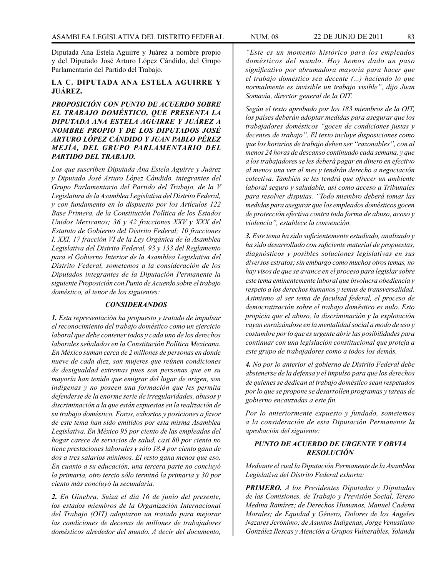Diputada Ana Estela Aguirre y Juárez a nombre propio y del Diputado José Arturo López Cándido, del Grupo Parlamentario del Partido del Trabajo.

# **LA C. DIPUTADA ANA ESTELA AGUIRRE Y JUÁREZ.**

*PROPOSICIÓN CON PUNTO DE ACUERDO SOBRE EL TRABAJO DOMÉSTICO, QUE PRESENTA LA DIPUTADA ANA ESTELA AGUIRRE Y JUÁREZ A NOMBRE PROPIO Y DE LOS DIPUTADOS JOSÉ ARTURO LÓPEZ CÁNDIDO Y JUAN PABLO PÉREZ MEJÍA, DEL GRUPO PARLAMENTARIO DEL PARTIDO DEL TRABAJO.*

*Los que suscriben Diputada Ana Estela Aguirre y Juárez y Diputado José Arturo López Cándido, integrantes del Grupo Parlamentario del Partido del Trabajo, de la V Legislatura de la Asamblea Legislativa del Distrito Federal, y con fundamento en lo dispuesto por los Artículos 122 Base Primera, de la Constitución Política de los Estados Unidos Mexicanos; 36 y 42 fracciones XXV y XXX del Estatuto de Gobierno del Distrito Federal; 10 fracciones I, XXI, 17 fracción VI de la Ley Orgánica de la Asamblea Legislativa del Distrito Federal, 93 y 133 del Reglamento para el Gobierno Interior de la Asamblea Legislativa del Distrito Federal, sometemos a la consideración de los Diputados integrantes de la Diputación Permanente la siguiente Proposición con Punto de Acuerdo sobre el trabajo doméstico, al tenor de los siguientes:*

### *CONSIDERANDOS*

*1. Esta representación ha propuesto y tratado de impulsar el reconocimiento del trabajo doméstico como un ejercicio laboral que debe contener todos y cada uno de los derechos laborales señalados en la Constitución Política Mexicana. En México suman cerca de 2 millones de personas en donde nueve de cada diez, son mujeres que reúnen condiciones de desigualdad extremas pues son personas que en su mayoría han tenido que emigrar del lugar de origen, son indígenas y no poseen una formación que les permita defenderse de la enorme serie de irregularidades, abusos y discriminación a la que están expuestas en la realización de su trabajo doméstico. Foros, exhortos y posiciones a favor de este tema han sido emitidos por esta misma Asamblea Legislativa. En México 95 por ciento de las empleadas del hogar carece de servicios de salud, casi 80 por ciento no tiene prestaciones laborales y sólo 18.4 por ciento gana de dos a tres salarios mínimos. El resto gana menos que eso. En cuanto a su educación, una tercera parte no concluyó la primaria, otro tercio sólo terminó la primaria y 30 por ciento más concluyó la secundaria.* 

*2. En Ginebra, Suiza el día 16 de junio del presente, los estados miembros de la Organización Internacional del Trabajo (OIT) adoptaron un tratado para mejorar las condiciones de decenas de millones de trabajadores domésticos alrededor del mundo. A decir del documento,* 

*"Este es un momento histórico para los empleados domésticos del mundo. Hoy hemos dado un paso significativo por abrumadora mayoría para hacer que el trabajo doméstico sea decente (...) haciendo lo que normalmente es invisible un trabajo visible", dijo Juan Somavía, director general de la OIT.* 

*Según el texto aprobado por los 183 miembros de la OIT, los países deberán adoptar medidas para asegurar que los trabajadores domésticos "gocen de condiciones justas y decentes de trabajo". El texto incluye disposiciones como que los horarios de trabajo deben ser "razonables", con al menos 24 horas de descanso continuado cada semana, y que a los trabajadores se les deberá pagar en dinero en efectivo al menos una vez al mes y tendrán derecho a negociación colectiva. También se les tendrá que ofrecer un ambiente laboral seguro y saludable, así como acceso a Tribunales para resolver disputas. "Todo miembro deberá tomar las medidas para asegurar que los empleados domésticos gocen de protección efectiva contra toda forma de abuso, acoso y violencia", establece la convención.*

*3. Este tema ha sido suficientemente estudiado, analizado y ha sido desarrollado con suficiente material de propuestas, diagnósticos y posibles soluciones legislativas en sus diversos estratos; sin embargo como muchos otros temas, no hay visos de que se avance en el proceso para legislar sobre este tema eminentemente laboral que involucra obediencia y respeto a los derechos humanos y temas de transversalidad. Asimismo al ser tema de facultad federal, el proceso de democratización sobre el trabajo doméstico es nulo. Esto propicia que el abuso, la discriminación y la explotación vayan enraizándose en la mentalidad social a modo de uso y costumbre por lo que es urgente abrir las posibilidades para continuar con una legislación constitucional que proteja a este grupo de trabajadores como a todos los demás.*

*4. No por lo anterior el gobierno de Distrito Federal debe abstenerse de la defensa y el impulso para que los derechos de quienes se dedican al trabajo doméstico sean respetados por lo que se propone se desarrollen programas y tareas de gobierno encauzadas a este fin.* 

*Por lo anteriormente expuesto y fundado, sometemos a la consideración de esta Diputación Permanente la aprobación del siguiente:*

# *PUNTO DE ACUERDO DE URGENTE Y OBVIA RESOLUCIÓN*

*Mediante el cual la Diputación Permanente de la Asamblea Legislativa del Distrito Federal exhorta:*

*PRIMERO. A los Presidentes Diputadas y Diputados de las Comisiones, de Trabajo y Previsión Social, Tereso Medina Ramírez; de Derechos Humanos, Manuel Cadena Morales; de Equidad y Género, Dolores de los Ángeles Nazares Jerónimo; de Asuntos Indígenas, Jorge Venustiano González Ilescas y Atención a Grupos Vulnerables, Yolanda*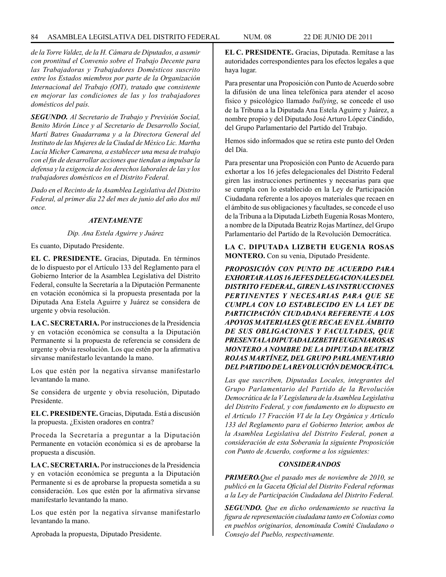# 84 ASAMBLEA LEGISLATIVA DEL DISTRITO FEDERAL NUM. 08 22 de JUNIO de 2011

*de la Torre Valdez, de la H. Cámara de Diputados, a asumir con prontitud el Convenio sobre el Trabajo Decente para las Trabajadoras y Trabajadores Domésticos suscrito entre los Estados miembros por parte de la Organización Internacional del Trabajo (OIT), tratado que consistente en mejorar las condiciones de las y los trabajadores domésticos del país.*

*SEGUNDO. Al Secretario de Trabajo y Previsión Social, Benito Mirón Lince y al Secretario de Desarrollo Social, Martí Batres Guadarrama y a la Directora General del Instituto de las Mujeres de la Ciudad de México Lic. Martha Lucía Micher Camarena, a establecer una mesa de trabajo con el fin de desarrollar acciones que tiendan a impulsar la defensa y la exigencia de los derechos laborales de las y los trabajadores domésticos en el Distrito Federal.*

*Dado en el Recinto de la Asamblea Legislativa del Distrito Federal, al primer día 22 del mes de junio del año dos mil once.*

#### *ATENTAMENTE*

#### *Dip. Ana Estela Aguirre y Juárez*

Es cuanto, Diputado Presidente.

**EL C. PRESIDENTE.** Gracias, Diputada. En términos de lo dispuesto por el Artículo 133 del Reglamento para el Gobierno Interior de la Asamblea Legislativa del Distrito Federal, consulte la Secretaría a la Diputación Permanente en votación económica si la propuesta presentada por la Diputada Ana Estela Aguirre y Juárez se considera de urgente y obvia resolución.

**LA C. SECRETARIA.** Por instrucciones de la Presidencia y en votación económica se consulta a la Diputación Permanente si la propuesta de referencia se considera de urgente y obvia resolución. Los que estén por la afirmativa sírvanse manifestarlo levantando la mano.

Los que estén por la negativa sírvanse manifestarlo levantando la mano.

Se considera de urgente y obvia resolución, Diputado Presidente.

**EL C. PRESIDENTE.** Gracias, Diputada. Está a discusión la propuesta. ¿Existen oradores en contra?

Proceda la Secretaría a preguntar a la Diputación Permanente en votación económica si es de aprobarse la propuesta a discusión.

**LA C. SECRETARIA.** Por instrucciones de la Presidencia y en votación económica se pregunta a la Diputación Permanente si es de aprobarse la propuesta sometida a su consideración. Los que estén por la afirmativa sírvanse manifestarlo levantando la mano.

Los que estén por la negativa sírvanse manifestarlo levantando la mano.

Aprobada la propuesta, Diputado Presidente.

**EL C. PRESIDENTE.** Gracias, Diputada. Remítase a las autoridades correspondientes para los efectos legales a que haya lugar.

Para presentar una Proposición con Punto de Acuerdo sobre la difusión de una línea telefónica para atender el acoso físico y psicológico llamado *bullying*, se concede el uso de la Tribuna a la Diputada Ana Estela Aguirre y Juárez, a nombre propio y del Diputado José Arturo López Cándido, del Grupo Parlamentario del Partido del Trabajo.

Hemos sido informados que se retira este punto del Orden del Día.

Para presentar una Proposición con Punto de Acuerdo para exhortar a los 16 jefes delegacionales del Distrito Federal giren las instrucciones pertinentes y necesarias para que se cumpla con lo establecido en la Ley de Participación Ciudadana referente a los apoyos materiales que recaen en el ámbito de sus obligaciones y facultades, se concede el uso de la Tribuna a la Diputada Lizbeth Eugenia Rosas Montero, a nombre de la Diputada Beatriz Rojas Martínez, del Grupo Parlamentario del Partido de la Revolución Democrática.

# **LA C. DIPUTADA LIZBETH EUGENIA ROSAS MONTERO.** Con su venia, Diputado Presidente.

*PROPOSICIÓN CON PUNTO DE ACUERDO PARA EXHORTAR A LOS 16 JEFES DELEGACIONALES DEL DISTRITO FEDERAL, GIREN LAS INSTRUCCIONES PERTINENTES Y NECESARIAS PARA QUE SE CUMPLA CON LO ESTABLECIDO EN LA LEY DE PARTICIPACIÓN CIUDADANA REFERENTE A LOS APOYOS MATERIALES QUE RECAE EN EL ÁMBITO DE SUS OBLIGACIONES Y FACULTADES, QUE PRESENTA LA DIPUTADA LIZBETH EUGENIA ROSAS MONTERO A NOMBRE DE LA DIPUTADA BEATRIZ ROJAS MARTÍNEZ, DEL GRUPO PARLAMENTARIO DEL PARTIDO DE LA REVOLUCIÓN DEMOCRÁTICA.*

*Las que suscriben, Diputadas Locales, integrantes del Grupo Parlamentario del Partido de la Revolución Democrática de la V Legislatura de la Asamblea Legislativa del Distrito Federal, y con fundamento en lo dispuesto en el Artículo 17 Fracción VI de la Ley Orgánica y Artículo 133 del Reglamento para el Gobierno Interior, ambos de la Asamblea Legislativa del Distrito Federal, ponen a consideración de esta Soberanía la siguiente Proposición con Punto de Acuerdo, conforme a los siguientes:*

# *CONSIDERANDOS*

*PRIMERO.Que el pasado mes de noviembre de 2010, se publicó en la Gaceta Oficial del Distrito Federal reformas a la Ley de Participación Ciudadana del Distrito Federal.*

*SEGUNDO. Que en dicho ordenamiento se reactiva la figura de representación ciudadana tanto en Colonias como en pueblos originarios, denominada Comité Ciudadano o Consejo del Pueblo, respectivamente.*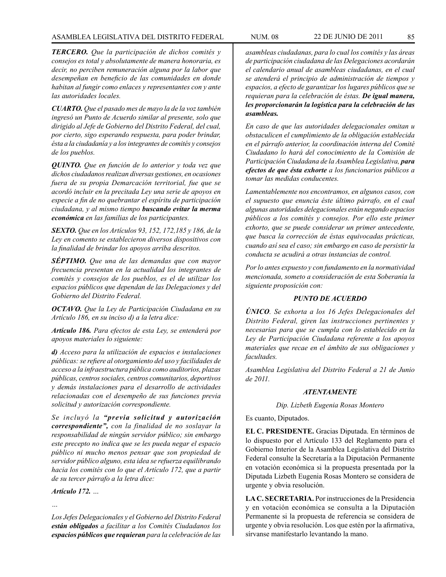# ASAMBLEA LEGISLATIVA DEL DISTRITO FEDERAL NUM. 08 22 DE JUNIO DE 2011 85

*TERCERO. Que la participación de dichos comités y consejos es total y absolutamente de manera honoraria, es decir, no perciben remuneración alguna por la labor que desempeñan en beneficio de las comunidades en donde habitan al fungir como enlaces y representantes con y ante las autoridades locales.* 

*CUARTO. Que el pasado mes de mayo la de la voz también ingresó un Punto de Acuerdo similar al presente, solo que dirigido al Jefe de Gobierno del Distrito Federal, del cual, por cierto, sigo esperando respuesta, para poder brindar, ésta a la ciudadanía y a los integrantes de comités y consejos de los pueblos.* 

*QUINTO. Que en función de lo anterior y toda vez que dichos ciudadanos realizan diversas gestiones, en ocasiones fuera de su propia Demarcación territorial, fue que se acordó incluir en la precitada Ley una serie de apoyos en especie a fin de no quebrantar el espíritu de participación ciudadana, y al mismo tiempo buscando evitar la merma económica en las familias de los participantes.*

*SEXTO. Que en los Artículos 93, 152, 172,185 y 186, de la Ley en comento se establecieron diversos dispositivos con la finalidad de brindar los apoyos arriba descritos.*

*SÉPTIMO. Que una de las demandas que con mayor frecuencia presentan en la actualidad los integrantes de comités y consejos de los pueblos, es el de utilizar los espacios públicos que dependan de las Delegaciones y del Gobierno del Distrito Federal.*

*OCTAVO. Que la Ley de Participación Ciudadana en su Artículo 186, en su inciso d) a la letra dice:*

*Artículo 186. Para efectos de esta Ley, se entenderá por apoyos materiales lo siguiente:*

*d) Acceso para la utilización de espacios e instalaciones públicas: se refiere al otorgamiento del uso y facilidades de acceso a la infraestructura pública como auditorios, plazas públicas, centros sociales, centros comunitarios, deportivos y demás instalaciones para el desarrollo de actividades relacionadas con el desempeño de sus funciones previa solicitud y autorización correspondiente.*

*Se incluyó la "previa solicitud y autorización correspondiente", con la finalidad de no soslayar la responsabilidad de ningún servidor público; sin embargo este precepto no indica que se les pueda negar el espacio público ni mucho menos pensar que son propiedad de servidor público alguno, esta idea se refuerza equilibrando hacia los comités con lo que el Artículo 172, que a partir de su tercer párrafo a la letra dice:*

*Artículo 172. …*

*…*

*Los Jefes Delegacionales y el Gobierno del Distrito Federal están obligados a facilitar a los Comités Ciudadanos los espacios públicos que requieran para la celebración de las*  *asambleas ciudadanas, para lo cual los comités y las áreas de participación ciudadana de las Delegaciones acordarán el calendario anual de asambleas ciudadanas, en el cual se atenderá el principio de administración de tiempos y espacios, a efecto de garantizar los lugares públicos que se requieran para la celebración de éstas. De igual manera, les proporcionarán la logística para la celebración de las asambleas.*

*En caso de que las autoridades delegacionales omitan u obstaculicen el cumplimiento de la obligación establecida en el párrafo anterior, la coordinación interna del Comité Ciudadano lo hará del conocimiento de la Comisión de Participación Ciudadana de la Asamblea Legislativa, para efectos de que ésta exhorte a los funcionarios públicos a tomar las medidas conducentes.*

*Lamentablemente nos encontramos, en algunos casos, con el supuesto que enuncia éste último párrafo, en el cual algunas autoridades delegacionales están negando espacios públicos a los comités y consejos. Por ello este primer exhorto, que se puede considerar un primer antecedente, que busca la corrección de éstas equivocadas prácticas, cuando así sea el caso; sin embargo en caso de persistir la conducta se acudirá a otras instancias de control.*

*Por lo antes expuesto y con fundamento en la normatividad mencionada, someto a consideración de esta Soberanía la siguiente proposición con:*

## *PUNTO DE ACUERDO*

*ÚNICO. Se exhorta a los 16 Jefes Delegacionales del Distrito Federal, giren las instrucciones pertinentes y necesarias para que se cumpla con lo establecido en la Ley de Participación Ciudadana referente a los apoyos materiales que recae en el ámbito de sus obligaciones y facultades.*

*Asamblea Legislativa del Distrito Federal a 21 de Junio de 2011.*

#### *ATENTAMENTE*

*Dip. Lizbeth Eugenia Rosas Montero*

Es cuanto, Diputados.

**EL C. PRESIDENTE.** Gracias Diputada. En términos de lo dispuesto por el Artículo 133 del Reglamento para el Gobierno Interior de la Asamblea Legislativa del Distrito Federal consulte la Secretaría a la Diputación Permanente en votación económica si la propuesta presentada por la Diputada Lizbeth Eugenia Rosas Montero se considera de urgente y obvia resolución.

**LA C. SECRETARIA.** Por instrucciones de la Presidencia y en votación económica se consulta a la Diputación Permanente si la propuesta de referencia se considera de urgente y obvia resolución. Los que estén por la afirmativa, sírvanse manifestarlo levantando la mano.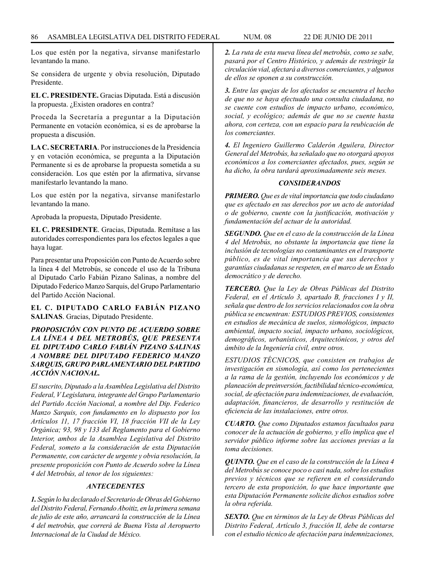Los que estén por la negativa, sírvanse manifestarlo levantando la mano.

Se considera de urgente y obvia resolución, Diputado Presidente.

**EL C. PRESIDENTE.** Gracias Diputada. Está a discusión la propuesta. ¿Existen oradores en contra?

Proceda la Secretaría a preguntar a la Diputación Permanente en votación económica, si es de aprobarse la propuesta a discusión.

**LA C. SECRETARIA**. Por instrucciones de la Presidencia y en votación económica, se pregunta a la Diputación Permanente si es de aprobarse la propuesta sometida a su consideración. Los que estén por la afirmativa, sírvanse manifestarlo levantando la mano.

Los que estén por la negativa, sírvanse manifestarlo levantando la mano.

Aprobada la propuesta, Diputado Presidente.

**EL C. PRESIDENTE**. Gracias, Diputada. Remítase a las autoridades correspondientes para los efectos legales a que haya lugar.

Para presentar una Proposición con Punto de Acuerdo sobre la línea 4 del Metrobús, se concede el uso de la Tribuna al Diputado Carlo Fabián Pizano Salinas, a nombre del Diputado Federico Manzo Sarquis, del Grupo Parlamentario del Partido Acción Nacional.

**EL C. DIPUTADO CARLO FABIÁN PIZANO SALINAS**. Gracias, Diputado Presidente.

# *PROPOSICIÓN CON PUNTO DE ACUERDO SOBRE LA LÍNEA 4 DEL METROBÚS, QUE PRESENTA EL DIPUTADO CARLO FABIÁN PIZANO SALINAS A NOMBRE DEL DIPUTADO FEDERICO MANZO SARQUIS, GRUPO PARLAMENTARIO DEL PARTIDO ACCIÓN NACIONAL.*

*El suscrito, Diputado a la Asamblea Legislativa del Distrito Federal, V Legislatura, integrante del Grupo Parlamentario del Partido Acción Nacional, a nombre del Dip. Federico Manzo Sarquis, con fundamento en lo dispuesto por los Artículos 11, 17 fracción VI, 18 fracción VII de la Ley Orgánica; 93, 98 y 133 del Reglamento para el Gobierno Interior, ambos de la Asamblea Legislativa del Distrito Federal, someto a la consideración de esta Diputación Permanente, con carácter de urgente y obvia resolución, la presente proposición con Punto de Acuerdo sobre la Línea 4 del Metrobús, al tenor de los siguientes:*

#### *ANTECEDENTES*

*1. Según lo ha declarado el Secretario de Obras del Gobierno del Distrito Federal, Fernando Aboitiz, en la primera semana de julio de este año, arrancará la construcción de la Línea 4 del metrobús, que correrá de Buena Vista al Aeropuerto Internacional de la Ciudad de México.*

*2. La ruta de esta nueva línea del metrobús, como se sabe, pasará por el Centro Histórico, y además de restringir la circulación vial, afectará a diversos comerciantes, y algunos de ellos se oponen a su construcción.*

*3. Entre las quejas de los afectados se encuentra el hecho de que no se haya efectuado una consulta ciudadana, no se cuente con estudios de impacto urbano, económico, social, y ecológico; además de que no se cuente hasta ahora, con certeza, con un espacio para la reubicación de los comerciantes.*

*4. El Ingeniero Guillermo Calderón Aguilera, Director General del Metrobús, ha señalado que no otorgará apoyos económicos a los comerciantes afectados, pues, según se ha dicho, la obra tardará aproximadamente seis meses.*

#### *CONSIDERANDOS*

*PRIMERO. Que es de vital importancia que todo ciudadano que es afectado en sus derechos por un acto de autoridad o de gobierno, cuente con la justificación, motivación y fundamentación del actuar de la autoridad.*

*SEGUNDO. Que en el caso de la construcción de la Línea 4 del Metrobús, no obstante la importancia que tiene la inclusión de tecnologías no contaminantes en el transporte público, es de vital importancia que sus derechos y garantías ciudadanas se respeten, en el marco de un Estado democrático y de derecho.*

*TERCERO. Que la Ley de Obras Públicas del Distrito Federal, en el Artículo 3, apartado B, fracciones I y II, señala que dentro de los servicios relacionados con la obra pública se encuentran: ESTUDIOS PREVIOS, consistentes en estudios de mecánica de suelos, sismológicos, impacto ambiental, impacto social, impacto urbano, sociológicos, demográficos, urbanísticos, Arquitectónicos, y otros del ámbito de la Ingeniería civil, entre otros.*

*ESTUDIOS TÉCNICOS, que consisten en trabajos de investigación en sismología, así como los pertenecientes a la rama de la gestión, incluyendo los económicos y de planeación de preinversión, factibilidad técnico-económica, social, de afectación para indemnizaciones, de evaluación, adaptación, financieros, de desarrollo y restitución de eficiencia de las instalaciones, entre otros.*

*CUARTO. Que como Diputados estamos facultados para conocer de la actuación de gobierno, y ello implica que el servidor público informe sobre las acciones previas a la toma decisiones.*

*QUINTO. Que en el caso de la construcción de la Línea 4 del Metrobús se conoce poco o casi nada, sobre los estudios previos y técnicos que se refieren en el considerando tercero de esta proposición, lo que hace importante que esta Diputación Permanente solicite dichos estudios sobre la obra referida.*

*SEXTO. Que en términos de la Ley de Obras Públicas del Distrito Federal, Artículo 3, fracción II, debe de contarse con el estudio técnico de afectación para indemnizaciones,*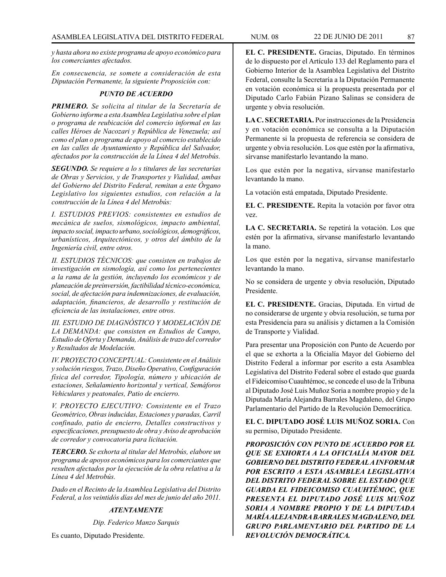*y hasta ahora no existe programa de apoyo económico para los comerciantes afectados.* 

*En consecuencia, se somete a consideración de esta Diputación Permanente, la siguiente Proposición con:*

# *PUNTO DE ACUERDO*

*PRIMERO. Se solicita al titular de la Secretaría de Gobierno informe a esta Asamblea Legislativa sobre el plan o programa de reubicación del comercio informal en las calles Héroes de Nacozari y República de Venezuela; así como el plan o programa de apoyo al comercio establecido en las calles de Ayuntamiento y República del Salvador, afectados por la construcción de la Línea 4 del Metrobús.*

*SEGUNDO. Se requiere a lo s titulares de las secretarías de Obras y Servicios, y de Transportes y Vialidad, ambas del Gobierno del Distrito Federal, remitan a este Órgano Legislativo los siguientes estudios, con relación a la construcción de la Línea 4 del Metrobús:*

*I. ESTUDIOS PREVIOS: consistentes en estudios de mecánica de suelos, sismológicos, impacto ambiental, impacto social, impacto urbano, sociológicos, demográficos, urbanísticos, Arquitectónicos, y otros del ámbito de la Ingeniería civil, entre otros.*

*II. ESTUDIOS TÉCNICOS: que consisten en trabajos de investigación en sismología, así como los pertenecientes a la rama de la gestión, incluyendo los económicos y de planeación de preinversión, factibilidad técnico-económica, social, de afectación para indemnizaciones, de evaluación, adaptación, financieros, de desarrollo y restitución de eficiencia de las instalaciones, entre otros.*

*III. ESTUDIO DE DIAGNÓSTICO Y MODELACIÓN DE LA DEMANDA: que consisten en Estudios de Campo, Estudio de Oferta y Demanda, Análisis de trazo del corredor y Resultados de Modelación.*

*IV. PROYECTO CONCEPTUAL: Consistente en el Análisis y solución riesgos, Trazo, Diseño Operativo, Configuración física del corredor, Tipología, número y ubicación de estaciones, Señalamiento horizontal y vertical, Semáforos Vehiculares y peatonales, Patio de encierro.*

*V. PROYECTO EJECUTIVO: Consistente en el Trazo Geométrico, Obras inducidas, Estaciones y paradas, Carril confinado, patio de encierro, Detalles constructivos y especificaciones, presupuesto de obra y Aviso de aprobación de corredor y convocatoria para licitación.*

*TERCERO. Se exhorta al titular del Metrobús, elabore un programa de apoyos económicos para los comerciantes que resulten afectados por la ejecución de la obra relativa a la Línea 4 del Metrobús.*

*Dado en el Recinto de la Asamblea Legislativa del Distrito Federal, a los veintidós días del mes de junio del año 2011.*

# *ATENTAMENTE*

*Dip. Federico Manzo Sarquis*

Es cuanto, Diputado Presidente.

**EL C. PRESIDENTE.** Gracias, Diputado. En términos de lo dispuesto por el Artículo 133 del Reglamento para el Gobierno Interior de la Asamblea Legislativa del Distrito Federal, consulte la Secretaría a la Diputación Permanente en votación económica si la propuesta presentada por el Diputado Carlo Fabián Pizano Salinas se considera de urgente y obvia resolución.

**LA C. SECRETARIA.** Por instrucciones de la Presidencia y en votación económica se consulta a la Diputación Permanente si la propuesta de referencia se considera de urgente y obvia resolución. Los que estén por la afirmativa, sírvanse manifestarlo levantando la mano.

Los que estén por la negativa, sírvanse manifestarlo levantando la mano.

La votación está empatada, Diputado Presidente.

**EL C. PRESIDENTE.** Repita la votación por favor otra vez.

**LA C. SECRETARIA.** Se repetirá la votación. Los que estén por la afirmativa, sírvanse manifestarlo levantando la mano.

Los que estén por la negativa, sírvanse manifestarlo levantando la mano.

No se considera de urgente y obvia resolución, Diputado Presidente.

**EL C. PRESIDENTE.** Gracias, Diputada. En virtud de no considerarse de urgente y obvia resolución, se turna por esta Presidencia para su análisis y dictamen a la Comisión de Transporte y Vialidad.

Para presentar una Proposición con Punto de Acuerdo por el que se exhorta a la Oficialía Mayor del Gobierno del Distrito Federal a informar por escrito a esta Asamblea Legislativa del Distrito Federal sobre el estado que guarda el Fideicomiso Cuauhtémoc, se concede el uso de la Tribuna al Diputado José Luis Muñoz Soria a nombre propio y de la Diputada María Alejandra Barrales Magdaleno, del Grupo Parlamentario del Partido de la Revolución Democrática.

**EL C. DIPUTADO JOSÉ LUIS MUÑOZ SORIA.** Con su permiso, Diputado Presidente.

*PROPOSICIÓN CON PUNTO DE ACUERDO POR EL QUE SE EXHORTA A LA OFICIALÍA MAYOR DEL GOBIERNO DEL DISTRITO FEDERAL A INFORMAR POR ESCRITO A ESTA ASAMBLEA LEGISLATIVA DEL DISTRITO FEDERAL SOBRE EL ESTADO QUE GUARDA EL FIDEICOMISO CUAUHTÉMOC, QUE PRESENTA EL DIPUTADO JOSÉ LUIS MUÑOZ SORIA A NOMBRE PROPIO Y DE LA DIPUTADA MARÍA ALEJANDRA BARRALES MAGDALENO, DEL GRUPO PARLAMENTARIO DEL PARTIDO DE LA REVOLUCIÓN DEMOCRÁTICA.*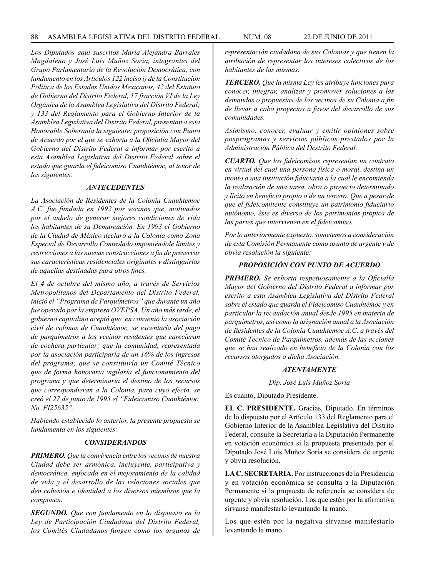*Los Diputados aquí suscritos María Alejandra Barrales Magdaleno y José Luis Muñoz Soria, integrantes del Grupo Parlamentario de la Revolución Democrática, con fundamento en los Artículos 122 inciso i) de la Constitución Política de los Estados Unidos Mexicanos, 42 del Estatuto de Gobierno del Distrito Federal, 17 fracción VI de la Ley Orgánica de la Asamblea Legislativa del Distrito Federal; y 133 del Reglamento para el Gobierno Interior de la Asamblea Legislativa del Distrito Federal, presentan a esta Honorable Soberanía la siguiente: proposición con Punto de Acuerdo por el que se exhorta a la Oficialía Mayor del Gobierno del Distrito Federal a informar por escrito a esta Asamblea Legislativa del Distrito Federal sobre el estado que guarda el fideicomiso Cuauhtémoc, al tenor de los siguientes:*

#### *ANTECEDENTES*

*La Asociación de Residentes de la Colonia Cuauhtémoc A.C. fue fundada en 1992 por vecinos que, motivados por el anhelo de generar mejores condiciones de vida los habitantes de su Demarcación. En 1993 el Gobierno de la Ciudad de México declaró a la Colonia como Zona Especial de Desarrollo Controlado imponiéndole límites y restricciones a las nuevas construcciones a fin de preservar sus características residenciales originales y distinguirlas de aquellas destinadas para otros fines.*

*El 4 de octubre del mismo año, a través de Servicios Metropolitanos del Departamento del Distrito Federal, inició el "Programa de Parquímetros" que durante un año fue operado por la empresa OVEPSA. Un año más tarde, el gobierno capitalino aceptó que, en convenio la asociación civil de colonos de Cuauhtémoc, se excentaría del pago de parquímetros a los vecinos residentes que carecieran de cochera particular; que la comunidad, representada por la asociación participaría de un 16% de los ingresos del programa; que se constituiría un Comité Técnico que de forma honoraria vigilaría el funcionamiento del programa y que determinaría el destino de los recursos que correspondieran a la Colonia, para cuyo efecto, se creó el 27 de junio de 1995 el "Fideicomiso Cuauhtémoc. No. FI25635".*

*Habiendo establecido lo anterior, la presente propuesta se fundamenta en los siguientes:*

#### *CONSIDERANDOS*

*PRIMERO. Que la convivencia entre los vecinos de nuestra Ciudad debe ser armónica, incluyente, participativa y democrática, enfocada en el mejoramiento de la calidad de vida y el desarrollo de las relaciones sociales que den cohesión e identidad a los diversos miembros que la componen.*

*SEGUNDO. Que con fundamento en lo dispuesto en la Ley de Participación Ciudadana del Distrito Federal, los Comités Ciudadanos fungen como los órganos de*  *representación ciudadana de sus Colonias y que tienen la atribución de representar los intereses colectivos de los habitantes de las mismas.*

*TERCERO. Que la misma Ley les atribuye funciones para conocer, integrar, analizar y promover soluciones a las demandas o propuestas de los vecinos de su Colonia a fin de llevar a cabo proyectos a favor del desarrollo de sus comunidades.*

*Asimismo, conocer, evaluar y emitir opiniones sobre posprogramas y servicios públicos prestados por la Administración Pública del Destrito Federal.*

*CUARTO. Que los fideicomisos representan un contrato en virtud del cual una persona física o moral, destina un monto a una institución fiduciaria a la cual le encomienda la realización de una tarea, obra o proyecto determinado y lícito en beneficio propio o de un tercero. Que a pesar de que el fideicomitente constituye un patrimonio fiduciario autónomo, éste es diverso de los patrimonios propios de las partes que intervienen en el fideicomiso.*

*Por lo anteriormente expuesto, sometemos a consideración de esta Comisión Permanente como asunto de urgente y de obvia resolución la siguiente:*

## *PROPOSICIÓN CON PUNTO DE ACUERDO*

*PRIMERO. Se exhorta respetuosamente a la Oficialía Mayor del Gobierno del Distrito Federal a informar por escrito a esta Asamblea Legislativa del Distrito Federal sobre el estado que guarda el Fideicomiso Cuauhtémoc y en particular la recaudación anual desde 1995 en materia de parquímetros, así como la asignación anual a la Asociación de Residentes de la Colonia Cuauhtémoc A.C. a través del Comité Técnico de Parquímetros, además de las acciones que se han realizado en beneficio de la Colonia con los recursos otorgados a dicha Asociación.* 

#### *ATENTAMENTE*

*Dip. José Luis Muñoz Soria*

Es cuanto, Diputado Presidente.

**EL C. PRESIDENTE.** Gracias, Diputado. En términos de lo dispuesto por el Artículo 133 del Reglamento para el Gobierno Interior de la Asamblea Legislativa del Distrito Federal, consulte la Secretaría a la Diputación Permanente en votación económica si la propuesta presentada por el Diputado José Luis Muñoz Soria se considera de urgente y obvia resolución.

**LA C. SECRETARIA.** Por instrucciones de la Presidencia y en votación económica se consulta a la Diputación Permanente si la propuesta de referencia se considera de urgente y obvia resolución. Los que estén por la afirmativa sírvanse manifestarlo levantando la mano.

Los que estén por la negativa sírvanse manifestarlo levantando la mano.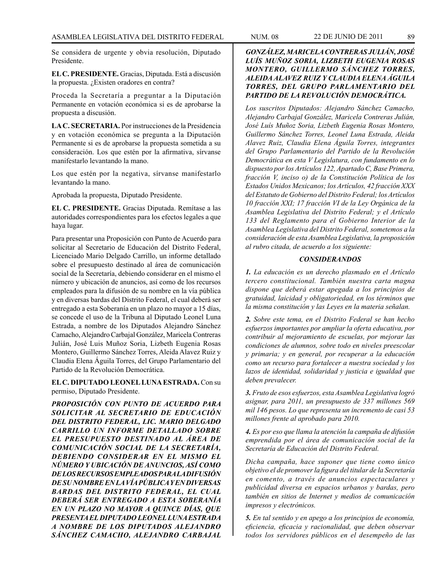Se considera de urgente y obvia resolución, Diputado Presidente.

**EL C. PRESIDENTE.** Gracias, Diputada. Está a discusión la propuesta. ¿Existen oradores en contra?

Proceda la Secretaría a preguntar a la Diputación Permanente en votación económica si es de aprobarse la propuesta a discusión.

**LA C. SECRETARIA.** Por instrucciones de la Presidencia y en votación económica se pregunta a la Diputación Permanente si es de aprobarse la propuesta sometida a su consideración. Los que estén por la afirmativa, sírvanse manifestarlo levantando la mano.

Los que estén por la negativa, sírvanse manifestarlo levantando la mano.

Aprobada la propuesta, Diputado Presidente.

**EL C. PRESIDENTE.** Gracias Diputada. Remítase a las autoridades correspondientes para los efectos legales a que haya lugar.

Para presentar una Proposición con Punto de Acuerdo para solicitar al Secretario de Educación del Distrito Federal, Licenciado Mario Delgado Carrillo, un informe detallado sobre el presupuesto destinado al área de comunicación social de la Secretaría, debiendo considerar en el mismo el número y ubicación de anuncios, así como de los recursos empleados para la difusión de su nombre en la vía pública y en diversas bardas del Distrito Federal, el cual deberá ser entregado a esta Soberanía en un plazo no mayor a 15 días, se concede el uso de la Tribuna al Diputado Leonel Luna Estrada, a nombre de los Diputados Alejandro Sánchez Camacho, Alejandro Carbajal González, Maricela Contreras Julián, José Luis Muñoz Soria, Lizbeth Eugenia Rosas Montero, Guillermo Sánchez Torres, Aleida Alavez Ruiz y Claudia Elena Águila Torres, del Grupo Parlamentario del Partido de la Revolución Democrática.

**EL C. DIPUTADO LEONEL LUNA ESTRADA.** Con su permiso, Diputado Presidente.

*PROPOSICIÓN CON PUNTO DE ACUERDO PARA SOLICITAR AL SECRETARIO DE EDUCACIÓN DEL DISTRITO FEDERAL, LIC. MARIO DELGADO CARRILLO UN INFORME DETALLADO SOBRE EL PRESUPUESTO DESTINADO AL ÁREA DE COMUNICACIÓN SOCIAL DE LA SECRETARÍA, DEBIENDO CONSIDERAR EN EL MISMO EL NÚMERO Y UBICACIÓN DE ANUNCIOS, ASÍ COMO DE LOS RECURSOS EMPLEADOS PARA LA DIFUSIÓN DE SU NOMBRE EN LA VÍA PÚBLICA Y EN DIVERSAS BARDAS DEL DISTRITO FEDERAL, EL CUAL DEBERÁ SER ENTREGADO A ESTA SOBERANÍA EN UN PLAZO NO MAYOR A QUINCE DÍAS, QUE PRESENTA EL DIPUTADO LEONEL LUNA ESTRADA A NOMBRE DE LOS DIPUTADOS ALEJANDRO SÁNCHEZ CAMACHO, ALEJANDRO CARBAJAL* 

# *GONZÁLEZ, MARICELA CONTRERAS JULIÁN, JOSÉ LUÍS MUÑOZ SORIA, LIZBETH EUGENIA ROSAS MONTERO, GUILLERMO SÁNCHEZ TORRES, ALEIDA ALAVEZ RUIZ Y CLAUDIA ELENA ÁGUILA TORRES, DEL GRUPO PARLAMENTARIO DEL PARTIDO DE LA REVOLUCIÓN DEMOCRÁTICA.*

*Los suscritos Diputados: Alejandro Sánchez Camacho, Alejandro Carbajal González, Maricela Contreras Julián, José Luís Muñoz Soria, Lizbeth Eugenia Rosas Montero, Guillermo Sánchez Torres, Leonel Luna Estrada, Aleida Alavez Ruiz, Claudia Elena Águila Torres, integrantes del Grupo Parlamentario del Partido de la Revolución Democrática en esta V Legislatura, con fundamento en lo dispuesto por los Artículos 122, Apartado C, Base Primera, fracción V, inciso o) de la Constitución Política de los Estados Unidos Mexicanos; los Artículos, 42 fracción XXX del Estatuto de Gobierno del Distrito Federal; los Artículos 10 fracción XXI; 17 fracción VI de la Ley Orgánica de la Asamblea Legislativa del Distrito Federal; y el Artículo 133 del Reglamento para el Gobierno Interior de la Asamblea Legislativa del Distrito Federal, sometemos a la consideración de esta Asamblea Legislativa, la proposición al rubro citada, de acuerdo a los siguiente:*

#### *CONSIDERANDOS*

*1. La educación es un derecho plasmado en el Artículo tercero constitucional. También nuestra carta magna dispone que deberá estar apegada a los principios de gratuidad, laicidad y obligatoriedad, en los términos que la misma constitución y las Leyes en la materia señalan.*

*2. Sobre este tema, en el Distrito Federal se han hecho esfuerzos importantes por ampliar la oferta educativa, por contribuir al mejoramiento de escuelas, por mejorar las condiciones de alumnos, sobre todo en niveles preescolar y primaria; y en general, por recuperar a la educación como un recurso para fortalecer a nuestra sociedad y los lazos de identidad, solidaridad y justicia e igualdad que deben prevalecer.*

*3. Fruto de esos esfuerzos, esta Asamblea Legislativa logró asignar, para 2011, un presupuesto de 337 millones 569 mil 146 pesos. Lo que representa un incremento de casi 53 millones frente al aprobado para 2010.*

*4. Es por eso que llama la atención la campaña de difusión emprendida por el área de comunicación social de la Secretaría de Educación del Distrito Federal.* 

*Dicha campaña, hace suponer que tiene como único objetivo el de promover la figura del titular de la Secretaría en comento, a través de anuncios espectaculares y publicidad diversa en espacios urbanos y bardas, pero también en sitios de Internet y medios de comunicación impresos y electrónicos.*

*5. En tal sentido y en apego a los principios de economía, eficiencia, eficacia y racionalidad, que deben observar todos los servidores públicos en el desempeño de las*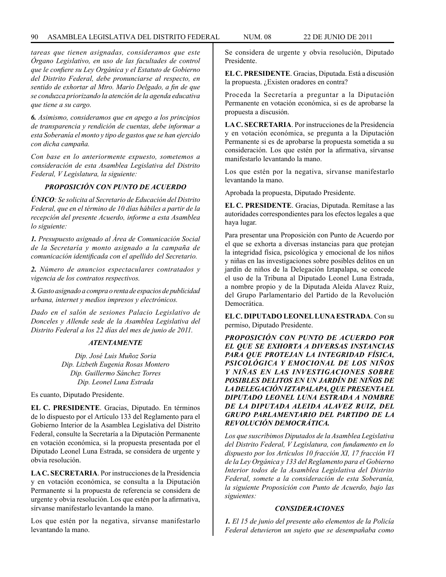# 90 ASAMBLEA LEGISLATIVA DEL DISTRITO FEDERAL NUM. 08 22 de JUNIO de 2011

*tareas que tienen asignadas, consideramos que este Órgano Legislativo, en uso de las facultades de control que le confiere su Ley Orgánica y el Estatuto de Gobierno del Distrito Federal, debe pronunciarse al respecto, en sentido de exhortar al Mtro. Mario Delgado, a fin de que se conduzca priorizando la atención de la agenda educativa que tiene a su cargo.* 

*6. Asimismo, consideramos que en apego a los principios de transparencia y rendición de cuentas, debe informar a esta Soberanía el monto y tipo de gastos que se han ejercido con dicha campaña.*

*Con base en lo anteriormente expuesto, sometemos a consideración de esta Asamblea Legislativa del Distrito Federal, V Legislatura, la siguiente:*

# *PROPOSICIÓN CON PUNTO DE ACUERDO*

*ÚNICO: Se solicita al Secretario de Educación del Distrito Federal, que en el término de 10 días hábiles a partir de la recepción del presente Acuerdo, informe a esta Asamblea lo siguiente:*

*1. Presupuesto asignado al Área de Comunicación Social de la Secretaría y monto asignado a la campaña de comunicación identificada con el apellido del Secretario.*

*2. Número de anuncios espectaculares contratados y vigencia de los contratos respectivos.* 

*3. Gasto asignado a compra o renta de espacios de publicidad urbana, internet y medios impresos y electrónicos.*

*Dado en el salón de sesiones Palacio Legislativo de Donceles y Allende sede de la Asamblea Legislativa del Distrito Federal a los 22 días del mes de junio de 2011.*

#### *ATENTAMENTE*

*Dip. José Luis Muñoz Soria Dip. Lizbeth Eugenia Rosas Montero Dip. Guillermo Sánchez Torres Dip. Leonel Luna Estrada*

Es cuanto, Diputado Presidente.

**EL C. PRESIDENTE**. Gracias, Diputado. En términos de lo dispuesto por el Artículo 133 del Reglamento para el Gobierno Interior de la Asamblea Legislativa del Distrito Federal, consulte la Secretaría a la Diputación Permanente en votación económica, si la propuesta presentada por el Diputado Leonel Luna Estrada, se considera de urgente y obvia resolución.

**LA C. SECRETARIA**. Por instrucciones de la Presidencia y en votación económica, se consulta a la Diputación Permanente si la propuesta de referencia se considera de urgente y obvia resolución. Los que estén por la afirmativa, sírvanse manifestarlo levantando la mano.

Los que estén por la negativa, sírvanse manifestarlo levantando la mano.

Se considera de urgente y obvia resolución, Diputado Presidente.

**EL C. PRESIDENTE**. Gracias, Diputada. Está a discusión la propuesta. ¿Existen oradores en contra?

Proceda la Secretaría a preguntar a la Diputación Permanente en votación económica, si es de aprobarse la propuesta a discusión.

**LA C. SECRETARIA**. Por instrucciones de la Presidencia y en votación económica, se pregunta a la Diputación Permanente si es de aprobarse la propuesta sometida a su consideración. Los que estén por la afirmativa, sírvanse manifestarlo levantando la mano.

Los que estén por la negativa, sírvanse manifestarlo levantando la mano.

Aprobada la propuesta, Diputado Presidente.

**EL C. PRESIDENTE**. Gracias, Diputada. Remítase a las autoridades correspondientes para los efectos legales a que haya lugar.

Para presentar una Proposición con Punto de Acuerdo por el que se exhorta a diversas instancias para que protejan la integridad física, psicológica y emocional de los niños y niñas en las investigaciones sobre posibles delitos en un jardín de niños de la Delegación Iztapalapa, se concede el uso de la Tribuna al Diputado Leonel Luna Estrada, a nombre propio y de la Diputada Aleida Alavez Ruiz, del Grupo Parlamentario del Partido de la Revolución Democrática.

**EL C. DIPUTADO LEONEL LUNA ESTRADA**. Con su permiso, Diputado Presidente.

*PROPOSICIÓN CON PUNTO DE ACUERDO POR EL QUE SE EXHORTA A DIVERSAS INSTANCIAS PARA QUE PROTEJAN LA INTEGRIDAD FÍSICA, PSICOLÓGICA Y EMOCIONAL DE LOS NIÑOS Y NIÑAS EN LAS INVESTIGACIONES SOBRE POSIBLES DELITOS EN UN JARDÍN DE NIÑOS DE LA DELEGACIÓN IZTAPALAPA, QUE PRESENTA EL DIPUTADO LEONEL LUNA ESTRADA A NOMBRE DE LA DIPUTADA ALEIDA ALAVEZ RUIZ, DEL GRUPO PARLAMENTARIO DEL PARTIDO DE LA REVOLUCIÓN DEMOCRÁTICA.*

*Los que suscribimos Diputados de la Asamblea Legislativa del Distrito Federal, V Legislatura, con fundamento en lo dispuesto por los Artículos 10 fracción XI, 17 fracción VI de la Ley Orgánica y 133 del Reglamento para el Gobierno Interior todos de la Asamblea Legislativa del Distrito Federal, somete a la consideración de esta Soberanía, la siguiente Proposición con Punto de Acuerdo, bajo las siguientes:*

# *CONSIDERACIONES*

*1. El 15 de junio del presente año elementos de la Policía Federal detuvieron un sujeto que se desempañaba como*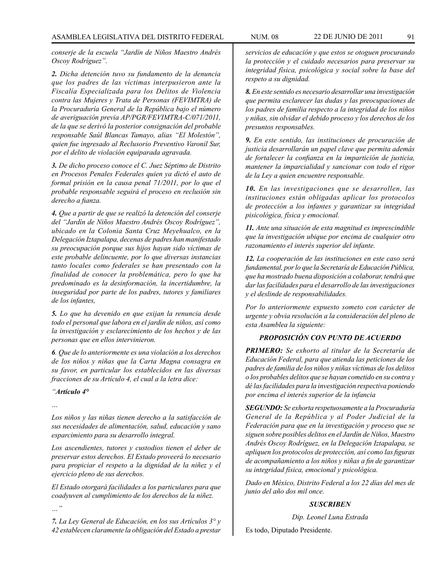*conserje de la escuela "Jardín de Niños Maestro Andrés Oscoy Rodríguez".*

*2. Dicha detención tuvo su fundamento de la denuncia que los padres de las víctimas interpusieron ante la Fiscalía Especializada para los Delitos de Violencia contra las Mujeres y Trata de Personas (FEVIMTRA) de la Procuraduría General de la República bajo el número de averiguación previa AP/PGR/FEVIMTRA-C/071/2011, de la que se derivó la posterior consignación del probable responsable Saúl Blancas Tamayo, alias "El Molestón", quien fue ingresado al Reclusorio Preventivo Varonil Sur, por el delito de violación equiparada agravada.*

*3. De dicho proceso conoce el C. Juez Séptimo de Distrito en Procesos Penales Federales quien ya dictó el auto de formal prisión en la causa penal 71/2011, por lo que el probable responsable seguirá el proceso en reclusión sin derecho a fianza.*

*4. Que a partir de que se realizó la detención del conserje del "Jardín de Niños Maestro Andrés Oscoy Rodríguez", ubicado en la Colonia Santa Cruz Meyehualco, en la Delegación Iztapalapa, decenas de padres han manifestado su preocupación porque sus hijos hayan sido víctimas de este probable delincuente, por lo que diversas instancias tanto locales como federales se han presentado con la finalidad de conocer la problemática, pero lo que ha predominado es la desinformación, la incertidumbre, la inseguridad por parte de los padres, tutores y familiares de los infantes,*

*5. Lo que ha devenido en que exijan la renuncia desde todo el personal que labora en el jardín de niños, así como la investigación y esclarecimiento de los hechos y de las personas que en ellos intervinieron.*

*6. Que de lo anteriormente es una violación a los derechos de los niños y niñas que la Carta Magna consagra en su favor, en particular los establecidos en las diversas fracciones de su Artículo 4, el cual a la letra dice:*

#### *"Artículo 4°*

*…*

*…"*

*Los niños y las niñas tienen derecho a la satisfacción de sus necesidades de alimentación, salud, educación y sano esparcimiento para su desarrollo integral.* 

*Los ascendientes, tutores y custodios tienen el deber de preservar estos derechos. El Estado proveerá lo necesario para propiciar el respeto a la dignidad de la niñez y el ejercicio pleno de sus derechos.*

*El Estado otorgará facilidades a los particulares para que coadyuven al cumplimiento de los derechos de la niñez.*

*7. La Ley General de Educación, en los sus Artículos 3° y 42 establecen claramente la obligación del Estado a prestar* 

*servicios de educación y que estos se otoguen procurando la protección y el cuidado necesarios para preservar su integridad física, psicológica y social sobre la base del respeto a su dignidad.*

*8. En este sentido es necesario desarrollar una investigación que permita esclarecer las dudas y las preocupaciones de los padres de familia respecto a la integridad de los niños y niñas, sin olvidar el debido proceso y los derechos de los presuntos responsables.*

*9. En este sentido, las instituciones de procuración de justicia desarrollarán un papel clave que permita además de fortalecer la confianza en la impartición de justicia, mantener la imparcialidad y sancionar con todo el rigor de la Ley a quien encuentre responsable.*

*10. En las investigaciones que se desarrollen, las instituciones están obligadas aplicar los protocolos de protección a los infantes y garantizar su integridad pisicológica, física y emocional.*

*11. Ante una situación de esta magnitud es imprescindible que la investigación ubique por encima de cualquier otro razonamiento el interés superior del infante.*

*12. La cooperación de las instituciones en este caso será fundamental, por lo que la Secretaría de Educación Pública, que ha mostrado buena disposición a colaborar, tendrá que dar las facilidades para el desarrollo de las investigaciones y el deslinde de responsabilidades.*

*Por lo anteriormente expuesto someto con carácter de urgente y obvia resolución a la consideración del pleno de esta Asamblea la siguiente:*

# *PROPOSICIÓN CON PUNTO DE ACUERDO*

*PRIMERO: Se exhorto al titular de la Secretaría de Educación Federal, para que atienda las peticiones de los padres de familia de los niños y niñas víctimas de los delitos o los probables delitos que se hayan cometido en su contra y dé las facilidades para la investigación respectiva poniendo por encima el interés superior de la infancia*

*SEGUNDO: Se exhorta respetuosamente a la Procuraduría General de la República y al Poder Judicial de la Federación para que en la investigación y proceso que se siguen sobre posibles delitos en el Jardín de Niños, Maestro Andrés Oscoy Rodríguez, en la Delegación Iztapalapa, se apliquen los protocolos de protección, así como las figuras de acompañamiento a los niños y niñas a fin de garantizar su integridad física, emocional y psicológica.*

*Dado en México, Distrito Federal a los 22 días del mes de junio del año dos mil once.*

## *SUSCRIBEN*

*Dip. Leonel Luna Estrada*

Es todo, Diputado Presidente.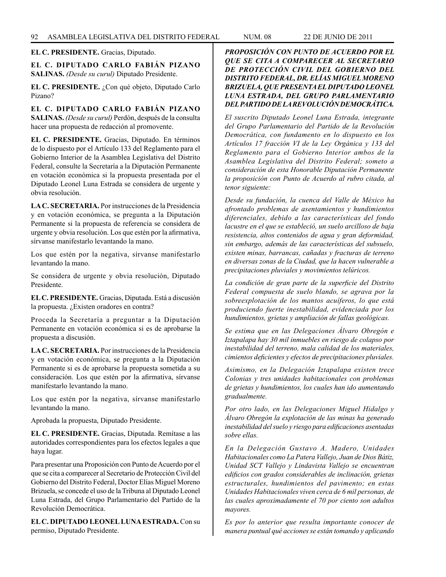**EL C. PRESIDENTE.** Gracias, Diputado.

**EL C. DIPUTADO CARLO FABIÁN PIZANO SALINAS.** *(Desde su curul)* Diputado Presidente.

**EL C. PRESIDENTE.** ¿Con qué objeto, Diputado Carlo Pizano?

**EL C. DIPUTADO CARLO FABIÁN PIZANO SALINAS.** *(Desde su curul)* Perdón, después de la consulta hacer una propuesta de redacción al promovente.

**EL C. PRESIDENTE.** Gracias, Diputado. En términos de lo dispuesto por el Artículo 133 del Reglamento para el Gobierno Interior de la Asamblea Legislativa del Distrito Federal, consulte la Secretaría a la Diputación Permanente en votación económica si la propuesta presentada por el Diputado Leonel Luna Estrada se considera de urgente y obvia resolución.

**LA C. SECRETARIA.** Por instrucciones de la Presidencia y en votación económica, se pregunta a la Diputación Permanente si la propuesta de referencia se considera de urgente y obvia resolución. Los que estén por la afirmativa, sírvanse manifestarlo levantando la mano.

Los que estén por la negativa, sírvanse manifestarlo levantando la mano.

Se considera de urgente y obvia resolución, Diputado Presidente.

**EL C. PRESIDENTE.** Gracias, Diputada. Está a discusión la propuesta. ¿Existen oradores en contra?

Proceda la Secretaría a preguntar a la Diputación Permanente en votación económica si es de aprobarse la propuesta a discusión.

**LA C. SECRETARIA.** Por instrucciones de la Presidencia y en votación económica, se pregunta a la Diputación Permanente si es de aprobarse la propuesta sometida a su consideración. Los que estén por la afirmativa, sírvanse manifestarlo levantando la mano.

Los que estén por la negativa, sírvanse manifestarlo levantando la mano.

Aprobada la propuesta, Diputado Presidente.

**EL C. PRESIDENTE.** Gracias, Diputada. Remítase a las autoridades correspondientes para los efectos legales a que haya lugar.

Para presentar una Proposición con Punto de Acuerdo por el que se cita a comparecer al Secretario de Protección Civil del Gobierno del Distrito Federal, Doctor Elías Miguel Moreno Brizuela, se concede el uso de la Tribuna al Diputado Leonel Luna Estrada, del Grupo Parlamentario del Partido de la Revolución Democrática.

**EL C. DIPUTADO LEONEL LUNA ESTRADA.** Con su permiso, Diputado Presidente.

*PROPOSICIÓN CON PUNTO DE ACUERDO POR EL QUE SE CITA A COMPARECER AL SECRETARIO DE PROTECCIÓN CIVIL DEL GOBIERNO DEL DISTRITO FEDERAL, DR. ELÍAS MIGUEL MORENO BRIZUELA, QUE PRESENTA EL DIPUTADO LEONEL LUNA ESTRADA, DEL GRUPO PARLAMENTARIO DEL PARTIDO DE LA REVOLUCIÓN DEMOCRÁTICA.*

*El suscrito Diputado Leonel Luna Estrada, integrante del Grupo Parlamentario del Partido de la Revolución Democrática, con fundamento en lo dispuesto en los Artículos 17 fracción VI de la Ley Orgánica y 133 del Reglamento para el Gobierno Interior ambos de la Asamblea Legislativa del Distrito Federal; someto a consideración de esta Honorable Diputación Permanente la proposición con Punto de Acuerdo al rubro citada, al tenor siguiente:*

*Desde su fundación, la cuenca del Valle de México ha afrontado problemas de asentamientos y hundimientos diferenciales, debido a las características del fondo lacustre en el que se estableció, un suelo arcilloso de baja resistencia, altos contenidos de agua y gran deformidad, sin embargo, además de las características del subsuelo, existen minas, barrancas, cañadas y fracturas de terreno en diversas zonas de la Ciudad, que la hacen vulnerable a precipitaciones pluviales y movimientos telúricos.* 

*La condición de gran parte de la superficie del Distrito Federal compuesta de suelo blando, se agrava por la sobreexplotación de los mantos acuíferos, lo que está produciendo fuerte inestabilidad, evidenciada por los hundimientos, grietas y ampliación de fallas geológicas.*

*Se estima que en las Delegaciones Álvaro Obregón e Iztapalapa hay 30 mil inmuebles en riesgo de colapso por inestabilidad del terreno, mala calidad de los materiales, cimientos deficientes y efectos de precipitaciones pluviales.*

*Asimismo, en la Delegación Iztapalapa existen trece Colonias y tres unidades habitacionales con problemas de grietas y hundimientos, los cuales han ido aumentando gradualmente.*

*Por otro lado, en las Delegaciones Miguel Hidalgo y Álvaro Obregón la explotación de las minas ha generado inestabilidad del suelo y riesgo para edificaciones asentadas sobre ellas.*

*En la Delegación Gustavo A. Madero, Unidades Habitacionales como La Patera Vallejo, Juan de Dios Bátiz, Unidad SCT Vallejo y Lindavista Vallejo se encuentran edificios con grados considerables de inclinación, grietas estructurales, hundimientos del pavimento; en estas Unidades Habitacionales viven cerca de 6 mil personas, de las cuales aproximadamente el 70 por ciento son adultos mayores.*

*Es por lo anterior que resulta importante conocer de manera puntual qué acciones se están tomando y aplicando*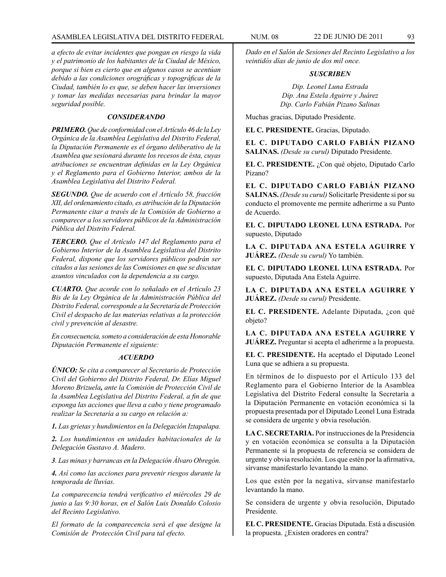*a efecto de evitar incidentes que pongan en riesgo la vida y el patrimonio de los habitantes de la Ciudad de México, porque si bien es cierto que en algunos casos se acentúan debido a las condiciones orográficas y topográficas de la Ciudad, también lo es que, se deben hacer las inversiones y tomar las medidas necesarias para brindar la mayor seguridad posible.*

# *CONSIDERANDO*

*PRIMERO. Que de conformidad con el Artículo 46 de la Ley Orgánica de la Asamblea Legislativa del Distrito Federal, la Diputación Permanente es el órgano deliberativo de la Asamblea que sesionará durante los recesos de ésta, cuyas atribuciones se encuentran definidas en la Ley Orgánica y el Reglamento para el Gobierno Interior, ambos de la Asamblea Legislativa del Distrito Federal.*

*SEGUNDO. Que de acuerdo con el Artículo 58, fracción XII, del ordenamiento citado, es atribución de la Diputación Permanente citar a través de la Comisión de Gobierno a comparecer a los servidores públicos de la Administración Pública del Distrito Federal.*

*TERCERO. Que el Artículo 147 del Reglamento para el Gobierno Interior de la Asamblea Legislativa del Distrito Federal, dispone que los servidores públicos podrán ser citados a las sesiones de las Comisiones en que se discutan asuntos vinculados con la dependencia a su cargo.*

*CUARTO. Que acorde con lo señalado en el Artículo 23 Bis de la Ley Orgánica de la Administración Pública del Distrito Federal, corresponde a la Secretaría de Protección Civil el despacho de las materias relativas a la protección civil y prevención al desastre.*

*En consecuencia, someto a consideración de esta Honorable Diputación Permanente el siguiente:*

### *ACUERDO*

*ÚNICO: Se cita a comparecer al Secretario de Protección Civil del Gobierno del Distrito Federal, Dr. Elías Miguel Moreno Brizuela, ante la Comisión de Protección Civil de la Asamblea Legislativa del Distrito Federal, a fin de que exponga las acciones que lleva a cabo y tiene programado realizar la Secretaría a su cargo en relación a:*

*1. Las grietas y hundimientos en la Delegación Iztapalapa.*

*2. Los hundimientos en unidades habitacionales de la Delegación Gustavo A. Madero.*

*3. Las minas y barrancas en la Delegación Álvaro Obregón.*

*4. Así como las acciones para prevenir riesgos durante la temporada de lluvias.*

*La comparecencia tendrá verificativo el miércoles 29 de junio a las 9:30 horas, en el Salón Luis Donaldo Colosio del Recinto Legislativo.* 

*El formato de la comparecencia será el que designe la Comisión de Protección Civil para tal efecto.*

*Dado en el Salón de Sesiones del Recinto Legislativo a los veintidós días de junio de dos mil once.*

# *SUSCRIBEN*

*Dip. Leonel Luna Estrada Dip. Ana Estela Aguirre y Juárez Dip. Carlo Fabián Pizano Salinas*

Muchas gracias, Diputado Presidente.

**EL C. PRESIDENTE.** Gracias, Diputado.

**EL C. DIPUTADO CARLO FABIÁN PIZANO SALINAS.** *(Desde su curul)* Diputado Presidente.

**EL C. PRESIDENTE.** ¿Con qué objeto, Diputado Carlo Pizano?

**EL C. DIPUTADO CARLO FABIÁN PIZANO SALINAS.** *(Desde su curul)* Solicitarle Presidente si por su conducto el promovente me permite adherirme a su Punto de Acuerdo.

**EL C. DIPUTADO LEONEL LUNA ESTRADA.** Por supuesto, Diputado

**LA C. DIPUTADA ANA ESTELA AGUIRRE Y JUÁREZ.** *(Desde su curul)* Yo también.

**EL C. DIPUTADO LEONEL LUNA ESTRADA.** Por supuesto, Diputada Ana Estela Aguirre.

**LA C. DIPUTADA ANA ESTELA AGUIRRE Y JUÁREZ.** *(Desde su curul)* Presidente.

**EL C. PRESIDENTE.** Adelante Diputada, ¿con qué objeto?

**LA C. DIPUTADA ANA ESTELA AGUIRRE Y JUÁREZ.** Preguntar si acepta el adherirme a la propuesta.

**EL C. PRESIDENTE.** Ha aceptado el Diputado Leonel Luna que se adhiera a su propuesta.

En términos de lo dispuesto por el Artículo 133 del Reglamento para el Gobierno Interior de la Asamblea Legislativa del Distrito Federal consulte la Secretaría a la Diputación Permanente en votación económica si la propuesta presentada por el Diputado Leonel Luna Estrada se considera de urgente y obvia resolución.

**LA C. SECRETARIA.** Por instrucciones de la Presidencia y en votación económica se consulta a la Diputación Permanente si la propuesta de referencia se considera de urgente y obvia resolución. Los que estén por la afirmativa, sírvanse manifestarlo levantando la mano.

Los que estén por la negativa, sírvanse manifestarlo levantando la mano.

Se considera de urgente y obvia resolución, Diputado Presidente.

**EL C. PRESIDENTE.** Gracias Diputada. Está a discusión la propuesta. ¿Existen oradores en contra?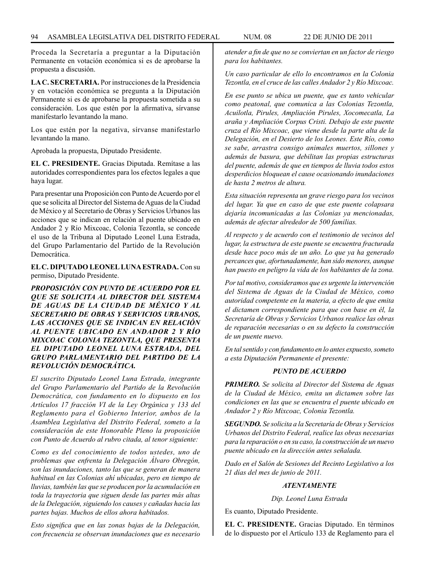Proceda la Secretaría a preguntar a la Diputación Permanente en votación económica si es de aprobarse la propuesta a discusión.

**LA C. SECRETARIA.** Por instrucciones de la Presidencia y en votación económica se pregunta a la Diputación Permanente si es de aprobarse la propuesta sometida a su consideración. Los que estén por la afirmativa, sírvanse manifestarlo levantando la mano.

Los que estén por la negativa, sírvanse manifestarlo levantando la mano.

Aprobada la propuesta, Diputado Presidente.

**EL C. PRESIDENTE.** Gracias Diputada. Remítase a las autoridades correspondientes para los efectos legales a que haya lugar.

Para presentar una Proposición con Punto de Acuerdo por el que se solicita al Director del Sistema de Aguas de la Ciudad de México y al Secretario de Obras y Servicios Urbanos las acciones que se indican en relación al puente ubicado en Andador 2 y Río Mixcoac, Colonia Tezontla, se concede el uso de la Tribuna al Diputado Leonel Luna Estrada, del Grupo Parlamentario del Partido de la Revolución Democrática.

**EL C. DIPUTADO LEONEL LUNA ESTRADA.** Con su permiso, Diputado Presidente.

*PROPOSICIÓN CON PUNTO DE ACUERDO POR EL QUE SE SOLICITA AL DIRECTOR DEL SISTEMA DE AGUAS DE LA CIUDAD DE MÉXICO Y AL SECRETARIO DE OBRAS Y SERVICIOS URBANOS, LAS ACCIONES QUE SE INDICAN EN RELACIÓN AL PUENTE UBICADO EN ANDADOR 2 Y RÍO MIXCOAC COLONIA TEZONTLA, QUE PRESENTA EL DIPUTADO LEONEL LUNA ESTRADA, DEL GRUPO PARLAMENTARIO DEL PARTIDO DE LA REVOLUCIÓN DEMOCRÁTICA.*

*El suscrito Diputado Leonel Luna Estrada, integrante del Grupo Parlamentario del Partido de la Revolución Democrática, con fundamento en lo dispuesto en los Artículos 17 fracción VI de la Ley Orgánica y 133 del Reglamento para el Gobierno Interior, ambos de la Asamblea Legislativa del Distrito Federal, someto a la consideración de este Honorable Pleno la proposición con Punto de Acuerdo al rubro citada, al tenor siguiente:*

*Como es del conocimiento de todos ustedes, uno de problemas que enfrenta la Delegación Álvaro Obregón, son las inundaciones, tanto las que se generan de manera habitual en las Colonias ahí ubicadas, pero en tiempo de lluvias, también las que se producen por la acumulación en toda la trayectoria que siguen desde las partes más altas de la Delegación, siguiendo los causes y cañadas hacia las partes bajas. Muchos de ellos ahora habitados.*

*Esto significa que en las zonas bajas de la Delegación, con frecuencia se observan inundaciones que es necesario*  *atender a fin de que no se conviertan en un factor de riesgo para los habitantes.*

*Un caso particular de ello lo encontramos en la Colonia Tezontla, en el cruce de las calles Andador 2 y Río Mixcoac.* 

*En ese punto se ubica un puente, que es tanto vehicular como peatonal, que comunica a las Colonias Tezontla, Acuilotla, Pirules, Ampliación Pirules, Xocomecatla, La araña y Ampliación Corpus Cristi. Debajo de este puente cruza el Río Mixcoac, que viene desde la parte alta de la Delegación, en el Desierto de los Leones. Este Río, como se sabe, arrastra consigo animales muertos, sillones y además de basura, que debilitan las propias estructuras del puente, además de que en tiempos de lluvia todos estos desperdicios bloquean el cause ocasionando inundaciones de hasta 2 metros de altura.* 

*Esta situación representa un grave riesgo para los vecinos del lugar. Ya que en caso de que este puente colapsara dejaría incomunicadas a las Colonias ya mencionadas, además de afectar alrededor de 500 familias.*

*Al respecto y de acuerdo con el testimonio de vecinos del lugar, la estructura de este puente se encuentra fracturada desde hace poco más de un año. Lo que ya ha generado percances que, afortunadamente, han sido menores, aunque han puesto en peligro la vida de los habitantes de la zona.*

*Por tal motivo, consideramos que es urgente la intervención del Sistema de Aguas de la Ciudad de México, como autoridad competente en la materia, a efecto de que emita el dictamen correspondiente para que con base en él, la Secretaría de Obras y Servicios Urbanos realice las obras de reparación necesarias o en su defecto la construcción de un puente nuevo.*

*En tal sentido y con fundamento en lo antes expuesto, someto a esta Diputación Permanente el presente:*

#### *PUNTO DE ACUERDO*

*PRIMERO. Se solicita al Director del Sistema de Aguas de la Ciudad de México, emita un dictamen sobre las condiciones en las que se encuentra el puente ubicado en Andador 2 y Río Mixcoac, Colonia Tezontla.*

*SEGUNDO. Se solicita a la Secretaría de Obras y Servicios Urbanos del Distrito Federal, realice las obras necesarias para la reparación o en su caso, la construcción de un nuevo puente ubicado en la dirección antes señalada.*

*Dado en el Salón de Sesiones del Recinto Legislativo a los 21 días del mes de junio de 2011.*

## *ATENTAMENTE*

*Dip. Leonel Luna Estrada*

Es cuanto, Diputado Presidente.

**EL C. PRESIDENTE.** Gracias Diputado. En términos de lo dispuesto por el Artículo 133 de Reglamento para el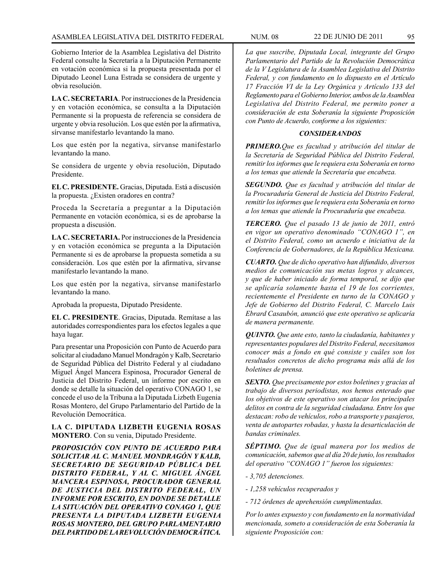Gobierno Interior de la Asamblea Legislativa del Distrito Federal consulte la Secretaría a la Diputación Permanente en votación económica si la propuesta presentada por el Diputado Leonel Luna Estrada se considera de urgente y obvia resolución.

**LA C. SECRETARIA**. Por instrucciones de la Presidencia y en votación económica, se consulta a la Diputación Permanente si la propuesta de referencia se considera de urgente y obvia resolución. Los que estén por la afirmativa, sírvanse manifestarlo levantando la mano.

Los que estén por la negativa, sírvanse manifestarlo levantando la mano.

Se considera de urgente y obvia resolución, Diputado Presidente.

**EL C. PRESIDENTE.** Gracias, Diputada. Está a discusión la propuesta. ¿Existen oradores en contra?

Proceda la Secretaría a preguntar a la Diputación Permanente en votación económica, si es de aprobarse la propuesta a discusión.

**LA C. SECRETARIA.** Por instrucciones de la Presidencia y en votación económica se pregunta a la Diputación Permanente si es de aprobarse la propuesta sometida a su consideración. Los que estén por la afirmativa, sírvanse manifestarlo levantando la mano.

Los que estén por la negativa, sírvanse manifestarlo levantando la mano.

Aprobada la propuesta, Diputado Presidente.

**EL C. PRESIDENTE**. Gracias, Diputada. Remítase a las autoridades correspondientes para los efectos legales a que haya lugar.

Para presentar una Proposición con Punto de Acuerdo para solicitar al ciudadano Manuel Mondragón y Kalb, Secretario de Seguridad Pública del Distrito Federal y al ciudadano Miguel Ángel Mancera Espinosa, Procurador General de Justicia del Distrito Federal, un informe por escrito en donde se detalle la situación del operativo CONAGO 1, se concede el uso de la Tribuna a la Diputada Lizbeth Eugenia Rosas Montero, del Grupo Parlamentario del Partido de la Revolución Democrática.

**LA C. DIPUTADA LIZBETH EUGENIA ROSAS MONTERO**. Con su venia, Diputado Presidente.

*PROPOSICIÓN CON PUNTO DE ACUERDO PARA SOLICITAR AL C. MANUEL MONDRAGÓN Y KALB, SECRETARIO DE SEGURIDAD PÚBLICA DEL DISTRITO FEDERAL, Y AL C. MIGUEL ÁNGEL MANCERA ESPINOSA, PROCURADOR GENERAL DE JUSTICIA DEL DISTRITO FEDERAL, UN INFORME POR ESCRITO, EN DONDE SE DETALLE LA SITUACIÓN DEL OPERATIVO CONAGO 1, QUE PRESENTA LA DIPUTADA LIZBETH EUGENIA ROSAS MONTERO, DEL GRUPO PARLAMENTARIO DEL PARTIDO DE LA REVOLUCIÓN DEMOCRÁTICA.*

*La que suscribe, Diputada Local, integrante del Grupo Parlamentario del Partido de la Revolución Democrática de la V Legislatura de la Asamblea Legislativa del Distrito Federal, y con fundamento en lo dispuesto en el Artículo 17 Fracción VI de la Ley Orgánica y Artículo 133 del Reglamento para el Gobierno Interior, ambos de la Asamblea Legislativa del Distrito Federal, me permito poner a consideración de esta Soberanía la siguiente Proposición con Punto de Acuerdo, conforme a los siguientes:*

#### *CONSIDERANDOS*

*PRIMERO.Que es facultad y atribución del titular de la Secretaría de Seguridad Pública del Distrito Federal, remitir los informes que le requiera esta Soberanía en torno a los temas que atiende la Secretaría que encabeza.*

*SEGUNDO. Que es facultad y atribución del titular de la Procuraduría General de Justicia del Distrito Federal, remitir los informes que le requiera esta Soberanía en torno a los temas que atiende la Procuraduría que encabeza.*

*TERCERO. Que el pasado 13 de junio de 2011, entró en vigor un operativo denominado "CONAGO 1", en el Distrito Federal, como un acuerdo e iniciativa de la Conferencia de Gobernadores, de la República Mexicana.* 

*CUARTO. Que de dicho operativo han difundido, diversos medios de comunicación sus metas logros y alcances, y que de haber iniciado de forma temporal, se dijo que se aplicaría solamente hasta el 19 de los corrientes, recientemente el Presidente en turno de la CONAGO y Jefe de Gobierno del Distrito Federal, C. Marcelo Luis Ebrard Casaubón, anunció que este operativo se aplicaría de manera permanente.*

*QUINTO. Que ante esto, tanto la ciudadanía, habitantes y representantes populares del Distrito Federal, necesitamos conocer más a fondo en qué consiste y cuáles son los resultados concretos de dicho programa más allá de los boletines de prensa.*

*SEXTO. Que precisamente por estos boletines y gracias al trabajo de diversos periodistas, nos hemos enterado que los objetivos de este operativo son atacar los principales delitos en contra de la seguridad ciudadana. Entre los que destacan: robo de vehículos, robo a transporte y pasajeros, venta de autopartes robadas, y hasta la desarticulación de bandas criminales.*

*SÉPTIMO. Que de igual manera por los medios de comunicación, sabemos que al día 20 de junio, los resultados del operativo "CONAGO 1" fueron los siguientes:*

- *3,705 detenciones.*
- *1,258 vehículos recuperados y*
- *712 órdenes de aprehensión cumplimentadas.*

*Por lo antes expuesto y con fundamento en la normatividad mencionada, someto a consideración de esta Soberanía la siguiente Proposición con:*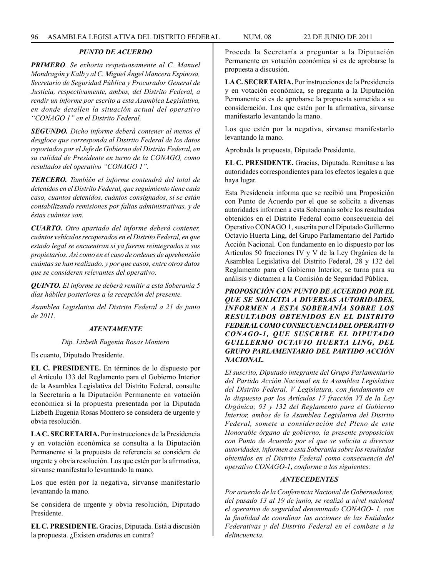# *PUNTO DE ACUERDO*

*PRIMERO. Se exhorta respetuosamente al C. Manuel Mondragón y Kalb y al C. Miguel Ángel Mancera Espinosa, Secretario de Seguridad Pública y Procurador General de Justicia, respectivamente, ambos, del Distrito Federal, a rendir un informe por escrito a esta Asamblea Legislativa, en donde detallen la situación actual del operativo "CONAGO 1" en el Distrito Federal.*

*SEGUNDO. Dicho informe deberá contener al menos el desgloce que corresponda al Distrito Federal de los datos reportados por el Jefe de Gobierno del Distrito Federal, en su calidad de Presidente en turno de la CONAGO, como resultados del operativo "CONAGO 1".*

*TERCERO. También el informe contendrá del total de detenidos en el Distrito Federal, que seguimiento tiene cada caso, cuantos detenidos, cuántos consignados, si se están contabilizando remisiones por faltas administrativas, y de éstas cuántas son.*

*CUARTO. Otro apartado del informe deberá contener, cuántos vehículos recuperados en el Distrito Federal, en que estado legal se encuentran si ya fueron reintegrados a sus propietarios. Así como en el caso de ordenes de aprehensión cuántas se han realizado, y por que casos, entre otros datos que se consideren relevantes del operativo.*

*QUINTO. El informe se deberá remitir a esta Soberanía 5 días hábiles posteriores a la recepción del presente.* 

*Asamblea Legislativa del Distrito Federal a 21 de junio de 2011.*

# *ATENTAMENTE*

# *Dip. Lizbeth Eugenia Rosas Montero*

Es cuanto, Diputado Presidente.

**EL C. PRESIDENTE.** En términos de lo dispuesto por el Artículo 133 del Reglamento para el Gobierno Interior de la Asamblea Legislativa del Distrito Federal, consulte la Secretaría a la Diputación Permanente en votación económica si la propuesta presentada por la Diputada Lizbeth Eugenia Rosas Montero se considera de urgente y obvia resolución.

**LA C. SECRETARIA.** Por instrucciones de la Presidencia y en votación económica se consulta a la Diputación Permanente si la propuesta de referencia se considera de urgente y obvia resolución. Los que estén por la afirmativa, sírvanse manifestarlo levantando la mano.

Los que estén por la negativa, sírvanse manifestarlo levantando la mano.

Se considera de urgente y obvia resolución, Diputado Presidente.

**EL C. PRESIDENTE.** Gracias, Diputada. Está a discusión la propuesta. ¿Existen oradores en contra?

Proceda la Secretaría a preguntar a la Diputación Permanente en votación económica si es de aprobarse la propuesta a discusión.

**LA C. SECRETARIA.** Por instrucciones de la Presidencia y en votación económica, se pregunta a la Diputación Permanente si es de aprobarse la propuesta sometida a su consideración. Los que estén por la afirmativa, sírvanse manifestarlo levantando la mano.

Los que estén por la negativa, sírvanse manifestarlo levantando la mano.

Aprobada la propuesta, Diputado Presidente.

**EL C. PRESIDENTE.** Gracias, Diputada. Remítase a las autoridades correspondientes para los efectos legales a que haya lugar.

Esta Presidencia informa que se recibió una Proposición con Punto de Acuerdo por el que se solicita a diversas autoridades informen a esta Soberanía sobre los resultados obtenidos en el Distrito Federal como consecuencia del Operativo CONAGO 1, suscrita por el Diputado Guillermo Octavio Huerta Ling, del Grupo Parlamentario del Partido Acción Nacional. Con fundamento en lo dispuesto por los Artículos 50 fracciones IV y V de la Ley Orgánica de la Asamblea Legislativa del Distrito Federal, 28 y 132 del Reglamento para el Gobierno Interior, se turna para su análisis y dictamen a la Comisión de Seguridad Pública.

*PROPOSICIÓN CON PUNTO DE ACUERDO POR EL QUE SE SOLICITA A DIVERSAS AUTORIDADES, INFORMEN A ESTA SOBERANÍA SOBRE LOS RESULTADOS OBTENIDOS EN EL DISTRITO FEDERAL COMO CONSECUENCIA DEL OPERATIVO CONAGO-1, QUE SUSCRIBE EL DIPUTADO GUILLERMO OCTAVIO HUERTA LING, DEL GRUPO PARLAMENTARIO DEL PARTIDO ACCIÓN NACIONAL.*

*El suscrito, Diputado integrante del Grupo Parlamentario del Partido Acción Nacional en la Asamblea Legislativa del Distrito Federal, V Legislatura, con fundamento en lo dispuesto por los Artículos 17 fracción VI de la Ley Orgánica; 93 y 132 del Reglamento para el Gobierno Interior, ambos de la Asamblea Legislativa del Distrito Federal, somete a consideración del Pleno de este Honorable órgano de gobierno, la presente proposición con Punto de Acuerdo por el que se solicita a diversas autoridades, informen a esta Soberanía sobre los resultados obtenidos en el Distrito Federal como consecuencia del operativo CONAGO-1, conforme a los siguientes:*

#### *ANTECEDENTES*

*Por acuerdo de la Conferencia Nacional de Gobernadores, del pasado 13 al 19 de junio, se realizó a nivel nacional el operativo de seguridad denominado CONAGO- 1, con la finalidad de coordinar las acciones de las Entidades Federativas y del Distrito Federal en el combate a la delincuencia.*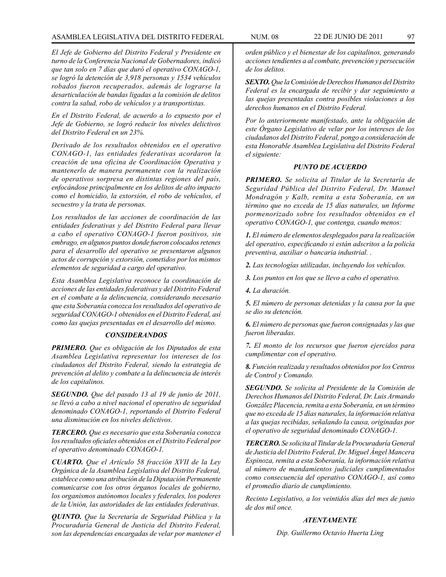# ASAMBLEA LEGISLATIVA DEL DISTRITO FEDERAL NUM. 08 22 DE JUNIO DE 2011 97

*El Jefe de Gobierno del Distrito Federal y Presidente en turno de la Conferencia Nacional de Gobernadores, indicó que tan solo en 7 días que duró el operativo CONAGO-1, se logró la detención de 3,918 personas y 1534 vehículos robados fueron recuperados, además de lograrse la desarticulación de bandas ligadas a la comisión de delitos contra la salud, robo de vehículos y a transportistas.*

*En el Distrito Federal, de acuerdo a lo expuesto por el Jefe de Gobierno, se logró reducir los niveles delictivos del Distrito Federal en un 23%.* 

*Derivado de los resultados obtenidos en el operativo CONAGO-1, las entidades federativas acordaron la creación de una oficina de Coordinación Operativa y mantenerlo de manera permanente con la realización de operativos sorpresa en distintas regiones del país, enfocándose principalmente en los delitos de alto impacto como el homicidio, la extorsión, el robo de vehículos, el secuestro y la trata de personas.*

*Los resultados de las acciones de coordinación de las entidades federativas y del Distrito Federal para llevar a cabo el operativo CONAGO-1 fueron positivos, sin embrago, en algunos puntos donde fueron colocados retenes para el desarrollo del operativo se presentaron algunos actos de corrupción y extorsión, cometidos por los mismos elementos de seguridad a cargo del operativo.*

*Esta Asamblea Legislativa reconoce la coordinación de acciones de las entidades federativas y del Distrito Federal en el combate a la delincuencia, considerando necesario que esta Soberanía conozca los resultados del operativo de seguridad CONAGO-1 obtenidos en el Distrito Federal, así como las quejas presentadas en el desarrollo del mismo.*

#### *CONSIDERANDOS*

*PRIMERO. Que es obligación de los Diputados de esta Asamblea Legislativa representar los intereses de los ciudadanos del Distrito Federal, siendo la estrategia de prevención al delito y combate a la delincuencia de interés de los capitalinos.*

*SEGUNDO. Que del pasado 13 al 19 de junio de 2011, se llevó a cabo a nivel nacional el operativo de seguridad denominado CONAGO-1, reportando el Distrito Federal una disminución en los niveles delictivos.*

*TERCERO. Que es necesario que esta Soberanía conozca los resultados oficiales obtenidos en el Distrito Federal por el operativo denominado CONAGO-1.*

*CUARTO. Que el Artículo 58 fracción XVII de la Ley Orgánica de la Asamblea Legislativa del Distrito Federal, establece como una atribución de la Diputación Permanente comunicarse con los otros órganos locales de gobierno, los organismos autónomos locales y federales, los poderes de la Unión, las autoridades de las entidades federativas.*

*QUINTO. Que la Secretaría de Seguridad Pública y la Procuraduría General de Justicia del Distrito Federal, son las dependencias encargadas de velar por mantener el* 

*orden público y el bienestar de los capitalinos, generando acciones tendientes a al combate, prevención y persecución de los delitos.*

*SEXTO. Que la Comisión de Derechos Humanos del Distrito Federal es la encargada de recibir y dar seguimiento a las quejas presentadas contra posibles violaciones a los derechos humanos en el Distrito Federal.*

*Por lo anteriormente manifestado, ante la obligación de este Órgano Legislativo de velar por los intereses de los ciudadanos del Distrito Federal, pongo a consideración de esta Honorable Asamblea Legislativa del Distrito Federal el siguiente:*

#### *PUNTO DE ACUERDO*

*PRIMERO. Se solicita al Titular de la Secretaría de Seguridad Pública del Distrito Federal, Dr. Manuel Mondragón y Kalb, remita a esta Soberanía, en un término que no exceda de 15 días naturales, un Informe pormenorizado sobre los resultados obtenidos en el operativo CONAGO-1, que contenga, cuando menos:*

*1. El número de elementos desplegados para la realización del operativo, especificando si están adscritos a la policía preventiva, auxiliar o bancaria industrial. .*

*2. Las tecnologías utilizadas, incluyendo los vehículos.* 

*3. Los puntos en los que se llevo a cabo el operativo.*

*4. La duración.*

*5. El número de personas detenidas y la causa por la que se dio su detención.*

*6. El número de personas que fueron consignadas y las que fueron liberadas.*

*7. El monto de los recursos que fueron ejercidos para cumplimentar con el operativo.*

*8. Función realizada y resultados obtenidos por los Centros de Control y Comando.*

*SEGUNDO. Se solicita al Presidente de la Comisión de Derechos Humanos del Distrito Federal, Dr. Luis Armando González Placencia, remita a esta Soberanía, en un término que no exceda de 15 días naturales, la información relativa a las quejas recibidas, señalando la causa, originadas por el operativo de seguridad denominado CONAGO-1.*

*TERCERO. Se solicita al Titular de la Procuraduría General de Justicia del Distrito Federal, Dr. Miguel Ángel Mancera Espinoza, remita a esta Soberanía, la información relativa al número de mandamientos judiciales cumplimentados como consecuencia del operativo CONAGO-1, así como el promedio diario de cumplimiento.*

*Recinto Legislativo, a los veintidós días del mes de junio de dos mil once.* 

#### *ATENTAMENTE*

*Dip. Guillermo Octavio Huerta Ling*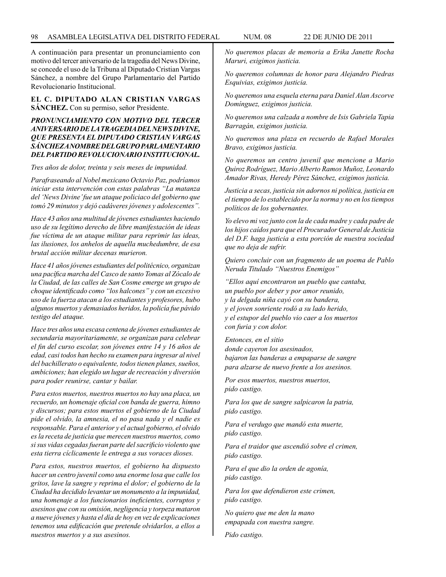A continuación para presentar un pronunciamiento con motivo del tercer aniversario de la tragedia del News Divine, se concede el uso de la Tribuna al Diputado Cristian Vargas Sánchez, a nombre del Grupo Parlamentario del Partido Revolucionario Institucional.

**EL C. DIPUTADO ALAN CRISTIAN VARGAS SÁNCHEZ.** Con su permiso, señor Presidente.

# *PRONUNCIAMIENTO CON MOTIVO DEL TERCER ANIVERSARIO DE LA TRAGEDIA DEL NEWS DIVINE, QUE PRESENTA EL DIPUTADO CRISTIAN VARGAS SÁNCHEZ A NOMBRE DEL GRUPO PARLAMENTARIO DEL PARTIDO REVOLUCIONARIO INSTITUCIONAL.*

*Tres años de dolor, treinta y seis meses de impunidad.*

*Parafraseando al Nobel mexicano Octavio Paz, podríamos iniciar esta intervención con estas palabras "La matanza del 'News Divine' fue un ataque policiaco del gobierno que tomó 29 minutos y dejó cadáveres jóvenes y adolescentes".*

*Hace 43 años una multitud de jóvenes estudiantes haciendo uso de su legítimo derecho de libre manifestación de ideas fue víctima de un ataque militar para reprimir las ideas, las ilusiones, los anhelos de aquella muchedumbre, de esa brutal acción militar decenas murieron.*

*Hace 41 años jóvenes estudiantes del politécnico, organizan una pacífica marcha del Casco de santo Tomas al Zócalo de la Ciudad, de las calles de San Cosme emerge un grupo de choque identificado como "los halcones" y con un excesivo uso de la fuerza atacan a los estudiantes y profesores, hubo algunos muertos y demasiados heridos, la policía fue pávido testigo del ataque.*

*Hace tres años una escasa centena de jóvenes estudiantes de secundaria mayoritariamente, se organizan para celebrar el fin del curso escolar, son jóvenes entre 14 y 16 años de edad, casi todos han hecho su examen para ingresar al nivel del bachillerato o equivalente, todos tienen planes, sueños, ambiciones; han elegido un lugar de recreación y diversión para poder reunirse, cantar y bailar.*

*Para estos muertos, nuestros muertos no hay una placa, un recuerdo, un homenaje oficial con banda de guerra, himno y discursos; para estos muertos el gobierno de la Ciudad pide el olvido, la amnesia, el no pasa nada y el nadie es responsable. Para el anterior y el actual gobierno, el olvido es la receta de justicia que merecen nuestros muertos, como si sus vidas cegadas fueran parte del sacrificio violento que esta tierra cíclicamente le entrega a sus voraces dioses.*

*Para estos, nuestros muertos, el gobierno ha dispuesto hacer un centro juvenil como una enorme losa que calle los gritos, lave la sangre y reprima el dolor; el gobierno de la Ciudad ha decidido levantar un monumento a la impunidad, una homenaje a los funcionarios ineficientes, corruptos y asesinos que con su omisión, negligencia y torpeza mataron a nueve jóvenes y hasta el día de hoy en vez de explicaciones tenemos una edificación que pretende olvidarlos, a ellos a nuestros muertos y a sus asesinos.*

*No queremos placas de memoria a Erika Janette Rocha Maruri, exigimos justicia.*

*No queremos columnas de honor para Alejandro Piedras Esquivias, exigimos justicia.*

*No queremos una esquela eterna para Daniel Alan Ascorve Domínguez, exigimos justicia.*

*No queremos una calzada a nombre de Isis Gabriela Tapia Barragán, exigimos justicia.*

*No queremos una plaza en recuerdo de Rafael Morales Bravo, exigimos justicia.*

*No queremos un centro juvenil que mencione a Mario Quiroz Rodríguez, Mario Alberto Ramos Muñoz, Leonardo Amador Rivas, Heredy Pérez Sánchez, exigimos justicia.*

*Justicia a secas, justicia sin adornos ni política, justicia en el tiempo de lo establecido por la norma y no en los tiempos políticos de los gobernantes.*

*Yo elevo mi voz junto con la de cada madre y cada padre de los hijos caídos para que el Procurador General de Justicia del D.F. haga justicia a esta porción de nuestra sociedad que no deja de sufrir.*

*Quiero concluir con un fragmento de un poema de Pablo Neruda Titulado "Nuestros Enemigos"*

*"Ellos aquí encontraron un pueblo que cantaba, un pueblo por deber y por amor reunido, y la delgada niña cayó con su bandera, y el joven sonriente rodó a su lado herido, y el estupor del pueblo vio caer a los muertos con furia y con dolor.*

*Entonces, en el sitio donde cayeron los asesinados, bajaron las banderas a empaparse de sangre para alzarse de nuevo frente a los asesinos.*

*Por esos muertos, nuestros muertos, pido castigo.*

*Para los que de sangre salpicaron la patria, pido castigo.*

*Para el verdugo que mandó esta muerte, pido castigo.*

*Para el traidor que ascendió sobre el crimen, pido castigo.*

*Para el que dio la orden de agonía, pido castigo.*

*Para los que defendieron este crimen, pido castigo.*

*No quiero que me den la mano empapada con nuestra sangre.*

*Pido castigo.*